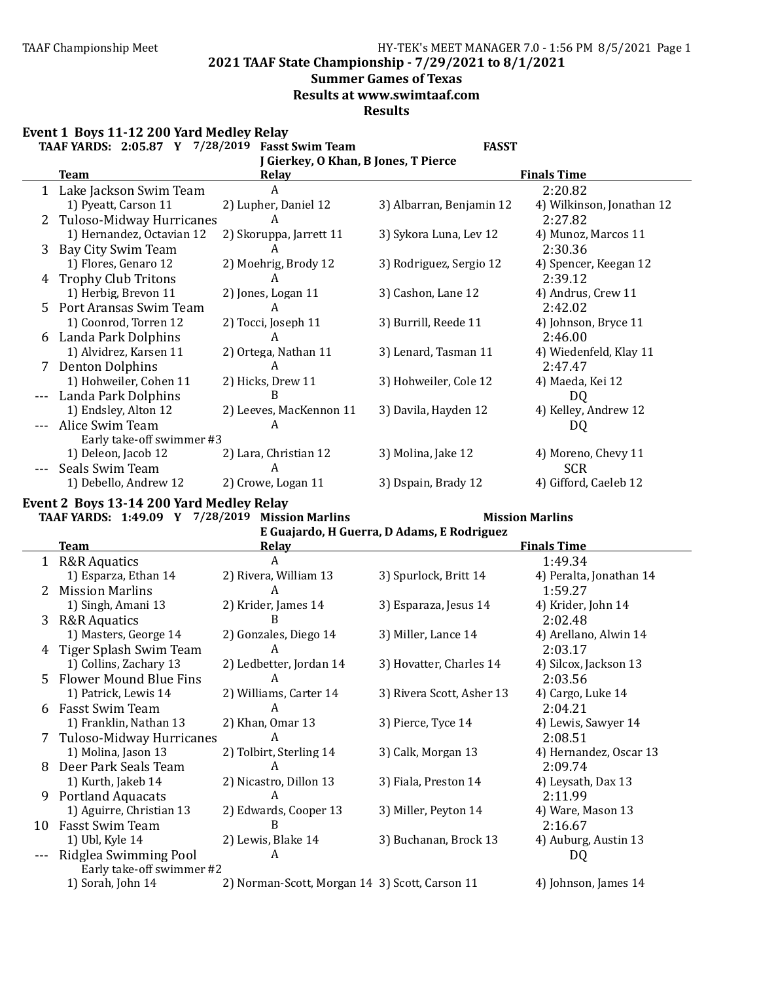**2021 TAAF State Championship - 7/29/2021 to 8/1/2021**

### **Summer Games of Texas**

**Results at www.swimtaaf.com**

**Results**

|  |  | Event 1 Boys 11-12 200 Yard Medley Relay |
|--|--|------------------------------------------|
|--|--|------------------------------------------|

|              | TAAF YARDS: 2:05.87 Y 7/28/2019      | <b>Fasst Swim Team</b>  | <b>FASST</b>             |                           |  |  |  |  |  |  |
|--------------|--------------------------------------|-------------------------|--------------------------|---------------------------|--|--|--|--|--|--|
|              | J Gierkey, O Khan, B Jones, T Pierce |                         |                          |                           |  |  |  |  |  |  |
|              | <b>Team</b>                          | Relay                   |                          | <b>Finals Time</b>        |  |  |  |  |  |  |
|              | 1 Lake Jackson Swim Team             | A                       |                          | 2:20.82                   |  |  |  |  |  |  |
|              | 1) Pyeatt, Carson 11                 | 2) Lupher, Daniel 12    | 3) Albarran, Benjamin 12 | 4) Wilkinson, Jonathan 12 |  |  |  |  |  |  |
| $\mathbf{Z}$ | Tuloso-Midway Hurricanes             | А                       |                          | 2:27.82                   |  |  |  |  |  |  |
|              | 1) Hernandez, Octavian 12            | 2) Skoruppa, Jarrett 11 | 3) Sykora Luna, Lev 12   | 4) Munoz, Marcos 11       |  |  |  |  |  |  |
| 3            | Bay City Swim Team                   | A                       |                          | 2:30.36                   |  |  |  |  |  |  |
|              | 1) Flores, Genaro 12                 | 2) Moehrig, Brody 12    | 3) Rodriguez, Sergio 12  | 4) Spencer, Keegan 12     |  |  |  |  |  |  |
| 4            | <b>Trophy Club Tritons</b>           | A                       |                          | 2:39.12                   |  |  |  |  |  |  |
|              | 1) Herbig, Brevon 11                 | 2) Jones, Logan 11      | 3) Cashon, Lane 12       | 4) Andrus, Crew 11        |  |  |  |  |  |  |
|              | 5 Port Aransas Swim Team             | A                       |                          | 2:42.02                   |  |  |  |  |  |  |
|              | 1) Coonrod, Torren 12                | 2) Tocci, Joseph 11     | 3) Burrill, Reede 11     | 4) Johnson, Bryce 11      |  |  |  |  |  |  |
| 6            | Landa Park Dolphins                  | A                       |                          | 2:46.00                   |  |  |  |  |  |  |
|              | 1) Alvidrez, Karsen 11               | 2) Ortega, Nathan 11    | 3) Lenard, Tasman 11     | 4) Wiedenfeld, Klay 11    |  |  |  |  |  |  |
|              | 7 Denton Dolphins                    | A                       |                          | 2:47.47                   |  |  |  |  |  |  |
|              | 1) Hohweiler, Cohen 11               | 2) Hicks, Drew 11       | 3) Hohweiler, Cole 12    | 4) Maeda, Kei 12          |  |  |  |  |  |  |
|              | Landa Park Dolphins                  | B                       |                          | DQ                        |  |  |  |  |  |  |
|              | 1) Endsley, Alton 12                 | 2) Leeves, MacKennon 11 | 3) Davila, Hayden 12     | 4) Kelley, Andrew 12      |  |  |  |  |  |  |
|              | Alice Swim Team                      | A                       |                          | DQ                        |  |  |  |  |  |  |
|              | Early take-off swimmer #3            |                         |                          |                           |  |  |  |  |  |  |
|              | 1) Deleon, Jacob 12                  | 2) Lara, Christian 12   | 3) Molina, Jake 12       | 4) Moreno, Chevy 11       |  |  |  |  |  |  |
|              | Seals Swim Team                      | A                       |                          | <b>SCR</b>                |  |  |  |  |  |  |
|              | 1) Debello, Andrew 12                | 2) Crowe, Logan 11      | 3) Dspain, Brady 12      | 4) Gifford, Caeleb 12     |  |  |  |  |  |  |

### **Event 2 Boys 13-14 200 Yard Medley Relay**

**TAAF YARDS: 1:49.09 Y 7/28/2019 Mission Marlins Mission Marlins**

|    | E Guajardo, H Guerra, D Adams, E Rodriguez |                                                |                           |                         |  |  |  |  |
|----|--------------------------------------------|------------------------------------------------|---------------------------|-------------------------|--|--|--|--|
|    | Team                                       | <b>Relay</b>                                   |                           | <b>Finals Time</b>      |  |  |  |  |
|    | 1 R&R Aquatics                             | A                                              |                           | 1:49.34                 |  |  |  |  |
|    | 1) Esparza, Ethan 14                       | 2) Rivera, William 13                          | 3) Spurlock, Britt 14     | 4) Peralta, Jonathan 14 |  |  |  |  |
|    | <b>Mission Marlins</b>                     | A                                              |                           | 1:59.27                 |  |  |  |  |
|    | 1) Singh, Amani 13                         | 2) Krider, James 14                            | 3) Esparaza, Jesus 14     | 4) Krider, John 14      |  |  |  |  |
| 3  | <b>R&amp;R Aquatics</b>                    | B                                              |                           | 2:02.48                 |  |  |  |  |
|    | 1) Masters, George 14                      | 2) Gonzales, Diego 14                          | 3) Miller, Lance 14       | 4) Arellano, Alwin 14   |  |  |  |  |
| 4  | Tiger Splash Swim Team                     | A                                              |                           | 2:03.17                 |  |  |  |  |
|    | 1) Collins, Zachary 13                     | 2) Ledbetter, Jordan 14                        | 3) Hovatter, Charles 14   | 4) Silcox, Jackson 13   |  |  |  |  |
| 5. | Flower Mound Blue Fins                     | A                                              |                           | 2:03.56                 |  |  |  |  |
|    | 1) Patrick, Lewis 14                       | 2) Williams, Carter 14                         | 3) Rivera Scott, Asher 13 | 4) Cargo, Luke 14       |  |  |  |  |
| 6  | Fasst Swim Team                            | A                                              |                           | 2:04.21                 |  |  |  |  |
|    | 1) Franklin, Nathan 13                     | 2) Khan, Omar 13                               | 3) Pierce, Tyce 14        | 4) Lewis, Sawyer 14     |  |  |  |  |
|    | Tuloso-Midway Hurricanes                   | A                                              |                           | 2:08.51                 |  |  |  |  |
|    | 1) Molina, Jason 13                        | 2) Tolbirt, Sterling 14                        | 3) Calk, Morgan 13        | 4) Hernandez, Oscar 13  |  |  |  |  |
| 8  | Deer Park Seals Team                       | A                                              |                           | 2:09.74                 |  |  |  |  |
|    | 1) Kurth, Jakeb 14                         | 2) Nicastro, Dillon 13                         | 3) Fiala, Preston 14      | 4) Leysath, Dax 13      |  |  |  |  |
| 9  | <b>Portland Aquacats</b>                   | A                                              |                           | 2:11.99                 |  |  |  |  |
|    | 1) Aguirre, Christian 13                   | 2) Edwards, Cooper 13                          | 3) Miller, Peyton 14      | 4) Ware, Mason 13       |  |  |  |  |
| 10 | <b>Fasst Swim Team</b>                     | B                                              |                           | 2:16.67                 |  |  |  |  |
|    | 1) Ubl, Kyle 14                            | 2) Lewis, Blake 14                             | 3) Buchanan, Brock 13     | 4) Auburg, Austin 13    |  |  |  |  |
|    | Ridglea Swimming Pool                      | A                                              |                           | DQ                      |  |  |  |  |
|    | Early take-off swimmer #2                  |                                                |                           |                         |  |  |  |  |
|    | 1) Sorah, John 14                          | 2) Norman-Scott, Morgan 14 3) Scott, Carson 11 |                           | 4) Johnson, James 14    |  |  |  |  |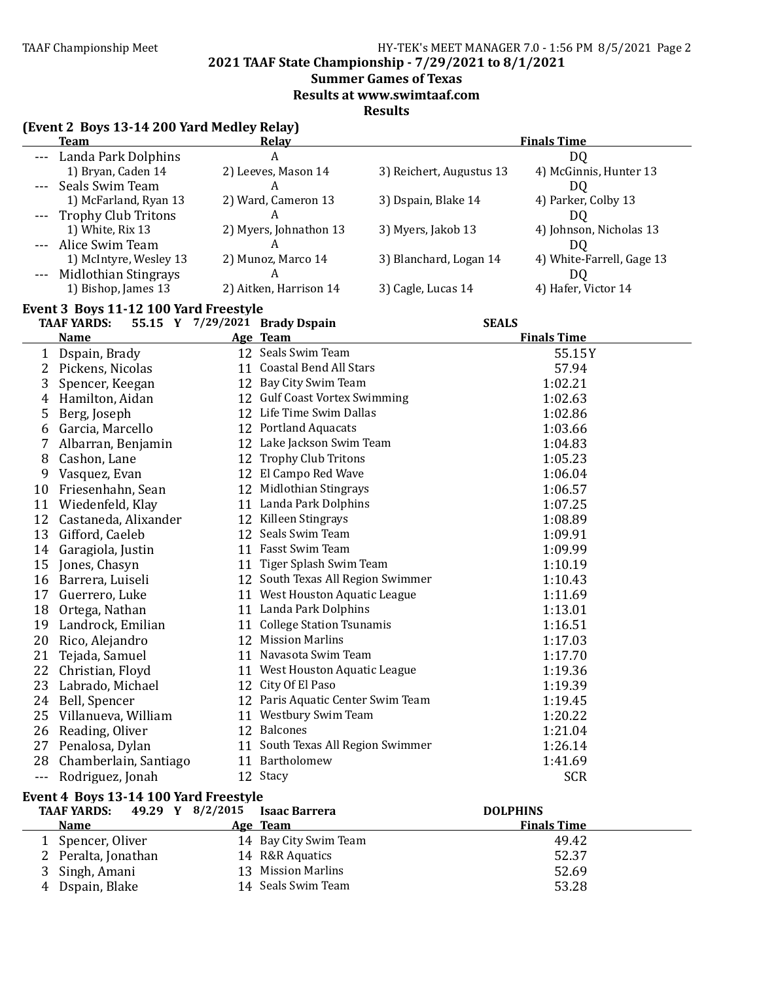**2021 TAAF State Championship - 7/29/2021 to 8/1/2021**

### **Summer Games of Texas**

**Results at www.swimtaaf.com**

**Results**

|       | (Event 2 Boys 13-14 200 Yard Medley Relay)<br><b>Team</b> | <b>Relay</b>                      |                          | <b>Finals Time</b>            |
|-------|-----------------------------------------------------------|-----------------------------------|--------------------------|-------------------------------|
|       | --- Landa Park Dolphins                                   | $\boldsymbol{A}$                  |                          | DQ                            |
|       | 1) Bryan, Caden 14                                        | 2) Leeves, Mason 14               | 3) Reichert, Augustus 13 | 4) McGinnis, Hunter 13        |
|       | Seals Swim Team                                           | A                                 |                          | DQ                            |
|       | 1) McFarland, Ryan 13                                     | 2) Ward, Cameron 13               | 3) Dspain, Blake 14      | 4) Parker, Colby 13           |
|       | <b>Trophy Club Tritons</b>                                | A                                 |                          |                               |
|       | 1) White, Rix 13                                          | 2) Myers, Johnathon 13            | 3) Myers, Jakob 13       | DQ<br>4) Johnson, Nicholas 13 |
|       | --- Alice Swim Team                                       | A                                 |                          | DQ                            |
|       | 1) McIntyre, Wesley 13                                    | 2) Munoz, Marco 14                | 3) Blanchard, Logan 14   | 4) White-Farrell, Gage 13     |
|       |                                                           | A                                 |                          |                               |
|       | Midlothian Stingrays<br>1) Bishop, James 13               | 2) Aitken, Harrison 14            | 3) Cagle, Lucas 14       | DQ<br>4) Hafer, Victor 14     |
|       |                                                           |                                   |                          |                               |
|       | Event 3 Boys 11-12 100 Yard Freestyle                     |                                   |                          |                               |
|       | <b>TAAF YARDS:</b>                                        | 55.15 Y 7/29/2021 Brady Dspain    | <b>SEALS</b>             |                               |
|       | <b>Name</b>                                               | Age Team                          |                          | <b>Finals Time</b>            |
| 1     | Dspain, Brady                                             | 12 Seals Swim Team                |                          | 55.15Y                        |
| 2     | Pickens, Nicolas                                          | 11 Coastal Bend All Stars         |                          | 57.94                         |
| 3     | Spencer, Keegan                                           | 12 Bay City Swim Team             |                          | 1:02.21                       |
| 4     | Hamilton, Aidan                                           | 12 Gulf Coast Vortex Swimming     |                          | 1:02.63                       |
| 5     | Berg, Joseph                                              | 12 Life Time Swim Dallas          |                          | 1:02.86                       |
| 6     | Garcia, Marcello                                          | 12 Portland Aquacats              |                          | 1:03.66                       |
|       | Albarran, Benjamin                                        | 12 Lake Jackson Swim Team         |                          | 1:04.83                       |
| 8     | Cashon, Lane                                              | 12 Trophy Club Tritons            |                          | 1:05.23                       |
| 9     | Vasquez, Evan                                             | 12 El Campo Red Wave              |                          | 1:06.04                       |
| 10    | Friesenhahn, Sean                                         | 12 Midlothian Stingrays           |                          | 1:06.57                       |
| 11    | Wiedenfeld, Klay                                          | 11 Landa Park Dolphins            |                          | 1:07.25                       |
| 12    | Castaneda, Alixander                                      | 12 Killeen Stingrays              |                          | 1:08.89                       |
| 13    | Gifford, Caeleb                                           | 12 Seals Swim Team                |                          | 1:09.91                       |
| 14    | Garagiola, Justin                                         | 11 Fasst Swim Team                |                          | 1:09.99                       |
| 15    | Jones, Chasyn                                             | 11 Tiger Splash Swim Team         |                          | 1:10.19                       |
| 16    | Barrera, Luiseli                                          | 12 South Texas All Region Swimmer |                          | 1:10.43                       |
| 17    | Guerrero, Luke                                            | 11 West Houston Aquatic League    |                          | 1:11.69                       |
| 18    | Ortega, Nathan                                            | 11 Landa Park Dolphins            |                          | 1:13.01                       |
| 19    | Landrock, Emilian                                         | 11 College Station Tsunamis       |                          | 1:16.51                       |
| 20    | Rico, Alejandro                                           | 12 Mission Marlins                |                          | 1:17.03                       |
| 21    | Tejada, Samuel                                            | 11 Navasota Swim Team             |                          | 1:17.70                       |
| 22    | Christian, Floyd                                          | 11 West Houston Aquatic League    |                          | 1:19.36                       |
|       | 23 Labrado, Michael                                       | 12 City Of El Paso                |                          | 1:19.39                       |
|       |                                                           | 12 Paris Aquatic Center Swim Team |                          | 1:19.45                       |
|       | 24 Bell, Spencer                                          | 11 Westbury Swim Team             |                          |                               |
| 25    | Villanueva, William                                       |                                   |                          | 1:20.22                       |
|       | 26 Reading, Oliver                                        | 12 Balcones                       |                          | 1:21.04                       |
|       | 27 Penalosa, Dylan                                        | 11 South Texas All Region Swimmer |                          | 1:26.14                       |
| 28    | Chamberlain, Santiago                                     | 11 Bartholomew                    |                          | 1:41.69                       |
| $---$ | Rodriguez, Jonah                                          | 12 Stacy                          |                          | <b>SCR</b>                    |
|       | Event 4 Boys 13-14 100 Yard Freestyle                     |                                   |                          |                               |
|       | 49.29 Y 8/2/2015<br><b>TAAF YARDS:</b>                    | <b>Isaac Barrera</b>              |                          | <b>DOLPHINS</b>               |
|       | <b>Name</b>                                               | Age Team                          |                          | <b>Finals Time</b>            |
|       | 1 Spencer, Oliver                                         | 14 Bay City Swim Team             |                          | 49.42                         |
|       | 2 Peralta, Jonathan                                       | 14 R&R Aquatics                   |                          | 52.37                         |

3 Singh, Amani 13 Mission Marlins 13 Mission Marlins 52.69<br>4 Dspain, Blake 14 Seals Swim Team 53.28

14 Seals Swim Team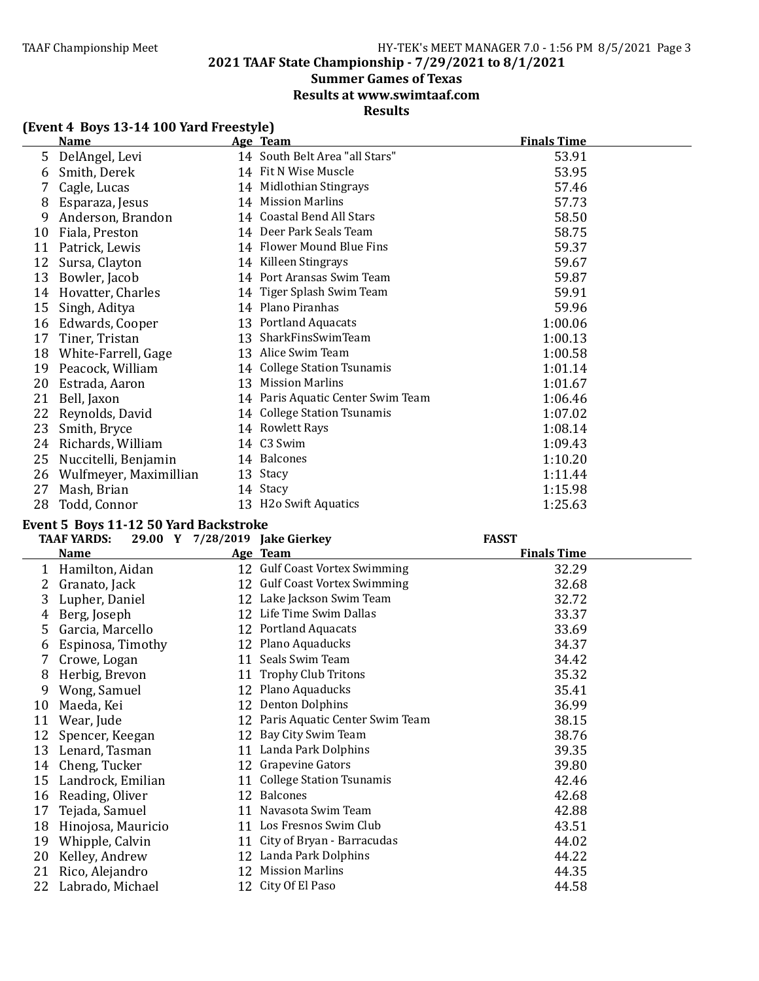### **Summer Games of Texas**

**Results at www.swimtaaf.com**

### **Results**

|  | (Event 4 Boys 13-14 100 Yard Freestyle) |  |  |
|--|-----------------------------------------|--|--|
|--|-----------------------------------------|--|--|

|    | <b>Name</b>            | Age Team                          | <b>Finals Time</b> |
|----|------------------------|-----------------------------------|--------------------|
| 5  | DelAngel, Levi         | 14 South Belt Area "all Stars"    | 53.91              |
| 6  | Smith, Derek           | 14 Fit N Wise Muscle              | 53.95              |
|    | Cagle, Lucas           | 14 Midlothian Stingrays           | 57.46              |
| 8  | Esparaza, Jesus        | 14 Mission Marlins                | 57.73              |
| 9  | Anderson, Brandon      | 14 Coastal Bend All Stars         | 58.50              |
| 10 | Fiala, Preston         | 14 Deer Park Seals Team           | 58.75              |
| 11 | Patrick, Lewis         | 14 Flower Mound Blue Fins         | 59.37              |
| 12 | Sursa, Clayton         | 14 Killeen Stingrays              | 59.67              |
| 13 | Bowler, Jacob          | 14 Port Aransas Swim Team         | 59.87              |
| 14 | Hovatter, Charles      | 14 Tiger Splash Swim Team         | 59.91              |
| 15 | Singh, Aditya          | 14 Plano Piranhas                 | 59.96              |
| 16 | Edwards, Cooper        | 13 Portland Aquacats              | 1:00.06            |
| 17 | Tiner, Tristan         | 13 SharkFinsSwimTeam              | 1:00.13            |
| 18 | White-Farrell, Gage    | 13 Alice Swim Team                | 1:00.58            |
| 19 | Peacock, William       | 14 College Station Tsunamis       | 1:01.14            |
| 20 | Estrada, Aaron         | 13 Mission Marlins                | 1:01.67            |
| 21 | Bell, Jaxon            | 14 Paris Aquatic Center Swim Team | 1:06.46            |
| 22 | Reynolds, David        | 14 College Station Tsunamis       | 1:07.02            |
| 23 | Smith, Bryce           | 14 Rowlett Rays                   | 1:08.14            |
| 24 | Richards, William      | 14 C3 Swim                        | 1:09.43            |
| 25 | Nuccitelli, Benjamin   | 14 Balcones                       | 1:10.20            |
| 26 | Wulfmeyer, Maximillian | 13 Stacy                          | 1:11.44            |
| 27 | Mash, Brian            | 14 Stacy                          | 1:15.98            |
| 28 | Todd, Connor           | 13 H2o Swift Aquatics             | 1:25.63            |

### Event 5 Boys 11-12 50 Yard Backstroke

|    | <b>TAAF YARDS:</b> |    | 29.00 Y 7/28/2019 Jake Gierkey    | <b>FASST</b>       |  |
|----|--------------------|----|-----------------------------------|--------------------|--|
|    | <b>Name</b>        |    | Age Team                          | <b>Finals Time</b> |  |
|    | 1 Hamilton, Aidan  |    | 12 Gulf Coast Vortex Swimming     | 32.29              |  |
|    | Granato, Jack      |    | 12 Gulf Coast Vortex Swimming     | 32.68              |  |
| 3  | Lupher, Daniel     |    | 12 Lake Jackson Swim Team         | 32.72              |  |
| 4  | Berg, Joseph       |    | 12 Life Time Swim Dallas          | 33.37              |  |
| 5. | Garcia, Marcello   |    | 12 Portland Aquacats              | 33.69              |  |
| 6  | Espinosa, Timothy  |    | 12 Plano Aquaducks                | 34.37              |  |
| 7  | Crowe, Logan       |    | 11 Seals Swim Team                | 34.42              |  |
| 8  | Herbig, Brevon     |    | 11 Trophy Club Tritons            | 35.32              |  |
| 9  | Wong, Samuel       |    | 12 Plano Aquaducks                | 35.41              |  |
| 10 | Maeda, Kei         |    | 12 Denton Dolphins                | 36.99              |  |
| 11 | Wear, Jude         |    | 12 Paris Aquatic Center Swim Team | 38.15              |  |
| 12 | Spencer, Keegan    |    | 12 Bay City Swim Team             | 38.76              |  |
| 13 | Lenard, Tasman     |    | 11 Landa Park Dolphins            | 39.35              |  |
| 14 | Cheng, Tucker      |    | 12 Grapevine Gators               | 39.80              |  |
| 15 | Landrock, Emilian  |    | 11 College Station Tsunamis       | 42.46              |  |
| 16 | Reading, Oliver    | 12 | <b>Balcones</b>                   | 42.68              |  |
| 17 | Tejada, Samuel     |    | 11 Navasota Swim Team             | 42.88              |  |
| 18 | Hinojosa, Mauricio |    | 11 Los Fresnos Swim Club          | 43.51              |  |
| 19 | Whipple, Calvin    |    | 11 City of Bryan - Barracudas     | 44.02              |  |
| 20 | Kelley, Andrew     |    | 12 Landa Park Dolphins            | 44.22              |  |
| 21 | Rico, Alejandro    |    | 12 Mission Marlins                | 44.35              |  |
| 22 | Labrado, Michael   |    | 12 City Of El Paso                | 44.58              |  |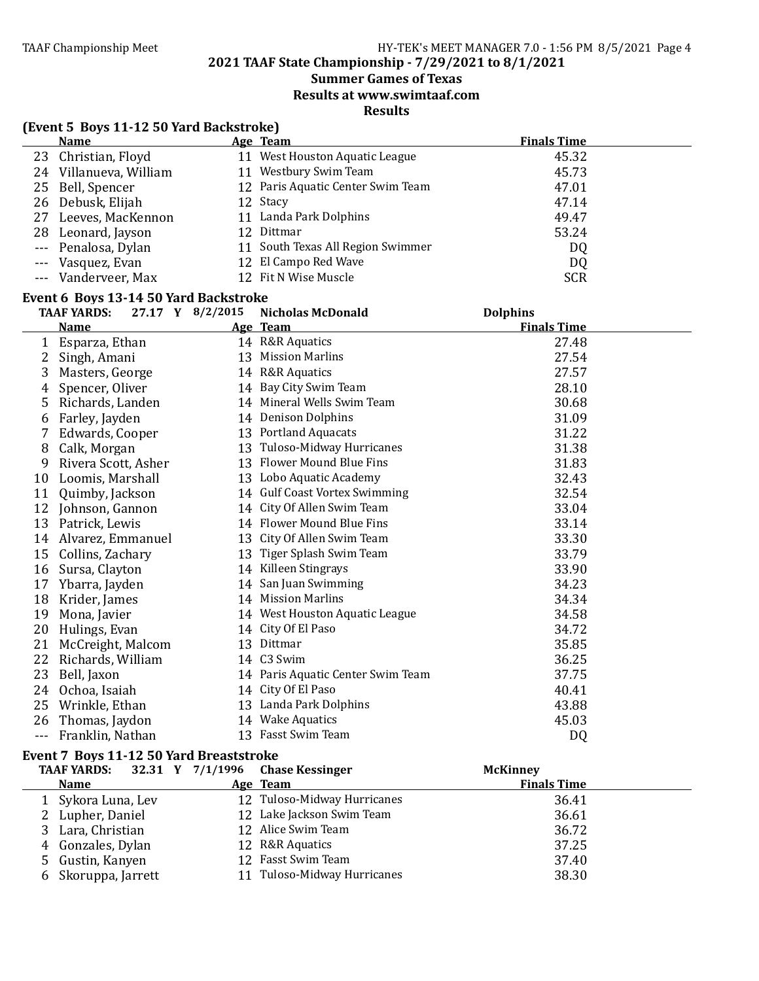#### **Summer Games of Texas**

**Results at www.swimtaaf.com**

**Results**

|              | (Event 5 Boys 11-12 50 Yard Backstroke)                                         |  |                                      |                                       |  |  |  |
|--------------|---------------------------------------------------------------------------------|--|--------------------------------------|---------------------------------------|--|--|--|
|              | <b>Name</b>                                                                     |  | Age Team                             | <b>Finals Time</b>                    |  |  |  |
|              | 23 Christian, Floyd                                                             |  | 11 West Houston Aquatic League       | 45.32                                 |  |  |  |
|              | 24 Villanueva, William                                                          |  | 11 Westbury Swim Team                | 45.73                                 |  |  |  |
|              | 25 Bell, Spencer                                                                |  | 12 Paris Aquatic Center Swim Team    | 47.01                                 |  |  |  |
|              | 26 Debusk, Elijah                                                               |  | 12 Stacy                             | 47.14                                 |  |  |  |
|              | 27 Leeves, MacKennon                                                            |  | 11 Landa Park Dolphins               | 49.47                                 |  |  |  |
|              | 28 Leonard, Jayson                                                              |  | 12 Dittmar                           | 53.24                                 |  |  |  |
| $- - -$      | Penalosa, Dylan                                                                 |  | 11 South Texas All Region Swimmer    | DQ                                    |  |  |  |
| $---$        | Vasquez, Evan                                                                   |  | 12 El Campo Red Wave                 | DQ                                    |  |  |  |
| $- - -$      | Vanderveer, Max                                                                 |  | 12 Fit N Wise Muscle                 | <b>SCR</b>                            |  |  |  |
|              |                                                                                 |  |                                      |                                       |  |  |  |
|              | Event 6 Boys 13-14 50 Yard Backstroke<br>27.17 Y 8/2/2015<br><b>TAAF YARDS:</b> |  |                                      |                                       |  |  |  |
|              | <b>Name</b>                                                                     |  | <b>Nicholas McDonald</b><br>Age Team | <b>Dolphins</b><br><b>Finals Time</b> |  |  |  |
|              |                                                                                 |  |                                      | 27.48                                 |  |  |  |
|              | 1 Esparza, Ethan                                                                |  | 14 R&R Aquatics                      |                                       |  |  |  |
| $\mathbf{2}$ | Singh, Amani                                                                    |  | 13 Mission Marlins                   | 27.54                                 |  |  |  |
|              | 3 Masters, George                                                               |  | 14 R&R Aquatics                      | 27.57                                 |  |  |  |
| 4            | Spencer, Oliver                                                                 |  | 14 Bay City Swim Team                | 28.10                                 |  |  |  |
|              | 5 Richards, Landen                                                              |  | 14 Mineral Wells Swim Team           | 30.68                                 |  |  |  |
| 6            | Farley, Jayden                                                                  |  | 14 Denison Dolphins                  | 31.09                                 |  |  |  |
|              | 7 Edwards, Cooper                                                               |  | 13 Portland Aquacats                 | 31.22                                 |  |  |  |
| 8            | Calk, Morgan                                                                    |  | 13 Tuloso-Midway Hurricanes          | 31.38                                 |  |  |  |
|              | 9 Rivera Scott, Asher                                                           |  | 13 Flower Mound Blue Fins            | 31.83                                 |  |  |  |
|              | 10 Loomis, Marshall                                                             |  | 13 Lobo Aquatic Academy              | 32.43                                 |  |  |  |
| 11           | Quimby, Jackson                                                                 |  | 14 Gulf Coast Vortex Swimming        | 32.54                                 |  |  |  |
|              | 12 Johnson, Gannon                                                              |  | 14 City Of Allen Swim Team           | 33.04                                 |  |  |  |
|              | 13 Patrick, Lewis                                                               |  | 14 Flower Mound Blue Fins            | 33.14                                 |  |  |  |
|              | 14 Alvarez, Emmanuel                                                            |  | 13 City Of Allen Swim Team           | 33.30                                 |  |  |  |
| 15           | Collins, Zachary                                                                |  | 13 Tiger Splash Swim Team            | 33.79                                 |  |  |  |
| 16           | Sursa, Clayton                                                                  |  | 14 Killeen Stingrays                 | 33.90                                 |  |  |  |
|              | 17 Ybarra, Jayden                                                               |  | 14 San Juan Swimming                 | 34.23                                 |  |  |  |
|              | 18 Krider, James                                                                |  | 14 Mission Marlins                   | 34.34                                 |  |  |  |
| 19           | Mona, Javier                                                                    |  | 14 West Houston Aquatic League       | 34.58                                 |  |  |  |
| 20           | Hulings, Evan                                                                   |  | 14 City Of El Paso                   | 34.72                                 |  |  |  |
|              | 21 McCreight, Malcom                                                            |  | 13 Dittmar                           | 35.85                                 |  |  |  |
|              | 22 Richards, William                                                            |  | 14 C3 Swim                           | 36.25                                 |  |  |  |
|              | 23 Bell, Jaxon                                                                  |  | 14 Paris Aquatic Center Swim Team    | 37.75                                 |  |  |  |
|              | 24 Ochoa, Isaiah                                                                |  | 14 City Of El Paso                   | 40.41                                 |  |  |  |
| 25           | Wrinkle, Ethan                                                                  |  | 13 Landa Park Dolphins               | 43.88                                 |  |  |  |
| 26           |                                                                                 |  | 14 Wake Aquatics                     | 45.03                                 |  |  |  |
|              | Thomas, Jaydon                                                                  |  | 13 Fasst Swim Team                   |                                       |  |  |  |
| $- - -$      | Franklin, Nathan                                                                |  |                                      | DQ                                    |  |  |  |
|              | Event 7 Boys 11-12 50 Yard Breaststroke                                         |  |                                      |                                       |  |  |  |
|              | 32.31 Y 7/1/1996<br><b>TAAF YARDS:</b>                                          |  | <b>Chase Kessinger</b>               | <b>McKinney</b>                       |  |  |  |
|              | <b>Name</b>                                                                     |  | Age Team                             | <b>Finals Time</b>                    |  |  |  |
| 1            | Sykora Luna, Lev                                                                |  | 12 Tuloso-Midway Hurricanes          | 36.41                                 |  |  |  |
|              | 2 Lupher, Daniel                                                                |  | 12 Lake Jackson Swim Team            | 36.61                                 |  |  |  |
|              | 3 Lara, Christian                                                               |  | 12 Alice Swim Team                   | 36.72                                 |  |  |  |
|              | 4 Gonzales, Dylan                                                               |  | 12 R&R Aquatics                      | 37.25                                 |  |  |  |

4 Gonzales, Dylan 12 R&R Aquatics 37.25<br>5 Gustin, Kanyen 12 Fasst Swim Team 37.40 5 Gustin, Kanyen 12 Fasst Swim Team 12 Fasst Swim Team 37.40<br>6 Skoruppa, Jarrett 11 Tuloso-Midway Hurricanes 11 Tuloso-Midway Hurricanes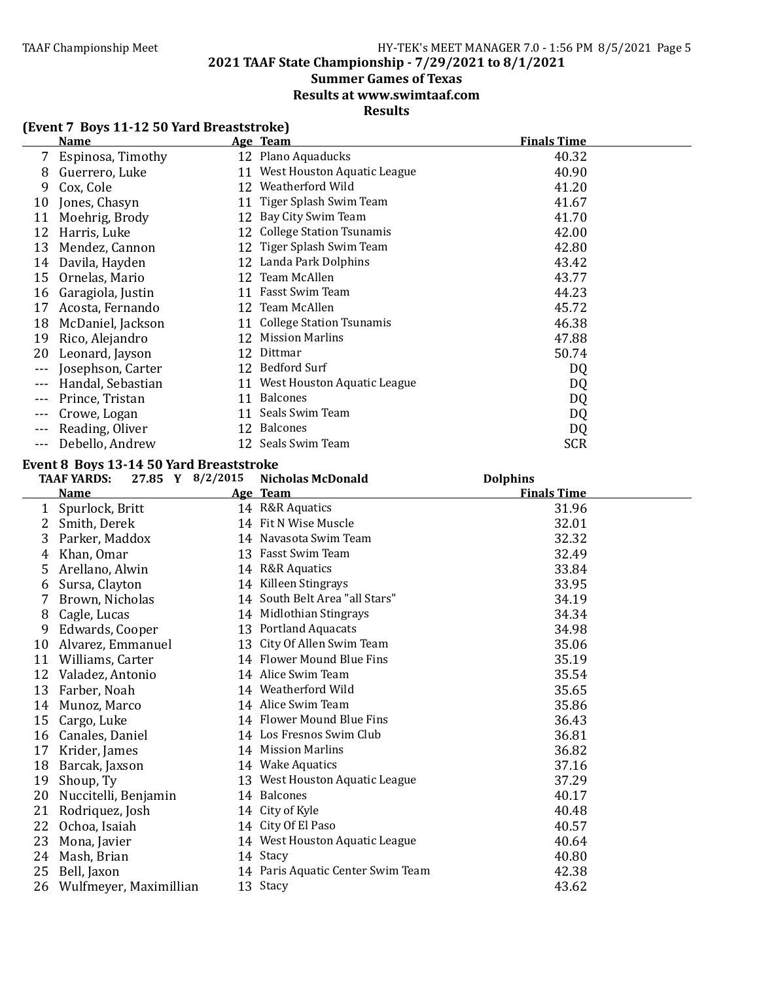### **Summer Games of Texas**

**Results at www.swimtaaf.com**

### **Results**

### **(Event 7 Boys 11-12 50 Yard Breaststroke)**

|         | <b>Name</b>       |    | Age Team                       | <b>Finals Time</b> |
|---------|-------------------|----|--------------------------------|--------------------|
|         | Espinosa, Timothy |    | 12 Plano Aquaducks             | 40.32              |
| 8       | Guerrero, Luke    |    | 11 West Houston Aquatic League | 40.90              |
| 9       | Cox, Cole         | 12 | Weatherford Wild               | 41.20              |
| 10      | Jones, Chasyn     |    | 11 Tiger Splash Swim Team      | 41.67              |
| 11      | Moehrig, Brody    |    | 12 Bay City Swim Team          | 41.70              |
| 12      | Harris, Luke      |    | 12 College Station Tsunamis    | 42.00              |
| 13      | Mendez, Cannon    |    | 12 Tiger Splash Swim Team      | 42.80              |
| 14      | Davila, Hayden    |    | 12 Landa Park Dolphins         | 43.42              |
| 15      | Ornelas, Mario    |    | 12 Team McAllen                | 43.77              |
| 16      | Garagiola, Justin |    | 11 Fasst Swim Team             | 44.23              |
| 17      | Acosta, Fernando  |    | 12 Team McAllen                | 45.72              |
| 18      | McDaniel, Jackson |    | 11 College Station Tsunamis    | 46.38              |
| 19      | Rico, Alejandro   | 12 | <b>Mission Marlins</b>         | 47.88              |
| 20      | Leonard, Jayson   | 12 | Dittmar                        | 50.74              |
| $---$   | Josephson, Carter |    | 12 Bedford Surf                | DQ                 |
|         | Handal, Sebastian | 11 | West Houston Aquatic League    | DQ                 |
|         | Prince, Tristan   | 11 | <b>Balcones</b>                | DQ                 |
|         | Crowe, Logan      | 11 | Seals Swim Team                | DQ                 |
| $---$   | Reading, Oliver   |    | 12 Balcones                    | DQ                 |
| $- - -$ | Debello, Andrew   |    | 12 Seals Swim Team             | <b>SCR</b>         |

#### Event 8 Boys 13-14 50 Yard Breaststroke

|    | 27.85 Y 8/2/2015<br><b>TAAF YARDS:</b> | <b>Nicholas McDonald</b>          | <b>Dolphins</b>    |
|----|----------------------------------------|-----------------------------------|--------------------|
|    | Name                                   | Age Team                          | <b>Finals Time</b> |
| 1  | Spurlock, Britt                        | 14 R&R Aquatics                   | 31.96              |
| 2  | Smith, Derek                           | 14 Fit N Wise Muscle              | 32.01              |
| 3  | Parker, Maddox                         | 14 Navasota Swim Team             | 32.32              |
| 4  | Khan, Omar                             | 13 Fasst Swim Team                | 32.49              |
| 5  | Arellano, Alwin                        | 14 R&R Aquatics                   | 33.84              |
| 6  | Sursa, Clayton                         | 14 Killeen Stingrays              | 33.95              |
| 7  | Brown, Nicholas                        | 14 South Belt Area "all Stars"    | 34.19              |
| 8  | Cagle, Lucas                           | 14 Midlothian Stingrays           | 34.34              |
| 9  | Edwards, Cooper                        | 13 Portland Aquacats              | 34.98              |
| 10 | Alvarez, Emmanuel                      | 13 City Of Allen Swim Team        | 35.06              |
| 11 | Williams, Carter                       | 14 Flower Mound Blue Fins         | 35.19              |
| 12 | Valadez, Antonio                       | 14 Alice Swim Team                | 35.54              |
| 13 | Farber, Noah                           | 14 Weatherford Wild               | 35.65              |
| 14 | Munoz, Marco                           | 14 Alice Swim Team                | 35.86              |
| 15 | Cargo, Luke                            | 14 Flower Mound Blue Fins         | 36.43              |
| 16 | Canales, Daniel                        | 14 Los Fresnos Swim Club          | 36.81              |
| 17 | Krider, James                          | 14 Mission Marlins                | 36.82              |
| 18 | Barcak, Jaxson                         | 14 Wake Aquatics                  | 37.16              |
| 19 | Shoup, Ty                              | 13 West Houston Aquatic League    | 37.29              |
| 20 | Nuccitelli, Benjamin                   | 14 Balcones                       | 40.17              |
| 21 | Rodriquez, Josh                        | 14 City of Kyle                   | 40.48              |
| 22 | Ochoa, Isaiah                          | 14 City Of El Paso                | 40.57              |
| 23 | Mona, Javier                           | 14 West Houston Aquatic League    | 40.64              |
| 24 | Mash, Brian                            | 14 Stacy                          | 40.80              |
| 25 | Bell, Jaxon                            | 14 Paris Aquatic Center Swim Team | 42.38              |
| 26 | Wulfmeyer, Maximillian                 | 13 Stacy                          | 43.62              |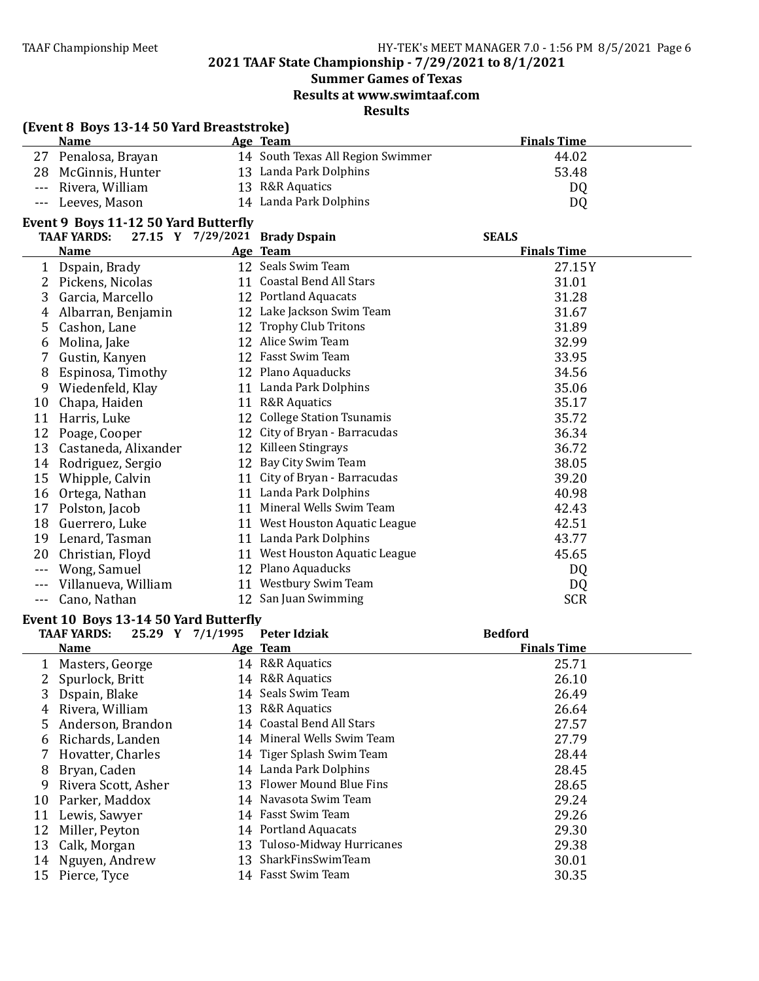### **Summer Games of Texas Results at www.swimtaaf.com**

### **Results**

| <b>Name</b>         | Age Team                          | <b>Finals Time</b> |  |
|---------------------|-----------------------------------|--------------------|--|
| 27 Penalosa, Brayan | 14 South Texas All Region Swimmer | 44.02              |  |
| 28 McGinnis, Hunter | 13 Landa Park Dolphins            | 53.48              |  |
| --- Rivera, William | 13 R&R Aquatics                   | DQ                 |  |
| --- Leeves, Mason   | 14 Landa Park Dolphins            | DQ                 |  |

|         | <b>TAAF YARDS:</b>   |    | 27.15 Y 7/29/2021 Brady Dspain | <b>SEALS</b>       |
|---------|----------------------|----|--------------------------------|--------------------|
|         | <u>Name</u>          |    | Age Team                       | <b>Finals Time</b> |
| 1       | Dspain, Brady        |    | 12 Seals Swim Team             | 27.15Y             |
| 2       | Pickens, Nicolas     |    | 11 Coastal Bend All Stars      | 31.01              |
| 3       | Garcia, Marcello     |    | 12 Portland Aquacats           | 31.28              |
| 4       | Albarran, Benjamin   |    | 12 Lake Jackson Swim Team      | 31.67              |
| 5       | Cashon, Lane         |    | 12 Trophy Club Tritons         | 31.89              |
| 6       | Molina, Jake         |    | 12 Alice Swim Team             | 32.99              |
|         | Gustin, Kanyen       |    | 12 Fasst Swim Team             | 33.95              |
| 8       | Espinosa, Timothy    |    | 12 Plano Aquaducks             | 34.56              |
| 9       | Wiedenfeld, Klay     | 11 | Landa Park Dolphins            | 35.06              |
| 10      | Chapa, Haiden        | 11 | <b>R&amp;R</b> Aquatics        | 35.17              |
| 11      | Harris, Luke         |    | 12 College Station Tsunamis    | 35.72              |
| 12      | Poage, Cooper        |    | 12 City of Bryan - Barracudas  | 36.34              |
| 13      | Castaneda, Alixander | 12 | Killeen Stingrays              | 36.72              |
| 14      | Rodriguez, Sergio    |    | 12 Bay City Swim Team          | 38.05              |
| 15      | Whipple, Calvin      |    | 11 City of Bryan - Barracudas  | 39.20              |
| 16      | Ortega, Nathan       |    | 11 Landa Park Dolphins         | 40.98              |
| 17      | Polston, Jacob       | 11 | Mineral Wells Swim Team        | 42.43              |
| 18      | Guerrero, Luke       |    | 11 West Houston Aquatic League | 42.51              |
| 19      | Lenard, Tasman       | 11 | Landa Park Dolphins            | 43.77              |
| 20      | Christian, Floyd     | 11 | West Houston Aquatic League    | 45.65              |
| $- - -$ | Wong, Samuel         |    | 12 Plano Aquaducks             | DQ                 |
|         | Villanueva, William  |    | 11 Westbury Swim Team          | DQ                 |
| $---$   | Cano, Nathan         |    | 12 San Juan Swimming           | <b>SCR</b>         |

### Event 10 Boys 13-14 50 Yard Butterfly

|    | 25.29 Y 7/1/1995<br><b>TAAF YARDS:</b> | Peter Idziak                | <b>Bedford</b>     |
|----|----------------------------------------|-----------------------------|--------------------|
|    | <b>Name</b>                            | Age Team                    | <b>Finals Time</b> |
|    | Masters, George                        | 14 R&R Aquatics             | 25.71              |
|    | Spurlock, Britt                        | 14 R&R Aquatics             | 26.10              |
| 3. | Dspain, Blake                          | 14 Seals Swim Team          | 26.49              |
| 4  | Rivera, William                        | 13 R&R Aquatics             | 26.64              |
| 5. | Anderson, Brandon                      | 14 Coastal Bend All Stars   | 27.57              |
| 6  | Richards, Landen                       | 14 Mineral Wells Swim Team  | 27.79              |
|    | Hovatter, Charles                      | 14 Tiger Splash Swim Team   | 28.44              |
| 8  | Bryan, Caden                           | 14 Landa Park Dolphins      | 28.45              |
| 9  | Rivera Scott, Asher                    | 13 Flower Mound Blue Fins   | 28.65              |
| 10 | Parker, Maddox                         | 14 Navasota Swim Team       | 29.24              |
| 11 | Lewis, Sawyer                          | 14 Fasst Swim Team          | 29.26              |
| 12 | Miller, Peyton                         | 14 Portland Aquacats        | 29.30              |
| 13 | Calk, Morgan                           | 13 Tuloso-Midway Hurricanes | 29.38              |
| 14 | Nguyen, Andrew                         | 13 SharkFinsSwimTeam        | 30.01              |
| 15 | Pierce, Tyce                           | 14 Fasst Swim Team          | 30.35              |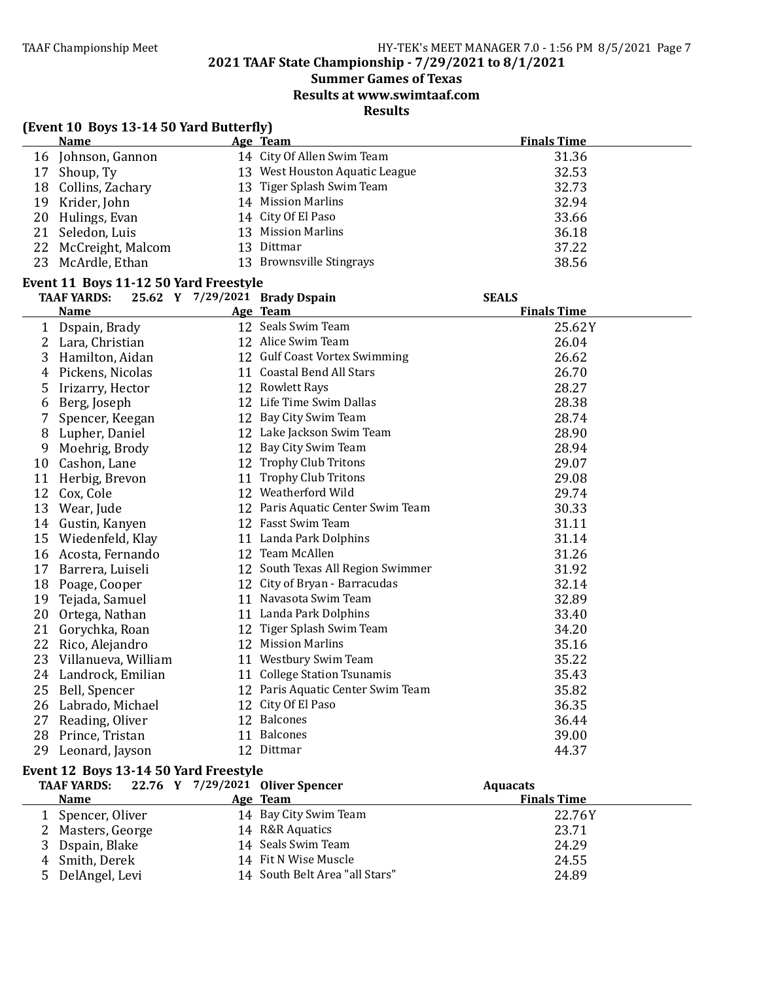### **Summer Games of Texas**

**Results at www.swimtaaf.com**

**Results**

|    | (Event 10 Boys 13-14 50 Yard Butterfly) |  |                                   |                    |  |  |
|----|-----------------------------------------|--|-----------------------------------|--------------------|--|--|
|    | <b>Name</b>                             |  | Age Team                          | <b>Finals Time</b> |  |  |
|    | 16 Johnson, Gannon                      |  | 14 City Of Allen Swim Team        | 31.36              |  |  |
|    | 17 Shoup, Ty                            |  | 13 West Houston Aquatic League    | 32.53              |  |  |
|    | 18 Collins, Zachary                     |  | 13 Tiger Splash Swim Team         | 32.73              |  |  |
|    | 19 Krider, John                         |  | 14 Mission Marlins                | 32.94              |  |  |
|    | 20 Hulings, Evan                        |  | 14 City Of El Paso                | 33.66              |  |  |
|    | 21 Seledon, Luis                        |  | 13 Mission Marlins                | 36.18              |  |  |
| 22 | McCreight, Malcom                       |  | 13 Dittmar                        | 37.22              |  |  |
| 23 | McArdle, Ethan                          |  | 13 Brownsville Stingrays          | 38.56              |  |  |
|    | Event 11 Boys 11-12 50 Yard Freestyle   |  |                                   |                    |  |  |
|    | <b>TAAF YARDS:</b>                      |  | 25.62 Y 7/29/2021 Brady Dspain    | <b>SEALS</b>       |  |  |
|    | <b>Name</b>                             |  | Age Team                          | <b>Finals Time</b> |  |  |
|    | 1 Dspain, Brady                         |  | 12 Seals Swim Team                | 25.62Y             |  |  |
| 2  | Lara, Christian                         |  | 12 Alice Swim Team                | 26.04              |  |  |
| 3  | Hamilton, Aidan                         |  | 12 Gulf Coast Vortex Swimming     | 26.62              |  |  |
| 4  | Pickens, Nicolas                        |  | 11 Coastal Bend All Stars         | 26.70              |  |  |
| 5  | Irizarry, Hector                        |  | 12 Rowlett Rays                   | 28.27              |  |  |
| 6  | Berg, Joseph                            |  | 12 Life Time Swim Dallas          | 28.38              |  |  |
| 7  | Spencer, Keegan                         |  | 12 Bay City Swim Team             | 28.74              |  |  |
| 8  | Lupher, Daniel                          |  | 12 Lake Jackson Swim Team         | 28.90              |  |  |
| 9  | Moehrig, Brody                          |  | 12 Bay City Swim Team             | 28.94              |  |  |
| 10 | Cashon, Lane                            |  | 12 Trophy Club Tritons            | 29.07              |  |  |
| 11 | Herbig, Brevon                          |  | 11 Trophy Club Tritons            | 29.08              |  |  |
| 12 | Cox, Cole                               |  | 12 Weatherford Wild               | 29.74              |  |  |
|    | 13 Wear, Jude                           |  | 12 Paris Aquatic Center Swim Team | 30.33              |  |  |
|    | 14 Gustin, Kanyen                       |  | 12 Fasst Swim Team                | 31.11              |  |  |
| 15 | Wiedenfeld, Klay                        |  | 11 Landa Park Dolphins            | 31.14              |  |  |
|    | 16 Acosta, Fernando                     |  | 12 Team McAllen                   | 31.26              |  |  |
|    | 17 Barrera, Luiseli                     |  | 12 South Texas All Region Swimmer | 31.92              |  |  |
|    | 18 Poage, Cooper                        |  | 12 City of Bryan - Barracudas     | 32.14              |  |  |
| 19 | Tejada, Samuel                          |  | 11 Navasota Swim Team             | 32.89              |  |  |
| 20 | Ortega, Nathan                          |  | 11 Landa Park Dolphins            | 33.40              |  |  |
|    | 21 Gorychka, Roan                       |  | 12 Tiger Splash Swim Team         | 34.20              |  |  |
|    | 22 Rico, Alejandro                      |  | 12 Mission Marlins                | 35.16              |  |  |
| 23 | Villanueva, William                     |  | 11 Westbury Swim Team             | 35.22              |  |  |
|    | 24 Landrock, Emilian                    |  | 11 College Station Tsunamis       | 35.43              |  |  |
| 25 | Bell, Spencer                           |  | 12 Paris Aquatic Center Swim Team | 35.82              |  |  |
|    | 26 Labrado, Michael                     |  | 12 City Of El Paso                | 36.35              |  |  |
|    | 27 Reading, Oliver                      |  | 12 Balcones                       | 36.44              |  |  |
| 28 | Prince, Tristan                         |  | 11 Balcones                       | 39.00              |  |  |
| 29 | Leonard, Jayson                         |  | 12 Dittmar                        | 44.37              |  |  |

#### **Event 12 Boys 13-14 50 Yard Freestyle**

| TAAF YARDS: $22.76$ Y $7/29/2021$ Oliver Spencer |                                | <b>Aquacats</b>    |  |
|--------------------------------------------------|--------------------------------|--------------------|--|
| <b>Name</b>                                      | Age Team                       | <b>Finals Time</b> |  |
| 1 Spencer, Oliver                                | 14 Bay City Swim Team          | 22.76Y             |  |
| 2 Masters, George                                | 14 R&R Aquatics                | 23.71              |  |
| 3 Dspain, Blake                                  | 14 Seals Swim Team             | 24.29              |  |
| 4 Smith, Derek                                   | 14 Fit N Wise Muscle           | 24.55              |  |
| 5 DelAngel, Levi                                 | 14 South Belt Area "all Stars" | 24.89              |  |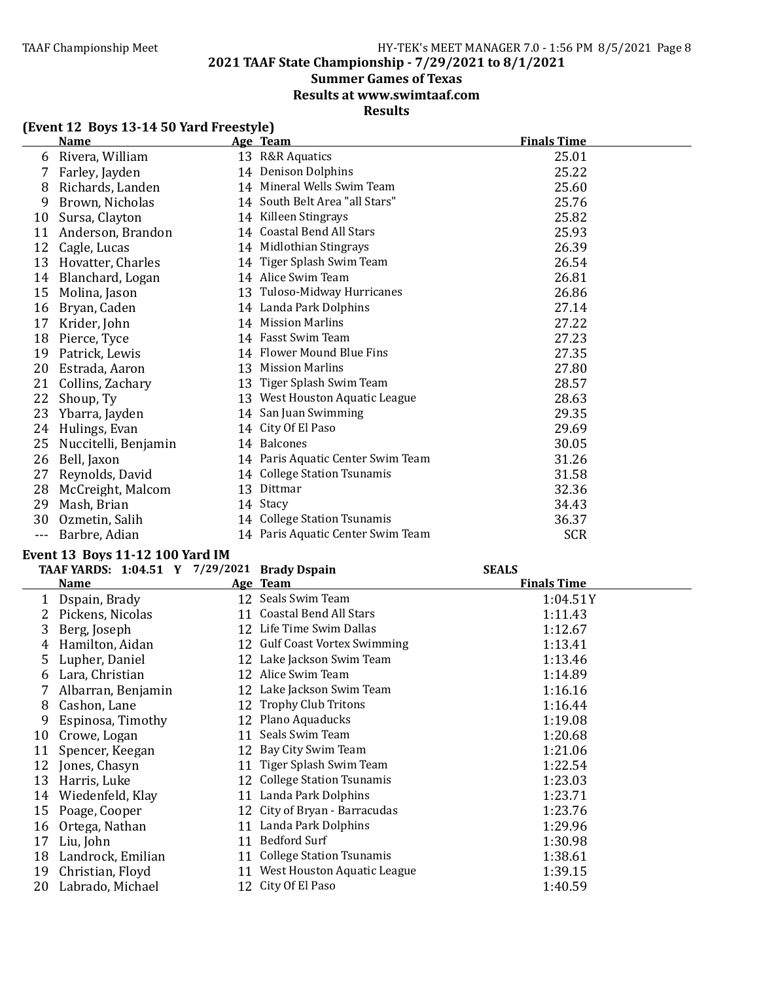#### TAAF Championship Meet TAAF Championship Meet Factor Assemblance HY-TEK's MEET MANAGER 7.0 - 1:56 PM 8/5/2021 Page 8

**2021 TAAF State Championship - 7/29/2021 to 8/1/2021**

### **Summer Games of Texas**

**Results at www.swimtaaf.com**

### **Results**

|     | <b>Name</b>          |    | Age Team                          | <b>Finals Time</b> |
|-----|----------------------|----|-----------------------------------|--------------------|
|     | Rivera, William      |    | 13 R&R Aquatics                   | 25.01              |
| 7   | Farley, Jayden       |    | 14 Denison Dolphins               | 25.22              |
| 8   | Richards, Landen     |    | 14 Mineral Wells Swim Team        | 25.60              |
| 9   | Brown, Nicholas      |    | 14 South Belt Area "all Stars"    | 25.76              |
| 10  | Sursa, Clayton       |    | 14 Killeen Stingrays              | 25.82              |
| 11  | Anderson, Brandon    |    | 14 Coastal Bend All Stars         | 25.93              |
| 12  | Cagle, Lucas         |    | 14 Midlothian Stingrays           | 26.39              |
| 13  | Hovatter, Charles    |    | 14 Tiger Splash Swim Team         | 26.54              |
| 14  | Blanchard, Logan     |    | 14 Alice Swim Team                | 26.81              |
| 15  | Molina, Jason        |    | 13 Tuloso-Midway Hurricanes       | 26.86              |
| 16  | Bryan, Caden         |    | 14 Landa Park Dolphins            | 27.14              |
| 17  | Krider, John         |    | 14 Mission Marlins                | 27.22              |
| 18  | Pierce, Tyce         |    | 14 Fasst Swim Team                | 27.23              |
| 19  | Patrick, Lewis       |    | 14 Flower Mound Blue Fins         | 27.35              |
| 20  | Estrada, Aaron       | 13 | <b>Mission Marlins</b>            | 27.80              |
| 21  | Collins, Zachary     |    | 13 Tiger Splash Swim Team         | 28.57              |
| 22  | Shoup, Ty            |    | 13 West Houston Aquatic League    | 28.63              |
| 23  | Ybarra, Jayden       |    | 14 San Juan Swimming              | 29.35              |
| 24  | Hulings, Evan        |    | 14 City Of El Paso                | 29.69              |
| 25  | Nuccitelli, Benjamin |    | 14 Balcones                       | 30.05              |
| 26  | Bell, Jaxon          |    | 14 Paris Aquatic Center Swim Team | 31.26              |
| 27  | Reynolds, David      |    | 14 College Station Tsunamis       | 31.58              |
| 28  | McCreight, Malcom    |    | 13 Dittmar                        | 32.36              |
| 29  | Mash, Brian          |    | 14 Stacy                          | 34.43              |
| 30  | Ozmetin, Salih       |    | 14 College Station Tsunamis       | 36.37              |
| --- | Barbre, Adian        |    | 14 Paris Aquatic Center Swim Team | <b>SCR</b>         |

### **(Event 12 Boys 13-14 50 Yard Freestyle)**

#### **Event 13 Boys 11-12 100 Yard IM**

|    | TAAF YARDS: 1:04.51 Y 7/29/2021 Brady Dspain |    |                                 | <b>SEALS</b>       |  |
|----|----------------------------------------------|----|---------------------------------|--------------------|--|
|    | <b>Name</b>                                  |    | Age Team                        | <b>Finals Time</b> |  |
|    | Dspain, Brady                                |    | 12 Seals Swim Team              | 1:04.51Y           |  |
|    | Pickens, Nicolas                             |    | 11 Coastal Bend All Stars       | 1:11.43            |  |
| 3  | Berg, Joseph                                 |    | 12 Life Time Swim Dallas        | 1:12.67            |  |
| 4  | Hamilton, Aidan                              |    | 12 Gulf Coast Vortex Swimming   | 1:13.41            |  |
| 5  | Lupher, Daniel                               |    | 12 Lake Jackson Swim Team       | 1:13.46            |  |
| 6  | Lara, Christian                              |    | 12 Alice Swim Team              | 1:14.89            |  |
|    | Albarran, Benjamin                           |    | 12 Lake Jackson Swim Team       | 1:16.16            |  |
| 8  | Cashon, Lane                                 |    | 12 Trophy Club Tritons          | 1:16.44            |  |
| 9  | Espinosa, Timothy                            |    | 12 Plano Aquaducks              | 1:19.08            |  |
| 10 | Crowe, Logan                                 |    | 11 Seals Swim Team              | 1:20.68            |  |
| 11 | Spencer, Keegan                              |    | 12 Bay City Swim Team           | 1:21.06            |  |
| 12 | Jones, Chasyn                                |    | 11 Tiger Splash Swim Team       | 1:22.54            |  |
| 13 | Harris, Luke                                 |    | 12 College Station Tsunamis     | 1:23.03            |  |
| 14 | Wiedenfeld, Klay                             | 11 | Landa Park Dolphins             | 1:23.71            |  |
| 15 | Poage, Cooper                                |    | 12 City of Bryan - Barracudas   | 1:23.76            |  |
| 16 | Ortega, Nathan                               |    | 11 Landa Park Dolphins          | 1:29.96            |  |
| 17 | Liu, John                                    | 11 | Bedford Surf                    | 1:30.98            |  |
| 18 | Landrock, Emilian                            | 11 | <b>College Station Tsunamis</b> | 1:38.61            |  |
| 19 | Christian, Floyd                             |    | 11 West Houston Aquatic League  | 1:39.15            |  |
| 20 | Labrado, Michael                             |    | 12 City Of El Paso              | 1:40.59            |  |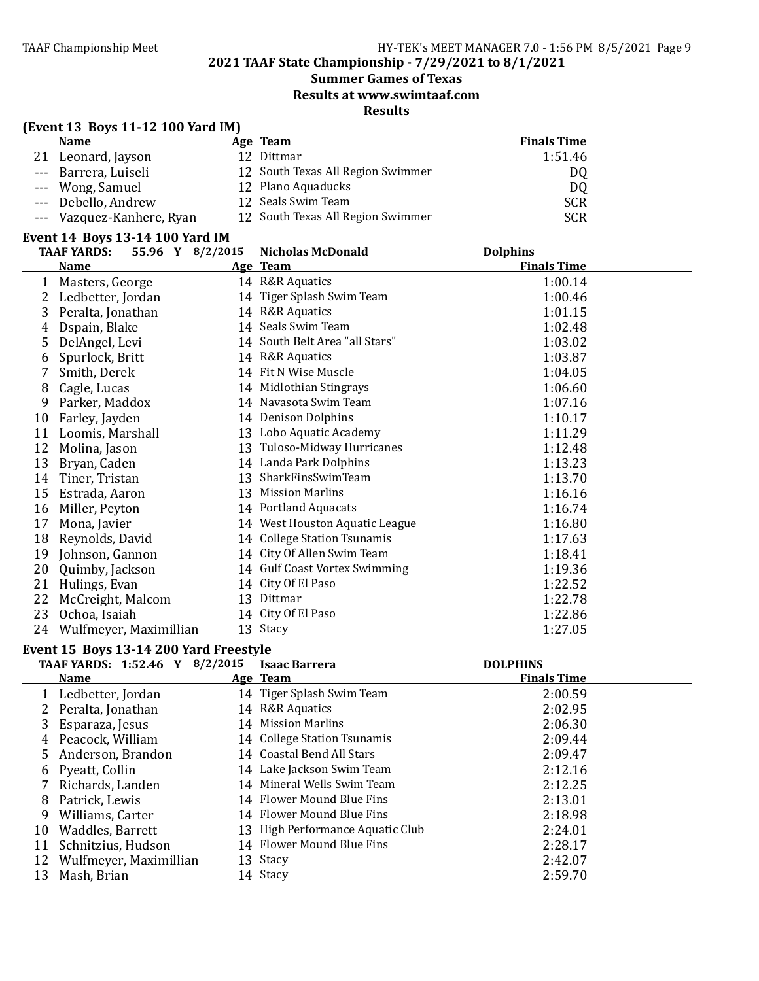### **Summer Games of Texas Results at www.swimtaaf.com**

**Results**

### **(Event 13 Boys 11-12 100 Yard IM)**

| <b>Name</b>               | Age Team                          | <b>Finals Time</b> |  |
|---------------------------|-----------------------------------|--------------------|--|
| 21 Leonard, Jayson        | 12 Dittmar                        | 1:51.46            |  |
| --- Barrera, Luiseli      | 12 South Texas All Region Swimmer | DQ                 |  |
| --- Wong, Samuel          | 12 Plano Aquaducks                | DQ                 |  |
| --- Debello, Andrew       | 12 Seals Swim Team                | <b>SCR</b>         |  |
| --- Vazquez-Kanhere, Ryan | 12 South Texas All Region Swimmer | SCR                |  |

#### **Event 14 Boys 13-14 100 Yard IM**

|    | 55.96 Y 8/2/2015<br><b>TAAF YARDS:</b> | <b>Nicholas McDonald</b>       | <b>Dolphins</b>    |  |
|----|----------------------------------------|--------------------------------|--------------------|--|
|    | <b>Name</b>                            | Age Team                       | <b>Finals Time</b> |  |
| 1  | Masters, George                        | 14 R&R Aquatics                | 1:00.14            |  |
| 2  | Ledbetter, Jordan                      | 14 Tiger Splash Swim Team      | 1:00.46            |  |
| 3  | Peralta, Jonathan                      | 14 R&R Aquatics                | 1:01.15            |  |
| 4  | Dspain, Blake                          | 14 Seals Swim Team             | 1:02.48            |  |
| 5  | DelAngel, Levi                         | 14 South Belt Area "all Stars" | 1:03.02            |  |
| 6  | Spurlock, Britt                        | 14 R&R Aquatics                | 1:03.87            |  |
|    | Smith, Derek                           | 14 Fit N Wise Muscle           | 1:04.05            |  |
| 8  | Cagle, Lucas                           | 14 Midlothian Stingrays        | 1:06.60            |  |
| 9  | Parker, Maddox                         | 14 Navasota Swim Team          | 1:07.16            |  |
| 10 | Farley, Jayden                         | 14 Denison Dolphins            | 1:10.17            |  |
| 11 | Loomis, Marshall                       | 13 Lobo Aquatic Academy        | 1:11.29            |  |
| 12 | Molina, Jason                          | 13 Tuloso-Midway Hurricanes    | 1:12.48            |  |
| 13 | Bryan, Caden                           | 14 Landa Park Dolphins         | 1:13.23            |  |
| 14 | Tiner, Tristan                         | 13 SharkFinsSwimTeam           | 1:13.70            |  |
| 15 | Estrada, Aaron                         | 13 Mission Marlins             | 1:16.16            |  |
| 16 | Miller, Peyton                         | 14 Portland Aquacats           | 1:16.74            |  |
| 17 | Mona, Javier                           | 14 West Houston Aquatic League | 1:16.80            |  |
| 18 | Reynolds, David                        | 14 College Station Tsunamis    | 1:17.63            |  |
| 19 | Johnson, Gannon                        | 14 City Of Allen Swim Team     | 1:18.41            |  |
| 20 | Quimby, Jackson                        | 14 Gulf Coast Vortex Swimming  | 1:19.36            |  |
| 21 | Hulings, Evan                          | 14 City Of El Paso             | 1:22.52            |  |
| 22 | McCreight, Malcom                      | 13 Dittmar                     | 1:22.78            |  |
| 23 | Ochoa, Isaiah                          | 14 City Of El Paso             | 1:22.86            |  |
| 24 | Wulfmeyer, Maximillian                 | 13 Stacy                       | 1:27.05            |  |

#### Event 15 Boys 13-14 200 Yard Freestyle

|    | <b>TAAF YARDS: 1:52.46 Y</b> | 8/2/2015 | <b>Isaac Barrera</b>             | <b>DOLPHINS</b>    |  |
|----|------------------------------|----------|----------------------------------|--------------------|--|
|    | <b>Name</b>                  |          | Age Team                         | <b>Finals Time</b> |  |
|    | Ledbetter, Jordan            |          | 14 Tiger Splash Swim Team        | 2:00.59            |  |
|    | 2 Peralta, Jonathan          |          | 14 R&R Aquatics                  | 2:02.95            |  |
|    | Esparaza, Jesus              |          | 14 Mission Marlins               | 2:06.30            |  |
|    | 4 Peacock, William           |          | 14 College Station Tsunamis      | 2:09.44            |  |
|    | 5 Anderson, Brandon          |          | 14 Coastal Bend All Stars        | 2:09.47            |  |
|    | 6 Pyeatt, Collin             |          | 14 Lake Jackson Swim Team        | 2:12.16            |  |
|    | Richards, Landen             |          | 14 Mineral Wells Swim Team       | 2:12.25            |  |
| 8  | Patrick, Lewis               |          | 14 Flower Mound Blue Fins        | 2:13.01            |  |
| 9  | Williams, Carter             |          | 14 Flower Mound Blue Fins        | 2:18.98            |  |
| 10 | Waddles, Barrett             |          | 13 High Performance Aquatic Club | 2:24.01            |  |
| 11 | Schnitzius, Hudson           |          | 14 Flower Mound Blue Fins        | 2:28.17            |  |
| 12 | Wulfmeyer, Maximillian       |          | 13 Stacy                         | 2:42.07            |  |
| 13 | Mash, Brian                  |          | 14 Stacy                         | 2:59.70            |  |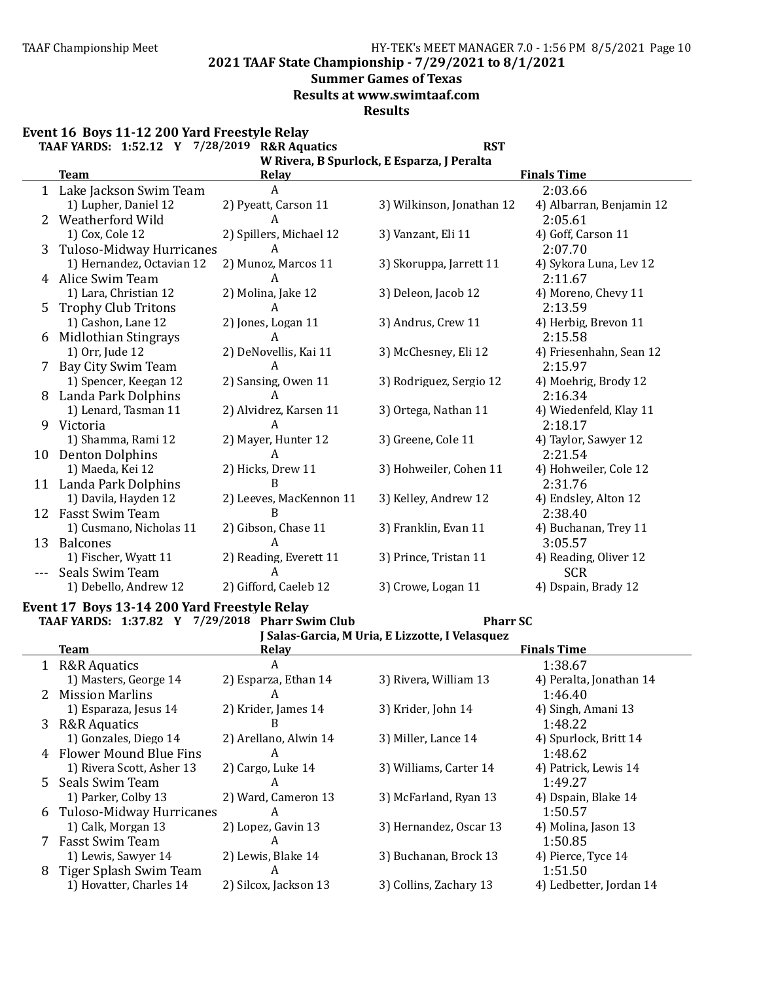**2021 TAAF State Championship - 7/29/2021 to 8/1/2021**

#### **Summer Games of Texas**

**Results at www.swimtaaf.com**

**Results**

#### **Event 16 Boys 11-12 200 Yard Freestyle Relay**

|    | TAAF YARDS: 1:52.12 Y 7/28/2019 R&R Aquatics |                         | <b>RST</b>                |                          |  |  |  |  |  |
|----|----------------------------------------------|-------------------------|---------------------------|--------------------------|--|--|--|--|--|
|    | W Rivera, B Spurlock, E Esparza, J Peralta   |                         |                           |                          |  |  |  |  |  |
|    | <b>Team</b>                                  | <b>Relay</b>            |                           | <b>Finals Time</b>       |  |  |  |  |  |
| 1  | Lake Jackson Swim Team                       | A                       |                           | 2:03.66                  |  |  |  |  |  |
|    | 1) Lupher, Daniel 12                         | 2) Pyeatt, Carson 11    | 3) Wilkinson, Jonathan 12 | 4) Albarran, Benjamin 12 |  |  |  |  |  |
|    | Weatherford Wild                             | A                       |                           | 2:05.61                  |  |  |  |  |  |
|    | 1) Cox, Cole 12                              | 2) Spillers, Michael 12 | 3) Vanzant, Eli 11        | 4) Goff, Carson 11       |  |  |  |  |  |
| 3  | Tuloso-Midway Hurricanes                     | A                       |                           | 2:07.70                  |  |  |  |  |  |
|    | 1) Hernandez, Octavian 12                    | 2) Munoz, Marcos 11     | 3) Skoruppa, Jarrett 11   | 4) Sykora Luna, Lev 12   |  |  |  |  |  |
|    | 4 Alice Swim Team                            | A                       |                           | 2:11.67                  |  |  |  |  |  |
|    | 1) Lara, Christian 12                        | 2) Molina, Jake 12      | 3) Deleon, Jacob 12       | 4) Moreno, Chevy 11      |  |  |  |  |  |
| 5  | <b>Trophy Club Tritons</b>                   | А                       |                           | 2:13.59                  |  |  |  |  |  |
|    | 1) Cashon, Lane 12                           | 2) Jones, Logan 11      | 3) Andrus, Crew 11        | 4) Herbig, Brevon 11     |  |  |  |  |  |
| 6  | Midlothian Stingrays                         | A                       |                           | 2:15.58                  |  |  |  |  |  |
|    | 1) Orr, Jude 12                              | 2) DeNovellis, Kai 11   | 3) McChesney, Eli 12      | 4) Friesenhahn, Sean 12  |  |  |  |  |  |
| 7  | Bay City Swim Team                           | A                       |                           | 2:15.97                  |  |  |  |  |  |
|    | 1) Spencer, Keegan 12                        | 2) Sansing, Owen 11     | 3) Rodriguez, Sergio 12   | 4) Moehrig, Brody 12     |  |  |  |  |  |
| 8  | Landa Park Dolphins                          | A                       |                           | 2:16.34                  |  |  |  |  |  |
|    | 1) Lenard, Tasman 11                         | 2) Alvidrez, Karsen 11  | 3) Ortega, Nathan 11      | 4) Wiedenfeld, Klay 11   |  |  |  |  |  |
| 9  | Victoria                                     | A                       |                           | 2:18.17                  |  |  |  |  |  |
|    | 1) Shamma, Rami 12                           | 2) Mayer, Hunter 12     | 3) Greene, Cole 11        | 4) Taylor, Sawyer 12     |  |  |  |  |  |
| 10 | <b>Denton Dolphins</b>                       | А                       |                           | 2:21.54                  |  |  |  |  |  |
|    | 1) Maeda, Kei 12                             | 2) Hicks, Drew 11       | 3) Hohweiler, Cohen 11    | 4) Hohweiler, Cole 12    |  |  |  |  |  |
| 11 | Landa Park Dolphins                          | B                       |                           | 2:31.76                  |  |  |  |  |  |
|    | 1) Davila, Hayden 12                         | 2) Leeves, MacKennon 11 | 3) Kelley, Andrew 12      | 4) Endsley, Alton 12     |  |  |  |  |  |
| 12 | <b>Fasst Swim Team</b>                       | B                       |                           | 2:38.40                  |  |  |  |  |  |
|    | 1) Cusmano, Nicholas 11                      | 2) Gibson, Chase 11     | 3) Franklin, Evan 11      | 4) Buchanan, Trey 11     |  |  |  |  |  |
| 13 | <b>Balcones</b>                              | А                       |                           | 3:05.57                  |  |  |  |  |  |
|    | 1) Fischer, Wyatt 11                         | 2) Reading, Everett 11  | 3) Prince, Tristan 11     | 4) Reading, Oliver 12    |  |  |  |  |  |
|    | Seals Swim Team                              | A                       |                           | <b>SCR</b>               |  |  |  |  |  |
|    | 1) Debello, Andrew 12                        | 2) Gifford, Caeleb 12   | 3) Crowe, Logan 11        | 4) Dspain, Brady 12      |  |  |  |  |  |
|    |                                              |                         |                           |                          |  |  |  |  |  |

#### Event 17 Boys 13-14 200 Yard Freestyle Relay **TAAF YARDS: 1:37.82 Y 7/29/2018 Pharr Swim Club Pharr SC**

|    | Salas-Garcia, M Uria, E Lizzotte, I Velasquez |                       |                        |                         |  |  |  |
|----|-----------------------------------------------|-----------------------|------------------------|-------------------------|--|--|--|
|    | <b>Team</b>                                   | Relay                 |                        | <b>Finals Time</b>      |  |  |  |
| 1  | <b>R&amp;R Aquatics</b>                       | A                     |                        | 1:38.67                 |  |  |  |
|    | 1) Masters, George 14                         | 2) Esparza, Ethan 14  | 3) Rivera, William 13  | 4) Peralta, Jonathan 14 |  |  |  |
|    | 2 Mission Marlins                             | A                     |                        | 1:46.40                 |  |  |  |
|    | 1) Esparaza, Jesus 14                         | 2) Krider, James 14   | 3) Krider, John 14     | 4) Singh, Amani 13      |  |  |  |
| 3. | <b>R&amp;R Aquatics</b>                       | B                     |                        | 1:48.22                 |  |  |  |
|    | 1) Gonzales, Diego 14                         | 2) Arellano, Alwin 14 | 3) Miller, Lance 14    | 4) Spurlock, Britt 14   |  |  |  |
|    | 4 Flower Mound Blue Fins                      | A                     |                        | 1:48.62                 |  |  |  |
|    | 1) Rivera Scott, Asher 13                     | 2) Cargo, Luke 14     | 3) Williams, Carter 14 | 4) Patrick, Lewis 14    |  |  |  |
|    | 5 Seals Swim Team                             | A                     |                        | 1:49.27                 |  |  |  |
|    | 1) Parker, Colby 13                           | 2) Ward, Cameron 13   | 3) McFarland, Ryan 13  | 4) Dspain, Blake 14     |  |  |  |
|    | 6 Tuloso-Midway Hurricanes                    | A                     |                        | 1:50.57                 |  |  |  |
|    | 1) Calk, Morgan 13                            | 2) Lopez, Gavin 13    | 3) Hernandez, Oscar 13 | 4) Molina, Jason 13     |  |  |  |
|    | <b>Fasst Swim Team</b>                        | A                     |                        | 1:50.85                 |  |  |  |
|    | 1) Lewis, Sawyer 14                           | 2) Lewis, Blake 14    | 3) Buchanan, Brock 13  | 4) Pierce, Tyce 14      |  |  |  |
|    | 8 Tiger Splash Swim Team                      | A                     |                        | 1:51.50                 |  |  |  |
|    | 1) Hovatter, Charles 14                       | 2) Silcox, Jackson 13 | 3) Collins, Zachary 13 | 4) Ledbetter, Jordan 14 |  |  |  |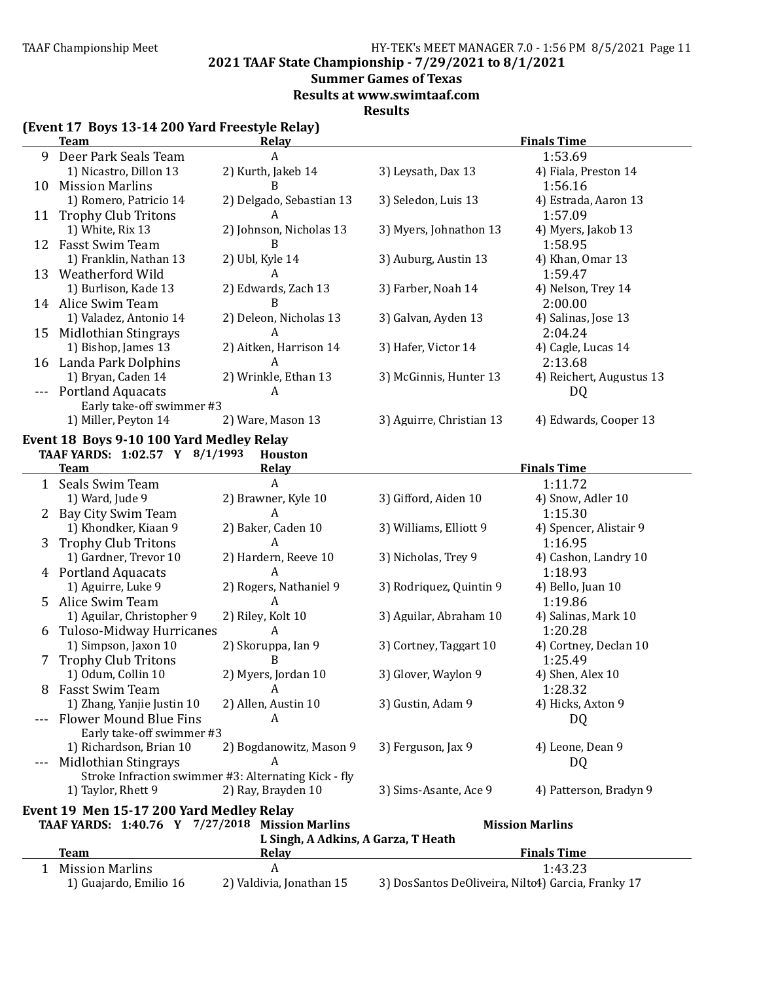**2021 TAAF State Championship - 7/29/2021 to 8/1/2021**

### **Summer Games of Texas**

**Results at www.swimtaaf.com**

**Results**

|  |  | (Event 17 Boys 13-14 200 Yard Freestyle Relay) |  |  |
|--|--|------------------------------------------------|--|--|
|--|--|------------------------------------------------|--|--|

|    | <b>Team</b>                                          | <b>Relay</b>                        |                                                    | <b>Finals Time</b>       |
|----|------------------------------------------------------|-------------------------------------|----------------------------------------------------|--------------------------|
| 9  | Deer Park Seals Team                                 | A                                   |                                                    | 1:53.69                  |
|    | 1) Nicastro, Dillon 13                               | 2) Kurth, Jakeb 14                  | 3) Leysath, Dax 13                                 | 4) Fiala, Preston 14     |
| 10 | <b>Mission Marlins</b>                               | B                                   |                                                    | 1:56.16                  |
|    | 1) Romero, Patricio 14                               | 2) Delgado, Sebastian 13            | 3) Seledon, Luis 13                                | 4) Estrada, Aaron 13     |
|    | 11 Trophy Club Tritons                               | A                                   |                                                    | 1:57.09                  |
|    | 1) White, Rix 13                                     | 2) Johnson, Nicholas 13             | 3) Myers, Johnathon 13                             | 4) Myers, Jakob 13       |
| 12 | Fasst Swim Team                                      | B                                   |                                                    | 1:58.95                  |
|    | 1) Franklin, Nathan 13                               | 2) Ubl, Kyle 14                     | 3) Auburg, Austin 13                               | 4) Khan, Omar 13         |
| 13 | Weatherford Wild                                     | A                                   |                                                    | 1:59.47                  |
|    | 1) Burlison, Kade 13                                 | 2) Edwards, Zach 13                 | 3) Farber, Noah 14                                 | 4) Nelson, Trey 14       |
|    | 14 Alice Swim Team                                   | B                                   |                                                    | 2:00.00                  |
|    | 1) Valadez, Antonio 14                               | 2) Deleon, Nicholas 13              | 3) Galvan, Ayden 13                                | 4) Salinas, Jose 13      |
| 15 | Midlothian Stingrays                                 | A                                   |                                                    | 2:04.24                  |
|    | 1) Bishop, James 13                                  | 2) Aitken, Harrison 14              | 3) Hafer, Victor 14                                | 4) Cagle, Lucas 14       |
| 16 | Landa Park Dolphins                                  | A                                   |                                                    | 2:13.68                  |
|    | 1) Bryan, Caden 14                                   | 2) Wrinkle, Ethan 13                | 3) McGinnis, Hunter 13                             | 4) Reichert, Augustus 13 |
|    | <b>Portland Aquacats</b>                             | A                                   |                                                    | DQ                       |
|    | Early take-off swimmer #3                            |                                     |                                                    |                          |
|    | 1) Miller, Peyton 14                                 | 2) Ware, Mason 13                   | 3) Aguirre, Christian 13                           | 4) Edwards, Cooper 13    |
|    |                                                      |                                     |                                                    |                          |
|    | Event 18 Boys 9-10 100 Yard Medley Relay             |                                     |                                                    |                          |
|    | TAAF YARDS: 1:02.57 Y 8/1/1993                       | <b>Houston</b>                      |                                                    |                          |
|    | Team                                                 | <u>Relav</u>                        |                                                    | <b>Finals Time</b>       |
|    | 1 Seals Swim Team                                    | A                                   |                                                    | 1:11.72                  |
|    | 1) Ward, Jude 9                                      | 2) Brawner, Kyle 10                 | 3) Gifford, Aiden 10                               | 4) Snow, Adler 10        |
|    | Bay City Swim Team                                   | A                                   |                                                    | 1:15.30                  |
|    | 1) Khondker, Kiaan 9                                 | 2) Baker, Caden 10                  | 3) Williams, Elliott 9                             | 4) Spencer, Alistair 9   |
| 3  | <b>Trophy Club Tritons</b>                           | A                                   |                                                    | 1:16.95                  |
|    | 1) Gardner, Trevor 10                                | 2) Hardern, Reeve 10                | 3) Nicholas, Trey 9                                | 4) Cashon, Landry 10     |
|    | 4 Portland Aquacats                                  | A                                   |                                                    | 1:18.93                  |
|    | 1) Aguirre, Luke 9                                   | 2) Rogers, Nathaniel 9              | 3) Rodriquez, Quintin 9                            | 4) Bello, Juan 10        |
| 5  | Alice Swim Team                                      | A                                   |                                                    | 1:19.86                  |
|    | 1) Aguilar, Christopher 9                            | 2) Riley, Kolt 10                   | 3) Aguilar, Abraham 10                             | 4) Salinas, Mark 10      |
| 6  | Tuloso-Midway Hurricanes                             | A                                   |                                                    | 1:20.28                  |
|    | 1) Simpson, Jaxon 10                                 | 2) Skoruppa, Ian 9                  | 3) Cortney, Taggart 10                             | 4) Cortney, Declan 10    |
| 7  | <b>Trophy Club Tritons</b>                           | B                                   |                                                    | 1:25.49                  |
|    | 1) Odum, Collin 10                                   | 2) Myers, Jordan 10                 | 3) Glover, Waylon 9                                | 4) Shen, Alex 10         |
|    | 8 Fasst Swim Team                                    | A                                   |                                                    | 1:28.32                  |
|    | 1) Zhang, Yanjie Justin 10                           | 2) Allen, Austin 10                 | 3) Gustin, Adam 9                                  | 4) Hicks, Axton 9        |
|    | <b>Flower Mound Blue Fins</b>                        | A                                   |                                                    | DQ                       |
|    | Early take-off swimmer #3                            |                                     |                                                    |                          |
|    | 1) Richardson, Brian 10                              | 2) Bogdanowitz, Mason 9             | 3) Ferguson, Jax 9                                 | 4) Leone, Dean 9         |
|    | <b>Midlothian Stingrays</b>                          | A                                   |                                                    | DQ                       |
|    | Stroke Infraction swimmer #3: Alternating Kick - fly |                                     |                                                    |                          |
|    | 1) Taylor, Rhett 9                                   | 2) Ray, Brayden 10                  | 3) Sims-Asante, Ace 9                              | 4) Patterson, Bradyn 9   |
|    | Event 19 Men 15-17 200 Yard Medley Relay             |                                     |                                                    |                          |
|    | TAAF YARDS: 1:40.76 Y 7/27/2018 Mission Marlins      |                                     |                                                    | <b>Mission Marlins</b>   |
|    |                                                      | L Singh, A Adkins, A Garza, T Heath |                                                    |                          |
|    | <b>Team</b>                                          | Relay                               |                                                    | <b>Finals Time</b>       |
| 1  | <b>Mission Marlins</b>                               | $\boldsymbol{A}$                    |                                                    | 1:43.23                  |
|    | 1) Guajardo, Emilio 16                               | 2) Valdivia, Jonathan 15            | 3) DosSantos DeOliveira, Nilto4) Garcia, Franky 17 |                          |
|    |                                                      |                                     |                                                    |                          |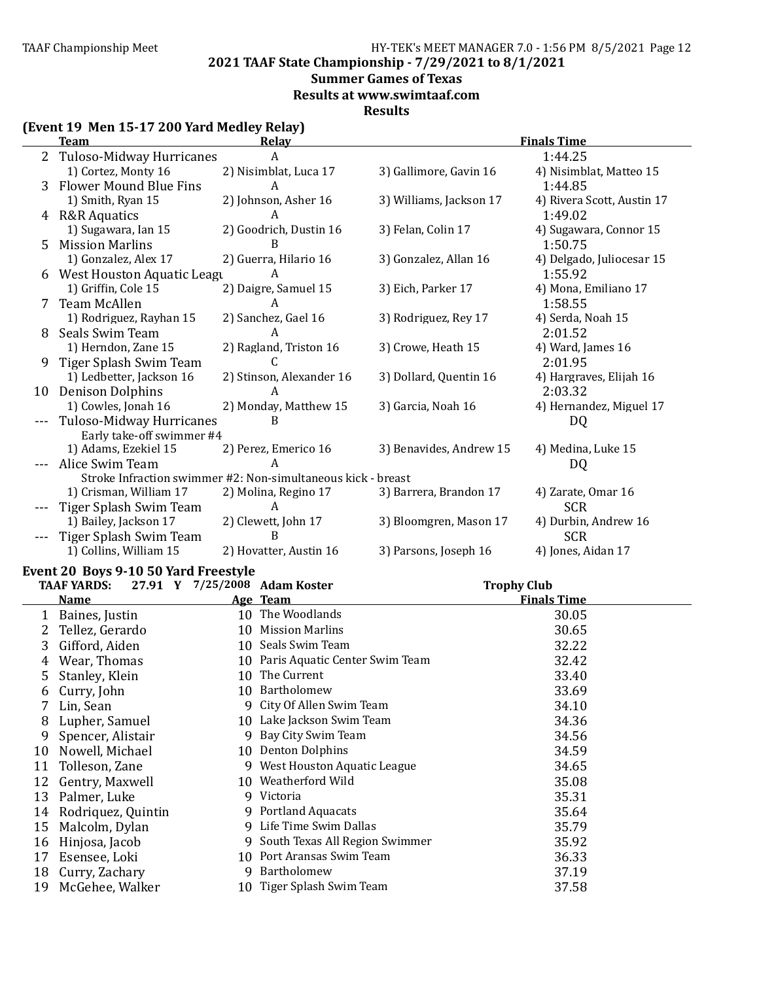**2021 TAAF State Championship - 7/29/2021 to 8/1/2021**

### **Summer Games of Texas**

**Results at www.swimtaaf.com**

**Results**

### **(Event 19 Men 15-17 200 Yard Medley Relay)**

|         | <b>Team</b>                   | <b>Relav</b>                                                 |                         | <b>Finals Time</b>         |
|---------|-------------------------------|--------------------------------------------------------------|-------------------------|----------------------------|
| 2       | Tuloso-Midway Hurricanes      | A                                                            |                         | 1:44.25                    |
|         | 1) Cortez, Monty 16           | 2) Nisimblat, Luca 17                                        | 3) Gallimore, Gavin 16  | 4) Nisimblat, Matteo 15    |
| 3       | <b>Flower Mound Blue Fins</b> | A                                                            |                         | 1:44.85                    |
|         | 1) Smith, Ryan 15             | 2) Johnson, Asher 16                                         | 3) Williams, Jackson 17 | 4) Rivera Scott, Austin 17 |
| 4       | <b>R&amp;R Aquatics</b>       | A                                                            |                         | 1:49.02                    |
|         | 1) Sugawara, Ian 15           | 2) Goodrich, Dustin 16                                       | 3) Felan, Colin 17      | 4) Sugawara, Connor 15     |
| 5       | <b>Mission Marlins</b>        | в                                                            |                         | 1:50.75                    |
|         | 1) Gonzalez, Alex 17          | 2) Guerra, Hilario 16                                        | 3) Gonzalez, Allan 16   | 4) Delgado, Juliocesar 15  |
| 6       | West Houston Aquatic Leagu    | Α                                                            |                         | 1:55.92                    |
|         | 1) Griffin, Cole 15           | 2) Daigre, Samuel 15                                         | 3) Eich, Parker 17      | 4) Mona, Emiliano 17       |
| 7       | <b>Team McAllen</b>           | A                                                            |                         | 1:58.55                    |
|         | 1) Rodriguez, Rayhan 15       | 2) Sanchez, Gael 16                                          | 3) Rodriguez, Rey 17    | 4) Serda, Noah 15          |
| 8       | Seals Swim Team               | A                                                            |                         | 2:01.52                    |
|         | 1) Herndon, Zane 15           | 2) Ragland, Triston 16                                       | 3) Crowe, Heath 15      | 4) Ward, James 16          |
| 9       | Tiger Splash Swim Team        | C                                                            |                         | 2:01.95                    |
|         | 1) Ledbetter, Jackson 16      | 2) Stinson, Alexander 16                                     | 3) Dollard, Quentin 16  | 4) Hargraves, Elijah 16    |
| 10      | <b>Denison Dolphins</b>       |                                                              |                         | 2:03.32                    |
|         | 1) Cowles, Jonah 16           | 2) Monday, Matthew 15                                        | 3) Garcia, Noah 16      | 4) Hernandez, Miguel 17    |
|         | Tuloso-Midway Hurricanes      | B                                                            |                         | DQ                         |
|         | Early take-off swimmer #4     |                                                              |                         |                            |
|         | 1) Adams, Ezekiel 15          | 2) Perez, Emerico 16                                         | 3) Benavides, Andrew 15 | 4) Medina, Luke 15         |
|         | Alice Swim Team               | A                                                            |                         | DQ                         |
|         |                               | Stroke Infraction swimmer #2: Non-simultaneous kick - breast |                         |                            |
|         | 1) Crisman, William 17        | 2) Molina, Regino 17                                         | 3) Barrera, Brandon 17  | 4) Zarate, Omar 16         |
|         | Tiger Splash Swim Team        | А                                                            |                         | <b>SCR</b>                 |
|         | 1) Bailey, Jackson 17         | 2) Clewett, John 17                                          | 3) Bloomgren, Mason 17  | 4) Durbin, Andrew 16       |
| $- - -$ | Tiger Splash Swim Team        | B                                                            |                         | <b>SCR</b>                 |
|         | 1) Collins, William 15        | 2) Hovatter, Austin 16                                       | 3) Parsons, Joseph 16   | 4) Jones, Aidan 17         |

### Event 20 Boys 9-10 50 Yard Freestyle

|    | <b>TAAF YARDS:</b> |    | 27.91 Y 7/25/2008 Adam Koster  | <b>Trophy Club</b> |
|----|--------------------|----|--------------------------------|--------------------|
|    | Name               |    | Age Team                       | <b>Finals Time</b> |
|    | Baines, Justin     | 10 | The Woodlands                  | 30.05              |
|    | Tellez, Gerardo    | 10 | Mission Marlins                | 30.65              |
| 3  | Gifford, Aiden     |    | 10 Seals Swim Team             | 32.22              |
| 4  | Wear, Thomas       | 10 | Paris Aquatic Center Swim Team | 32.42              |
|    | Stanley, Klein     | 10 | The Current                    | 33.40              |
| 6  | Curry, John        | 10 | Bartholomew                    | 33.69              |
|    | Lin, Sean          |    | 9 City Of Allen Swim Team      | 34.10              |
| 8  | Lupher, Samuel     |    | 10 Lake Jackson Swim Team      | 34.36              |
| 9  | Spencer, Alistair  | 9  | Bay City Swim Team             | 34.56              |
| 10 | Nowell, Michael    | 10 | <b>Denton Dolphins</b>         | 34.59              |
| 11 | Tolleson, Zane     |    | 9 West Houston Aquatic League  | 34.65              |
| 12 | Gentry, Maxwell    |    | 10 Weatherford Wild            | 35.08              |
| 13 | Palmer, Luke       |    | 9 Victoria                     | 35.31              |
| 14 | Rodriquez, Quintin |    | 9 Portland Aquacats            | 35.64              |
| 15 | Malcolm, Dylan     |    | 9 Life Time Swim Dallas        | 35.79              |
| 16 | Hinjosa, Jacob     | 9  | South Texas All Region Swimmer | 35.92              |
| 17 | Esensee, Loki      |    | 10 Port Aransas Swim Team      | 36.33              |
| 18 | Curry, Zachary     |    | 9 Bartholomew                  | 37.19              |
| 19 | McGehee, Walker    |    | 10 Tiger Splash Swim Team      | 37.58              |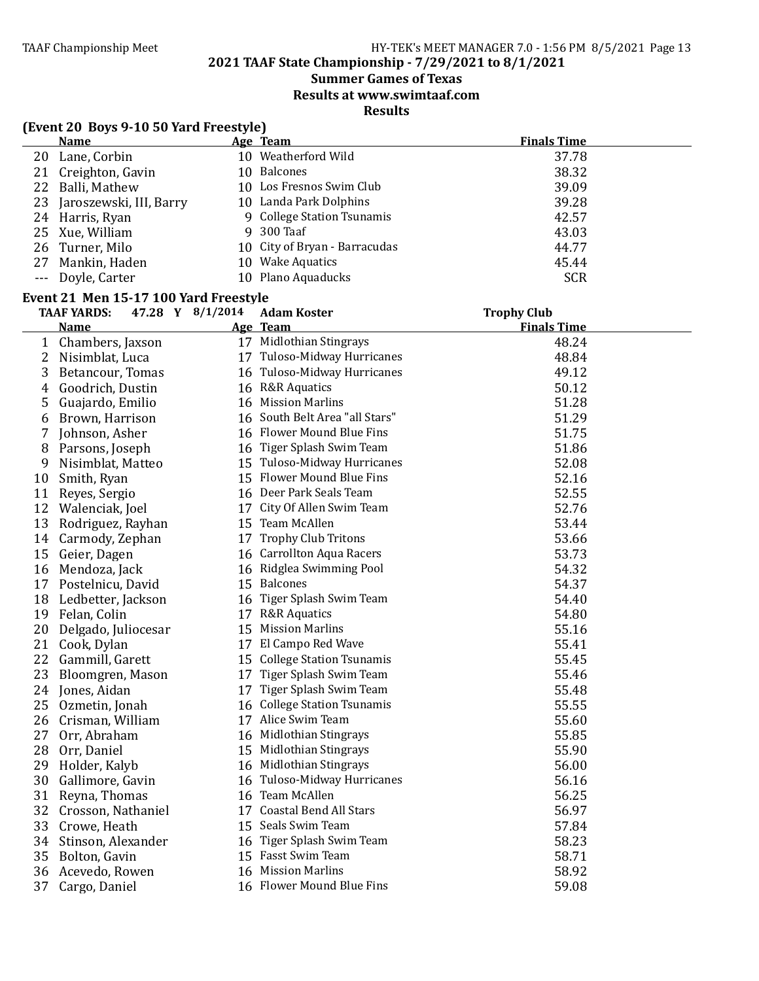### **2021 TAAF State Championship - 7/29/2021 to 8/1/2021**

### **Summer Games of Texas**

**Results at www.swimtaaf.com**

### **Results**

|                | (Event 20 Boys 9-10 50 Yard Freestyle)                                          |                                |                                          |
|----------------|---------------------------------------------------------------------------------|--------------------------------|------------------------------------------|
|                | <b>Name</b>                                                                     | Age Team                       | <b>Finals Time</b>                       |
|                | 20 Lane, Corbin                                                                 | 10 Weatherford Wild            | 37.78                                    |
|                | 21 Creighton, Gavin                                                             | 10 Balcones                    | 38.32                                    |
|                | 22 Balli, Mathew                                                                | 10 Los Fresnos Swim Club       | 39.09                                    |
| 23             | Jaroszewski, III, Barry                                                         | 10 Landa Park Dolphins         | 39.28                                    |
|                | 24 Harris, Ryan                                                                 | 9 College Station Tsunamis     | 42.57                                    |
| 25             | Xue, William                                                                    | 9 300 Taaf                     | 43.03                                    |
| 26             | Turner, Milo                                                                    | 10 City of Bryan - Barracudas  | 44.77                                    |
| 27             | Mankin, Haden                                                                   | 10 Wake Aquatics               | 45.44                                    |
| $---$          | Doyle, Carter                                                                   | 10 Plano Aquaducks             | <b>SCR</b>                               |
|                |                                                                                 |                                |                                          |
|                | Event 21 Men 15-17 100 Yard Freestyle<br>47.28 Y 8/1/2014<br><b>TAAF YARDS:</b> | <b>Adam Koster</b>             |                                          |
|                |                                                                                 | Age Team                       | <b>Trophy Club</b><br><b>Finals Time</b> |
|                | <u>Name</u>                                                                     | 17 Midlothian Stingrays        | 48.24                                    |
|                | 1 Chambers, Jaxson                                                              |                                |                                          |
| $\overline{2}$ | Nisimblat, Luca                                                                 | 17 Tuloso-Midway Hurricanes    | 48.84                                    |
| 3              | Betancour, Tomas                                                                | 16 Tuloso-Midway Hurricanes    | 49.12                                    |
| 4              | Goodrich, Dustin                                                                | 16 R&R Aquatics                | 50.12                                    |
| 5              | Guajardo, Emilio                                                                | 16 Mission Marlins             | 51.28                                    |
| 6              | Brown, Harrison                                                                 | 16 South Belt Area "all Stars" | 51.29                                    |
| 7              | Johnson, Asher                                                                  | 16 Flower Mound Blue Fins      | 51.75                                    |
| 8              | Parsons, Joseph                                                                 | 16 Tiger Splash Swim Team      | 51.86                                    |
| 9              | Nisimblat, Matteo                                                               | 15 Tuloso-Midway Hurricanes    | 52.08                                    |
| 10             | Smith, Ryan                                                                     | 15 Flower Mound Blue Fins      | 52.16                                    |
| 11             | Reyes, Sergio                                                                   | 16 Deer Park Seals Team        | 52.55                                    |
|                | 12 Walenciak, Joel                                                              | 17 City Of Allen Swim Team     | 52.76                                    |
| 13             | Rodriguez, Rayhan                                                               | 15 Team McAllen                | 53.44                                    |
| 14             | Carmody, Zephan                                                                 | 17 Trophy Club Tritons         | 53.66                                    |
| 15             | Geier, Dagen                                                                    | 16 Carrollton Aqua Racers      | 53.73                                    |
| 16             | Mendoza, Jack                                                                   | 16 Ridglea Swimming Pool       | 54.32                                    |
| 17             | Postelnicu, David                                                               | 15 Balcones                    | 54.37                                    |
|                | 18 Ledbetter, Jackson                                                           | 16 Tiger Splash Swim Team      | 54.40                                    |
| 19             | Felan, Colin                                                                    | 17 R&R Aquatics                | 54.80                                    |
| 20             | Delgado, Juliocesar                                                             | 15 Mission Marlins             | 55.16                                    |
| 21             | Cook, Dylan                                                                     | 17 El Campo Red Wave           | 55.41                                    |
|                | 22 Gammill, Garett                                                              | 15 College Station Tsunamis    | 55.45                                    |
|                | 23 Bloomgren, Mason                                                             | 17 Tiger Splash Swim Team      | 55.46                                    |
|                | 24 Jones, Aidan                                                                 | 17 Tiger Splash Swim Team      | 55.48                                    |
|                | 25 Ozmetin, Jonah                                                               | 16 College Station Tsunamis    | 55.55                                    |
| 26             | Crisman, William                                                                | 17 Alice Swim Team             | 55.60                                    |
| 27             | Orr, Abraham                                                                    | 16 Midlothian Stingrays        | 55.85                                    |
| 28             | Orr, Daniel                                                                     | 15 Midlothian Stingrays        | 55.90                                    |
| 29             | Holder, Kalyb                                                                   | 16 Midlothian Stingrays        | 56.00                                    |
| 30             | Gallimore, Gavin                                                                | 16 Tuloso-Midway Hurricanes    | 56.16                                    |
| 31             | Reyna, Thomas                                                                   | 16 Team McAllen                | 56.25                                    |
| 32             | Crosson, Nathaniel                                                              | 17 Coastal Bend All Stars      | 56.97                                    |
| 33             | Crowe, Heath                                                                    | 15 Seals Swim Team             | 57.84                                    |
| 34             | Stinson, Alexander                                                              | 16 Tiger Splash Swim Team      | 58.23                                    |
|                |                                                                                 | 15 Fasst Swim Team             | 58.71                                    |
| 35             | Bolton, Gavin                                                                   | 16 Mission Marlins             |                                          |
| 36             | Acevedo, Rowen                                                                  |                                | 58.92                                    |
| 37             | Cargo, Daniel                                                                   | 16 Flower Mound Blue Fins      | 59.08                                    |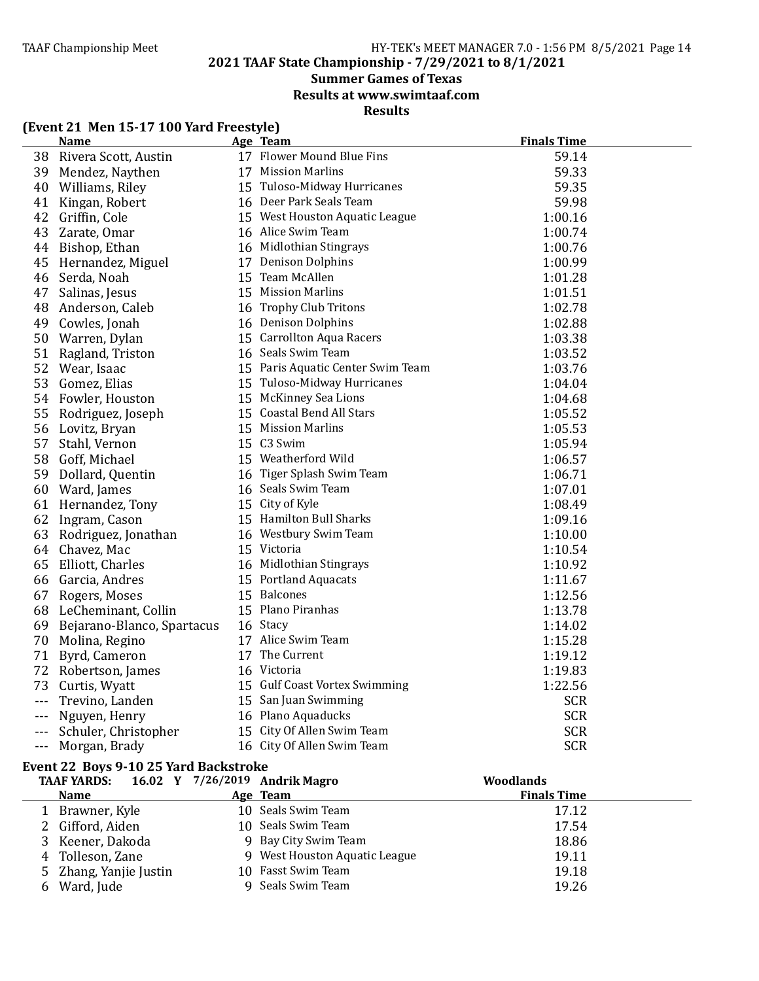**2021 TAAF State Championship - 7/29/2021 to 8/1/2021**

### **Summer Games of Texas**

**Results at www.swimtaaf.com**

**Results**

### **(Event 21 Men 15-17 100 Yard Freestyle)**

|         | <b>Name</b>                | Age Team                          | <b>Finals Time</b> |
|---------|----------------------------|-----------------------------------|--------------------|
|         | 38 Rivera Scott, Austin    | 17 Flower Mound Blue Fins         | 59.14              |
| 39      | Mendez, Naythen            | 17 Mission Marlins                | 59.33              |
| 40      | Williams, Riley            | 15 Tuloso-Midway Hurricanes       | 59.35              |
| 41      | Kingan, Robert             | 16 Deer Park Seals Team           | 59.98              |
| 42      | Griffin, Cole              | 15 West Houston Aquatic League    | 1:00.16            |
| 43      | Zarate, Omar               | 16 Alice Swim Team                | 1:00.74            |
| 44      | Bishop, Ethan              | 16 Midlothian Stingrays           | 1:00.76            |
| 45      | Hernandez, Miguel          | 17 Denison Dolphins               | 1:00.99            |
| 46      | Serda, Noah                | 15 Team McAllen                   | 1:01.28            |
| 47      | Salinas, Jesus             | 15 Mission Marlins                | 1:01.51            |
| 48      | Anderson, Caleb            | 16 Trophy Club Tritons            | 1:02.78            |
| 49      | Cowles, Jonah              | 16 Denison Dolphins               | 1:02.88            |
| 50      | Warren, Dylan              | 15 Carrollton Aqua Racers         | 1:03.38            |
| 51      | Ragland, Triston           | 16 Seals Swim Team                | 1:03.52            |
| 52      | Wear, Isaac                | 15 Paris Aquatic Center Swim Team | 1:03.76            |
| 53      | Gomez, Elias               | 15 Tuloso-Midway Hurricanes       | 1:04.04            |
| 54      | Fowler, Houston            | 15 McKinney Sea Lions             | 1:04.68            |
| 55      | Rodriguez, Joseph          | 15 Coastal Bend All Stars         | 1:05.52            |
| 56      | Lovitz, Bryan              | 15 Mission Marlins                | 1:05.53            |
| 57      | Stahl, Vernon              | 15 C3 Swim                        | 1:05.94            |
| 58      | Goff, Michael              | 15 Weatherford Wild               | 1:06.57            |
| 59      | Dollard, Quentin           | 16 Tiger Splash Swim Team         | 1:06.71            |
| 60      | Ward, James                | 16 Seals Swim Team                | 1:07.01            |
| 61      | Hernandez, Tony            | 15 City of Kyle                   | 1:08.49            |
| 62      | Ingram, Cason              | 15 Hamilton Bull Sharks           | 1:09.16            |
| 63      | Rodriguez, Jonathan        | 16 Westbury Swim Team             | 1:10.00            |
| 64      | Chavez, Mac                | 15 Victoria                       | 1:10.54            |
| 65      | Elliott, Charles           | 16 Midlothian Stingrays           | 1:10.92            |
|         | 66 Garcia, Andres          | 15 Portland Aquacats              | 1:11.67            |
| 67      | Rogers, Moses              | 15 Balcones                       | 1:12.56            |
|         | 68 LeCheminant, Collin     | 15 Plano Piranhas                 | 1:13.78            |
| 69      | Bejarano-Blanco, Spartacus | 16 Stacy                          | 1:14.02            |
| 70      | Molina, Regino             | 17 Alice Swim Team                | 1:15.28            |
| 71      | Byrd, Cameron              | 17 The Current                    | 1:19.12            |
| 72      | Robertson, James           | 16 Victoria                       | 1:19.83            |
| 73      | Curtis, Wyatt              | 15 Gulf Coast Vortex Swimming     | 1:22.56            |
| $- - -$ | Trevino, Landen            | 15 San Juan Swimming              | <b>SCR</b>         |
|         | Nguyen, Henry              | 16 Plano Aquaducks                | <b>SCR</b>         |
|         | Schuler, Christopher       | 15 City Of Allen Swim Team        | <b>SCR</b>         |
| $- - -$ | Morgan, Brady              | 16 City Of Allen Swim Team        | <b>SCR</b>         |

#### Event 22 Boys 9-10 25 Yard Backstroke

| <b>TAAF YARDS:</b>     | 16.02 Y 7/26/2019 Andrik Magro | <b>Woodlands</b>   |  |
|------------------------|--------------------------------|--------------------|--|
| <b>Name</b>            | Age Team                       | <b>Finals Time</b> |  |
| Brawner, Kyle          | 10 Seals Swim Team             | 17.12              |  |
| 2 Gifford, Aiden       | 10 Seals Swim Team             | 17.54              |  |
| 3 Keener, Dakoda       | 9 Bay City Swim Team           | 18.86              |  |
| 4 Tolleson, Zane       | 9 West Houston Aquatic League  | 19.11              |  |
| 5 Zhang, Yanjie Justin | 10 Fasst Swim Team             | 19.18              |  |
| 6 Ward, Jude           | 9 Seals Swim Team              | 19.26              |  |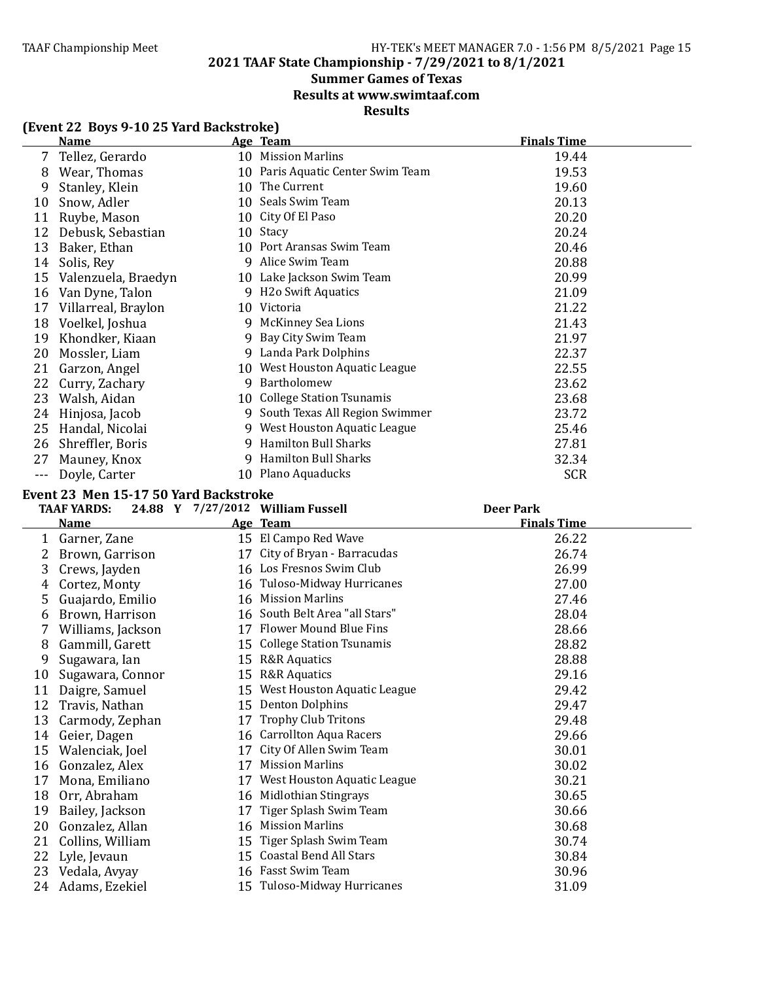### **2021 TAAF State Championship - 7/29/2021 to 8/1/2021**

### **Summer Games of Texas**

**Results at www.swimtaaf.com**

### **Results**

|  |  | (Event 22 Boys 9-10 25 Yard Backstroke) |
|--|--|-----------------------------------------|
|--|--|-----------------------------------------|

| <b>Name</b>         |    |                                | <b>Finals Time</b>                                                                                                                                                                                                                                                               |
|---------------------|----|--------------------------------|----------------------------------------------------------------------------------------------------------------------------------------------------------------------------------------------------------------------------------------------------------------------------------|
| Tellez, Gerardo     |    |                                | 19.44                                                                                                                                                                                                                                                                            |
| Wear, Thomas        |    |                                | 19.53                                                                                                                                                                                                                                                                            |
| Stanley, Klein      | 10 | The Current                    | 19.60                                                                                                                                                                                                                                                                            |
| Snow, Adler         |    |                                | 20.13                                                                                                                                                                                                                                                                            |
| Ruybe, Mason        |    |                                | 20.20                                                                                                                                                                                                                                                                            |
| Debusk, Sebastian   |    |                                | 20.24                                                                                                                                                                                                                                                                            |
| Baker, Ethan        |    |                                | 20.46                                                                                                                                                                                                                                                                            |
| Solis, Rey          | 9  | Alice Swim Team                | 20.88                                                                                                                                                                                                                                                                            |
| Valenzuela, Braedyn |    | Lake Jackson Swim Team         | 20.99                                                                                                                                                                                                                                                                            |
| Van Dyne, Talon     | 9  | <b>H2o Swift Aquatics</b>      | 21.09                                                                                                                                                                                                                                                                            |
| Villarreal, Braylon | 10 | Victoria                       | 21.22                                                                                                                                                                                                                                                                            |
| Voelkel, Joshua     | q  | McKinney Sea Lions             | 21.43                                                                                                                                                                                                                                                                            |
| Khondker, Kiaan     | 9  | Bay City Swim Team             | 21.97                                                                                                                                                                                                                                                                            |
| Mossler, Liam       | 9  | Landa Park Dolphins            | 22.37                                                                                                                                                                                                                                                                            |
| Garzon, Angel       |    |                                | 22.55                                                                                                                                                                                                                                                                            |
| Curry, Zachary      | 9  | Bartholomew                    | 23.62                                                                                                                                                                                                                                                                            |
| Walsh, Aidan        |    |                                | 23.68                                                                                                                                                                                                                                                                            |
| Hinjosa, Jacob      | 9  | South Texas All Region Swimmer | 23.72                                                                                                                                                                                                                                                                            |
| Handal, Nicolai     | 9. | West Houston Aquatic League    | 25.46                                                                                                                                                                                                                                                                            |
| Shreffler, Boris    | 9  |                                | 27.81                                                                                                                                                                                                                                                                            |
| Mauney, Knox        | 9  | <b>Hamilton Bull Sharks</b>    | 32.34                                                                                                                                                                                                                                                                            |
| Doyle, Carter       |    |                                | <b>SCR</b>                                                                                                                                                                                                                                                                       |
|                     |    |                                | Age Team<br>10 Mission Marlins<br>10 Paris Aquatic Center Swim Team<br>10 Seals Swim Team<br>10 City Of El Paso<br>Stacy<br>10<br>10 Port Aransas Swim Team<br>10<br>10 West Houston Aquatic League<br>10 College Station Tsunamis<br>Hamilton Bull Sharks<br>10 Plano Aquaducks |

#### Event 23 Men 15-17 50 Yard Backstroke

|    | <b>TAAF YARDS:</b> |    | 24.88 Y 7/27/2012 William Fussell | <b>Deer Park</b>   |
|----|--------------------|----|-----------------------------------|--------------------|
|    | <b>Name</b>        |    | Age Team                          | <b>Finals Time</b> |
| 1  | Garner, Zane       |    | 15 El Campo Red Wave              | 26.22              |
| 2  | Brown, Garrison    |    | 17 City of Bryan - Barracudas     | 26.74              |
| 3  | Crews, Jayden      |    | 16 Los Fresnos Swim Club          | 26.99              |
| 4  | Cortez, Monty      |    | 16 Tuloso-Midway Hurricanes       | 27.00              |
| 5  | Guajardo, Emilio   |    | 16 Mission Marlins                | 27.46              |
| 6  | Brown, Harrison    |    | 16 South Belt Area "all Stars"    | 28.04              |
|    | Williams, Jackson  |    | 17 Flower Mound Blue Fins         | 28.66              |
| 8  | Gammill, Garett    |    | 15 College Station Tsunamis       | 28.82              |
| 9  | Sugawara, Ian      |    | 15 R&R Aquatics                   | 28.88              |
| 10 | Sugawara, Connor   | 15 | <b>R&amp;R</b> Aquatics           | 29.16              |
| 11 | Daigre, Samuel     |    | 15 West Houston Aquatic League    | 29.42              |
| 12 | Travis, Nathan     | 15 | <b>Denton Dolphins</b>            | 29.47              |
| 13 | Carmody, Zephan    | 17 | <b>Trophy Club Tritons</b>        | 29.48              |
| 14 | Geier, Dagen       |    | 16 Carrollton Aqua Racers         | 29.66              |
| 15 | Walenciak, Joel    | 17 | City Of Allen Swim Team           | 30.01              |
| 16 | Gonzalez, Alex     | 17 | <b>Mission Marlins</b>            | 30.02              |
| 17 | Mona, Emiliano     | 17 | West Houston Aquatic League       | 30.21              |
| 18 | Orr, Abraham       | 16 | Midlothian Stingrays              | 30.65              |
| 19 | Bailey, Jackson    | 17 | Tiger Splash Swim Team            | 30.66              |
| 20 | Gonzalez, Allan    |    | 16 Mission Marlins                | 30.68              |
| 21 | Collins, William   | 15 | Tiger Splash Swim Team            | 30.74              |
| 22 | Lyle, Jevaun       |    | 15 Coastal Bend All Stars         | 30.84              |
| 23 | Vedala, Avyay      |    | 16 Fasst Swim Team                | 30.96              |
| 24 | Adams, Ezekiel     |    | 15 Tuloso-Midway Hurricanes       | 31.09              |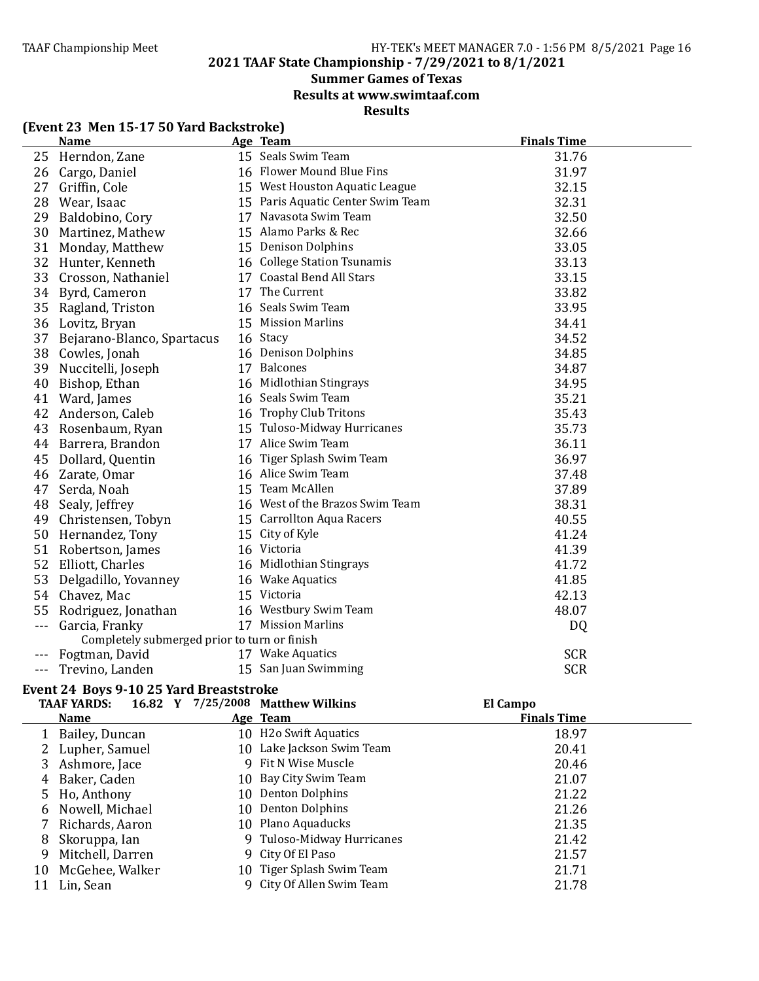**2021 TAAF State Championship - 7/29/2021 to 8/1/2021**

### **Summer Games of Texas**

**Results at www.swimtaaf.com**

### **Results**

| (Event 23 Men 15-17 50 Yard Backstroke) |          |  |
|-----------------------------------------|----------|--|
| <b>Name</b>                             | Age Team |  |

|         | <b>Name</b>                                  | <u>Age Team</u>                   | <b>Finals Time</b> |
|---------|----------------------------------------------|-----------------------------------|--------------------|
| 25      | Herndon, Zane                                | 15 Seals Swim Team                | 31.76              |
|         | 26 Cargo, Daniel                             | 16 Flower Mound Blue Fins         | 31.97              |
| 27      | Griffin, Cole                                | 15 West Houston Aquatic League    | 32.15              |
| 28      | Wear, Isaac                                  | 15 Paris Aquatic Center Swim Team | 32.31              |
| 29      | Baldobino, Cory                              | 17 Navasota Swim Team             | 32.50              |
| 30      | Martinez, Mathew                             | 15 Alamo Parks & Rec              | 32.66              |
| 31      | Monday, Matthew                              | 15 Denison Dolphins               | 33.05              |
| 32      | Hunter, Kenneth                              | 16 College Station Tsunamis       | 33.13              |
| 33      | Crosson, Nathaniel                           | 17 Coastal Bend All Stars         | 33.15              |
|         | 34 Byrd, Cameron                             | 17 The Current                    | 33.82              |
| 35      | Ragland, Triston                             | 16 Seals Swim Team                | 33.95              |
|         | 36 Lovitz, Bryan                             | 15 Mission Marlins                | 34.41              |
| 37      | Bejarano-Blanco, Spartacus                   | 16 Stacy                          | 34.52              |
|         | 38 Cowles, Jonah                             | 16 Denison Dolphins               | 34.85              |
| 39      | Nuccitelli, Joseph                           | 17 Balcones                       | 34.87              |
| 40      | Bishop, Ethan                                | 16 Midlothian Stingrays           | 34.95              |
| 41      | Ward, James                                  | 16 Seals Swim Team                | 35.21              |
| 42      | Anderson, Caleb                              | 16 Trophy Club Tritons            | 35.43              |
| 43      | Rosenbaum, Ryan                              | 15 Tuloso-Midway Hurricanes       | 35.73              |
| 44      | Barrera, Brandon                             | 17 Alice Swim Team                | 36.11              |
| 45      | Dollard, Quentin                             | 16 Tiger Splash Swim Team         | 36.97              |
|         | 46 Zarate, Omar                              | 16 Alice Swim Team                | 37.48              |
| 47      | Serda, Noah                                  | 15 Team McAllen                   | 37.89              |
| 48      | Sealy, Jeffrey                               | 16 West of the Brazos Swim Team   | 38.31              |
| 49      | Christensen, Tobyn                           | 15 Carrollton Aqua Racers         | 40.55              |
|         | 50 Hernandez, Tony                           | 15 City of Kyle                   | 41.24              |
| 51      | Robertson, James                             | 16 Victoria                       | 41.39              |
| 52      | Elliott, Charles                             | 16 Midlothian Stingrays           | 41.72              |
| 53      | Delgadillo, Yovanney                         | 16 Wake Aquatics                  | 41.85              |
|         | 54 Chavez, Mac                               | 15 Victoria                       | 42.13              |
| 55      | Rodriguez, Jonathan                          | 16 Westbury Swim Team             | 48.07              |
| $- - -$ | Garcia, Franky                               | 17 Mission Marlins                | DQ                 |
|         | Completely submerged prior to turn or finish |                                   |                    |
|         | Fogtman, David                               | 17 Wake Aquatics                  | <b>SCR</b>         |
| $---$   | Trevino, Landen                              | 15 San Juan Swimming              | <b>SCR</b>         |

### Event 24 Boys 9-10 25 Yard Breaststroke

|    | <b>TAAF YARDS:</b> | 16.82 Y 7/25/2008 Matthew Wilkins | El Campo           |  |
|----|--------------------|-----------------------------------|--------------------|--|
|    | <b>Name</b>        | Age Team                          | <b>Finals Time</b> |  |
|    | 1 Bailey, Duncan   | 10 H2o Swift Aquatics             | 18.97              |  |
|    | 2 Lupher, Samuel   | 10 Lake Jackson Swim Team         | 20.41              |  |
|    | 3 Ashmore, Jace    | 9 Fit N Wise Muscle               | 20.46              |  |
|    | 4 Baker, Caden     | 10 Bay City Swim Team             | 21.07              |  |
|    | 5 Ho, Anthony      | 10 Denton Dolphins                | 21.22              |  |
|    | 6 Nowell, Michael  | 10 Denton Dolphins                | 21.26              |  |
|    | 7 Richards, Aaron  | 10 Plano Aquaducks                | 21.35              |  |
| 8  | Skoruppa, Ian      | 9 Tuloso-Midway Hurricanes        | 21.42              |  |
| 9  | Mitchell, Darren   | 9 City Of El Paso                 | 21.57              |  |
| 10 | McGehee, Walker    | 10 Tiger Splash Swim Team         | 21.71              |  |
| 11 | Lin, Sean          | 9 City Of Allen Swim Team         | 21.78              |  |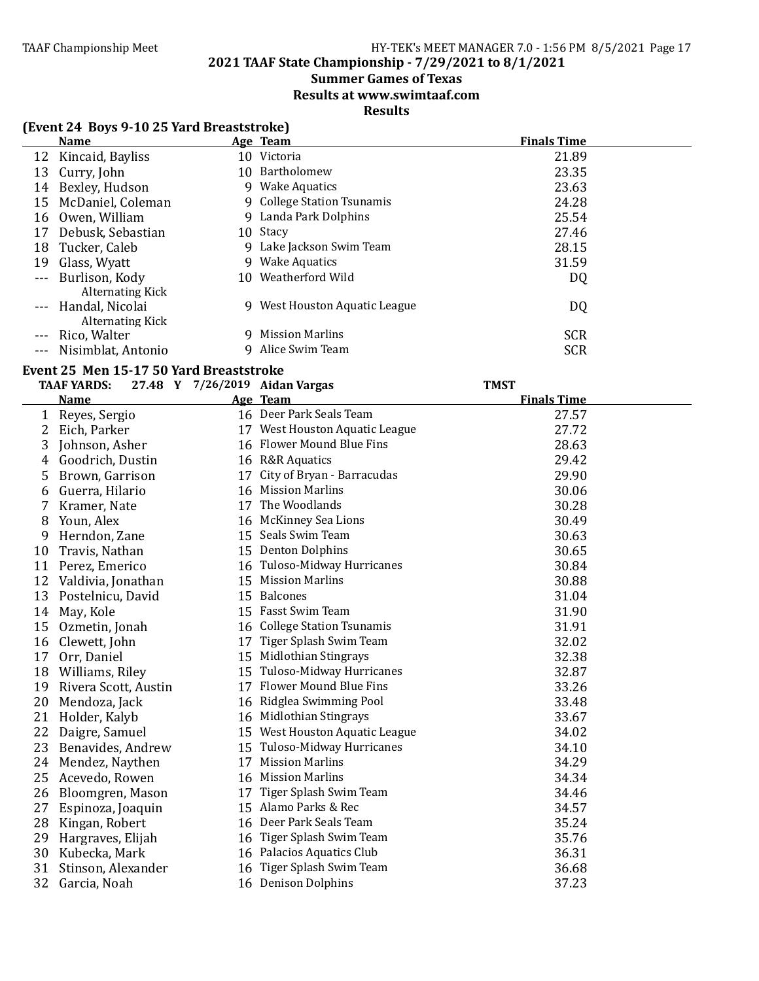### **2021 TAAF State Championship - 7/29/2021 to 8/1/2021**

### **Summer Games of Texas**

**Results at www.swimtaaf.com**

### **Results**

### **(Event 24 Boys 9-10 25 Yard Breaststroke)**

| <b>Name</b>             | Age Team                          | <b>Finals Time</b> |
|-------------------------|-----------------------------------|--------------------|
| 12 Kincaid, Bayliss     | 10 Victoria                       | 21.89              |
| Curry, John<br>13       | 10 Bartholomew                    | 23.35              |
| Bexley, Hudson<br>14    | 9 Wake Aquatics                   | 23.63              |
| McDaniel, Coleman<br>15 | 9 College Station Tsunamis        | 24.28              |
| Owen, William<br>16     | 9 Landa Park Dolphins             | 25.54              |
| Debusk, Sebastian<br>17 | 10 Stacy                          | 27.46              |
| Tucker, Caleb<br>18     | 9 Lake Jackson Swim Team          | 28.15              |
| Glass, Wyatt<br>19      | 9 Wake Aquatics                   | 31.59              |
| --- Burlison, Kody      | 10 Weatherford Wild               | DQ                 |
| <b>Alternating Kick</b> |                                   |                    |
| --- Handal, Nicolai     | West Houston Aquatic League<br>9. | DQ                 |
| Alternating Kick        |                                   |                    |
| Rico, Walter            | <b>Mission Marlins</b><br>9       | <b>SCR</b>         |
| Nisimblat, Antonio      | Alice Swim Team<br>9              | <b>SCR</b>         |

#### Event 25 Men 15-17 50 Yard Breaststroke

|    | <b>TAAF YARDS:</b>   |    | 27.48 Y 7/26/2019 Aidan Vargas | <b>TMST</b>        |
|----|----------------------|----|--------------------------------|--------------------|
|    | <b>Name</b>          |    | Age Team                       | <b>Finals Time</b> |
| 1  | Reyes, Sergio        |    | 16 Deer Park Seals Team        | 27.57              |
| 2  | Eich, Parker         |    | 17 West Houston Aquatic League | 27.72              |
| 3  | Johnson, Asher       |    | 16 Flower Mound Blue Fins      | 28.63              |
| 4  | Goodrich, Dustin     |    | 16 R&R Aquatics                | 29.42              |
| 5  | Brown, Garrison      |    | 17 City of Bryan - Barracudas  | 29.90              |
| 6  | Guerra, Hilario      |    | 16 Mission Marlins             | 30.06              |
| 7  | Kramer, Nate         | 17 | The Woodlands                  | 30.28              |
| 8  | Youn, Alex           |    | 16 McKinney Sea Lions          | 30.49              |
| 9  | Herndon, Zane        |    | 15 Seals Swim Team             | 30.63              |
| 10 | Travis, Nathan       |    | 15 Denton Dolphins             | 30.65              |
| 11 | Perez, Emerico       |    | 16 Tuloso-Midway Hurricanes    | 30.84              |
| 12 | Valdivia, Jonathan   |    | 15 Mission Marlins             | 30.88              |
| 13 | Postelnicu, David    |    | 15 Balcones                    | 31.04              |
| 14 | May, Kole            |    | 15 Fasst Swim Team             | 31.90              |
| 15 | Ozmetin, Jonah       |    | 16 College Station Tsunamis    | 31.91              |
| 16 | Clewett, John        |    | 17 Tiger Splash Swim Team      | 32.02              |
| 17 | Orr, Daniel          |    | 15 Midlothian Stingrays        | 32.38              |
| 18 | Williams, Riley      |    | 15 Tuloso-Midway Hurricanes    | 32.87              |
| 19 | Rivera Scott, Austin |    | 17 Flower Mound Blue Fins      | 33.26              |
| 20 | Mendoza, Jack        |    | 16 Ridglea Swimming Pool       | 33.48              |
| 21 | Holder, Kalyb        |    | 16 Midlothian Stingrays        | 33.67              |
| 22 | Daigre, Samuel       |    | 15 West Houston Aquatic League | 34.02              |
| 23 | Benavides, Andrew    |    | 15 Tuloso-Midway Hurricanes    | 34.10              |
| 24 | Mendez, Naythen      |    | 17 Mission Marlins             | 34.29              |
| 25 | Acevedo, Rowen       |    | 16 Mission Marlins             | 34.34              |
| 26 | Bloomgren, Mason     | 17 | Tiger Splash Swim Team         | 34.46              |
| 27 | Espinoza, Joaquin    |    | 15 Alamo Parks & Rec           | 34.57              |
| 28 | Kingan, Robert       |    | 16 Deer Park Seals Team        | 35.24              |
| 29 | Hargraves, Elijah    |    | 16 Tiger Splash Swim Team      | 35.76              |
| 30 | Kubecka, Mark        |    | 16 Palacios Aquatics Club      | 36.31              |
| 31 | Stinson, Alexander   |    | 16 Tiger Splash Swim Team      | 36.68              |
| 32 | Garcia, Noah         |    | 16 Denison Dolphins            | 37.23              |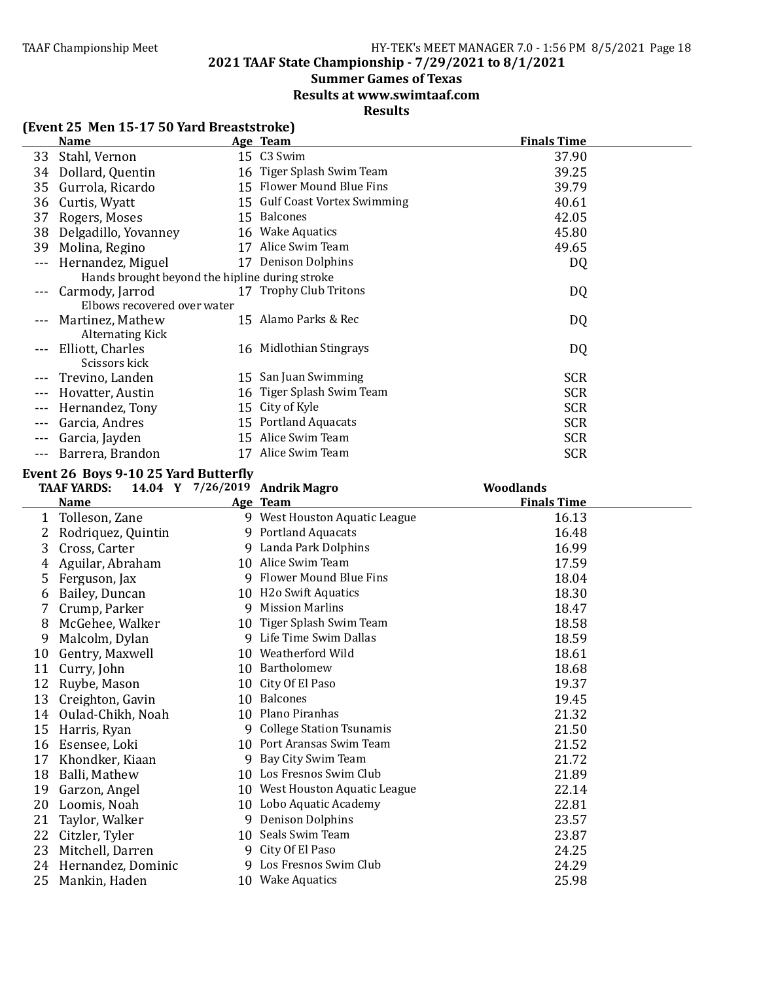### **2021 TAAF State Championship - 7/29/2021 to 8/1/2021**

### **Summer Games of Texas**

**Results at www.swimtaaf.com**

### **Results**

|       | $1.1$ and $1.1$ and $1.1$ and $1.1$ and $1.1$ and $1.1$ and $1.1$ and $1.1$ and $1.1$ and $1.1$ and $1.1$ and $1.1$ and $1.1$ and $1.1$ and $1.1$ and $1.1$ and $1.1$ and $1.1$ and $1.1$ and $1.1$ and $1.1$ and $1.1$ and |  |                                           |                    |  |
|-------|-----------------------------------------------------------------------------------------------------------------------------------------------------------------------------------------------------------------------------|--|-------------------------------------------|--------------------|--|
|       | Name                                                                                                                                                                                                                        |  | Age Team                                  | <b>Finals Time</b> |  |
| 33    | Stahl, Vernon                                                                                                                                                                                                               |  | 15 C3 Swim                                | 37.90              |  |
| 34    | Dollard, Quentin                                                                                                                                                                                                            |  | 16 Tiger Splash Swim Team                 | 39.25              |  |
| 35    | Gurrola, Ricardo                                                                                                                                                                                                            |  | 15 Flower Mound Blue Fins                 | 39.79              |  |
| 36    | Curtis, Wyatt                                                                                                                                                                                                               |  | 15 Gulf Coast Vortex Swimming             | 40.61              |  |
| 37    | Rogers, Moses                                                                                                                                                                                                               |  | 15 Balcones                               | 42.05              |  |
| 38    | Delgadillo, Yovanney                                                                                                                                                                                                        |  | 16 Wake Aquatics                          | 45.80              |  |
| 39    | Molina, Regino                                                                                                                                                                                                              |  | 17 Alice Swim Team                        | 49.65              |  |
|       | Hernandez, Miguel                                                                                                                                                                                                           |  | 17 Denison Dolphins                       | DQ                 |  |
|       | Hands brought beyond the hipline during stroke                                                                                                                                                                              |  |                                           |                    |  |
|       | Carmody, Jarrod                                                                                                                                                                                                             |  | 17 Trophy Club Tritons                    | DQ                 |  |
|       | Elbows recovered over water                                                                                                                                                                                                 |  |                                           |                    |  |
|       | Martinez, Mathew                                                                                                                                                                                                            |  | 15 Alamo Parks & Rec                      | DQ                 |  |
|       | <b>Alternating Kick</b>                                                                                                                                                                                                     |  |                                           |                    |  |
|       | Elliott, Charles                                                                                                                                                                                                            |  | 16 Midlothian Stingrays                   | DQ                 |  |
|       | Scissors kick                                                                                                                                                                                                               |  |                                           |                    |  |
|       | Trevino, Landen                                                                                                                                                                                                             |  | 15 San Juan Swimming                      | <b>SCR</b>         |  |
|       | Hovatter, Austin                                                                                                                                                                                                            |  | 16 Tiger Splash Swim Team                 | <b>SCR</b>         |  |
|       | Hernandez, Tony                                                                                                                                                                                                             |  | 15 City of Kyle                           | <b>SCR</b>         |  |
| $---$ | Garcia, Andres                                                                                                                                                                                                              |  | 15 Portland Aquacats                      | <b>SCR</b>         |  |
|       | Garcia, Jayden                                                                                                                                                                                                              |  | 15 Alice Swim Team                        | <b>SCR</b>         |  |
| $  -$ | Barrera, Brandon                                                                                                                                                                                                            |  | 17 Alice Swim Team                        | <b>SCR</b>         |  |
|       | Event 26 Boys 9-10 25 Yard Butterfly                                                                                                                                                                                        |  |                                           |                    |  |
|       | <b>TAAF YARDS:</b><br>14.04 Y 7/26/2019 Andrik Magro                                                                                                                                                                        |  |                                           | <b>Woodlands</b>   |  |
|       | $N_{\alpha}$ $\sim$                                                                                                                                                                                                         |  | $\Lambda_{\alpha\alpha}$ T <sub>aam</sub> | Einele Time        |  |

|    | TAAF YARDS:        |    | 14.04 Y $7/26/2019$ Andrik Magro | Woodlands          |
|----|--------------------|----|----------------------------------|--------------------|
|    | <b>Name</b>        |    | Age Team                         | <b>Finals Time</b> |
| 1  | Tolleson, Zane     |    | 9 West Houston Aquatic League    | 16.13              |
|    | Rodriquez, Quintin |    | 9 Portland Aquacats              | 16.48              |
| 3  | Cross, Carter      |    | 9 Landa Park Dolphins            | 16.99              |
|    | Aguilar, Abraham   |    | 10 Alice Swim Team               | 17.59              |
| 5  | Ferguson, Jax      |    | 9 Flower Mound Blue Fins         | 18.04              |
| 6  | Bailey, Duncan     |    | 10 H2o Swift Aquatics            | 18.30              |
|    | Crump, Parker      | 9  | <b>Mission Marlins</b>           | 18.47              |
| 8  | McGehee, Walker    |    | 10 Tiger Splash Swim Team        | 18.58              |
| 9  | Malcolm, Dylan     | 9  | Life Time Swim Dallas            | 18.59              |
| 10 | Gentry, Maxwell    |    | 10 Weatherford Wild              | 18.61              |
| 11 | Curry, John        | 10 | Bartholomew                      | 18.68              |
| 12 | Ruybe, Mason       | 10 | City Of El Paso                  | 19.37              |
| 13 | Creighton, Gavin   | 10 | <b>Balcones</b>                  | 19.45              |
| 14 | Oulad-Chikh, Noah  | 10 | Plano Piranhas                   | 21.32              |
| 15 | Harris, Ryan       |    | 9 College Station Tsunamis       | 21.50              |
| 16 | Esensee, Loki      |    | 10 Port Aransas Swim Team        | 21.52              |
| 17 | Khondker, Kiaan    | 9  | Bay City Swim Team               | 21.72              |
| 18 | Balli, Mathew      |    | 10 Los Fresnos Swim Club         | 21.89              |
| 19 | Garzon, Angel      |    | 10 West Houston Aquatic League   | 22.14              |
| 20 | Loomis, Noah       |    | 10 Lobo Aquatic Academy          | 22.81              |
| 21 | Taylor, Walker     | 9  | <b>Denison Dolphins</b>          | 23.57              |
| 22 | Citzler, Tyler     |    | 10 Seals Swim Team               | 23.87              |
| 23 | Mitchell, Darren   |    | 9 City Of El Paso                | 24.25              |
| 24 | Hernandez, Dominic |    | 9 Los Fresnos Swim Club          | 24.29              |
| 25 | Mankin, Haden      |    | 10 Wake Aquatics                 | 25.98              |

### **(Event 25 Men 15-17 50 Yard Breaststroke)**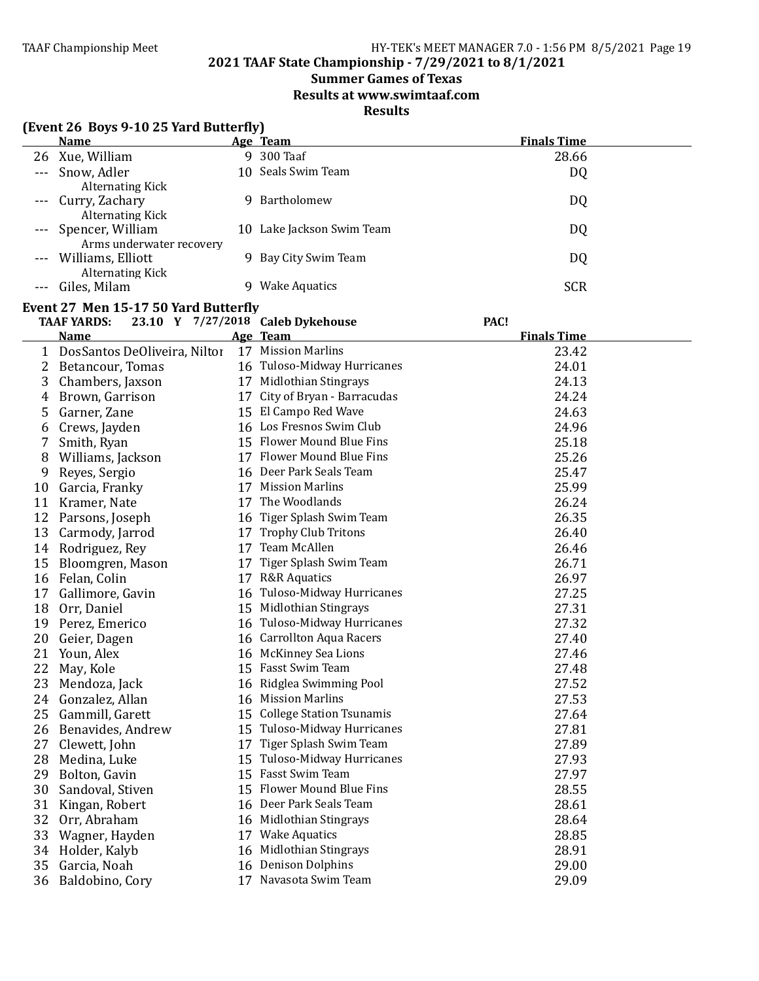### **Summer Games of Texas**

**Results at www.swimtaaf.com**

### **Results**

|       | (Event 26 Boys 9-10 25 Yard Butterfly)<br><b>Name</b>                                                   |    |                                 | <b>Finals Time</b> |  |  |
|-------|---------------------------------------------------------------------------------------------------------|----|---------------------------------|--------------------|--|--|
|       |                                                                                                         |    | Age Team<br>9 300 Taaf          |                    |  |  |
| 26    | Xue, William                                                                                            |    |                                 | 28.66              |  |  |
| $---$ | Snow, Adler                                                                                             |    | 10 Seals Swim Team              | DQ                 |  |  |
|       | <b>Alternating Kick</b>                                                                                 |    | 9 Bartholomew                   |                    |  |  |
|       | Curry, Zachary<br><b>Alternating Kick</b>                                                               |    |                                 | DQ                 |  |  |
|       | Spencer, William                                                                                        |    | 10 Lake Jackson Swim Team       | DQ                 |  |  |
|       | Arms underwater recovery                                                                                |    |                                 |                    |  |  |
|       | Williams, Elliott                                                                                       |    | 9 Bay City Swim Team            | DQ                 |  |  |
|       | <b>Alternating Kick</b>                                                                                 |    |                                 |                    |  |  |
| $---$ | Giles, Milam                                                                                            |    | 9 Wake Aquatics                 | <b>SCR</b>         |  |  |
|       |                                                                                                         |    |                                 |                    |  |  |
|       | Event 27 Men 15-17 50 Yard Butterfly<br><b>TAAF YARDS:</b><br>23.10 Y 7/27/2018 Caleb Dykehouse<br>PAC! |    |                                 |                    |  |  |
|       | <b>Name</b>                                                                                             |    | Age Team                        | <b>Finals Time</b> |  |  |
|       | DosSantos DeOliveira, Niltor                                                                            |    | 17 Mission Marlins              | 23.42              |  |  |
|       |                                                                                                         |    | 16 Tuloso-Midway Hurricanes     | 24.01              |  |  |
| 2     | Betancour, Tomas                                                                                        |    | 17 Midlothian Stingrays         | 24.13              |  |  |
| 3     | Chambers, Jaxson                                                                                        |    | 17 City of Bryan - Barracudas   | 24.24              |  |  |
| 4     | Brown, Garrison                                                                                         |    | 15 El Campo Red Wave            | 24.63              |  |  |
| 5     | Garner, Zane                                                                                            |    | 16 Los Fresnos Swim Club        |                    |  |  |
| 6     | Crews, Jayden                                                                                           |    |                                 | 24.96              |  |  |
| 7     | Smith, Ryan                                                                                             |    | 15 Flower Mound Blue Fins       | 25.18              |  |  |
| 8     | Williams, Jackson                                                                                       |    | 17 Flower Mound Blue Fins       | 25.26              |  |  |
| 9     | Reyes, Sergio                                                                                           |    | 16 Deer Park Seals Team         | 25.47              |  |  |
| 10    | Garcia, Franky                                                                                          |    | 17 Mission Marlins              | 25.99              |  |  |
| 11    | Kramer, Nate                                                                                            |    | 17 The Woodlands                | 26.24              |  |  |
|       | 12 Parsons, Joseph                                                                                      |    | 16 Tiger Splash Swim Team       | 26.35              |  |  |
|       | 13 Carmody, Jarrod                                                                                      |    | 17 Trophy Club Tritons          | 26.40              |  |  |
|       | 14 Rodriguez, Rey                                                                                       |    | 17 Team McAllen                 | 26.46              |  |  |
| 15    | Bloomgren, Mason                                                                                        | 17 | Tiger Splash Swim Team          | 26.71              |  |  |
| 16    | Felan, Colin                                                                                            |    | 17 R&R Aquatics                 | 26.97              |  |  |
| 17    | Gallimore, Gavin                                                                                        |    | 16 Tuloso-Midway Hurricanes     | 27.25              |  |  |
| 18    | Orr, Daniel                                                                                             |    | 15 Midlothian Stingrays         | 27.31              |  |  |
| 19    | Perez, Emerico                                                                                          |    | 16 Tuloso-Midway Hurricanes     | 27.32              |  |  |
| 20    | Geier, Dagen                                                                                            |    | 16 Carrollton Aqua Racers       | 27.40              |  |  |
| 21    | Youn, Alex                                                                                              |    | 16 McKinney Sea Lions           | 27.46              |  |  |
| 22    | May, Kole                                                                                               |    | 15 Fasst Swim Team              | 27.48              |  |  |
| 23    | Mendoza, Jack                                                                                           |    | 16 Ridglea Swimming Pool        | 27.52              |  |  |
| 24    | Gonzalez, Allan                                                                                         |    | 16 Mission Marlins              | 27.53              |  |  |
| 25    | Gammill, Garett                                                                                         | 15 | <b>College Station Tsunamis</b> | 27.64              |  |  |
| 26    | Benavides, Andrew                                                                                       | 15 | Tuloso-Midway Hurricanes        | 27.81              |  |  |
| 27    | Clewett, John                                                                                           | 17 | Tiger Splash Swim Team          | 27.89              |  |  |
| 28    | Medina, Luke                                                                                            | 15 | Tuloso-Midway Hurricanes        | 27.93              |  |  |
| 29    | Bolton, Gavin                                                                                           | 15 | Fasst Swim Team                 | 27.97              |  |  |
| 30    | Sandoval, Stiven                                                                                        | 15 | Flower Mound Blue Fins          | 28.55              |  |  |
| 31    | Kingan, Robert                                                                                          | 16 | Deer Park Seals Team            | 28.61              |  |  |
| 32    | Orr, Abraham                                                                                            | 16 | Midlothian Stingrays            | 28.64              |  |  |
| 33    | Wagner, Hayden                                                                                          | 17 | <b>Wake Aquatics</b>            | 28.85              |  |  |
| 34    | Holder, Kalyb                                                                                           | 16 | Midlothian Stingrays            | 28.91              |  |  |
| 35    | Garcia, Noah                                                                                            | 16 | <b>Denison Dolphins</b>         | 29.00              |  |  |
| 36    | Baldobino, Cory                                                                                         |    | 17 Navasota Swim Team           | 29.09              |  |  |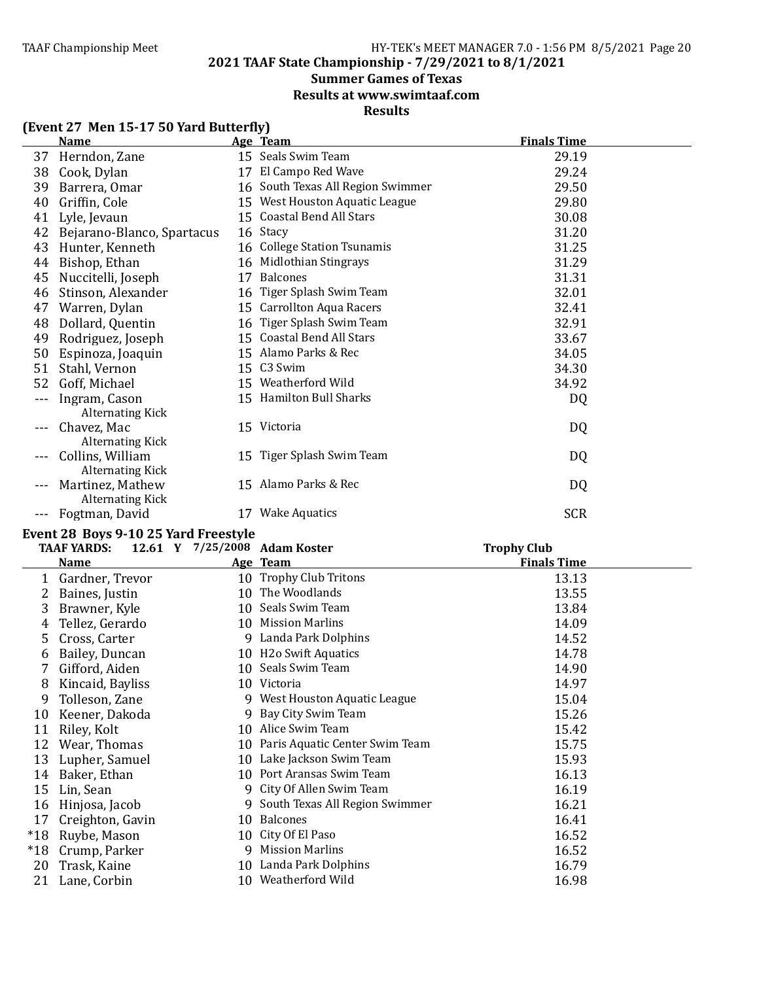### **2021 TAAF State Championship - 7/29/2021 to 8/1/2021**

### **Summer Games of Texas**

**Results at www.swimtaaf.com**

### **Results**

|       | <b>Name</b>                                 |    | Age Team                          | <b>Finals Time</b> |  |
|-------|---------------------------------------------|----|-----------------------------------|--------------------|--|
| 37    | Herndon, Zane                               |    | 15 Seals Swim Team                | 29.19              |  |
| 38    | Cook, Dylan                                 | 17 | El Campo Red Wave                 | 29.24              |  |
| 39    | Barrera, Omar                               |    | 16 South Texas All Region Swimmer | 29.50              |  |
| 40    | Griffin, Cole                               | 15 | West Houston Aquatic League       | 29.80              |  |
| 41    | Lyle, Jevaun                                |    | 15 Coastal Bend All Stars         | 30.08              |  |
| 42    | Bejarano-Blanco, Spartacus                  |    | 16 Stacy                          | 31.20              |  |
| 43    | Hunter, Kenneth                             |    | 16 College Station Tsunamis       | 31.25              |  |
| 44    | Bishop, Ethan                               | 16 | Midlothian Stingrays              | 31.29              |  |
| 45    | Nuccitelli, Joseph                          | 17 | <b>Balcones</b>                   | 31.31              |  |
| 46    | Stinson, Alexander                          |    | 16 Tiger Splash Swim Team         | 32.01              |  |
| 47    | Warren, Dylan                               |    | 15 Carrollton Aqua Racers         | 32.41              |  |
| 48    | Dollard, Quentin                            | 16 | Tiger Splash Swim Team            | 32.91              |  |
| 49    | Rodriguez, Joseph                           |    | 15 Coastal Bend All Stars         | 33.67              |  |
| 50    | Espinoza, Joaquin                           |    | 15 Alamo Parks & Rec              | 34.05              |  |
| 51    | Stahl, Vernon                               |    | 15 C3 Swim                        | 34.30              |  |
| 52    | Goff, Michael                               |    | 15 Weatherford Wild               | 34.92              |  |
|       | Ingram, Cason<br><b>Alternating Kick</b>    |    | 15 Hamilton Bull Sharks           | DQ                 |  |
|       | Chavez, Mac<br><b>Alternating Kick</b>      |    | 15 Victoria                       | DQ                 |  |
|       | Collins, William<br>Alternating Kick        |    | 15 Tiger Splash Swim Team         | DQ                 |  |
|       | Martinez, Mathew<br><b>Alternating Kick</b> |    | 15 Alamo Parks & Rec              | DQ                 |  |
| $---$ | Fogtman, David                              | 17 | <b>Wake Aquatics</b>              | <b>SCR</b>         |  |

#### **(Event 27 Men 15-17 50 Yard Butterfly)**

### Event 28 Boys 9-10 25 Yard Freestyle

|       | TAAF YARDS:      | 12.61 Y 7/25/2008 Adam Koster |                                   | <b>Trophy Club</b> |
|-------|------------------|-------------------------------|-----------------------------------|--------------------|
|       | <u>Name</u>      |                               | Age Team                          | <b>Finals Time</b> |
|       | Gardner, Trevor  |                               | 10 Trophy Club Tritons            | 13.13              |
| 2     | Baines, Justin   |                               | 10 The Woodlands                  | 13.55              |
| 3     | Brawner, Kyle    |                               | 10 Seals Swim Team                | 13.84              |
| 4     | Tellez, Gerardo  |                               | 10 Mission Marlins                | 14.09              |
| 5     | Cross, Carter    |                               | 9 Landa Park Dolphins             | 14.52              |
| b     | Bailey, Duncan   |                               | 10 H2o Swift Aquatics             | 14.78              |
|       | Gifford, Aiden   |                               | 10 Seals Swim Team                | 14.90              |
| 8     | Kincaid, Bayliss |                               | 10 Victoria                       | 14.97              |
| 9     | Tolleson, Zane   | 9.                            | West Houston Aquatic League       | 15.04              |
| 10    | Keener, Dakoda   |                               | 9 Bay City Swim Team              | 15.26              |
| 11    | Riley, Kolt      |                               | 10 Alice Swim Team                | 15.42              |
| 12    | Wear, Thomas     |                               | 10 Paris Aquatic Center Swim Team | 15.75              |
| 13    | Lupher, Samuel   |                               | 10 Lake Jackson Swim Team         | 15.93              |
| 14    | Baker, Ethan     |                               | 10 Port Aransas Swim Team         | 16.13              |
| 15    | Lin, Sean        |                               | 9 City Of Allen Swim Team         | 16.19              |
| 16    | Hinjosa, Jacob   | 9.                            | South Texas All Region Swimmer    | 16.21              |
| 17    | Creighton, Gavin |                               | 10 Balcones                       | 16.41              |
| $*18$ | Ruybe, Mason     |                               | 10 City Of El Paso                | 16.52              |
| $*18$ | Crump, Parker    | 9                             | <b>Mission Marlins</b>            | 16.52              |
| 20    | Trask, Kaine     |                               | 10 Landa Park Dolphins            | 16.79              |
| 21    | Lane, Corbin     |                               | 10 Weatherford Wild               | 16.98              |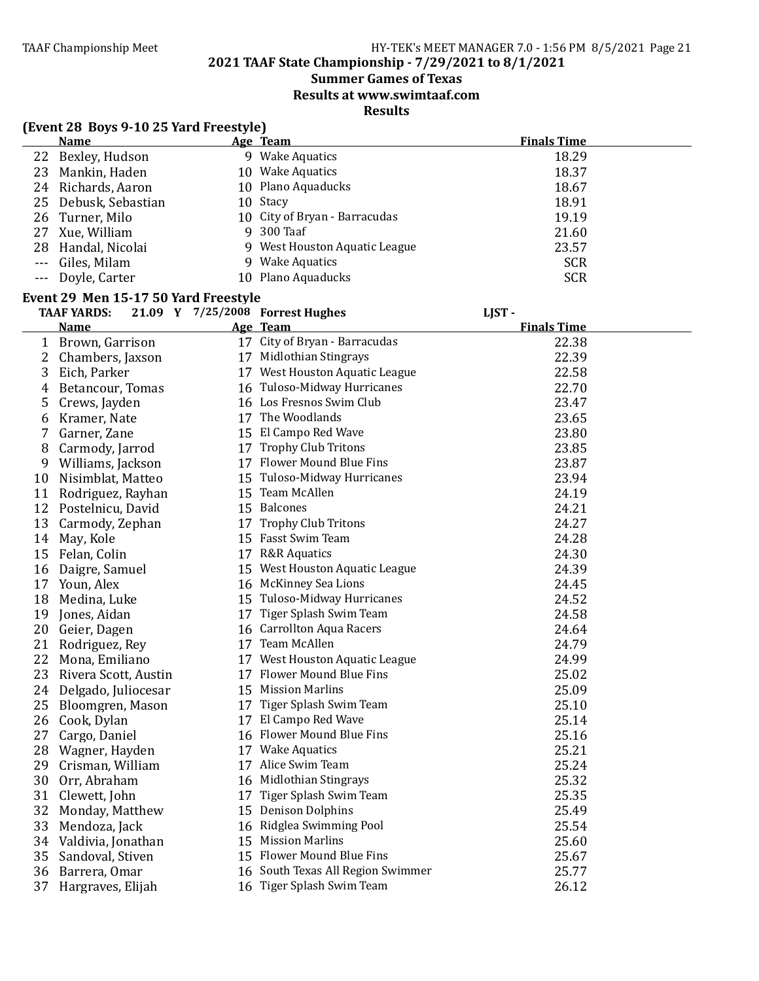### **Summer Games of Texas**

**Results at www.swimtaaf.com**

**Results**

|         | (Event 28 Boys 9-10 25 Yard Freestyle) |    |                                   |                    |  |
|---------|----------------------------------------|----|-----------------------------------|--------------------|--|
|         | <b>Name</b>                            |    | Age Team                          | <b>Finals Time</b> |  |
| 22      | Bexley, Hudson                         |    | 9 Wake Aquatics                   | 18.29              |  |
| 23      | Mankin, Haden                          |    | 10 Wake Aquatics                  | 18.37              |  |
|         | 24 Richards, Aaron                     |    | 10 Plano Aquaducks                | 18.67              |  |
| 25      | Debusk, Sebastian                      |    | 10 Stacy                          | 18.91              |  |
| 26      | Turner, Milo                           |    | 10 City of Bryan - Barracudas     | 19.19              |  |
| 27      | Xue, William                           |    | 9 300 Taaf                        | 21.60              |  |
| 28      | Handal, Nicolai                        |    | 9 West Houston Aquatic League     | 23.57              |  |
| $- - -$ | Giles, Milam                           |    | 9 Wake Aquatics                   | <b>SCR</b>         |  |
| $- - -$ | Doyle, Carter                          |    | 10 Plano Aquaducks                | <b>SCR</b>         |  |
|         | Event 29 Men 15-17 50 Yard Freestyle   |    |                                   |                    |  |
|         | <b>TAAF YARDS:</b>                     |    | 21.09 Y 7/25/2008 Forrest Hughes  | LJST-              |  |
|         | <b>Name</b>                            |    | Age Team                          | <b>Finals Time</b> |  |
|         | 1 Brown, Garrison                      |    | 17 City of Bryan - Barracudas     | 22.38              |  |
| 2       | Chambers, Jaxson                       |    | 17 Midlothian Stingrays           | 22.39              |  |
| 3       | Eich, Parker                           |    | 17 West Houston Aquatic League    | 22.58              |  |
| 4       | Betancour, Tomas                       |    | 16 Tuloso-Midway Hurricanes       | 22.70              |  |
| 5       | Crews, Jayden                          |    | 16 Los Fresnos Swim Club          | 23.47              |  |
| 6       | Kramer, Nate                           |    | 17 The Woodlands                  | 23.65              |  |
|         | Garner, Zane                           |    | 15 El Campo Red Wave              | 23.80              |  |
| 8       | Carmody, Jarrod                        |    | 17 Trophy Club Tritons            | 23.85              |  |
| 9       | Williams, Jackson                      |    | 17 Flower Mound Blue Fins         | 23.87              |  |
| 10      | Nisimblat, Matteo                      |    | 15 Tuloso-Midway Hurricanes       | 23.94              |  |
|         | 11 Rodriguez, Rayhan                   |    | 15 Team McAllen                   | 24.19              |  |
|         | 12 Postelnicu, David                   |    | 15 Balcones                       | 24.21              |  |
|         |                                        |    | 17 Trophy Club Tritons            | 24.27              |  |
| 13      | Carmody, Zephan                        |    | 15 Fasst Swim Team                | 24.28              |  |
|         | 14 May, Kole                           |    |                                   |                    |  |
|         | 15 Felan, Colin                        |    | 17 R&R Aquatics                   | 24.30              |  |
|         | 16 Daigre, Samuel                      |    | 15 West Houston Aquatic League    | 24.39              |  |
|         | 17 Youn, Alex                          |    | 16 McKinney Sea Lions             | 24.45              |  |
|         | 18 Medina, Luke                        |    | 15 Tuloso-Midway Hurricanes       | 24.52              |  |
|         | 19 Jones, Aidan                        |    | 17 Tiger Splash Swim Team         | 24.58              |  |
|         | 20 Geier, Dagen                        |    | 16 Carrollton Aqua Racers         | 24.64              |  |
|         | 21 Rodriguez, Rey                      |    | 17 Team McAllen                   | 24.79              |  |
|         | 22 Mona, Emiliano                      |    | 17 West Houston Aquatic League    | 24.99              |  |
|         | 23 Rivera Scott, Austin                |    | 17 Flower Mound Blue Fins         | 25.02              |  |
| 24      | Delgado, Juliocesar                    |    | 15 Mission Marlins                | 25.09              |  |
| 25      | Bloomgren, Mason                       |    | 17 Tiger Splash Swim Team         | 25.10              |  |
| 26      | Cook, Dylan                            |    | 17 El Campo Red Wave              | 25.14              |  |
| 27      | Cargo, Daniel                          |    | 16 Flower Mound Blue Fins         | 25.16              |  |
| 28      | Wagner, Hayden                         |    | 17 Wake Aquatics                  | 25.21              |  |
| 29      | Crisman, William                       |    | 17 Alice Swim Team                | 25.24              |  |
| 30      | Orr, Abraham                           | 16 | <b>Midlothian Stingrays</b>       | 25.32              |  |
| 31      | Clewett, John                          | 17 | Tiger Splash Swim Team            | 25.35              |  |
| 32      | Monday, Matthew                        |    | 15 Denison Dolphins               | 25.49              |  |
| 33      | Mendoza, Jack                          |    | 16 Ridglea Swimming Pool          | 25.54              |  |
| 34      | Valdivia, Jonathan                     |    | 15 Mission Marlins                | 25.60              |  |
| 35      | Sandoval, Stiven                       |    | 15 Flower Mound Blue Fins         | 25.67              |  |
| 36      | Barrera, Omar                          |    | 16 South Texas All Region Swimmer | 25.77              |  |
| 37      | Hargraves, Elijah                      |    | 16 Tiger Splash Swim Team         | 26.12              |  |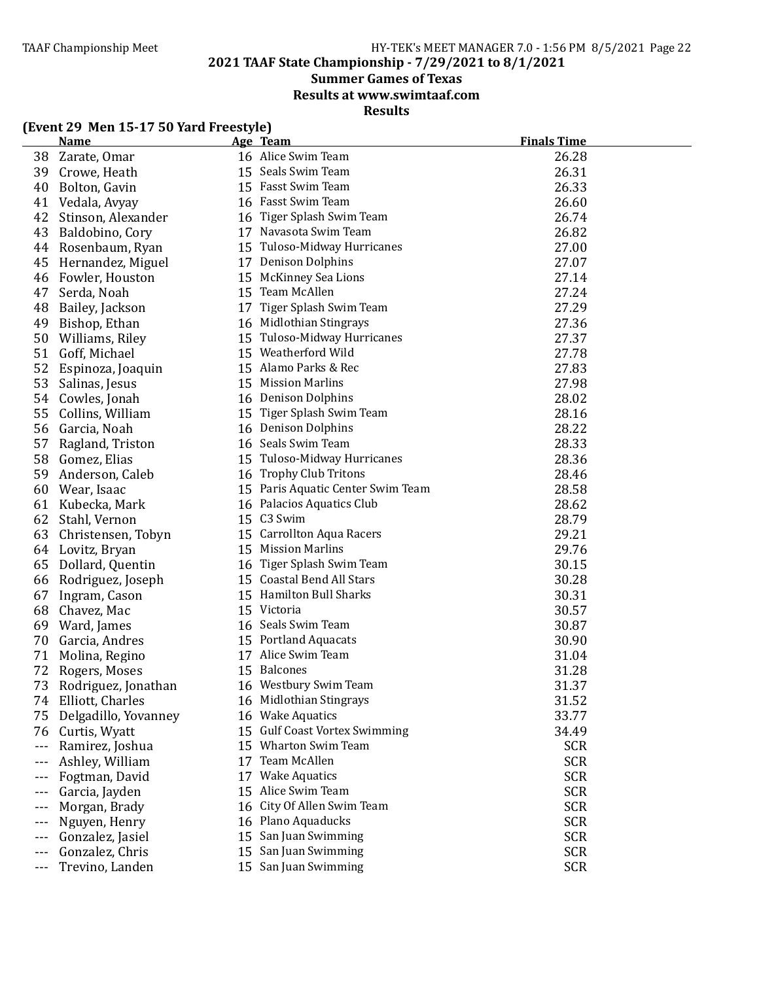**2021 TAAF State Championship - 7/29/2021 to 8/1/2021**

### **Summer Games of Texas**

**Results at www.swimtaaf.com**

**Results**

|         | <b>Name</b>          |    | Age Team                          | <b>Finals Time</b> |
|---------|----------------------|----|-----------------------------------|--------------------|
| 38      | Zarate, Omar         |    | 16 Alice Swim Team                | 26.28              |
| 39      | Crowe, Heath         |    | 15 Seals Swim Team                | 26.31              |
| 40      | Bolton, Gavin        |    | 15 Fasst Swim Team                | 26.33              |
| 41      | Vedala, Avyay        |    | 16 Fasst Swim Team                | 26.60              |
| 42      | Stinson, Alexander   |    | 16 Tiger Splash Swim Team         | 26.74              |
| 43      | Baldobino, Cory      |    | 17 Navasota Swim Team             | 26.82              |
| 44      | Rosenbaum, Ryan      |    | 15 Tuloso-Midway Hurricanes       | 27.00              |
| 45      | Hernandez, Miguel    |    | 17 Denison Dolphins               | 27.07              |
| 46      | Fowler, Houston      |    | 15 McKinney Sea Lions             | 27.14              |
| 47      | Serda, Noah          |    | 15 Team McAllen                   | 27.24              |
| 48      | Bailey, Jackson      | 17 | Tiger Splash Swim Team            | 27.29              |
| 49      | Bishop, Ethan        |    | 16 Midlothian Stingrays           | 27.36              |
| 50      | Williams, Riley      |    | 15 Tuloso-Midway Hurricanes       | 27.37              |
| 51      | Goff, Michael        |    | 15 Weatherford Wild               | 27.78              |
| 52      | Espinoza, Joaquin    |    | 15 Alamo Parks & Rec              | 27.83              |
| 53      | Salinas, Jesus       |    | 15 Mission Marlins                | 27.98              |
| 54      | Cowles, Jonah        |    | 16 Denison Dolphins               | 28.02              |
| 55      | Collins, William     |    | 15 Tiger Splash Swim Team         | 28.16              |
| 56      | Garcia, Noah         |    | 16 Denison Dolphins               | 28.22              |
| 57      | Ragland, Triston     |    | 16 Seals Swim Team                | 28.33              |
| 58      | Gomez, Elias         |    | 15 Tuloso-Midway Hurricanes       | 28.36              |
| 59      | Anderson, Caleb      |    | 16 Trophy Club Tritons            | 28.46              |
| 60      | Wear, Isaac          |    | 15 Paris Aquatic Center Swim Team | 28.58              |
| 61      | Kubecka, Mark        |    | 16 Palacios Aquatics Club         | 28.62              |
| 62      | Stahl, Vernon        |    | 15 C3 Swim                        | 28.79              |
| 63      | Christensen, Tobyn   |    | 15 Carrollton Aqua Racers         | 29.21              |
| 64      | Lovitz, Bryan        |    | 15 Mission Marlins                | 29.76              |
| 65      | Dollard, Quentin     |    | 16 Tiger Splash Swim Team         | 30.15              |
| 66      | Rodriguez, Joseph    |    | 15 Coastal Bend All Stars         | 30.28              |
| 67      | Ingram, Cason        |    | 15 Hamilton Bull Sharks           | 30.31              |
| 68      | Chavez, Mac          |    | 15 Victoria                       | 30.57              |
| 69      | Ward, James          |    | 16 Seals Swim Team                | 30.87              |
| 70      | Garcia, Andres       |    | 15 Portland Aquacats              | 30.90              |
| 71      | Molina, Regino       |    | 17 Alice Swim Team                | 31.04              |
| 72      | Rogers, Moses        |    | 15 Balcones                       | 31.28              |
| 73      | Rodriguez, Jonathan  |    | 16 Westbury Swim Team             | 31.37              |
| 74      | Elliott, Charles     |    | 16 Midlothian Stingrays           | 31.52              |
| 75      | Delgadillo, Yovanney |    | 16 Wake Aquatics                  | 33.77              |
| 76      | Curtis, Wyatt        | 15 | <b>Gulf Coast Vortex Swimming</b> | 34.49              |
| $- - -$ | Ramirez, Joshua      | 15 | Wharton Swim Team                 | <b>SCR</b>         |
| ---     | Ashley, William      | 17 | Team McAllen                      | <b>SCR</b>         |
| $--$    | Fogtman, David       | 17 | <b>Wake Aquatics</b>              | <b>SCR</b>         |
| ---     | Garcia, Jayden       | 15 | Alice Swim Team                   | <b>SCR</b>         |
| $--$    | Morgan, Brady        | 16 | City Of Allen Swim Team           | <b>SCR</b>         |
| $--$    | Nguyen, Henry        |    | 16 Plano Aquaducks                | <b>SCR</b>         |
| ---     | Gonzalez, Jasiel     | 15 | San Juan Swimming                 | <b>SCR</b>         |
|         | Gonzalez, Chris      | 15 | San Juan Swimming                 | <b>SCR</b>         |
| $- - -$ | Trevino, Landen      |    | 15 San Juan Swimming              | <b>SCR</b>         |

### **(Event 29 Men 15-17 50 Yard Freestyle)**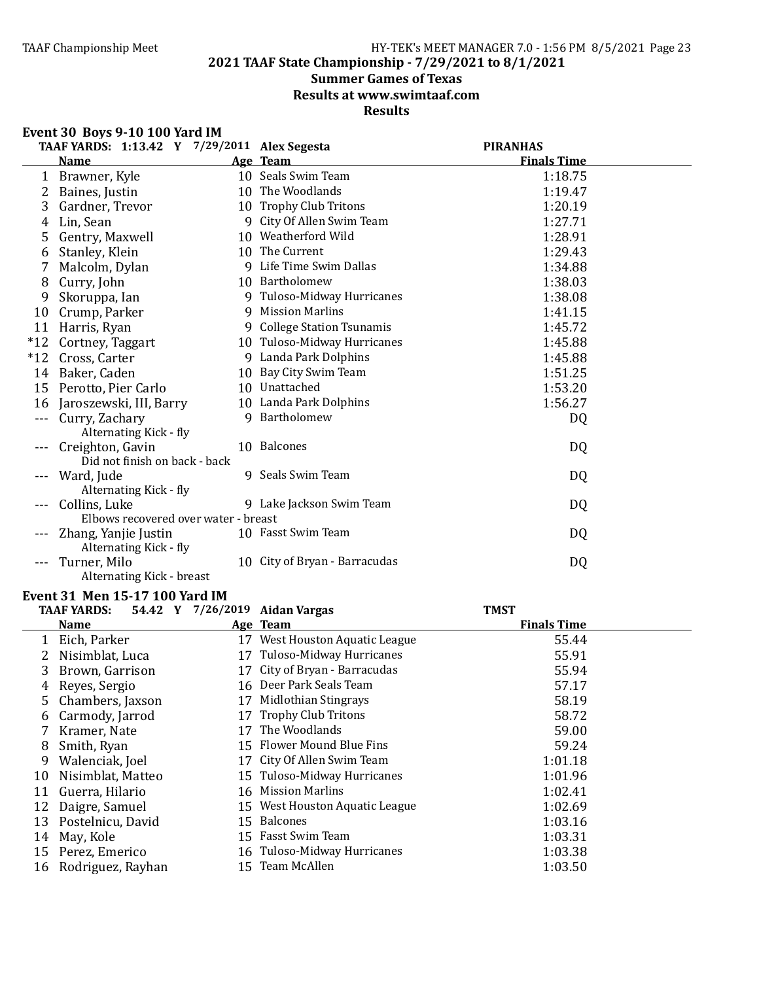### **2021 TAAF State Championship - 7/29/2021 to 8/1/2021**

## **Summer Games of Texas**

**Results at www.swimtaaf.com**

### **Results**

#### **Event 30 Boys 9-10 100 Yard IM**

|       | TAAF YARDS: 1:13.42 Y 7/29/2011 Alex Segesta |    |                               | <b>PIRANHAS</b>    |
|-------|----------------------------------------------|----|-------------------------------|--------------------|
|       | <b>Name</b>                                  |    | Age Team                      | <b>Finals Time</b> |
| 1     | Brawner, Kyle                                |    | 10 Seals Swim Team            | 1:18.75            |
| 2     | Baines, Justin                               |    | 10 The Woodlands              | 1:19.47            |
| 3     | Gardner, Trevor                              |    | 10 Trophy Club Tritons        | 1:20.19            |
| 4     | Lin, Sean                                    | 9  | City Of Allen Swim Team       | 1:27.71            |
| 5     | Gentry, Maxwell                              |    | 10 Weatherford Wild           | 1:28.91            |
| 6     | Stanley, Klein                               |    | 10 The Current                | 1:29.43            |
| 7     | Malcolm, Dylan                               |    | 9 Life Time Swim Dallas       | 1:34.88            |
| 8     | Curry, John                                  |    | 10 Bartholomew                | 1:38.03            |
| 9     | Skoruppa, Ian                                |    | 9 Tuloso-Midway Hurricanes    | 1:38.08            |
| 10    | Crump, Parker                                | 9  | <b>Mission Marlins</b>        | 1:41.15            |
| 11    | Harris, Ryan                                 |    | 9 College Station Tsunamis    | 1:45.72            |
| $*12$ | Cortney, Taggart                             |    | 10 Tuloso-Midway Hurricanes   | 1:45.88            |
| $*12$ | Cross, Carter                                |    | 9 Landa Park Dolphins         | 1:45.88            |
| 14    | Baker, Caden                                 | 10 | Bay City Swim Team            | 1:51.25            |
| 15    | Perotto, Pier Carlo                          |    | 10 Unattached                 | 1:53.20            |
| 16    | Jaroszewski, III, Barry                      |    | 10 Landa Park Dolphins        | 1:56.27            |
|       | Curry, Zachary                               | 9  | Bartholomew                   | D <sub>Q</sub>     |
|       | Alternating Kick - fly                       |    |                               |                    |
|       | Creighton, Gavin                             |    | 10 Balcones                   | DQ                 |
|       | Did not finish on back - back                |    |                               |                    |
|       | Ward, Jude                                   |    | 9 Seals Swim Team             | DQ                 |
|       | Alternating Kick - fly                       |    |                               |                    |
|       | Collins, Luke                                |    | 9 Lake Jackson Swim Team      | DQ                 |
|       | Elbows recovered over water - breast         |    |                               |                    |
|       | Zhang, Yanjie Justin                         |    | 10 Fasst Swim Team            | DQ                 |
|       | Alternating Kick - fly                       |    |                               |                    |
|       | Turner, Milo                                 |    | 10 City of Bryan - Barracudas | DQ                 |
|       | Alternating Kick - breast                    |    |                               |                    |

### **Event 31 Men 15-17 100 Yard IM**<br> **EAAE VARDS EAA2 Y** 7/26/2019 Aiden Ve

|    | <b>TAAF YARDS:</b> |    | 54.42 Y 7/26/2019 Aidan Vargas | <b>TMST</b>        |  |
|----|--------------------|----|--------------------------------|--------------------|--|
|    | <b>Name</b>        |    | Age Team                       | <b>Finals Time</b> |  |
|    | Eich, Parker       |    | 17 West Houston Aquatic League | 55.44              |  |
|    | Nisimblat, Luca    | 17 | Tuloso-Midway Hurricanes       | 55.91              |  |
| 3  | Brown, Garrison    |    | 17 City of Bryan - Barracudas  | 55.94              |  |
| 4  | Reyes, Sergio      |    | 16 Deer Park Seals Team        | 57.17              |  |
| 5. | Chambers, Jaxson   | 17 | Midlothian Stingrays           | 58.19              |  |
| 6  | Carmody, Jarrod    | 17 | <b>Trophy Club Tritons</b>     | 58.72              |  |
|    | Kramer, Nate       | 17 | The Woodlands                  | 59.00              |  |
| 8  | Smith, Ryan        |    | 15 Flower Mound Blue Fins      | 59.24              |  |
| 9  | Walenciak, Joel    |    | 17 City Of Allen Swim Team     | 1:01.18            |  |
| 10 | Nisimblat, Matteo  |    | 15 Tuloso-Midway Hurricanes    | 1:01.96            |  |
| 11 | Guerra, Hilario    |    | 16 Mission Marlins             | 1:02.41            |  |
| 12 | Daigre, Samuel     |    | 15 West Houston Aquatic League | 1:02.69            |  |
| 13 | Postelnicu, David  |    | 15 Balcones                    | 1:03.16            |  |
| 14 | May, Kole          |    | 15 Fasst Swim Team             | 1:03.31            |  |
| 15 | Perez, Emerico     |    | 16 Tuloso-Midway Hurricanes    | 1:03.38            |  |
| 16 | Rodriguez, Rayhan  | 15 | Team McAllen                   | 1:03.50            |  |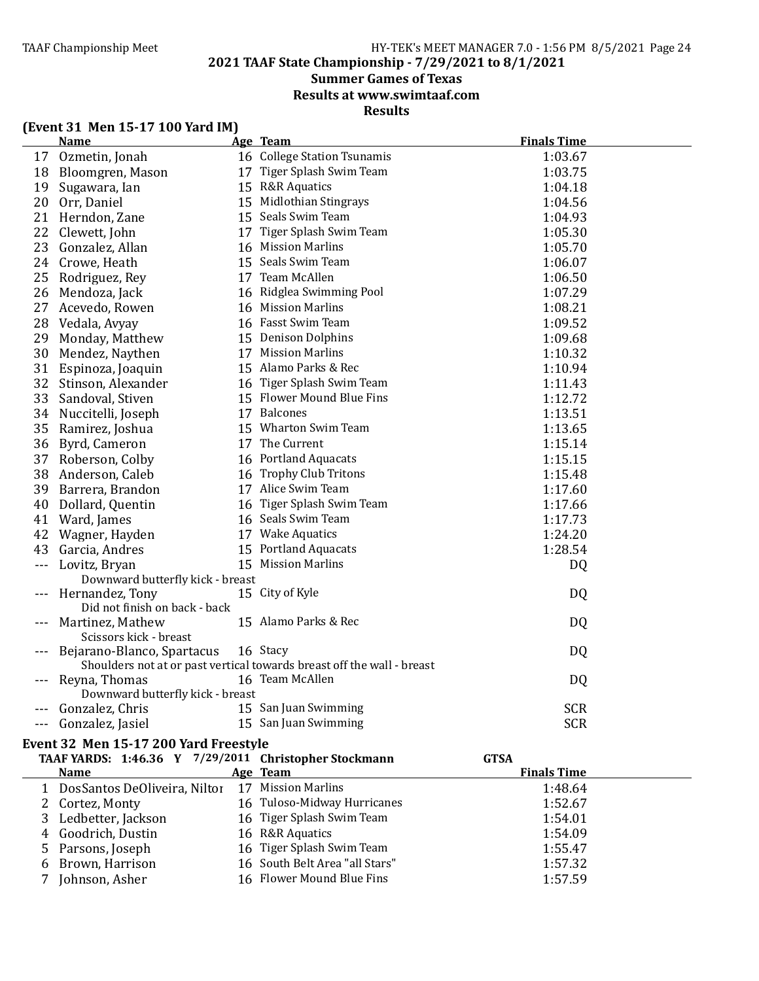**2021 TAAF State Championship - 7/29/2021 to 8/1/2021**

### **Summer Games of Texas**

**Results at www.swimtaaf.com**

**Results**

|  |  | (Event 31 Men 15-17 100 Yard IM) |
|--|--|----------------------------------|
|--|--|----------------------------------|

|          | <u>Name</u>                                           | Age Team                                                               | <b>Finals Time</b> |
|----------|-------------------------------------------------------|------------------------------------------------------------------------|--------------------|
| 17       | Ozmetin, Jonah                                        | 16 College Station Tsunamis                                            | 1:03.67            |
| 18       | Bloomgren, Mason                                      | 17 Tiger Splash Swim Team                                              | 1:03.75            |
| 19       | Sugawara, Ian                                         | 15 R&R Aquatics                                                        | 1:04.18            |
| 20       | Orr, Daniel                                           | 15 Midlothian Stingrays                                                | 1:04.56            |
| 21       | Herndon, Zane                                         | 15 Seals Swim Team                                                     | 1:04.93            |
| 22       | Clewett, John                                         | 17 Tiger Splash Swim Team                                              | 1:05.30            |
| 23       | Gonzalez, Allan                                       | 16 Mission Marlins                                                     | 1:05.70            |
| 24       | Crowe, Heath                                          | 15 Seals Swim Team                                                     | 1:06.07            |
| 25       | Rodriguez, Rey                                        | 17 Team McAllen                                                        | 1:06.50            |
| 26       | Mendoza, Jack                                         | 16 Ridglea Swimming Pool                                               | 1:07.29            |
| 27       | Acevedo, Rowen                                        | 16 Mission Marlins                                                     | 1:08.21            |
| 28       | Vedala, Avyay                                         | 16 Fasst Swim Team                                                     | 1:09.52            |
| 29       | Monday, Matthew                                       | 15 Denison Dolphins                                                    | 1:09.68            |
| 30       | Mendez, Naythen                                       | 17 Mission Marlins                                                     | 1:10.32            |
| 31       | Espinoza, Joaquin                                     | 15 Alamo Parks & Rec                                                   | 1:10.94            |
| 32       | Stinson, Alexander                                    | 16 Tiger Splash Swim Team                                              | 1:11.43            |
|          | 33 Sandoval, Stiven                                   | 15 Flower Mound Blue Fins                                              | 1:12.72            |
| 34       | Nuccitelli, Joseph                                    | 17 Balcones                                                            | 1:13.51            |
| 35       | Ramirez, Joshua                                       | 15 Wharton Swim Team                                                   | 1:13.65            |
|          | 36 Byrd, Cameron                                      | 17 The Current                                                         | 1:15.14            |
| 37       | Roberson, Colby                                       | 16 Portland Aquacats                                                   | 1:15.15            |
| 38       | Anderson, Caleb                                       | 16 Trophy Club Tritons                                                 | 1:15.48            |
| 39       | Barrera, Brandon                                      | 17 Alice Swim Team                                                     | 1:17.60            |
| 40       | Dollard, Quentin                                      | 16 Tiger Splash Swim Team                                              | 1:17.66            |
| 41       | Ward, James                                           | 16 Seals Swim Team                                                     | 1:17.73            |
| 42       | Wagner, Hayden                                        | 17 Wake Aquatics                                                       | 1:24.20            |
| 43       | Garcia, Andres                                        | 15 Portland Aquacats                                                   | 1:28.54            |
| $- - -$  | Lovitz, Bryan                                         | 15 Mission Marlins                                                     | DQ                 |
|          | Downward butterfly kick - breast                      |                                                                        |                    |
|          | Hernandez, Tony                                       | 15 City of Kyle                                                        | DQ                 |
|          | Did not finish on back - back                         |                                                                        |                    |
|          | Martinez, Mathew                                      | 15 Alamo Parks & Rec                                                   | DQ                 |
|          | Scissors kick - breast                                |                                                                        |                    |
|          | Bejarano-Blanco, Spartacus                            | 16 Stacy                                                               | DQ                 |
|          |                                                       | Shoulders not at or past vertical towards breast off the wall - breast |                    |
|          | Reyna, Thomas                                         | 16 Team McAllen                                                        | DQ                 |
|          | Downward butterfly kick - breast                      |                                                                        |                    |
|          | Gonzalez, Chris                                       | 15 San Juan Swimming                                                   | <b>SCR</b>         |
| $\cdots$ | Gonzalez, Jasiel                                      | 15 San Juan Swimming                                                   | <b>SCR</b>         |
|          | Event 32 Men 15-17 200 Yard Freestyle                 |                                                                        |                    |
|          | TAAF YARDS: 1:46.36 Y 7/29/2011 Christopher Stockmann |                                                                        | <b>GTSA</b>        |
|          | <b>Name</b>                                           | Age Team                                                               | <b>Finals Time</b> |
| 1        | DosSantos DeOliveira, Niltor                          | 17 Mission Marlins                                                     | 1:48.64            |
| 2        | Cortez, Monty                                         | 16 Tuloso-Midway Hurricanes                                            | 1:52.67            |
| 3        | Ledbetter, Jackson                                    | 16 Tiger Splash Swim Team                                              | 1:54.01            |
| 4        | Goodrich, Dustin                                      | 16 R&R Aquatics                                                        | 1:54.09            |
| 5        | Parsons, Joseph                                       | 16 Tiger Splash Swim Team                                              | 1:55.47            |

6 Brown, Harrison 16 South Belt Area "all Stars" 1:57.32 7 Johnson, Asher 16 Flower Mound Blue Fins 1:57.59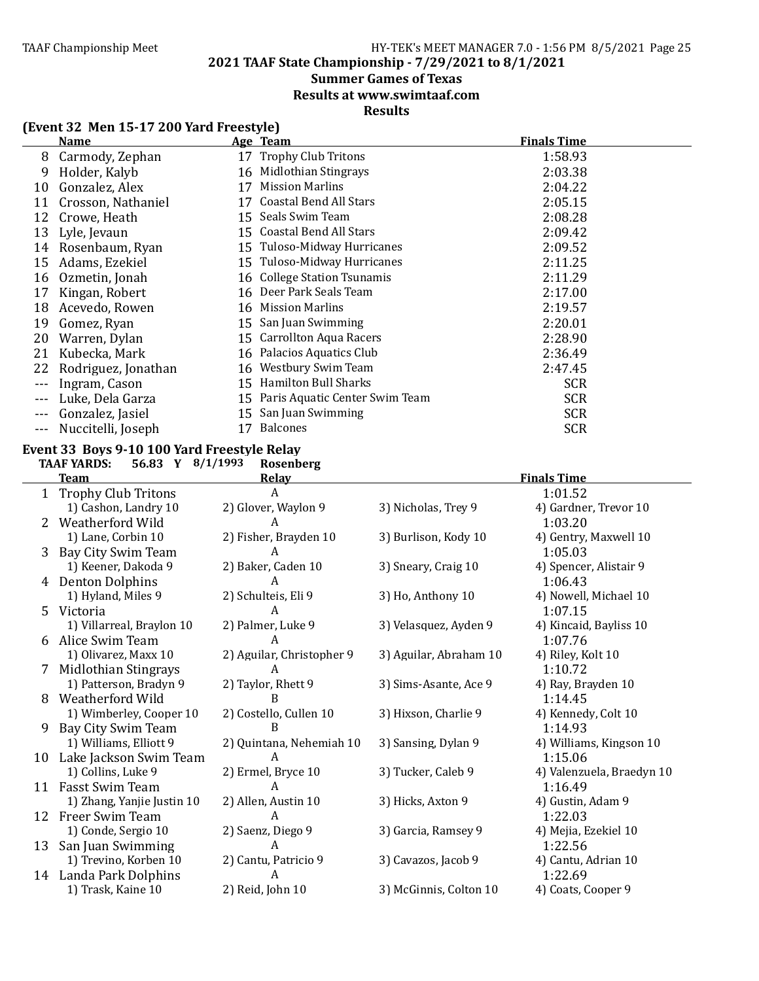**2021 TAAF State Championship - 7/29/2021 to 8/1/2021**

### **Summer Games of Texas**

**Results at www.swimtaaf.com**

### **Results**

### **(Event 32 Men 15-17 200 Yard Freestyle)**

|         | <b>Name</b>         |    | Age Team                          | <b>Finals Time</b> |
|---------|---------------------|----|-----------------------------------|--------------------|
| 8       | Carmody, Zephan     |    | 17 Trophy Club Tritons            | 1:58.93            |
| 9       | Holder, Kalyb       | 16 | Midlothian Stingrays              | 2:03.38            |
| 10      | Gonzalez, Alex      | 17 | <b>Mission Marlins</b>            | 2:04.22            |
| 11      | Crosson, Nathaniel  | 17 | <b>Coastal Bend All Stars</b>     | 2:05.15            |
| 12      | Crowe, Heath        | 15 | Seals Swim Team                   | 2:08.28            |
| 13      | Lyle, Jevaun        |    | 15 Coastal Bend All Stars         | 2:09.42            |
| 14      | Rosenbaum, Ryan     |    | 15 Tuloso-Midway Hurricanes       | 2:09.52            |
| 15      | Adams, Ezekiel      |    | 15 Tuloso-Midway Hurricanes       | 2:11.25            |
| 16      | Ozmetin, Jonah      |    | 16 College Station Tsunamis       | 2:11.29            |
| 17      | Kingan, Robert      |    | 16 Deer Park Seals Team           | 2:17.00            |
| 18      | Acevedo, Rowen      | 16 | Mission Marlins                   | 2:19.57            |
| 19      | Gomez, Ryan         | 15 | San Juan Swimming                 | 2:20.01            |
| 20      | Warren, Dylan       | 15 | <b>Carrollton Aqua Racers</b>     | 2:28.90            |
| 21      | Kubecka, Mark       | 16 | Palacios Aquatics Club            | 2:36.49            |
| 22      | Rodriguez, Jonathan |    | 16 Westbury Swim Team             | 2:47.45            |
| $--$    | Ingram, Cason       | 15 | Hamilton Bull Sharks              | <b>SCR</b>         |
| $---$   | Luke, Dela Garza    |    | 15 Paris Aquatic Center Swim Team | <b>SCR</b>         |
|         | Gonzalez, Jasiel    | 15 | San Juan Swimming                 | <b>SCR</b>         |
| $- - -$ | Nuccitelli, Joseph  | 17 | <b>Balcones</b>                   | <b>SCR</b>         |

# **Event 33 Boys 9-10 100 Yard Freestyle Relay**<br>TAAF YARDS: 56.83 Y 8/1/1993 Rosenbo

**TAAF YARDS: 56.83 Y 8/1/1993 Rosenberg**

|              | <b>Team</b>                | <b>Relav</b>              | <b>Finals Time</b>     |                           |
|--------------|----------------------------|---------------------------|------------------------|---------------------------|
| $\mathbf{1}$ | <b>Trophy Club Tritons</b> | A                         |                        | 1:01.52                   |
|              | 1) Cashon, Landry 10       | 2) Glover, Waylon 9       | 3) Nicholas, Trey 9    | 4) Gardner, Trevor 10     |
| 2            | Weatherford Wild           | A                         |                        | 1:03.20                   |
|              | 1) Lane, Corbin 10         | 2) Fisher, Brayden 10     | 3) Burlison, Kody 10   | 4) Gentry, Maxwell 10     |
| 3            | Bay City Swim Team         | A                         |                        | 1:05.03                   |
|              | 1) Keener, Dakoda 9        | 2) Baker, Caden 10        | 3) Sneary, Craig 10    | 4) Spencer, Alistair 9    |
| 4            | <b>Denton Dolphins</b>     |                           |                        | 1:06.43                   |
|              | 1) Hyland, Miles 9         | 2) Schulteis, Eli 9       | 3) Ho, Anthony 10      | 4) Nowell, Michael 10     |
|              | 5 Victoria                 | A                         |                        | 1:07.15                   |
|              | 1) Villarreal, Braylon 10  | 2) Palmer, Luke 9         | 3) Velasquez, Ayden 9  | 4) Kincaid, Bayliss 10    |
| 6            | Alice Swim Team            | A                         |                        | 1:07.76                   |
|              | 1) Olivarez, Maxx 10       | 2) Aguilar, Christopher 9 | 3) Aguilar, Abraham 10 | 4) Riley, Kolt 10         |
| 7            | Midlothian Stingrays       | A                         |                        | 1:10.72                   |
|              | 1) Patterson, Bradyn 9     | 2) Taylor, Rhett 9        | 3) Sims-Asante, Ace 9  | 4) Ray, Brayden 10        |
| 8            | Weatherford Wild           | B                         |                        | 1:14.45                   |
|              | 1) Wimberley, Cooper 10    | 2) Costello, Cullen 10    | 3) Hixson, Charlie 9   | 4) Kennedy, Colt 10       |
| 9            | Bay City Swim Team         |                           |                        | 1:14.93                   |
|              | 1) Williams, Elliott 9     | 2) Quintana, Nehemiah 10  | 3) Sansing, Dylan 9    | 4) Williams, Kingson 10   |
| 10           | Lake Jackson Swim Team     | A                         |                        | 1:15.06                   |
|              | 1) Collins, Luke 9         | 2) Ermel, Bryce 10        | 3) Tucker, Caleb 9     | 4) Valenzuela, Braedyn 10 |
| 11           | Fasst Swim Team            | A                         |                        | 1:16.49                   |
|              | 1) Zhang, Yanjie Justin 10 | 2) Allen, Austin 10       | 3) Hicks, Axton 9      | 4) Gustin, Adam 9         |
| 12           | Freer Swim Team            | A                         |                        | 1:22.03                   |
|              | 1) Conde, Sergio 10        | 2) Saenz, Diego 9         | 3) Garcia, Ramsey 9    | 4) Mejia, Ezekiel 10      |
| 13           | San Juan Swimming          | A                         |                        | 1:22.56                   |
|              | 1) Trevino, Korben 10      | 2) Cantu, Patricio 9      | 3) Cavazos, Jacob 9    | 4) Cantu, Adrian 10       |
| 14           | Landa Park Dolphins        | A                         |                        | 1:22.69                   |
|              | 1) Trask, Kaine 10         | 2) Reid, John 10          | 3) McGinnis, Colton 10 | 4) Coats, Cooper 9        |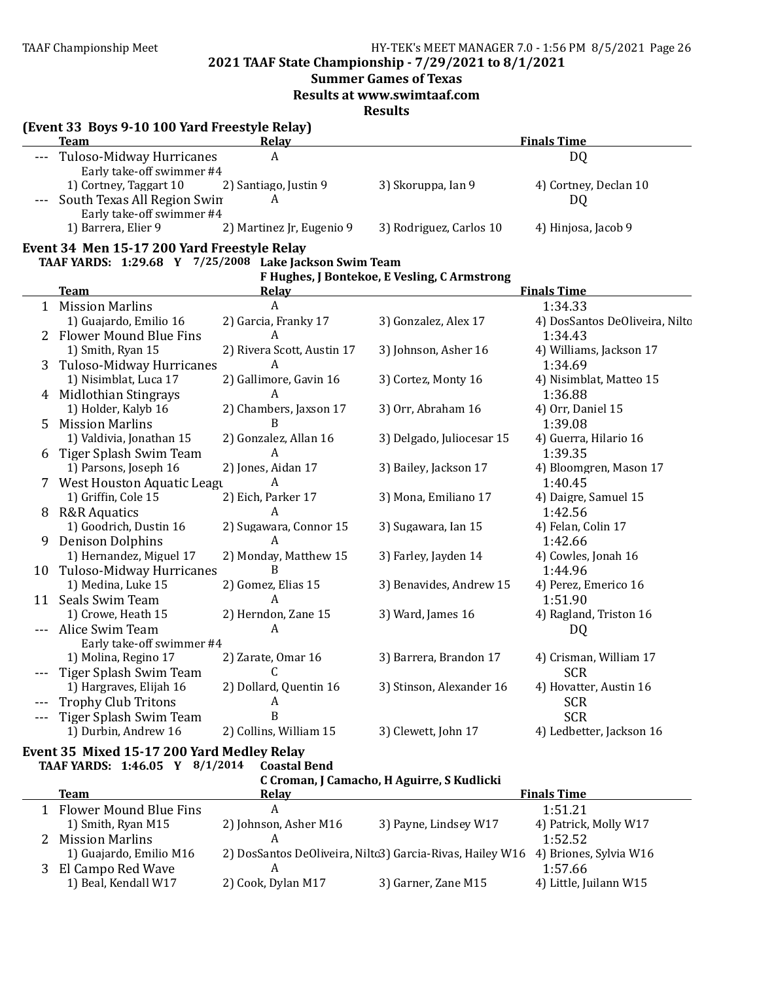### **2021 TAAF State Championship - 7/29/2021 to 8/1/2021**

#### **Summer Games of Texas**

**Results at www.swimtaaf.com**

**Results**

|   | (Event 33 Boys 9-10 100 Yard Freestyle Relay)          |                            |                                              |                                |
|---|--------------------------------------------------------|----------------------------|----------------------------------------------|--------------------------------|
|   | <b>Team</b>                                            | Relay                      |                                              | <b>Finals Time</b>             |
|   | Tuloso-Midway Hurricanes                               | A                          |                                              | <b>DQ</b>                      |
|   | Early take-off swimmer #4<br>1) Cortney, Taggart 10    | 2) Santiago, Justin 9      | 3) Skoruppa, Ian 9                           | 4) Cortney, Declan 10          |
|   | South Texas All Region Swin                            | A                          |                                              | DQ                             |
|   | Early take-off swimmer #4                              |                            |                                              |                                |
|   | 1) Barrera, Elier 9                                    | 2) Martinez Jr, Eugenio 9  | 3) Rodriguez, Carlos 10                      | 4) Hinjosa, Jacob 9            |
|   |                                                        |                            |                                              |                                |
|   | Event 34 Men 15-17 200 Yard Freestyle Relay            |                            |                                              |                                |
|   | TAAF YARDS: 1:29.68 Y 7/25/2008 Lake Jackson Swim Team |                            | F Hughes, J Bontekoe, E Vesling, C Armstrong |                                |
|   | <b>Team</b>                                            | <b>Relay</b>               |                                              | <b>Finals Time</b>             |
|   | 1 Mission Marlins                                      | A                          |                                              | 1:34.33                        |
|   | 1) Guajardo, Emilio 16                                 | 2) Garcia, Franky 17       | 3) Gonzalez, Alex 17                         | 4) DosSantos DeOliveira, Nilto |
|   | 2 Flower Mound Blue Fins                               | A                          |                                              | 1:34.43                        |
|   | 1) Smith, Ryan 15                                      | 2) Rivera Scott, Austin 17 | 3) Johnson, Asher 16                         | 4) Williams, Jackson 17        |
| 3 | <b>Tuloso-Midway Hurricanes</b>                        | A                          |                                              | 1:34.69                        |
|   | 1) Nisimblat, Luca 17                                  | 2) Gallimore, Gavin 16     | 3) Cortez, Monty 16                          | 4) Nisimblat, Matteo 15        |
|   | 4 Midlothian Stingrays                                 | А                          |                                              | 1:36.88                        |
|   | 1) Holder, Kalyb 16                                    | 2) Chambers, Jaxson 17     | 3) Orr, Abraham 16                           | 4) Orr, Daniel 15              |
| 5 | <b>Mission Marlins</b>                                 | B                          |                                              | 1:39.08                        |
|   | 1) Valdivia, Jonathan 15                               | 2) Gonzalez, Allan 16      | 3) Delgado, Juliocesar 15                    | 4) Guerra, Hilario 16          |
|   | Tiger Splash Swim Team                                 | A                          |                                              | 1:39.35                        |
|   | 1) Parsons, Joseph 16                                  | 2) Jones, Aidan 17         | 3) Bailey, Jackson 17                        | 4) Bloomgren, Mason 17         |
|   | 7 West Houston Aquatic Leagu                           | A                          |                                              | 1:40.45                        |
|   | 1) Griffin, Cole 15                                    | 2) Eich, Parker 17         | 3) Mona, Emiliano 17                         | 4) Daigre, Samuel 15           |
|   | 8 R&R Aquatics                                         | A                          |                                              | 1:42.56                        |
|   | 1) Goodrich, Dustin 16                                 | 2) Sugawara, Connor 15     | 3) Sugawara, Ian 15                          | 4) Felan, Colin 17             |
| 9 | <b>Denison Dolphins</b>                                | A                          |                                              | 1:42.66                        |
|   | 1) Hernandez, Miguel 17                                | 2) Monday, Matthew 15      | 3) Farley, Jayden 14                         | 4) Cowles, Jonah 16            |
|   | 10 Tuloso-Midway Hurricanes                            | B                          |                                              | 1:44.96                        |
|   | 1) Medina, Luke 15                                     | 2) Gomez, Elias 15         | 3) Benavides, Andrew 15                      | 4) Perez, Emerico 16           |
|   | 11 Seals Swim Team                                     | A                          |                                              | 1:51.90                        |
|   | 1) Crowe, Heath 15                                     | 2) Herndon, Zane 15        | 3) Ward, James 16                            | 4) Ragland, Triston 16         |
|   | Alice Swim Team                                        | A                          |                                              | DQ                             |
|   | Early take-off swimmer #4                              |                            |                                              |                                |
|   | 1) Molina, Regino 17                                   | 2) Zarate, Omar 16         | 3) Barrera, Brandon 17                       | 4) Crisman, William 17         |
|   | Tiger Splash Swim Team                                 | C.                         |                                              | <b>SCR</b>                     |
|   | 1) Hargraves, Elijah 16                                | 2) Dollard, Quentin 16     | 3) Stinson, Alexander 16                     | 4) Hovatter, Austin 16         |
|   | <b>Trophy Club Tritons</b>                             | A                          |                                              | <b>SCR</b>                     |
|   | Tiger Splash Swim Team                                 | B                          |                                              | <b>SCR</b>                     |
|   | 1) Durbin, Andrew 16                                   | 2) Collins, William 15     | 3) Clewett, John 17                          | 4) Ledbetter, Jackson 16       |

#### Event 35 Mixed 15-17 200 Yard Medley Relay **TAAF YARDS: 1:46.05 Y 8/1/2014 Coastal Bend**

**C Croman, J Camacho, H Aguirre, S Kudlicki**

|    | Team                          | Relay                 |                                                           | <b>Finals Time</b>     |  |
|----|-------------------------------|-----------------------|-----------------------------------------------------------|------------------------|--|
| 1. | <b>Flower Mound Blue Fins</b> |                       |                                                           | 1:51.21                |  |
|    | 1) Smith, Ryan M15            | 2) Johnson, Asher M16 | 3) Payne, Lindsey W17                                     | 4) Patrick, Molly W17  |  |
|    | <b>Mission Marlins</b>        |                       |                                                           | 1:52.52                |  |
|    | 1) Guajardo, Emilio M16       |                       | 2) DosSantos DeOliveira, Niltc3) Garcia-Rivas, Hailey W16 | 4) Briones, Sylvia W16 |  |
| 3  | El Campo Red Wave             |                       |                                                           | 1:57.66                |  |
|    | 1) Beal, Kendall W17          | 2) Cook, Dylan M17    | 3) Garner, Zane M15                                       | 4) Little, Juilann W15 |  |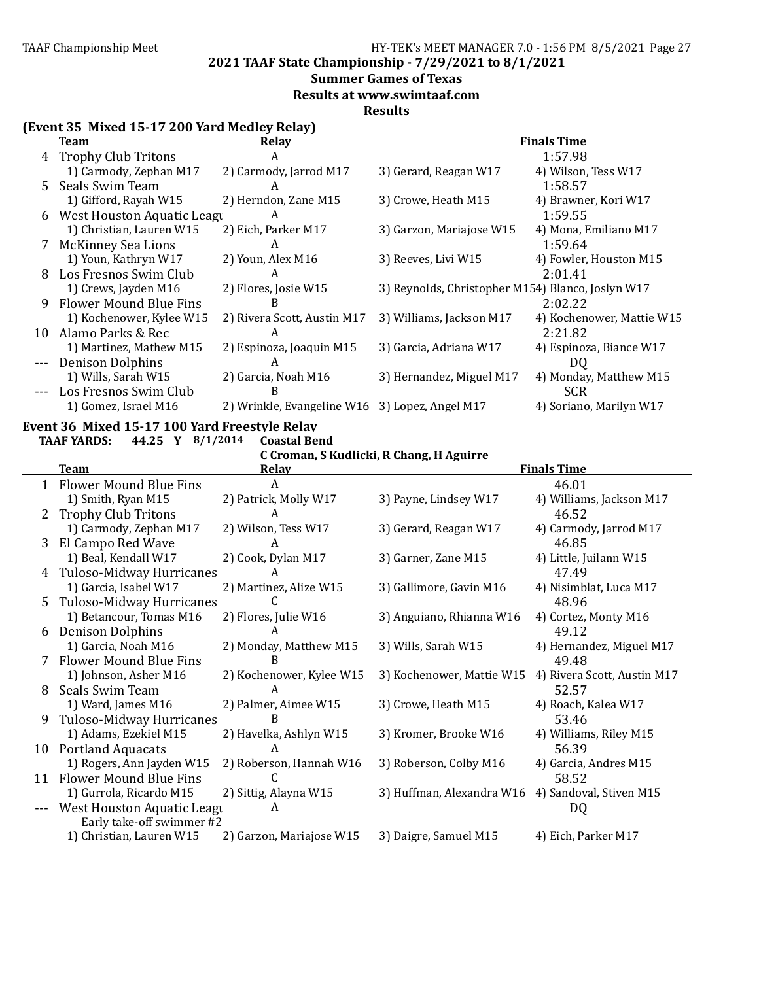**2021 TAAF State Championship - 7/29/2021 to 8/1/2021**

### **Summer Games of Texas**

**Results at www.swimtaaf.com**

**Results**

### **(Event 35 Mixed 15-17 200 Yard Medley Relay)**

|    | Team                         | <b>Relay</b>                                   |                                                   | <b>Finals Time</b>        |
|----|------------------------------|------------------------------------------------|---------------------------------------------------|---------------------------|
|    | 4 Trophy Club Tritons        | A                                              |                                                   | 1:57.98                   |
|    | 1) Carmody, Zephan M17       | 2) Carmody, Jarrod M17                         | 3) Gerard, Reagan W17                             | 4) Wilson, Tess W17       |
| 5. | Seals Swim Team              | A                                              |                                                   | 1:58.57                   |
|    | 1) Gifford, Rayah W15        | 2) Herndon, Zane M15                           | 3) Crowe, Heath M15                               | 4) Brawner, Kori W17      |
|    | 6 West Houston Aquatic Leagu | A                                              |                                                   | 1:59.55                   |
|    | 1) Christian, Lauren W15     | 2) Eich, Parker M17                            | 3) Garzon, Mariajose W15                          | 4) Mona, Emiliano M17     |
|    | McKinney Sea Lions           | A                                              |                                                   | 1:59.64                   |
|    | 1) Youn, Kathryn W17         | 2) Youn, Alex M16                              | 3) Reeves, Livi W15                               | 4) Fowler, Houston M15    |
| 8  | Los Fresnos Swim Club        | A                                              |                                                   | 2:01.41                   |
|    | 1) Crews, Jayden M16         | 2) Flores, Josie W15                           | 3) Reynolds, Christopher M154) Blanco, Joslyn W17 |                           |
| 9  | Flower Mound Blue Fins       |                                                |                                                   | 2:02.22                   |
|    | 1) Kochenower, Kylee W15     | 2) Rivera Scott, Austin M17                    | 3) Williams, Jackson M17                          | 4) Kochenower, Mattie W15 |
| 10 | Alamo Parks & Rec            | A                                              |                                                   | 2:21.82                   |
|    | 1) Martinez, Mathew M15      | 2) Espinoza, Joaquin M15                       | 3) Garcia, Adriana W17                            | 4) Espinoza, Biance W17   |
|    | <b>Denison Dolphins</b>      | A                                              |                                                   | D <sub>O</sub>            |
|    | 1) Wills, Sarah W15          | 2) Garcia, Noah M16                            | 3) Hernandez, Miguel M17                          | 4) Monday, Matthew M15    |
|    | Los Fresnos Swim Club        | B                                              |                                                   | <b>SCR</b>                |
|    | 1) Gomez, Israel M16         | 2) Wrinkle, Evangeline W16 3) Lopez, Angel M17 |                                                   | 4) Soriano, Marilyn W17   |

# **Event 36 Mixed 15-17 100 Yard Freestyle Relay**<br>TAAF YARDS: 44.25 Y 8/1/2014 Coastal Bend

### **TAAF YARDS: 44.25 Y**  $8/1/2014$

#### **C Croman, S Kudlicki, R Chang, H Aguirre**

|    | <b>Team</b>                   | <b>Relay</b>             |                           | <b>Finals Time</b>          |
|----|-------------------------------|--------------------------|---------------------------|-----------------------------|
|    | Flower Mound Blue Fins        | А                        |                           | 46.01                       |
|    | 1) Smith, Ryan M15            | 2) Patrick, Molly W17    | 3) Payne, Lindsey W17     | 4) Williams, Jackson M17    |
|    | <b>Trophy Club Tritons</b>    | A                        |                           | 46.52                       |
|    | 1) Carmody, Zephan M17        | 2) Wilson, Tess W17      | 3) Gerard, Reagan W17     | 4) Carmody, Jarrod M17      |
| 3  | El Campo Red Wave             | А                        |                           | 46.85                       |
|    | 1) Beal, Kendall W17          | 2) Cook, Dylan M17       | 3) Garner, Zane M15       | 4) Little, Juilann W15      |
| 4  | Tuloso-Midway Hurricanes      | А                        |                           | 47.49                       |
|    | 1) Garcia, Isabel W17         | 2) Martinez, Alize W15   | 3) Gallimore, Gavin M16   | 4) Nisimblat, Luca M17      |
| 5. | Tuloso-Midway Hurricanes      |                          |                           | 48.96                       |
|    | 1) Betancour, Tomas M16       | 2) Flores, Julie W16     | 3) Anguiano, Rhianna W16  | 4) Cortez, Monty M16        |
| 6  | <b>Denison Dolphins</b>       | A                        |                           | 49.12                       |
|    | 1) Garcia, Noah M16           | 2) Monday, Matthew M15   | 3) Wills, Sarah W15       | 4) Hernandez, Miguel M17    |
| 7  | <b>Flower Mound Blue Fins</b> | B                        |                           | 49.48                       |
|    | 1) Johnson, Asher M16         | 2) Kochenower, Kylee W15 | 3) Kochenower, Mattie W15 | 4) Rivera Scott, Austin M17 |
| 8  | Seals Swim Team               | A                        |                           | 52.57                       |
|    | 1) Ward, James M16            | 2) Palmer, Aimee W15     | 3) Crowe, Heath M15       | 4) Roach, Kalea W17         |
| 9  | Tuloso-Midway Hurricanes      | B                        |                           | 53.46                       |
|    | 1) Adams, Ezekiel M15         | 2) Havelka, Ashlyn W15   | 3) Kromer, Brooke W16     | 4) Williams, Riley M15      |
| 10 | <b>Portland Aquacats</b>      | A                        |                           | 56.39                       |
|    | 1) Rogers, Ann Jayden W15     | 2) Roberson, Hannah W16  | 3) Roberson, Colby M16    | 4) Garcia, Andres M15       |
| 11 | Flower Mound Blue Fins        | C                        |                           | 58.52                       |
|    | 1) Gurrola, Ricardo M15       | 2) Sittig, Alayna W15    | 3) Huffman, Alexandra W16 | 4) Sandoval, Stiven M15     |
|    | West Houston Aquatic Leagu    | A                        |                           | DQ                          |
|    | Early take-off swimmer #2     |                          |                           |                             |
|    | 1) Christian, Lauren W15      | 2) Garzon, Mariajose W15 | 3) Daigre, Samuel M15     | 4) Eich, Parker M17         |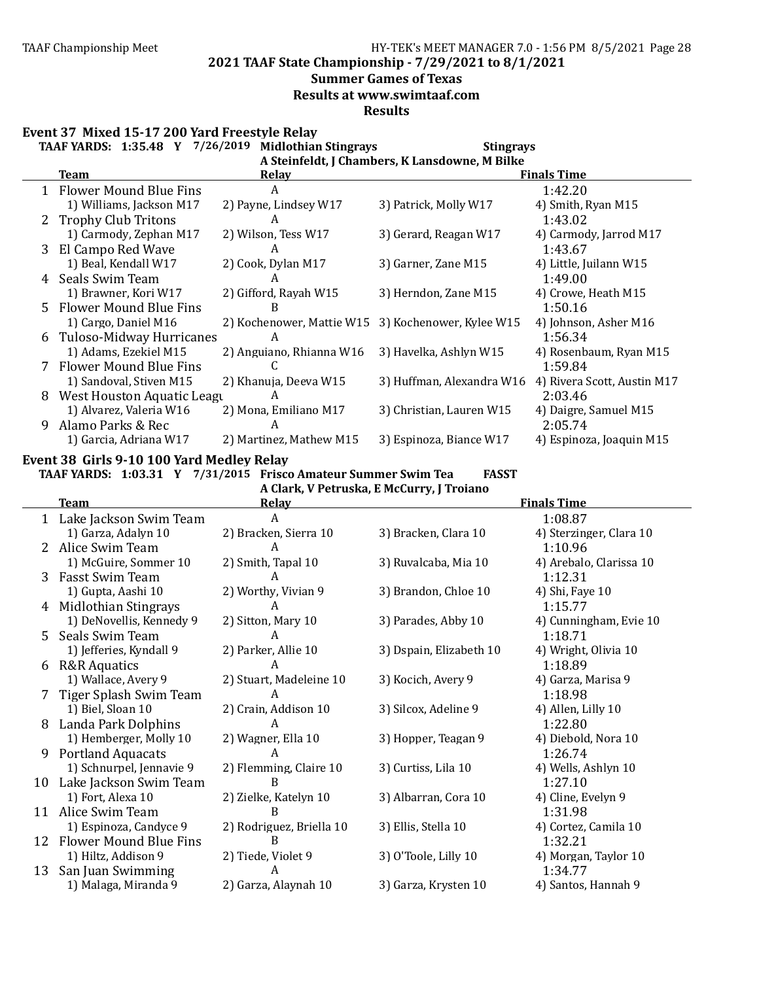### **Summer Games of Texas**

**Results at www.swimtaaf.com**

**Results**

Event 37 Mixed 15-17 200 Yard Freestyle Relay

|    | TAAF YARDS: 1:35.48 Y 7/26/2019 | <b>Midlothian Stingrays</b>                        | <b>Stingrays</b>                               |                             |
|----|---------------------------------|----------------------------------------------------|------------------------------------------------|-----------------------------|
|    |                                 |                                                    | A Steinfeldt, J Chambers, K Lansdowne, M Bilke |                             |
|    | Team                            | Relay                                              |                                                | <b>Finals Time</b>          |
|    | 1 Flower Mound Blue Fins        | A                                                  |                                                | 1:42.20                     |
|    | 1) Williams, Jackson M17        | 2) Payne, Lindsey W17                              | 3) Patrick, Molly W17                          | 4) Smith, Ryan M15          |
|    | <b>Trophy Club Tritons</b>      | A                                                  |                                                | 1:43.02                     |
|    | 1) Carmody, Zephan M17          | 2) Wilson, Tess W17                                | 3) Gerard, Reagan W17                          | 4) Carmody, Jarrod M17      |
| 3  | El Campo Red Wave               | A                                                  |                                                | 1:43.67                     |
|    | 1) Beal, Kendall W17            | 2) Cook, Dylan M17                                 | 3) Garner, Zane M15                            | 4) Little, Juilann W15      |
|    | Seals Swim Team                 | A                                                  |                                                | 1:49.00                     |
|    | 1) Brawner, Kori W17            | 2) Gifford, Rayah W15                              | 3) Herndon, Zane M15                           | 4) Crowe, Heath M15         |
| 5. | <b>Flower Mound Blue Fins</b>   | B                                                  |                                                | 1:50.16                     |
|    | 1) Cargo, Daniel M16            | 2) Kochenower, Mattie W15 3) Kochenower, Kylee W15 |                                                | 4) Johnson, Asher M16       |
| 6  | Tuloso-Midway Hurricanes        | A                                                  |                                                | 1:56.34                     |
|    | 1) Adams, Ezekiel M15           | 2) Anguiano, Rhianna W16                           | 3) Havelka, Ashlyn W15                         | 4) Rosenbaum, Ryan M15      |
|    | Flower Mound Blue Fins          |                                                    |                                                | 1:59.84                     |
|    | 1) Sandoval, Stiven M15         | 2) Khanuja, Deeva W15                              | 3) Huffman, Alexandra W16                      | 4) Rivera Scott, Austin M17 |
| 8  | West Houston Aquatic Leagu      | A                                                  |                                                | 2:03.46                     |
|    | 1) Alvarez, Valeria W16         | 2) Mona, Emiliano M17                              | 3) Christian, Lauren W15                       | 4) Daigre, Samuel M15       |
| 9  | Alamo Parks & Rec               | A                                                  |                                                | 2:05.74                     |
|    | 1) Garcia, Adriana W17          | 2) Martinez, Mathew M15                            | 3) Espinoza, Biance W17                        | 4) Espinoza, Joaquin M15    |

#### Event 38 Girls 9-10 100 Yard Medley Relay

**TAAF YARDS: 1:03.31 Y 7/31/2015 Frisco Amateur Summer Swim Tea FASST**

**A Clark, V Petruska, E McCurry, J Troiano**

|    | <b>Team</b>                   | Relay                    |                         | <b>Finals Time</b>      |
|----|-------------------------------|--------------------------|-------------------------|-------------------------|
|    | 1 Lake Jackson Swim Team      | A                        |                         | 1:08.87                 |
|    | 1) Garza, Adalyn 10           | 2) Bracken, Sierra 10    | 3) Bracken, Clara 10    | 4) Sterzinger, Clara 10 |
|    | Alice Swim Team               | A                        |                         | 1:10.96                 |
|    | 1) McGuire, Sommer 10         | 2) Smith, Tapal 10       | 3) Ruvalcaba, Mia 10    | 4) Arebalo, Clarissa 10 |
| 3  | Fasst Swim Team               | A                        |                         | 1:12.31                 |
|    | 1) Gupta, Aashi 10            | 2) Worthy, Vivian 9      | 3) Brandon, Chloe 10    | 4) Shi, Faye 10         |
| 4  | Midlothian Stingrays          | A                        |                         | 1:15.77                 |
|    | 1) DeNovellis, Kennedy 9      | 2) Sitton, Mary 10       | 3) Parades, Abby 10     | 4) Cunningham, Evie 10  |
| 5. | Seals Swim Team               | A                        |                         | 1:18.71                 |
|    | 1) Jefferies, Kyndall 9       | 2) Parker, Allie 10      | 3) Dspain, Elizabeth 10 | 4) Wright, Olivia 10    |
| 6  | <b>R&amp;R</b> Aquatics       | A                        |                         | 1:18.89                 |
|    | 1) Wallace, Avery 9           | 2) Stuart, Madeleine 10  | 3) Kocich, Avery 9      | 4) Garza, Marisa 9      |
|    | Tiger Splash Swim Team        | A                        |                         | 1:18.98                 |
|    | 1) Biel, Sloan 10             | 2) Crain, Addison 10     | 3) Silcox, Adeline 9    | 4) Allen, Lilly 10      |
| 8  | Landa Park Dolphins           | A                        |                         | 1:22.80                 |
|    | 1) Hemberger, Molly 10        | 2) Wagner, Ella 10       | 3) Hopper, Teagan 9     | 4) Diebold, Nora 10     |
| 9  | <b>Portland Aquacats</b>      | A                        |                         | 1:26.74                 |
|    | 1) Schnurpel, Jennavie 9      | 2) Flemming, Claire 10   | 3) Curtiss, Lila 10     | 4) Wells, Ashlyn 10     |
| 10 | Lake Jackson Swim Team        | B                        |                         | 1:27.10                 |
|    | 1) Fort, Alexa 10             | 2) Zielke, Katelyn 10    | 3) Albarran, Cora 10    | 4) Cline, Evelyn 9      |
| 11 | Alice Swim Team               | B                        |                         | 1:31.98                 |
|    | 1) Espinoza, Candyce 9        | 2) Rodriguez, Briella 10 | 3) Ellis, Stella 10     | 4) Cortez, Camila 10    |
| 12 | <b>Flower Mound Blue Fins</b> | B                        |                         | 1:32.21                 |
|    | 1) Hiltz, Addison 9           | 2) Tiede, Violet 9       | 3) O'Toole, Lilly 10    | 4) Morgan, Taylor 10    |
| 13 | San Juan Swimming             | A                        |                         | 1:34.77                 |
|    | 1) Malaga, Miranda 9          | 2) Garza, Alaynah 10     | 3) Garza, Krysten 10    | 4) Santos, Hannah 9     |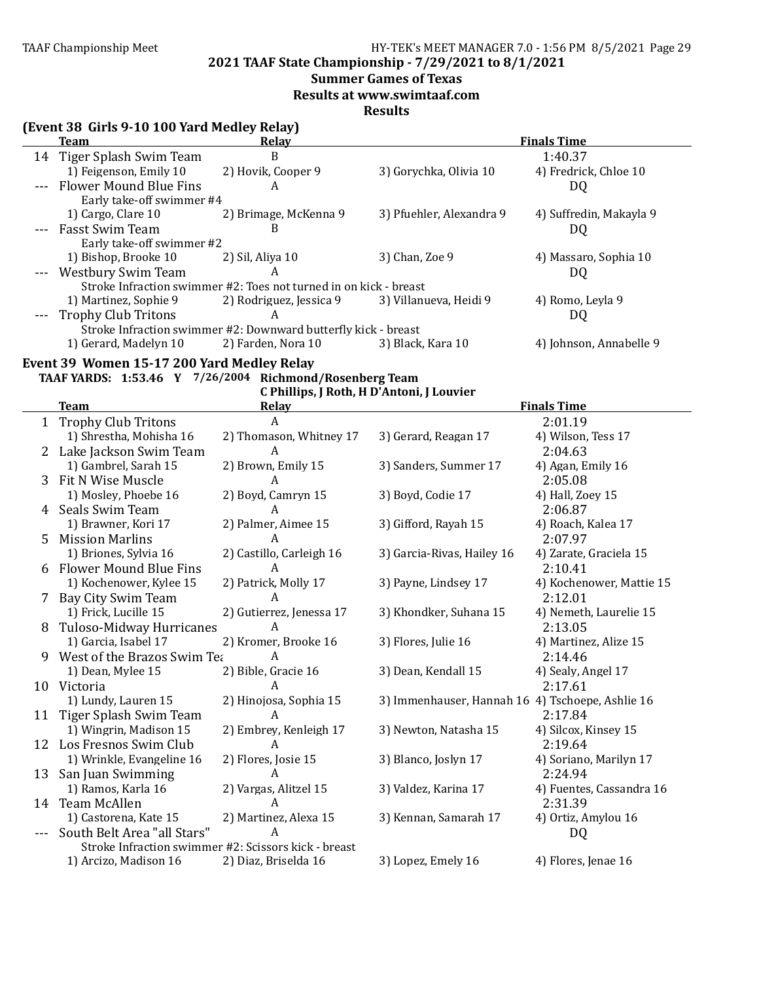e de

### TAAF Championship Meet HY-TEK's MEET MANAGER 7.0 - 1:56 PM 8/5/2021 Page 29

**2021 TAAF State Championship - 7/29/2021 to 8/1/2021**

### **Summer Games of Texas**

**Results at www.swimtaaf.com**

### **Results**

| (Event 38 Girls 9-10 100 Yard Medley Relay) |  |  |  |  |
|---------------------------------------------|--|--|--|--|
|---------------------------------------------|--|--|--|--|

| <b>Team</b>                | Relav                                                             |                          | <b>Finals Time</b>      |
|----------------------------|-------------------------------------------------------------------|--------------------------|-------------------------|
| 14 Tiger Splash Swim Team  | B                                                                 |                          | 1:40.37                 |
| 1) Feigenson, Emily 10     | 2) Hovik, Cooper 9                                                | 3) Gorychka, Olivia 10   | 4) Fredrick, Chloe 10   |
| --- Flower Mound Blue Fins | A                                                                 |                          | DQ                      |
| Early take-off swimmer #4  |                                                                   |                          |                         |
| 1) Cargo, Clare 10         | 2) Brimage, McKenna 9                                             | 3) Pfuehler, Alexandra 9 | 4) Suffredin, Makayla 9 |
| --- Fasst Swim Team        | B                                                                 |                          | DQ                      |
| Early take-off swimmer #2  |                                                                   |                          |                         |
| 1) Bishop, Brooke 10       | 2) Sil, Aliya 10                                                  | 3) Chan, Zoe 9           | 4) Massaro, Sophia 10   |
| --- Westbury Swim Team     | A                                                                 |                          | DQ                      |
|                            | Stroke Infraction swimmer #2: Toes not turned in on kick - breast |                          |                         |
| 1) Martinez, Sophie 9      | 2) Rodriguez, Jessica 9                                           | 3) Villanueva, Heidi 9   | 4) Romo, Leyla 9        |
| --- Trophy Club Tritons    | A                                                                 |                          | DQ                      |
|                            | Stroke Infraction swimmer #2: Downward butterfly kick - breast    |                          |                         |
| 1) Gerard, Madelyn 10      | 2) Farden, Nora 10                                                | 3) Black, Kara 10        | 4) Johnson, Annabelle 9 |
|                            |                                                                   |                          |                         |

#### Event 39 Women 15-17 200 Yard Medley Relay **TAAF YARDS: 1:53.46**

|  |  |  | .46 Y 7/26/2004 Richmond/Rosenberg Team |  |
|--|--|--|-----------------------------------------|--|
|--|--|--|-----------------------------------------|--|

C Phillips, J Roth, H D'Antoni, J Louvier

|         | <b>Team</b>                                          | Relay                    | <b>Finals Time</b>                               |                          |
|---------|------------------------------------------------------|--------------------------|--------------------------------------------------|--------------------------|
|         | 1 Trophy Club Tritons                                |                          |                                                  | 2:01.19                  |
|         | 1) Shrestha, Mohisha 16                              | 2) Thomason, Whitney 17  | 3) Gerard, Reagan 17                             | 4) Wilson, Tess 17       |
|         | 2 Lake Jackson Swim Team                             | A                        |                                                  | 2:04.63                  |
|         | 1) Gambrel, Sarah 15                                 | 2) Brown, Emily 15       | 3) Sanders, Summer 17                            | 4) Agan, Emily 16        |
| 3       | Fit N Wise Muscle                                    | A                        |                                                  | 2:05.08                  |
|         | 1) Mosley, Phoebe 16                                 | 2) Boyd, Camryn 15       | 3) Boyd, Codie 17                                | 4) Hall, Zoey 15         |
| 4       | Seals Swim Team                                      | A                        |                                                  | 2:06.87                  |
|         | 1) Brawner, Kori 17                                  | 2) Palmer, Aimee 15      | 3) Gifford, Rayah 15                             | 4) Roach, Kalea 17       |
| 5.      | <b>Mission Marlins</b>                               | A                        |                                                  | 2:07.97                  |
|         | 1) Briones, Sylvia 16                                | 2) Castillo, Carleigh 16 | 3) Garcia-Rivas, Hailey 16                       | 4) Zarate, Graciela 15   |
|         | <b>Flower Mound Blue Fins</b>                        | A                        |                                                  | 2:10.41                  |
|         | 1) Kochenower, Kylee 15                              | 2) Patrick, Molly 17     | 3) Payne, Lindsey 17                             | 4) Kochenower, Mattie 15 |
| 7       | Bay City Swim Team                                   | A                        |                                                  | 2:12.01                  |
|         | 1) Frick, Lucille 15                                 | 2) Gutierrez, Jenessa 17 | 3) Khondker, Suhana 15                           | 4) Nemeth, Laurelie 15   |
| 8       | <b>Tuloso-Midway Hurricanes</b>                      | A                        |                                                  | 2:13.05                  |
|         | 1) Garcia, Isabel 17                                 | 2) Kromer, Brooke 16     | 3) Flores, Julie 16                              | 4) Martinez, Alize 15    |
| 9       | West of the Brazos Swim Tea                          | A                        |                                                  | 2:14.46                  |
|         | 1) Dean, Mylee 15                                    | 2) Bible, Gracie 16      | 3) Dean, Kendall 15                              | 4) Sealy, Angel 17       |
| 10      | Victoria                                             | A                        |                                                  | 2:17.61                  |
|         | 1) Lundy, Lauren 15                                  | 2) Hinojosa, Sophia 15   | 3) Immenhauser, Hannah 16 4) Tschoepe, Ashlie 16 |                          |
| 11      | Tiger Splash Swim Team                               | A                        |                                                  | 2:17.84                  |
|         | 1) Wingrin, Madison 15                               | 2) Embrey, Kenleigh 17   | 3) Newton, Natasha 15                            | 4) Silcox, Kinsey 15     |
| 12      | Los Fresnos Swim Club                                | A                        |                                                  | 2:19.64                  |
|         | 1) Wrinkle, Evangeline 16                            | 2) Flores, Josie 15      | 3) Blanco, Joslyn 17                             | 4) Soriano, Marilyn 17   |
|         | 13 San Juan Swimming                                 | A                        |                                                  | 2:24.94                  |
|         | 1) Ramos, Karla 16                                   | 2) Vargas, Alitzel 15    | 3) Valdez, Karina 17                             | 4) Fuentes, Cassandra 16 |
| 14      | Team McAllen                                         | A                        |                                                  | 2:31.39                  |
|         | 1) Castorena, Kate 15                                | 2) Martinez, Alexa 15    | 3) Kennan, Samarah 17                            | 4) Ortiz, Amylou 16      |
| $- - -$ | South Belt Area "all Stars"                          | A                        |                                                  | DQ                       |
|         | Stroke Infraction swimmer #2: Scissors kick - breast |                          |                                                  |                          |
|         | 1) Arcizo, Madison 16                                | 2) Diaz, Briselda 16     | 3) Lopez, Emely 16                               | 4) Flores, Jenae 16      |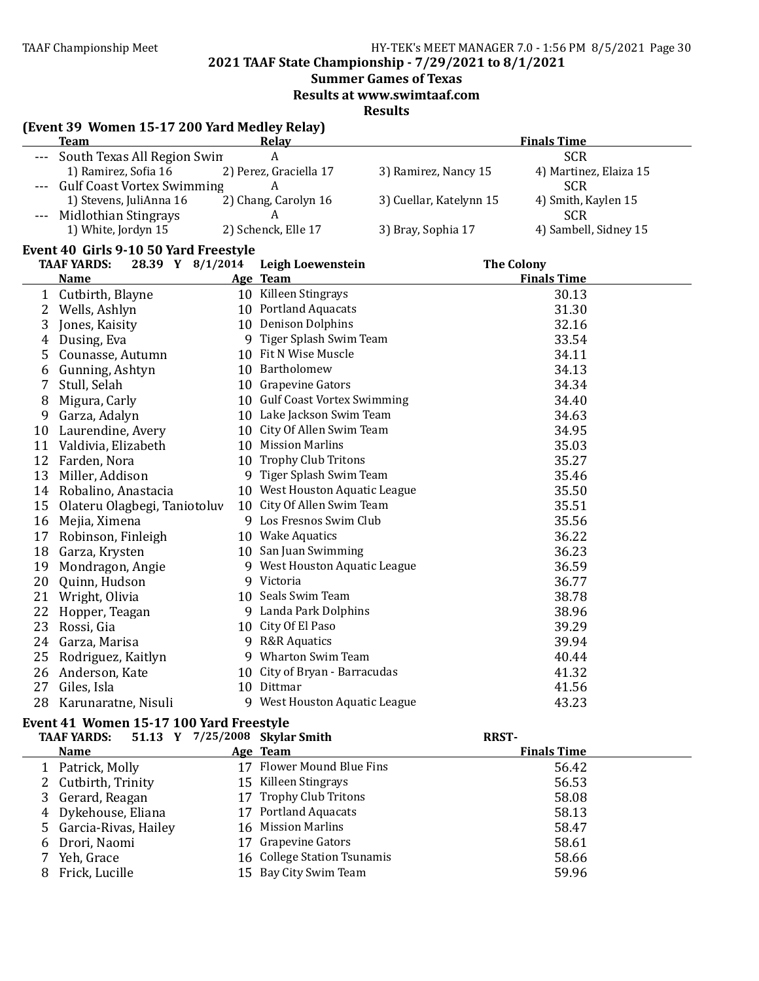**2021 TAAF State Championship - 7/29/2021 to 8/1/2021**

**Summer Games of Texas** 

**Results at www.swimtaaf.com**

**Results**

### **(Event 39 Women 15-17 200 Yard Medley Relay)**

|    | <b>Team</b>                            | <b>Relay</b>                   |                         | <b>Finals Time</b>     |
|----|----------------------------------------|--------------------------------|-------------------------|------------------------|
|    | South Texas All Region Swin            | $\boldsymbol{A}$               |                         | <b>SCR</b>             |
|    | 1) Ramirez, Sofia 16                   | 2) Perez, Graciella 17         | 3) Ramirez, Nancy 15    | 4) Martinez, Elaiza 15 |
|    | <b>Gulf Coast Vortex Swimming</b>      | A                              |                         | <b>SCR</b>             |
|    | 1) Stevens, JuliAnna 16                | 2) Chang, Carolyn 16           | 3) Cuellar, Katelynn 15 | 4) Smith, Kaylen 15    |
|    | Midlothian Stingrays                   | A                              |                         | <b>SCR</b>             |
|    | 1) White, Jordyn 15                    | 2) Schenck, Elle 17            | 3) Bray, Sophia 17      | 4) Sambell, Sidney 15  |
|    | Event 40 Girls 9-10 50 Yard Freestyle  |                                |                         |                        |
|    | 28.39 Y 8/1/2014<br><b>TAAF YARDS:</b> | Leigh Loewenstein              |                         | <b>The Colony</b>      |
|    | <b>Name</b>                            | Age Team                       |                         | <b>Finals Time</b>     |
|    | 1 Cutbirth, Blayne                     | 10 Killeen Stingrays           |                         | 30.13                  |
| 2  | Wells, Ashlyn                          | 10 Portland Aquacats           |                         | 31.30                  |
| 3  | Jones, Kaisity                         | 10 Denison Dolphins            |                         | 32.16                  |
| 4  | Dusing, Eva                            | 9 Tiger Splash Swim Team       |                         | 33.54                  |
| 5  | Counasse, Autumn                       | 10 Fit N Wise Muscle           |                         | 34.11                  |
| 6  | Gunning, Ashtyn                        | 10 Bartholomew                 |                         | 34.13                  |
| 7  | Stull, Selah                           | 10 Grapevine Gators            |                         | 34.34                  |
| 8  | Migura, Carly                          | 10 Gulf Coast Vortex Swimming  |                         | 34.40                  |
| 9  | Garza, Adalyn                          | 10 Lake Jackson Swim Team      |                         | 34.63                  |
| 10 | Laurendine, Avery                      | 10 City Of Allen Swim Team     |                         | 34.95                  |
|    | 11 Valdivia, Elizabeth                 | 10 Mission Marlins             |                         | 35.03                  |
| 12 | Farden, Nora                           | 10 Trophy Club Tritons         |                         | 35.27                  |
| 13 | Miller, Addison                        | 9 Tiger Splash Swim Team       |                         | 35.46                  |
| 14 | Robalino, Anastacia                    | 10 West Houston Aquatic League |                         | 35.50                  |
| 15 | Olateru Olagbegi, Taniotoluv           | 10 City Of Allen Swim Team     |                         | 35.51                  |
| 16 | Mejia, Ximena                          | 9 Los Fresnos Swim Club        |                         | 35.56                  |
| 17 | Robinson, Finleigh                     | 10 Wake Aquatics               |                         | 36.22                  |
| 18 | Garza, Krysten                         | 10 San Juan Swimming           |                         | 36.23                  |
| 19 | Mondragon, Angie                       | 9 West Houston Aquatic League  |                         | 36.59                  |
| 20 | Quinn, Hudson                          | 9 Victoria                     |                         | 36.77                  |
| 21 | Wright, Olivia                         | 10 Seals Swim Team             |                         | 38.78                  |
| 22 | Hopper, Teagan                         | 9 Landa Park Dolphins          |                         | 38.96                  |
| 23 | Rossi, Gia                             | 10 City Of El Paso             |                         | 39.29                  |
| 24 | Garza, Marisa                          | 9 R&R Aquatics                 |                         | 39.94                  |
| 25 | Rodriguez, Kaitlyn                     | 9 Wharton Swim Team            |                         | 40.44                  |
|    | 26 Anderson, Kate                      | 10 City of Bryan - Barracudas  |                         | 41.32                  |
| 27 | Giles, Isla                            | 10 Dittmar                     |                         | 41.56                  |
| 28 | Karunaratne, Nisuli                    | 9 West Houston Aquatic League  |                         | 43.23                  |

#### **Event 41 Women 15-17 100 Yard Freestyle**

|   | <b>TAAF YARDS:</b>     | 51.13 Y 7/25/2008 Skylar Smith | <b>RRST-</b>       |  |
|---|------------------------|--------------------------------|--------------------|--|
|   | <b>Name</b>            | Age Team                       | <b>Finals Time</b> |  |
|   | 1 Patrick, Molly       | 17 Flower Mound Blue Fins      | 56.42              |  |
|   | 2 Cutbirth, Trinity    | 15 Killeen Stingrays           | 56.53              |  |
|   | 3 Gerard, Reagan       | 17 Trophy Club Tritons         | 58.08              |  |
|   | 4 Dykehouse, Eliana    | 17 Portland Aquacats           | 58.13              |  |
|   | 5 Garcia-Rivas, Hailey | 16 Mission Marlins             | 58.47              |  |
|   | 6 Drori, Naomi         | 17 Grapevine Gators            | 58.61              |  |
|   | Yeh, Grace             | 16 College Station Tsunamis    | 58.66              |  |
| 8 | Frick, Lucille         | 15 Bay City Swim Team          | 59.96              |  |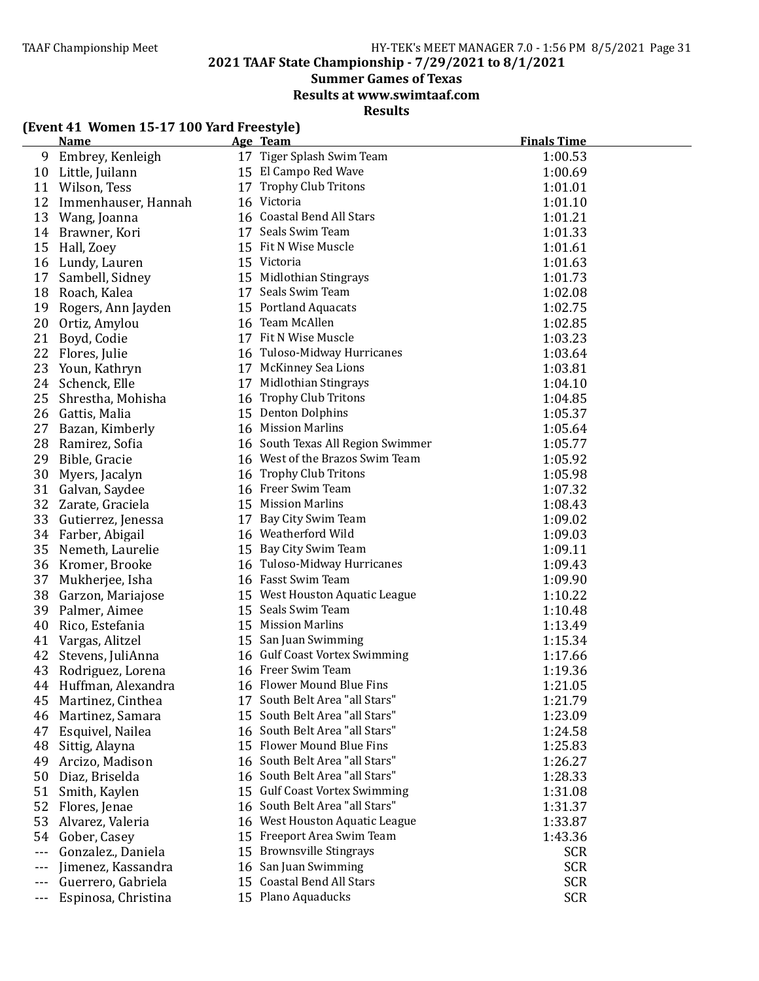**2021 TAAF State Championship - 7/29/2021 to 8/1/2021**

**Summer Games of Texas** 

**Results at www.swimtaaf.com**

**Results**

| (Event 41 Women 15-17 100 Yard Freestyle) |  |
|-------------------------------------------|--|
|-------------------------------------------|--|

|         | <u>Name</u>           | Age Team                          | <b>Finals Time</b> |
|---------|-----------------------|-----------------------------------|--------------------|
| 9       | Embrey, Kenleigh      | 17 Tiger Splash Swim Team         | 1:00.53            |
| 10      | Little, Juilann       | 15 El Campo Red Wave              | 1:00.69            |
| 11      | Wilson, Tess          | 17 Trophy Club Tritons            | 1:01.01            |
| 12      | Immenhauser, Hannah   | 16 Victoria                       | 1:01.10            |
| 13      | Wang, Joanna          | 16 Coastal Bend All Stars         | 1:01.21            |
| 14      | Brawner, Kori         | 17 Seals Swim Team                | 1:01.33            |
| 15      | Hall, Zoey            | 15 Fit N Wise Muscle              | 1:01.61            |
| 16      | Lundy, Lauren         | 15 Victoria                       | 1:01.63            |
| 17      | Sambell, Sidney       | 15 Midlothian Stingrays           | 1:01.73            |
| 18      | Roach, Kalea          | 17 Seals Swim Team                | 1:02.08            |
| 19      | Rogers, Ann Jayden    | 15 Portland Aquacats              | 1:02.75            |
| 20      | Ortiz, Amylou         | 16 Team McAllen                   | 1:02.85            |
| 21      | Boyd, Codie           | 17 Fit N Wise Muscle              | 1:03.23            |
| 22      | Flores, Julie         | 16 Tuloso-Midway Hurricanes       | 1:03.64            |
| 23      | Youn, Kathryn         | 17 McKinney Sea Lions             | 1:03.81            |
| 24      | Schenck, Elle         | 17 Midlothian Stingrays           | 1:04.10            |
| 25      | Shrestha, Mohisha     | 16 Trophy Club Tritons            | 1:04.85            |
|         | 26 Gattis, Malia      | 15 Denton Dolphins                | 1:05.37            |
| 27      | Bazan, Kimberly       | 16 Mission Marlins                | 1:05.64            |
| 28      | Ramirez, Sofia        | 16 South Texas All Region Swimmer | 1:05.77            |
| 29      | Bible, Gracie         | 16 West of the Brazos Swim Team   | 1:05.92            |
| 30      | Myers, Jacalyn        | 16 Trophy Club Tritons            | 1:05.98            |
| 31      | Galvan, Saydee        | 16 Freer Swim Team                | 1:07.32            |
| 32      | Zarate, Graciela      | 15 Mission Marlins                | 1:08.43            |
| 33      | Gutierrez, Jenessa    | 17 Bay City Swim Team             | 1:09.02            |
| 34      | Farber, Abigail       | 16 Weatherford Wild               | 1:09.03            |
| 35      | Nemeth, Laurelie      | 15 Bay City Swim Team             | 1:09.11            |
| 36      | Kromer, Brooke        | 16 Tuloso-Midway Hurricanes       | 1:09.43            |
| 37      | Mukherjee, Isha       | 16 Fasst Swim Team                | 1:09.90            |
| 38      | Garzon, Mariajose     | 15 West Houston Aquatic League    | 1:10.22            |
| 39      | Palmer, Aimee         | 15 Seals Swim Team                | 1:10.48            |
| 40      | Rico, Estefania       | 15 Mission Marlins                | 1:13.49            |
| 41      | Vargas, Alitzel       | 15 San Juan Swimming              | 1:15.34            |
| 42      | Stevens, JuliAnna     | 16 Gulf Coast Vortex Swimming     | 1:17.66            |
| 43      | Rodriguez, Lorena     | 16 Freer Swim Team                | 1:19.36            |
|         | 44 Huffman, Alexandra | 16 Flower Mound Blue Fins         | 1:21.05            |
| 45      | Martinez, Cinthea     | 17 South Belt Area "all Stars"    | 1:21.79            |
| 46      | Martinez, Samara      | 15 South Belt Area "all Stars"    | 1:23.09            |
| 47      | Esquivel, Nailea      | 16 South Belt Area "all Stars"    | 1:24.58            |
| 48      | Sittig, Alayna        | 15 Flower Mound Blue Fins         | 1:25.83            |
| 49      | Arcizo, Madison       | 16 South Belt Area "all Stars"    | 1:26.27            |
| 50      | Diaz, Briselda        | 16 South Belt Area "all Stars"    | 1:28.33            |
| 51      | Smith, Kaylen         | 15 Gulf Coast Vortex Swimming     | 1:31.08            |
| 52      | Flores, Jenae         | 16 South Belt Area "all Stars"    | 1:31.37            |
| 53      | Alvarez, Valeria      | 16 West Houston Aquatic League    | 1:33.87            |
| 54      | Gober, Casey          | 15 Freeport Area Swim Team        | 1:43.36            |
| $---$   | Gonzalez., Daniela    | 15 Brownsville Stingrays          | <b>SCR</b>         |
|         | Jimenez, Kassandra    | 16 San Juan Swimming              | <b>SCR</b>         |
| ---     | Guerrero, Gabriela    | 15 Coastal Bend All Stars         | <b>SCR</b>         |
| $- - -$ | Espinosa, Christina   | 15 Plano Aquaducks                | <b>SCR</b>         |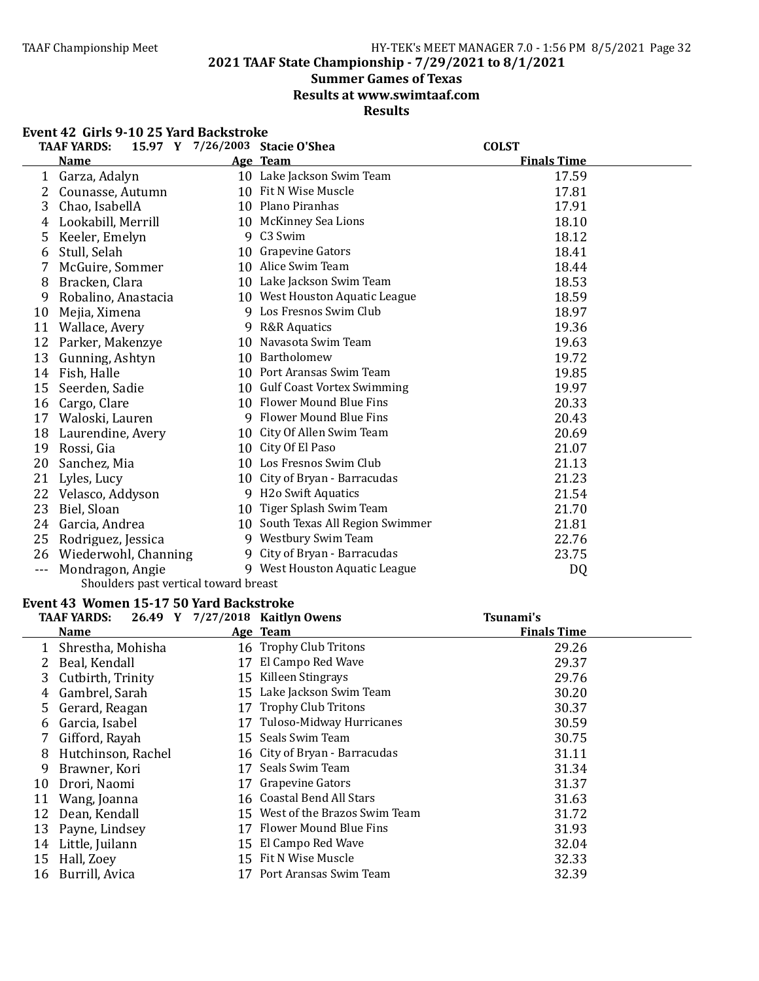**2021 TAAF State Championship - 7/29/2021 to 8/1/2021**

#### **Summer Games of Texas**

**Results at www.swimtaaf.com**

### **Results**

|         | Event 42 Girls 9-10 25 Yard Backstroke  |    |                                   |                    |
|---------|-----------------------------------------|----|-----------------------------------|--------------------|
|         | <b>TAAF YARDS:</b>                      |    | 15.97 Y 7/26/2003 Stacie O'Shea   | <b>COLST</b>       |
|         | <b>Name</b>                             |    | Age Team                          | <b>Finals Time</b> |
|         | 1 Garza, Adalyn                         |    | 10 Lake Jackson Swim Team         | 17.59              |
|         | 2 Counasse, Autumn                      |    | 10 Fit N Wise Muscle              | 17.81              |
| 3       | Chao, IsabellA                          |    | 10 Plano Piranhas                 | 17.91              |
| 4       | Lookabill, Merrill                      |    | 10 McKinney Sea Lions             | 18.10              |
| 5.      | Keeler, Emelyn                          |    | 9 C3 Swim                         | 18.12              |
| 6       | Stull, Selah                            |    | 10 Grapevine Gators               | 18.41              |
| 7       | McGuire, Sommer                         |    | 10 Alice Swim Team                | 18.44              |
| 8       | Bracken, Clara                          |    | 10 Lake Jackson Swim Team         | 18.53              |
| 9       | Robalino, Anastacia                     |    | 10 West Houston Aquatic League    | 18.59              |
| 10      | Mejia, Ximena                           |    | 9 Los Fresnos Swim Club           | 18.97              |
|         | 11 Wallace, Avery                       |    | 9 R&R Aquatics                    | 19.36              |
|         | 12 Parker, Makenzye                     |    | 10 Navasota Swim Team             | 19.63              |
|         | 13 Gunning, Ashtyn                      |    | 10 Bartholomew                    | 19.72              |
|         | 14 Fish, Halle                          |    | 10 Port Aransas Swim Team         | 19.85              |
|         | 15 Seerden, Sadie                       |    | 10 Gulf Coast Vortex Swimming     | 19.97              |
|         | 16 Cargo, Clare                         |    | 10 Flower Mound Blue Fins         | 20.33              |
|         | 17 Waloski, Lauren                      |    | 9 Flower Mound Blue Fins          | 20.43              |
|         | 18 Laurendine, Avery                    |    | 10 City Of Allen Swim Team        | 20.69              |
|         | 19 Rossi, Gia                           |    | 10 City Of El Paso                | 21.07              |
|         | 20 Sanchez, Mia                         |    | 10 Los Fresnos Swim Club          | 21.13              |
|         | 21 Lyles, Lucy                          |    | 10 City of Bryan - Barracudas     | 21.23              |
|         | 22 Velasco, Addyson                     |    | 9 H2o Swift Aquatics              | 21.54              |
| 23      | Biel, Sloan                             |    | 10 Tiger Splash Swim Team         | 21.70              |
|         | 24 Garcia, Andrea                       |    | 10 South Texas All Region Swimmer | 21.81              |
| 25      | Rodriguez, Jessica                      |    | 9 Westbury Swim Team              | 22.76              |
|         | 26 Wiederwohl, Channing                 |    | 9 City of Bryan - Barracudas      | 23.75              |
| $- - -$ | Mondragon, Angie                        |    | 9 West Houston Aquatic League     | DQ                 |
|         | Shoulders past vertical toward breast   |    |                                   |                    |
|         | Event 43 Women 15-17 50 Yard Backstroke |    |                                   |                    |
|         | <b>TAAF YARDS:</b>                      |    | 26.49 Y 7/27/2018 Kaitlyn Owens   | Tsunami's          |
|         | <b>Name</b>                             |    | Age Team                          | <b>Finals Time</b> |
|         | 1 Shrestha, Mohisha                     |    | 16 Trophy Club Tritons            | 29.26              |
|         | 2 Beal, Kendall                         |    | 17 El Campo Red Wave              | 29.37              |
|         | 3 Cutbirth, Trinity                     |    | 15 Killeen Stingrays              | 29.76              |
| 4       | Gambrel, Sarah                          |    | 15 Lake Jackson Swim Team         | 30.20              |
| 5.      | Gerard, Reagan                          |    | 17 Trophy Club Tritons            | 30.37              |
| 6       | Garcia, Isabel                          |    | 17 Tuloso-Midway Hurricanes       | 30.59              |
| 7       | Gifford, Rayah                          |    | 15 Seals Swim Team                | 30.75              |
| 8       | Hutchinson, Rachel                      |    | 16 City of Bryan - Barracudas     | 31.11              |
| 9       | Brawner, Kori                           |    | 17 Seals Swim Team                | 31.34              |
| 10      | Drori, Naomi                            | 17 | <b>Grapevine Gators</b>           | 31.37              |
| 11      | Wang, Joanna                            |    | 16 Coastal Bend All Stars         | 31.63              |
| 12      | Dean, Kendall                           |    | 15 West of the Brazos Swim Team   | 31.72              |
| 13      | Payne, Lindsey                          |    | 17 Flower Mound Blue Fins         | 31.93              |

 Little, Juilann 15 El Campo Red Wave 32.04 15 Hall, Zoey 15 Fit N Wise Muscle 32.33<br>16 Burrill, Avica 17 Port Aransas Swim Team 32.39 17 Port Aransas Swim Team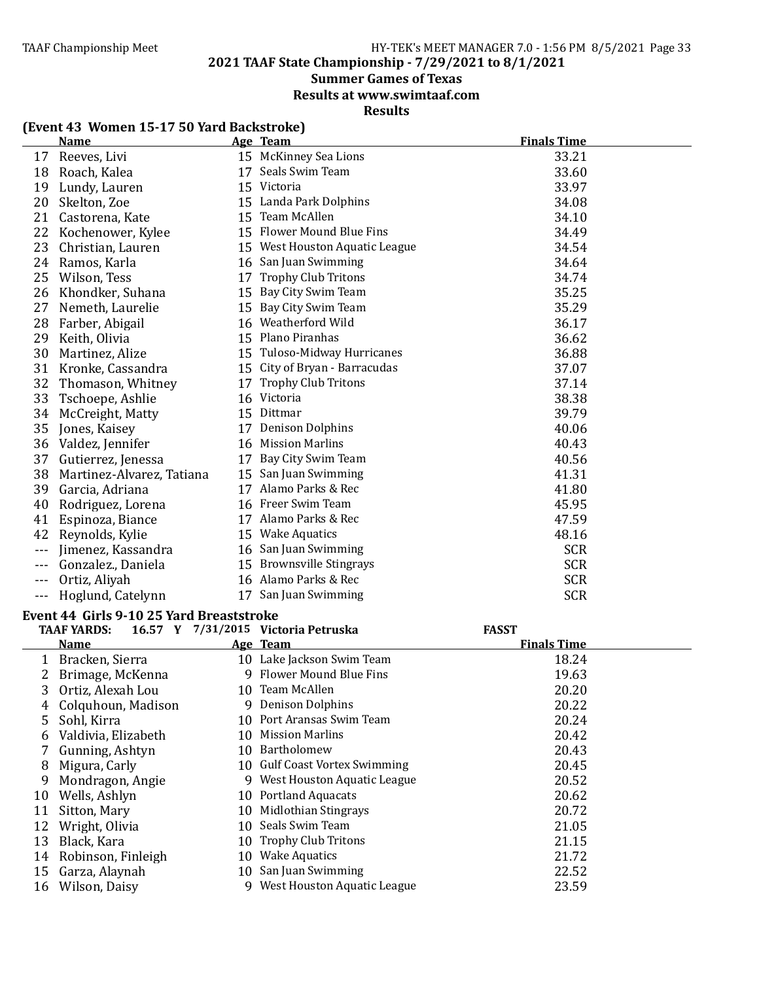**2021 TAAF State Championship - 7/29/2021 to 8/1/2021**

### **Summer Games of Texas**

**Results at www.swimtaaf.com**

### **Results**

|  |  | (Event 43 Women 15-17 50 Yard Backstroke) |
|--|--|-------------------------------------------|
|--|--|-------------------------------------------|

|       | <b>Name</b>               |    | Age Team                       | <b>Finals Time</b> |
|-------|---------------------------|----|--------------------------------|--------------------|
| 17    | Reeves, Livi              |    | 15 McKinney Sea Lions          | 33.21              |
| 18    | Roach, Kalea              | 17 | Seals Swim Team                | 33.60              |
| 19    | Lundy, Lauren             |    | 15 Victoria                    | 33.97              |
| 20    | Skelton, Zoe              |    | 15 Landa Park Dolphins         | 34.08              |
| 21    | Castorena, Kate           |    | 15 Team McAllen                | 34.10              |
| 22    | Kochenower, Kylee         |    | 15 Flower Mound Blue Fins      | 34.49              |
| 23    | Christian, Lauren         |    | 15 West Houston Aquatic League | 34.54              |
| 24    | Ramos, Karla              |    | 16 San Juan Swimming           | 34.64              |
| 25    | Wilson, Tess              | 17 | <b>Trophy Club Tritons</b>     | 34.74              |
| 26    | Khondker, Suhana          | 15 | Bay City Swim Team             | 35.25              |
| 27    | Nemeth, Laurelie          | 15 | Bay City Swim Team             | 35.29              |
| 28    | Farber, Abigail           |    | 16 Weatherford Wild            | 36.17              |
| 29    | Keith, Olivia             |    | 15 Plano Piranhas              | 36.62              |
| 30    | Martinez, Alize           |    | 15 Tuloso-Midway Hurricanes    | 36.88              |
| 31    | Kronke, Cassandra         | 15 | City of Bryan - Barracudas     | 37.07              |
| 32    | Thomason, Whitney         | 17 | <b>Trophy Club Tritons</b>     | 37.14              |
| 33    | Tschoepe, Ashlie          | 16 | Victoria                       | 38.38              |
| 34    | McCreight, Matty          | 15 | Dittmar                        | 39.79              |
| 35    | Jones, Kaisey             |    | 17 Denison Dolphins            | 40.06              |
| 36    | Valdez, Jennifer          |    | 16 Mission Marlins             | 40.43              |
| 37    | Gutierrez, Jenessa        | 17 | Bay City Swim Team             | 40.56              |
| 38    | Martinez-Alvarez, Tatiana |    | 15 San Juan Swimming           | 41.31              |
| 39    | Garcia, Adriana           | 17 | Alamo Parks & Rec              | 41.80              |
| 40    | Rodriguez, Lorena         |    | 16 Freer Swim Team             | 45.95              |
| 41    | Espinoza, Biance          |    | 17 Alamo Parks & Rec           | 47.59              |
| 42    | Reynolds, Kylie           |    | 15 Wake Aquatics               | 48.16              |
|       | Jimenez, Kassandra        |    | 16 San Juan Swimming           | <b>SCR</b>         |
|       | Gonzalez., Daniela        |    | 15 Brownsville Stingrays       | <b>SCR</b>         |
|       | Ortiz, Aliyah             |    | 16 Alamo Parks & Rec           | <b>SCR</b>         |
| $---$ | Hoglund, Catelynn         | 17 | San Juan Swimming              | <b>SCR</b>         |

#### Event 44 Girls 9-10 25 Yard Breaststroke

|    | <b>TAAF YARDS:</b>  |    | 16.57 Y 7/31/2015 Victoria Petruska | <b>FASST</b>       |  |
|----|---------------------|----|-------------------------------------|--------------------|--|
|    | <b>Name</b>         |    | Age Team                            | <b>Finals Time</b> |  |
| 1  | Bracken, Sierra     |    | 10 Lake Jackson Swim Team           | 18.24              |  |
|    | Brimage, McKenna    |    | 9 Flower Mound Blue Fins            | 19.63              |  |
| 3  | Ortiz, Alexah Lou   |    | 10 Team McAllen                     | 20.20              |  |
| 4  | Colquhoun, Madison  |    | 9 Denison Dolphins                  | 20.22              |  |
| 5  | Sohl, Kirra         |    | 10 Port Aransas Swim Team           | 20.24              |  |
| 6  | Valdivia, Elizabeth | 10 | Mission Marlins                     | 20.42              |  |
|    | Gunning, Ashtyn     | 10 | Bartholomew                         | 20.43              |  |
| 8  | Migura, Carly       |    | 10 Gulf Coast Vortex Swimming       | 20.45              |  |
| 9  | Mondragon, Angie    |    | 9 West Houston Aquatic League       | 20.52              |  |
| 10 | Wells, Ashlyn       |    | 10 Portland Aquacats                | 20.62              |  |
| 11 | Sitton, Mary        | 10 | Midlothian Stingrays                | 20.72              |  |
| 12 | Wright, Olivia      |    | 10 Seals Swim Team                  | 21.05              |  |
| 13 | Black, Kara         | 10 | <b>Trophy Club Tritons</b>          | 21.15              |  |
| 14 | Robinson, Finleigh  | 10 | <b>Wake Aquatics</b>                | 21.72              |  |
| 15 | Garza, Alaynah      |    | 10 San Juan Swimming                | 22.52              |  |
| 16 | Wilson, Daisy       |    | 9 West Houston Aquatic League       | 23.59              |  |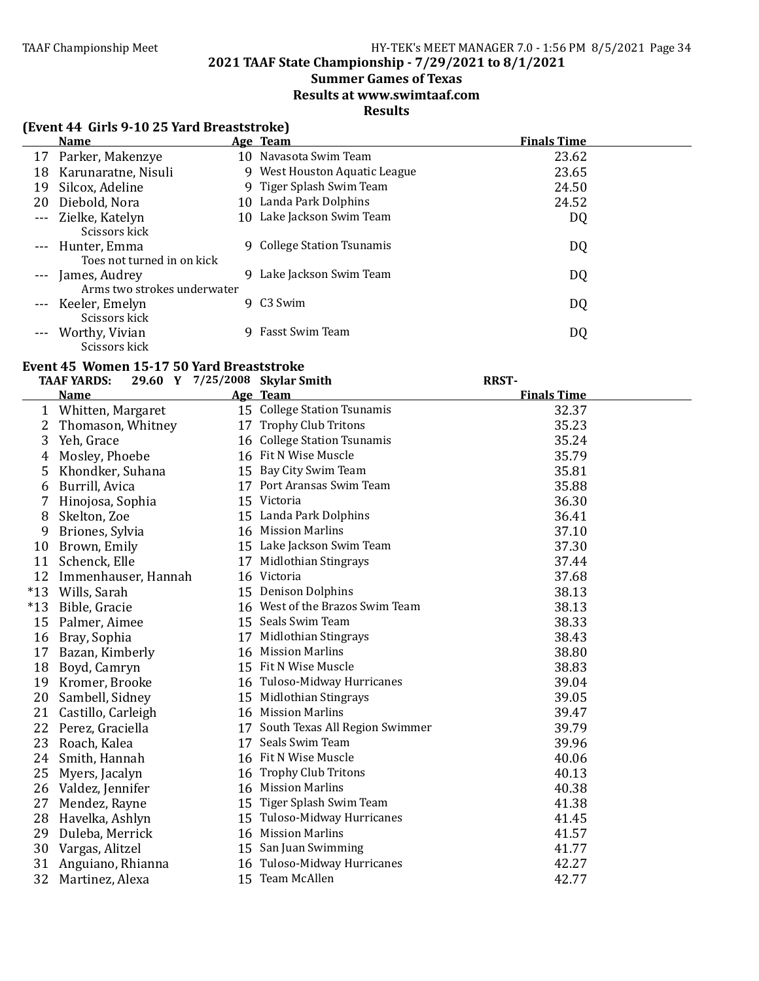### **2021 TAAF State Championship - 7/29/2021 to 8/1/2021**

### **Summer Games of Texas**

**Results at www.swimtaaf.com**

### **Results**

### **(Event 44 Girls 9-10 25 Yard Breaststroke)**

|    | <b>Name</b>                 |    | Age Team                      | <b>Finals Time</b> |
|----|-----------------------------|----|-------------------------------|--------------------|
|    | 17 Parker, Makenzye         |    | 10 Navasota Swim Team         | 23.62              |
| 18 | Karunaratne, Nisuli         |    | 9 West Houston Aquatic League | 23.65              |
| 19 | Silcox, Adeline             |    | 9 Tiger Splash Swim Team      | 24.50              |
| 20 | Diebold, Nora               |    | 10 Landa Park Dolphins        | 24.52              |
|    | --- Zielke, Katelyn         | 10 | Lake Jackson Swim Team        | DQ                 |
|    | Scissors kick               |    |                               |                    |
|    | --- Hunter, Emma            | 9  | College Station Tsunamis      | DQ                 |
|    | Toes not turned in on kick  |    |                               |                    |
|    | --- James, Audrey           | 9  | Lake Jackson Swim Team        | DQ                 |
|    | Arms two strokes underwater |    |                               |                    |
|    | --- Keeler, Emelyn          | 9. | C3 Swim                       | DQ                 |
|    | Scissors kick               |    |                               |                    |
|    | Worthy, Vivian              | 9  | Fasst Swim Team               | DQ                 |
|    | Scissors kick               |    |                               |                    |

### Event 45 Women 15-17 50 Yard Breaststroke

|       | <b>TAAF YARDS:</b>  |    | 29.60 Y 7/25/2008 Skylar Smith    | <b>RRST-</b>       |  |
|-------|---------------------|----|-----------------------------------|--------------------|--|
|       | <b>Name</b>         |    | Age Team                          | <b>Finals Time</b> |  |
| 1     | Whitten, Margaret   |    | 15 College Station Tsunamis       | 32.37              |  |
| 2     | Thomason, Whitney   |    | 17 Trophy Club Tritons            | 35.23              |  |
| 3     | Yeh, Grace          |    | 16 College Station Tsunamis       | 35.24              |  |
| 4     | Mosley, Phoebe      |    | 16 Fit N Wise Muscle              | 35.79              |  |
| 5     | Khondker, Suhana    |    | 15 Bay City Swim Team             | 35.81              |  |
| 6     | Burrill, Avica      |    | 17 Port Aransas Swim Team         | 35.88              |  |
|       | Hinojosa, Sophia    |    | 15 Victoria                       | 36.30              |  |
| 8     | Skelton, Zoe        |    | 15 Landa Park Dolphins            | 36.41              |  |
| 9     | Briones, Sylvia     |    | 16 Mission Marlins                | 37.10              |  |
| 10    | Brown, Emily        |    | 15 Lake Jackson Swim Team         | 37.30              |  |
| 11    | Schenck, Elle       | 17 | Midlothian Stingrays              | 37.44              |  |
| 12    | Immenhauser, Hannah |    | 16 Victoria                       | 37.68              |  |
| $*13$ | Wills, Sarah        |    | 15 Denison Dolphins               | 38.13              |  |
| $*13$ | Bible, Gracie       |    | 16 West of the Brazos Swim Team   | 38.13              |  |
| 15    | Palmer, Aimee       |    | 15 Seals Swim Team                | 38.33              |  |
| 16    | Bray, Sophia        | 17 | <b>Midlothian Stingrays</b>       | 38.43              |  |
| 17    | Bazan, Kimberly     |    | 16 Mission Marlins                | 38.80              |  |
| 18    | Boyd, Camryn        |    | 15 Fit N Wise Muscle              | 38.83              |  |
| 19    | Kromer, Brooke      |    | 16 Tuloso-Midway Hurricanes       | 39.04              |  |
| 20    | Sambell, Sidney     |    | 15 Midlothian Stingrays           | 39.05              |  |
| 21    | Castillo, Carleigh  |    | 16 Mission Marlins                | 39.47              |  |
| 22    | Perez, Graciella    |    | 17 South Texas All Region Swimmer | 39.79              |  |
| 23    | Roach, Kalea        |    | 17 Seals Swim Team                | 39.96              |  |
| 24    | Smith, Hannah       |    | 16 Fit N Wise Muscle              | 40.06              |  |
| 25    | Myers, Jacalyn      |    | 16 Trophy Club Tritons            | 40.13              |  |
| 26    | Valdez, Jennifer    |    | 16 Mission Marlins                | 40.38              |  |
| 27    | Mendez, Rayne       |    | 15 Tiger Splash Swim Team         | 41.38              |  |
| 28    | Havelka, Ashlyn     |    | 15 Tuloso-Midway Hurricanes       | 41.45              |  |
| 29    | Duleba, Merrick     |    | 16 Mission Marlins                | 41.57              |  |
| 30    | Vargas, Alitzel     |    | 15 San Juan Swimming              | 41.77              |  |
| 31    | Anguiano, Rhianna   |    | 16 Tuloso-Midway Hurricanes       | 42.27              |  |
| 32    | Martinez, Alexa     |    | 15 Team McAllen                   | 42.77              |  |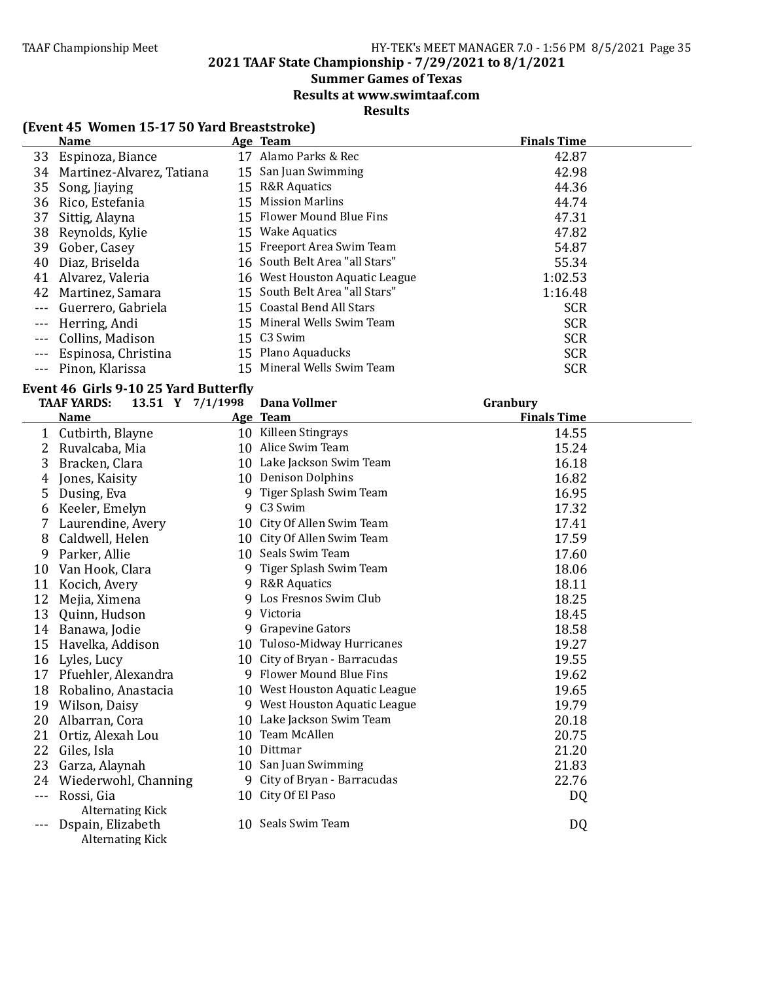### **2021 TAAF State Championship - 7/29/2021 to 8/1/2021**

### **Summer Games of Texas**

**Results at www.swimtaaf.com**

### **Results**

### **(Event 45 Women 15-17 50 Yard Breaststroke)**

|                                                                                                                                                                                                                                                                                                                                                                                              | <b>Name</b>               |    | Age Team                       | <b>Finals Time</b> |
|----------------------------------------------------------------------------------------------------------------------------------------------------------------------------------------------------------------------------------------------------------------------------------------------------------------------------------------------------------------------------------------------|---------------------------|----|--------------------------------|--------------------|
|                                                                                                                                                                                                                                                                                                                                                                                              | 33 Espinoza, Biance       | 17 | Alamo Parks & Rec              | 42.87              |
| 34                                                                                                                                                                                                                                                                                                                                                                                           | Martinez-Alvarez, Tatiana |    | 15 San Juan Swimming           | 42.98              |
| 35                                                                                                                                                                                                                                                                                                                                                                                           | Song, Jiaying             |    | 15 R&R Aquatics                | 44.36              |
| 36                                                                                                                                                                                                                                                                                                                                                                                           | Rico, Estefania           |    | 15 Mission Marlins             | 44.74              |
| 37                                                                                                                                                                                                                                                                                                                                                                                           | Sittig, Alayna            |    | 15 Flower Mound Blue Fins      | 47.31              |
| 38                                                                                                                                                                                                                                                                                                                                                                                           | Reynolds, Kylie           |    | 15 Wake Aquatics               | 47.82              |
| 39                                                                                                                                                                                                                                                                                                                                                                                           | Gober, Casey              |    | 15 Freeport Area Swim Team     | 54.87              |
| 40                                                                                                                                                                                                                                                                                                                                                                                           | Diaz, Briselda            |    | 16 South Belt Area "all Stars" | 55.34              |
| 41                                                                                                                                                                                                                                                                                                                                                                                           | Alvarez, Valeria          |    | 16 West Houston Aquatic League | 1:02.53            |
| 42                                                                                                                                                                                                                                                                                                                                                                                           | Martinez, Samara          |    | 15 South Belt Area "all Stars" | 1:16.48            |
| $- - -$                                                                                                                                                                                                                                                                                                                                                                                      | Guerrero, Gabriela        |    | 15 Coastal Bend All Stars      | <b>SCR</b>         |
| $\frac{1}{2} \frac{1}{2} \frac{1}{2} \frac{1}{2} \frac{1}{2} \frac{1}{2} \frac{1}{2} \frac{1}{2} \frac{1}{2} \frac{1}{2} \frac{1}{2} \frac{1}{2} \frac{1}{2} \frac{1}{2} \frac{1}{2} \frac{1}{2} \frac{1}{2} \frac{1}{2} \frac{1}{2} \frac{1}{2} \frac{1}{2} \frac{1}{2} \frac{1}{2} \frac{1}{2} \frac{1}{2} \frac{1}{2} \frac{1}{2} \frac{1}{2} \frac{1}{2} \frac{1}{2} \frac{1}{2} \frac{$ | Herring, Andi             |    | 15 Mineral Wells Swim Team     | <b>SCR</b>         |
|                                                                                                                                                                                                                                                                                                                                                                                              | Collins, Madison          |    | 15 C3 Swim                     | <b>SCR</b>         |
|                                                                                                                                                                                                                                                                                                                                                                                              | Espinosa, Christina       |    | 15 Plano Aquaducks             | <b>SCR</b>         |
|                                                                                                                                                                                                                                                                                                                                                                                              | --- Pinon, Klarissa       |    | 15 Mineral Wells Swim Team     | <b>SCR</b>         |

#### **Event 46 Girls 9-10 25 Yard Butter?ly**

|    | <b>TAAF YARDS:</b><br>13.51 Y 7/1/1998 |    | <b>Dana Vollmer</b>            | Granbury           |  |
|----|----------------------------------------|----|--------------------------------|--------------------|--|
|    | <b>Name</b>                            |    | Age Team                       | <b>Finals Time</b> |  |
| 1  | Cutbirth, Blayne                       |    | 10 Killeen Stingrays           | 14.55              |  |
| 2  | Ruvalcaba, Mia                         |    | 10 Alice Swim Team             | 15.24              |  |
| 3  | Bracken, Clara                         |    | 10 Lake Jackson Swim Team      | 16.18              |  |
| 4  | Jones, Kaisity                         | 10 | <b>Denison Dolphins</b>        | 16.82              |  |
| 5  | Dusing, Eva                            | 9  | Tiger Splash Swim Team         | 16.95              |  |
| 6  | Keeler, Emelyn                         |    | 9 C3 Swim                      | 17.32              |  |
|    | Laurendine, Avery                      |    | 10 City Of Allen Swim Team     | 17.41              |  |
| 8  | Caldwell, Helen                        |    | 10 City Of Allen Swim Team     | 17.59              |  |
| 9  | Parker, Allie                          |    | 10 Seals Swim Team             | 17.60              |  |
| 10 | Van Hook, Clara                        | 9  | Tiger Splash Swim Team         | 18.06              |  |
| 11 | Kocich, Avery                          | 9  | <b>R&amp;R</b> Aquatics        | 18.11              |  |
| 12 | Mejia, Ximena                          | 9  | Los Fresnos Swim Club          | 18.25              |  |
| 13 | Quinn, Hudson                          |    | 9 Victoria                     | 18.45              |  |
| 14 | Banawa, Jodie                          |    | 9 Grapevine Gators             | 18.58              |  |
| 15 | Havelka, Addison                       |    | 10 Tuloso-Midway Hurricanes    | 19.27              |  |
| 16 | Lyles, Lucy                            |    | 10 City of Bryan - Barracudas  | 19.55              |  |
| 17 | Pfuehler, Alexandra                    | q  | Flower Mound Blue Fins         | 19.62              |  |
| 18 | Robalino, Anastacia                    |    | 10 West Houston Aquatic League | 19.65              |  |
| 19 | Wilson, Daisy                          |    | 9 West Houston Aquatic League  | 19.79              |  |
| 20 | Albarran, Cora                         | 10 | Lake Jackson Swim Team         | 20.18              |  |
| 21 | Ortiz, Alexah Lou                      | 10 | Team McAllen                   | 20.75              |  |
| 22 | Giles, Isla                            |    | 10 Dittmar                     | 21.20              |  |
| 23 | Garza, Alaynah                         |    | 10 San Juan Swimming           | 21.83              |  |
| 24 | Wiederwohl, Channing                   | 9  | City of Bryan - Barracudas     | 22.76              |  |
|    | Rossi, Gia                             |    | 10 City Of El Paso             | DQ                 |  |
|    | <b>Alternating Kick</b>                |    |                                |                    |  |
|    | Dspain, Elizabeth                      |    | 10 Seals Swim Team             | DQ                 |  |
|    | Alternating Kick                       |    |                                |                    |  |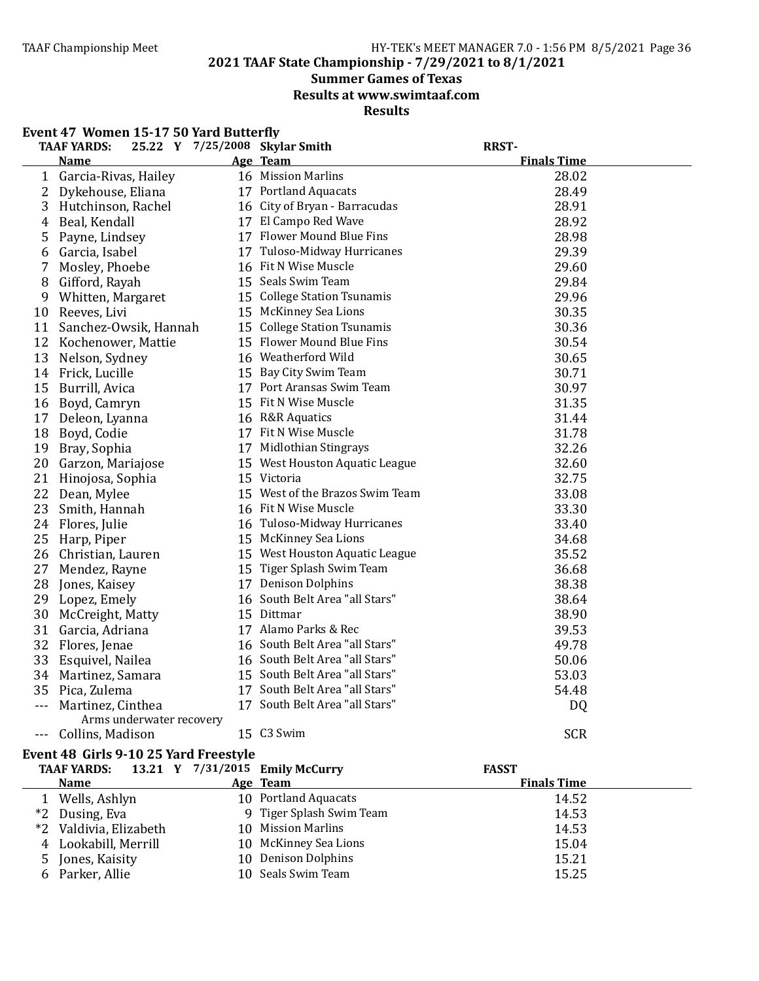**2021 TAAF State Championship - 7/29/2021 to 8/1/2021**

### **Summer Games of Texas**

**Results at www.swimtaaf.com**

**Results**

| Event 47 Women 15-17 50 Yard Butterfly<br>25.22 Y 7/25/2008 Skylar Smith<br><b>RRST-</b><br><b>TAAF YARDS:</b> |                                               |  |                                 |                    |  |  |  |
|----------------------------------------------------------------------------------------------------------------|-----------------------------------------------|--|---------------------------------|--------------------|--|--|--|
|                                                                                                                | Name                                          |  | Age Team                        | <b>Finals Time</b> |  |  |  |
|                                                                                                                | 1 Garcia-Rivas, Hailey                        |  | 16 Mission Marlins              | 28.02              |  |  |  |
| 2                                                                                                              | Dykehouse, Eliana                             |  | 17 Portland Aquacats            | 28.49              |  |  |  |
| 3                                                                                                              | Hutchinson, Rachel                            |  | 16 City of Bryan - Barracudas   | 28.91              |  |  |  |
| 4                                                                                                              | Beal, Kendall                                 |  | 17 El Campo Red Wave            | 28.92              |  |  |  |
| 5                                                                                                              | Payne, Lindsey                                |  | 17 Flower Mound Blue Fins       | 28.98              |  |  |  |
| 6                                                                                                              | Garcia, Isabel                                |  | 17 Tuloso-Midway Hurricanes     | 29.39              |  |  |  |
| 7                                                                                                              | Mosley, Phoebe                                |  | 16 Fit N Wise Muscle            | 29.60              |  |  |  |
| 8                                                                                                              | Gifford, Rayah                                |  | 15 Seals Swim Team              | 29.84              |  |  |  |
|                                                                                                                | 9 Whitten, Margaret                           |  | 15 College Station Tsunamis     | 29.96              |  |  |  |
| 10                                                                                                             | Reeves, Livi                                  |  | 15 McKinney Sea Lions           | 30.35              |  |  |  |
|                                                                                                                | 11 Sanchez-Owsik, Hannah                      |  | 15 College Station Tsunamis     | 30.36              |  |  |  |
| 12                                                                                                             | Kochenower, Mattie                            |  | 15 Flower Mound Blue Fins       | 30.54              |  |  |  |
| 13                                                                                                             | Nelson, Sydney                                |  | 16 Weatherford Wild             | 30.65              |  |  |  |
|                                                                                                                | 14 Frick, Lucille                             |  | 15 Bay City Swim Team           | 30.71              |  |  |  |
|                                                                                                                | 15 Burrill, Avica                             |  | 17 Port Aransas Swim Team       | 30.97              |  |  |  |
|                                                                                                                | 16 Boyd, Camryn                               |  | 15 Fit N Wise Muscle            | 31.35              |  |  |  |
| 17                                                                                                             | Deleon, Lyanna                                |  | 16 R&R Aquatics                 | 31.44              |  |  |  |
| 18                                                                                                             | Boyd, Codie                                   |  | 17 Fit N Wise Muscle            | 31.78              |  |  |  |
| 19                                                                                                             | Bray, Sophia                                  |  | 17 Midlothian Stingrays         | 32.26              |  |  |  |
|                                                                                                                | 20 Garzon, Mariajose                          |  | 15 West Houston Aquatic League  | 32.60              |  |  |  |
| 21                                                                                                             | Hinojosa, Sophia                              |  | 15 Victoria                     | 32.75              |  |  |  |
| 22                                                                                                             | Dean, Mylee                                   |  | 15 West of the Brazos Swim Team | 33.08              |  |  |  |
| 23                                                                                                             | Smith, Hannah                                 |  | 16 Fit N Wise Muscle            | 33.30              |  |  |  |
|                                                                                                                | 24 Flores, Julie                              |  | 16 Tuloso-Midway Hurricanes     | 33.40              |  |  |  |
|                                                                                                                | 25 Harp, Piper                                |  | 15 McKinney Sea Lions           | 34.68              |  |  |  |
|                                                                                                                | 26 Christian, Lauren                          |  | 15 West Houston Aquatic League  | 35.52              |  |  |  |
| 27                                                                                                             | Mendez, Rayne                                 |  | 15 Tiger Splash Swim Team       | 36.68              |  |  |  |
| 28                                                                                                             | Jones, Kaisey                                 |  | 17 Denison Dolphins             | 38.38              |  |  |  |
| 29                                                                                                             | Lopez, Emely                                  |  | 16 South Belt Area "all Stars"  | 38.64              |  |  |  |
| 30                                                                                                             | McCreight, Matty                              |  | 15 Dittmar                      | 38.90              |  |  |  |
| 31                                                                                                             | Garcia, Adriana                               |  | 17 Alamo Parks & Rec            | 39.53              |  |  |  |
|                                                                                                                | 32 Flores, Jenae                              |  | 16 South Belt Area "all Stars"  | 49.78              |  |  |  |
| 33                                                                                                             | Esquivel, Nailea                              |  | 16 South Belt Area "all Stars"  | 50.06              |  |  |  |
|                                                                                                                | 34 Martinez, Samara                           |  | 15 South Belt Area "all Stars"  | 53.03              |  |  |  |
|                                                                                                                | 35 Pica, Zulema                               |  | 17 South Belt Area "all Stars"  | 54.48              |  |  |  |
| $- - -$                                                                                                        | Martinez, Cinthea<br>Arms underwater recovery |  | 17 South Belt Area "all Stars"  | DQ                 |  |  |  |
|                                                                                                                | --- Collins, Madison                          |  | 15 C3 Swim                      | <b>SCR</b>         |  |  |  |

#### Event 48 Girls 9-10 25 Yard Freestyle

|    | TAAF YARDS: 13.21 Y 7/31/2015 Emily McCurry |                          | <b>FASST</b>       |  |
|----|---------------------------------------------|--------------------------|--------------------|--|
|    | <b>Name</b>                                 | Age Team                 | <b>Finals Time</b> |  |
| 1  | Wells, Ashlyn                               | 10 Portland Aquacats     | 14.52              |  |
|    | *2 Dusing, Eva                              | 9 Tiger Splash Swim Team | 14.53              |  |
|    | *2 Valdivia, Elizabeth                      | 10 Mission Marlins       | 14.53              |  |
| 4  | Lookabill, Merrill                          | 10 McKinney Sea Lions    | 15.04              |  |
| 5. | Jones, Kaisity                              | 10 Denison Dolphins      | 15.21              |  |
|    | 6 Parker, Allie                             | 10 Seals Swim Team       | 15.25              |  |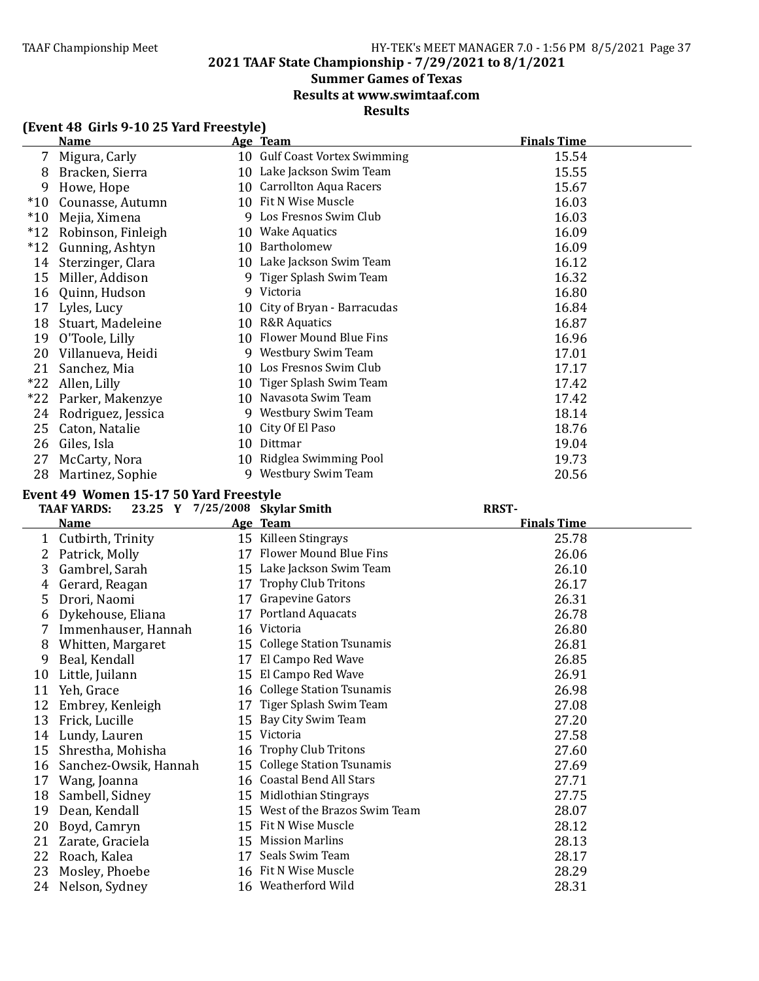**2021 TAAF State Championship - 7/29/2021 to 8/1/2021**

# **Summer Games of Texas**

**Results at www.swimtaaf.com**

# **Results**

|       | <b>Name</b>                            |    | Age Team                       | <b>Finals Time</b> |
|-------|----------------------------------------|----|--------------------------------|--------------------|
| 7     | Migura, Carly                          |    | 10 Gulf Coast Vortex Swimming  | 15.54              |
| 8     | Bracken, Sierra                        |    | 10 Lake Jackson Swim Team      | 15.55              |
| 9     | Howe, Hope                             | 10 | <b>Carrollton Aqua Racers</b>  | 15.67              |
| $*10$ | Counasse, Autumn                       |    | 10 Fit N Wise Muscle           | 16.03              |
| $*10$ | Mejia, Ximena                          |    | 9 Los Fresnos Swim Club        | 16.03              |
| $*12$ | Robinson, Finleigh                     | 10 | <b>Wake Aquatics</b>           | 16.09              |
| $*12$ | Gunning, Ashtyn                        | 10 | Bartholomew                    | 16.09              |
| 14    | Sterzinger, Clara                      |    | 10 Lake Jackson Swim Team      | 16.12              |
| 15    | Miller, Addison                        | q  | Tiger Splash Swim Team         | 16.32              |
| 16    | Quinn, Hudson                          | 9  | Victoria                       | 16.80              |
| 17    | Lyles, Lucy                            | 10 | City of Bryan - Barracudas     | 16.84              |
| 18    | Stuart, Madeleine                      |    | 10 R&R Aquatics                | 16.87              |
| 19    | O'Toole, Lilly                         | 10 | <b>Flower Mound Blue Fins</b>  | 16.96              |
| 20    | Villanueva, Heidi                      |    | 9 Westbury Swim Team           | 17.01              |
| 21    | Sanchez, Mia                           |    | 10 Los Fresnos Swim Club       | 17.17              |
| $*22$ | Allen, Lilly                           | 10 | Tiger Splash Swim Team         | 17.42              |
| $*22$ | Parker, Makenzye                       |    | 10 Navasota Swim Team          | 17.42              |
| 24    | Rodriguez, Jessica                     | 9  | Westbury Swim Team             | 18.14              |
| 25    | Caton, Natalie                         | 10 | City Of El Paso                | 18.76              |
| 26    | Giles, Isla                            | 10 | Dittmar                        | 19.04              |
| 27    | McCarty, Nora                          | 10 | Ridglea Swimming Pool          | 19.73              |
| 28    | Martinez, Sophie                       |    | 9 Westbury Swim Team           | 20.56              |
|       | Event 49 Women 15-17 50 Yard Freestyle |    |                                |                    |
|       | <b>TAAF YARDS:</b>                     |    | 23.25 Y 7/25/2008 Skylar Smith | <b>RRST-</b>       |
|       | <b>Name</b>                            |    | Age Team                       | <b>Finals Time</b> |
| 1     | Cutbirth, Trinity                      |    | 15 Killeen Stingrays           | 25.78              |
| 2     | Patrick, Molly                         |    | 17 Flower Mound Blue Fins      | 26.06              |
| 2     | Combrol Soroh                          |    | 15 Lake Jackson Swim Team      | 76 1 N             |

# **(Event 48 Girls 9-10 25 Yard Freestyle)**

|    | <b>Name</b>           |    | Age Team                        | <b>Finals Time</b> |
|----|-----------------------|----|---------------------------------|--------------------|
| 1  | Cutbirth, Trinity     | 15 | Killeen Stingrays               | 25.78              |
| 2  | Patrick, Molly        | 17 | Flower Mound Blue Fins          | 26.06              |
| 3  | Gambrel, Sarah        | 15 | Lake Jackson Swim Team          | 26.10              |
| 4  | Gerard, Reagan        | 17 | Trophy Club Tritons             | 26.17              |
| 5  | Drori, Naomi          | 17 | Grapevine Gators                | 26.31              |
| 6  | Dykehouse, Eliana     | 17 | <b>Portland Aquacats</b>        | 26.78              |
| 7  | Immenhauser, Hannah   | 16 | Victoria                        | 26.80              |
| 8  | Whitten, Margaret     | 15 | <b>College Station Tsunamis</b> | 26.81              |
| 9  | Beal, Kendall         | 17 | El Campo Red Wave               | 26.85              |
| 10 | Little, Juilann       | 15 | El Campo Red Wave               | 26.91              |
| 11 | Yeh, Grace            | 16 | <b>College Station Tsunamis</b> | 26.98              |
| 12 | Embrey, Kenleigh      | 17 | Tiger Splash Swim Team          | 27.08              |
| 13 | Frick, Lucille        | 15 | Bay City Swim Team              | 27.20              |
| 14 | Lundy, Lauren         | 15 | Victoria                        | 27.58              |
| 15 | Shrestha, Mohisha     | 16 | <b>Trophy Club Tritons</b>      | 27.60              |
| 16 | Sanchez-Owsik, Hannah | 15 | <b>College Station Tsunamis</b> | 27.69              |
| 17 | Wang, Joanna          | 16 | <b>Coastal Bend All Stars</b>   | 27.71              |
| 18 | Sambell, Sidney       | 15 | Midlothian Stingrays            | 27.75              |
| 19 | Dean, Kendall         | 15 | West of the Brazos Swim Team    | 28.07              |
| 20 | Boyd, Camryn          | 15 | Fit N Wise Muscle               | 28.12              |
| 21 | Zarate, Graciela      | 15 | <b>Mission Marlins</b>          | 28.13              |
| 22 | Roach, Kalea          | 17 | Seals Swim Team                 | 28.17              |
| 23 | Mosley, Phoebe        | 16 | Fit N Wise Muscle               | 28.29              |
| 24 | Nelson, Sydney        |    | 16 Weatherford Wild             | 28.31              |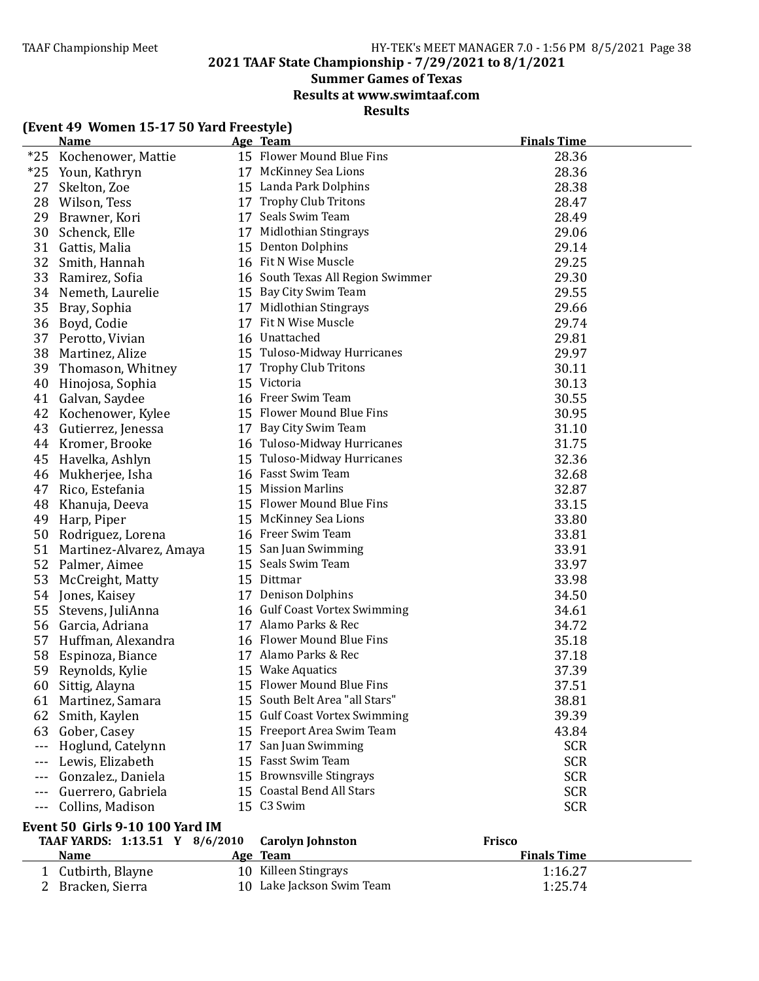**2021 TAAF State Championship - 7/29/2021 to 8/1/2021**

# **Summer Games of Texas**

**Results at www.swimtaaf.com**

# **Results**

# **(Event 49 Women 15-17 50 Yard Freestyle)**

|          | <b>Name</b>                                                                             |    | Age Team                          | <b>Finals Time</b> |
|----------|-----------------------------------------------------------------------------------------|----|-----------------------------------|--------------------|
| $*25$    | Kochenower, Mattie                                                                      |    | 15 Flower Mound Blue Fins         | 28.36              |
| $*25$    | Youn, Kathryn                                                                           |    | 17 McKinney Sea Lions             | 28.36              |
| 27       | Skelton, Zoe                                                                            |    | 15 Landa Park Dolphins            | 28.38              |
| 28       | Wilson, Tess                                                                            |    | 17 Trophy Club Tritons            | 28.47              |
| 29       | Brawner, Kori                                                                           |    | 17 Seals Swim Team                | 28.49              |
| 30       | Schenck, Elle                                                                           |    | 17 Midlothian Stingrays           | 29.06              |
| 31       | Gattis, Malia                                                                           |    | 15 Denton Dolphins                | 29.14              |
| 32       | Smith, Hannah                                                                           |    | 16 Fit N Wise Muscle              | 29.25              |
| 33       | Ramirez, Sofia                                                                          |    | 16 South Texas All Region Swimmer | 29.30              |
| 34       | Nemeth, Laurelie                                                                        |    | 15 Bay City Swim Team             | 29.55              |
| 35       | Bray, Sophia                                                                            |    | 17 Midlothian Stingrays           | 29.66              |
| 36       | Boyd, Codie                                                                             |    | 17 Fit N Wise Muscle              | 29.74              |
| 37       | Perotto, Vivian                                                                         |    | 16 Unattached                     | 29.81              |
| 38       | Martinez, Alize                                                                         |    | 15 Tuloso-Midway Hurricanes       | 29.97              |
| 39       | Thomason, Whitney                                                                       |    | 17 Trophy Club Tritons            | 30.11              |
| 40       | Hinojosa, Sophia                                                                        |    | 15 Victoria                       | 30.13              |
| 41       | Galvan, Saydee                                                                          |    | 16 Freer Swim Team                | 30.55              |
| 42       | Kochenower, Kylee                                                                       |    | 15 Flower Mound Blue Fins         | 30.95              |
| 43       | Gutierrez, Jenessa                                                                      |    | 17 Bay City Swim Team             | 31.10              |
| 44       | Kromer, Brooke                                                                          |    | 16 Tuloso-Midway Hurricanes       | 31.75              |
| 45       | Havelka, Ashlyn                                                                         |    | 15 Tuloso-Midway Hurricanes       | 32.36              |
| 46       | Mukherjee, Isha                                                                         |    | 16 Fasst Swim Team                | 32.68              |
| 47       | Rico, Estefania                                                                         |    | 15 Mission Marlins                | 32.87              |
| 48       | Khanuja, Deeva                                                                          |    | 15 Flower Mound Blue Fins         | 33.15              |
| 49       | Harp, Piper                                                                             |    | 15 McKinney Sea Lions             | 33.80              |
| 50       | Rodriguez, Lorena                                                                       |    | 16 Freer Swim Team                | 33.81              |
| 51       | Martinez-Alvarez, Amaya                                                                 |    | 15 San Juan Swimming              | 33.91              |
| 52       | Palmer, Aimee                                                                           |    | 15 Seals Swim Team                | 33.97              |
| 53       | McCreight, Matty                                                                        |    | 15 Dittmar                        | 33.98              |
| 54       | Jones, Kaisey                                                                           |    | 17 Denison Dolphins               | 34.50              |
| 55       | Stevens, JuliAnna                                                                       |    | 16 Gulf Coast Vortex Swimming     | 34.61              |
| 56       | Garcia, Adriana                                                                         |    | 17 Alamo Parks & Rec              | 34.72              |
| 57       | Huffman, Alexandra                                                                      |    | 16 Flower Mound Blue Fins         | 35.18              |
| 58       | Espinoza, Biance                                                                        |    | 17 Alamo Parks & Rec              | 37.18              |
| 59       | Reynolds, Kylie                                                                         |    | 15 Wake Aquatics                  | 37.39              |
| 60       | Sittig, Alayna                                                                          |    | 15 Flower Mound Blue Fins         | 37.51              |
| 61       | Martinez, Samara                                                                        |    | 15 South Belt Area "all Stars"    | 38.81              |
| 62       | Smith, Kaylen                                                                           |    | 15 Gulf Coast Vortex Swimming     | 39.39              |
| 63       | Gober, Casey                                                                            |    | 15 Freeport Area Swim Team        | 43.84              |
| ---      | Hoglund, Catelynn                                                                       | 17 | San Juan Swimming                 | <b>SCR</b>         |
| $---$    | Lewis, Elizabeth                                                                        |    | 15 Fasst Swim Team                | <b>SCR</b>         |
| $---$    | Gonzalez., Daniela                                                                      |    | 15 Brownsville Stingrays          | <b>SCR</b>         |
|          | Guerrero, Gabriela                                                                      |    | 15 Coastal Bend All Stars         | <b>SCR</b>         |
| $\cdots$ | Collins, Madison                                                                        |    | 15 C3 Swim                        | <b>SCR</b>         |
|          | Event 50 Girls 9-10 100 Yard IM<br>TA AF VADDC. $4.42$ F4 V $0/6/2040$ Canalum Johnston |    |                                   | <b>Evicco</b>      |

| <b>TAAF YARDS:</b> 1:13.51 Y $8/6/2010$ Carolyn Johnston |                           | Frisco             |
|----------------------------------------------------------|---------------------------|--------------------|
| <b>Name</b>                                              | Age Team                  | <b>Finals Time</b> |
| 1 Cutbirth, Blayne                                       | 10 Killeen Stingrays      | 1:16.27            |
| 2 Bracken, Sierra                                        | 10 Lake Jackson Swim Team | 1:25.74            |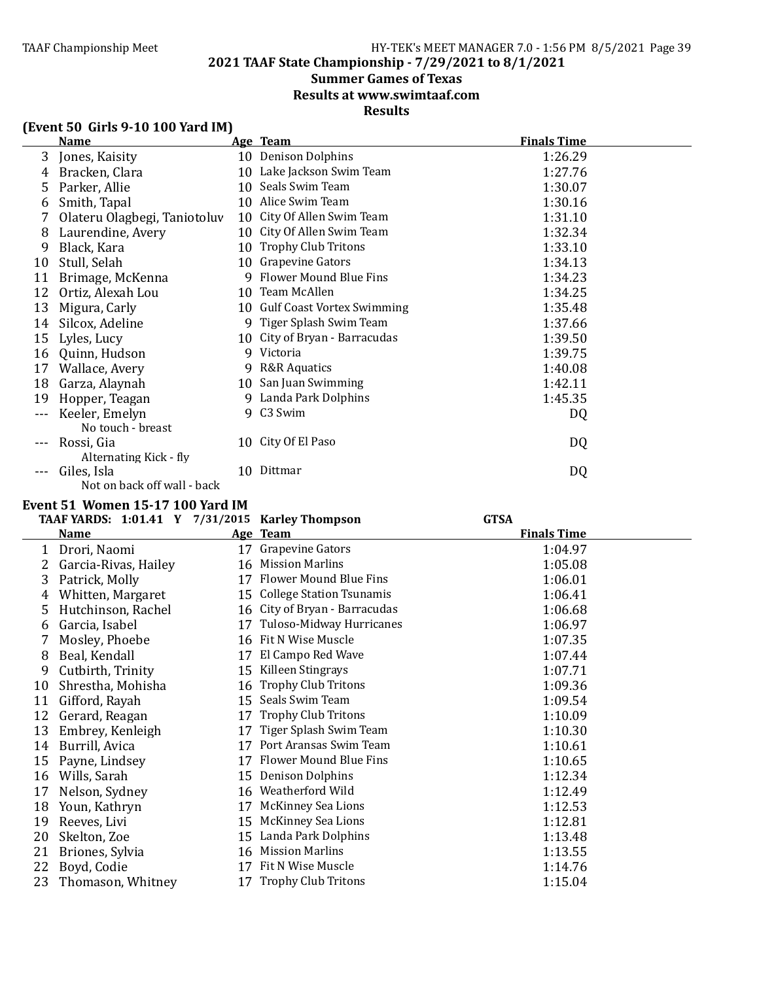**2021 TAAF State Championship - 7/29/2021 to 8/1/2021**

# **Summer Games of Texas**

**Results at www.swimtaaf.com**

# **Results**

| (Event 50 Girls 9-10 100 Yard IM) |  |  |  |
|-----------------------------------|--|--|--|
|-----------------------------------|--|--|--|

|    | <b>Name</b>                  |    | Age Team                      | <b>Finals Time</b> |
|----|------------------------------|----|-------------------------------|--------------------|
| 3  | Jones, Kaisity               |    | 10 Denison Dolphins           | 1:26.29            |
| 4  | Bracken, Clara               |    | 10 Lake Jackson Swim Team     | 1:27.76            |
| 5  | Parker, Allie                |    | 10 Seals Swim Team            | 1:30.07            |
| 6  | Smith, Tapal                 |    | 10 Alice Swim Team            | 1:30.16            |
|    | Olateru Olagbegi, Taniotoluv |    | 10 City Of Allen Swim Team    | 1:31.10            |
| 8  | Laurendine, Avery            | 10 | City Of Allen Swim Team       | 1:32.34            |
| 9  | Black, Kara                  |    | 10 Trophy Club Tritons        | 1:33.10            |
| 10 | Stull, Selah                 |    | 10 Grapevine Gators           | 1:34.13            |
| 11 | Brimage, McKenna             |    | 9 Flower Mound Blue Fins      | 1:34.23            |
| 12 | Ortiz, Alexah Lou            |    | 10 Team McAllen               | 1:34.25            |
| 13 | Migura, Carly                |    | 10 Gulf Coast Vortex Swimming | 1:35.48            |
| 14 | Silcox, Adeline              |    | 9 Tiger Splash Swim Team      | 1:37.66            |
| 15 | Lyles, Lucy                  |    | 10 City of Bryan - Barracudas | 1:39.50            |
| 16 | Quinn, Hudson                |    | 9 Victoria                    | 1:39.75            |
| 17 | Wallace, Avery               | 9  | R&R Aquatics                  | 1:40.08            |
| 18 | Garza, Alaynah               |    | 10 San Juan Swimming          | 1:42.11            |
| 19 | Hopper, Teagan               | 9  | Landa Park Dolphins           | 1:45.35            |
|    | Keeler, Emelyn               |    | 9 C3 Swim                     | DQ                 |
|    | No touch - breast            |    |                               |                    |
|    | Rossi, Gia                   |    | 10 City Of El Paso            | DQ                 |
|    | Alternating Kick - fly       |    |                               |                    |
|    | Giles, Isla                  | 10 | Dittmar                       | DQ                 |
|    | Not on back off wall - back  |    |                               |                    |

### **Event 51 Women 15-17 100 Yard IM**

|    | TAAF YARDS: 1:01.41 Y 7/31/2015 Karley Thompson |    |                                 | <b>GTSA</b>        |  |
|----|-------------------------------------------------|----|---------------------------------|--------------------|--|
|    | <b>Name</b>                                     |    | Age Team                        | <b>Finals Time</b> |  |
| 1  | Drori, Naomi                                    |    | 17 Grapevine Gators             | 1:04.97            |  |
| 2  | Garcia-Rivas, Hailey                            |    | 16 Mission Marlins              | 1:05.08            |  |
| 3  | Patrick, Molly                                  |    | 17 Flower Mound Blue Fins       | 1:06.01            |  |
| 4  | Whitten, Margaret                               | 15 | <b>College Station Tsunamis</b> | 1:06.41            |  |
| 5  | Hutchinson, Rachel                              |    | 16 City of Bryan - Barracudas   | 1:06.68            |  |
| 6  | Garcia, Isabel                                  | 17 | Tuloso-Midway Hurricanes        | 1:06.97            |  |
| 7  | Mosley, Phoebe                                  |    | 16 Fit N Wise Muscle            | 1:07.35            |  |
| 8  | Beal, Kendall                                   | 17 | El Campo Red Wave               | 1:07.44            |  |
| 9  | Cutbirth, Trinity                               | 15 | Killeen Stingrays               | 1:07.71            |  |
| 10 | Shrestha, Mohisha                               | 16 | <b>Trophy Club Tritons</b>      | 1:09.36            |  |
| 11 | Gifford, Rayah                                  |    | 15 Seals Swim Team              | 1:09.54            |  |
| 12 | Gerard, Reagan                                  | 17 | <b>Trophy Club Tritons</b>      | 1:10.09            |  |
| 13 | Embrey, Kenleigh                                | 17 | Tiger Splash Swim Team          | 1:10.30            |  |
| 14 | Burrill, Avica                                  | 17 | Port Aransas Swim Team          | 1:10.61            |  |
| 15 | Payne, Lindsey                                  | 17 | Flower Mound Blue Fins          | 1:10.65            |  |
| 16 | Wills, Sarah                                    | 15 | <b>Denison Dolphins</b>         | 1:12.34            |  |
| 17 | Nelson, Sydney                                  |    | 16 Weatherford Wild             | 1:12.49            |  |
| 18 | Youn, Kathryn                                   | 17 | <b>McKinney Sea Lions</b>       | 1:12.53            |  |
| 19 | Reeves, Livi                                    | 15 | <b>McKinney Sea Lions</b>       | 1:12.81            |  |
| 20 | Skelton, Zoe                                    | 15 | Landa Park Dolphins             | 1:13.48            |  |
| 21 | Briones, Sylvia                                 |    | 16 Mission Marlins              | 1:13.55            |  |
| 22 | Boyd, Codie                                     | 17 | Fit N Wise Muscle               | 1:14.76            |  |
| 23 | Thomason, Whitney                               |    | 17 Trophy Club Tritons          | 1:15.04            |  |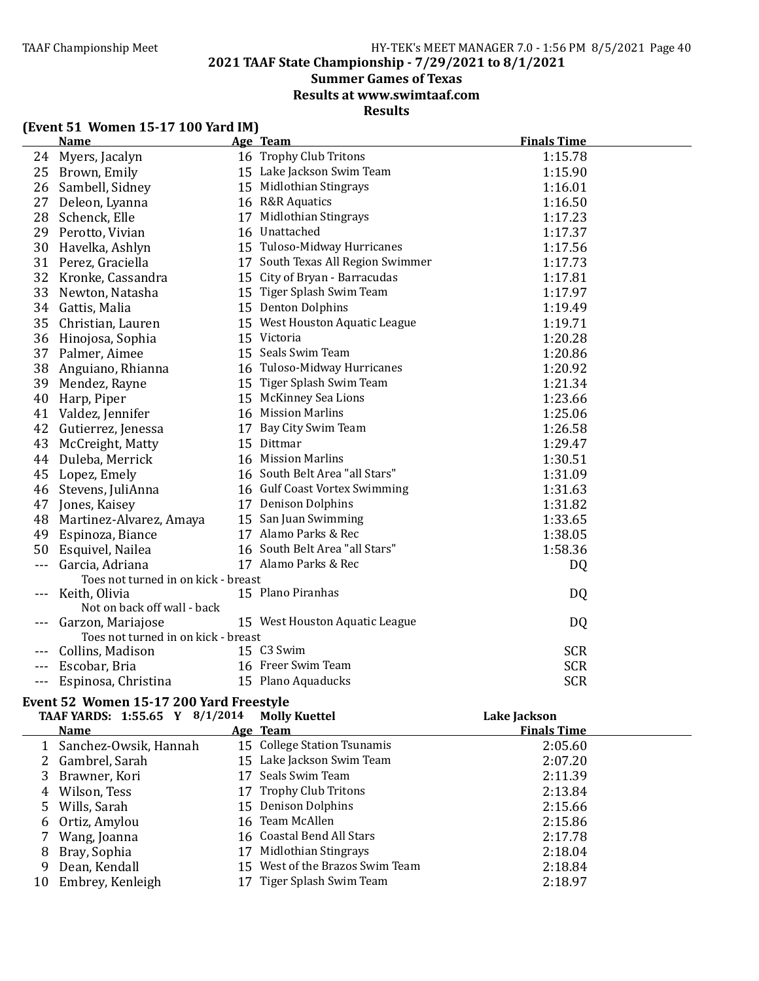**2021 TAAF State Championship - 7/29/2021 to 8/1/2021**

# **Summer Games of Texas**

**Results at www.swimtaaf.com**

**Results**

| (Event 51 Women 15-17 100 Yard IM) |  |  |  |  |
|------------------------------------|--|--|--|--|
|------------------------------------|--|--|--|--|

|                      | <b>Name</b>                                            | <u>Age Team</u>                   | <b>Finals Time</b> |
|----------------------|--------------------------------------------------------|-----------------------------------|--------------------|
|                      | 24 Myers, Jacalyn                                      | 16 Trophy Club Tritons            | 1:15.78            |
| 25                   | Brown, Emily                                           | 15 Lake Jackson Swim Team         | 1:15.90            |
| 26                   | Sambell, Sidney                                        | 15 Midlothian Stingrays           | 1:16.01            |
| 27                   | Deleon, Lyanna                                         | 16 R&R Aquatics                   | 1:16.50            |
| 28                   | Schenck, Elle                                          | 17 Midlothian Stingrays           | 1:17.23            |
| 29                   | Perotto, Vivian                                        | 16 Unattached                     | 1:17.37            |
| 30                   | Havelka, Ashlyn                                        | 15 Tuloso-Midway Hurricanes       | 1:17.56            |
| 31                   | Perez, Graciella                                       | 17 South Texas All Region Swimmer | 1:17.73            |
| 32                   | Kronke, Cassandra                                      | 15 City of Bryan - Barracudas     | 1:17.81            |
| 33                   | Newton, Natasha                                        | 15 Tiger Splash Swim Team         | 1:17.97            |
| 34                   | Gattis, Malia                                          | 15 Denton Dolphins                | 1:19.49            |
| 35                   | Christian, Lauren                                      | 15 West Houston Aquatic League    | 1:19.71            |
| 36                   | Hinojosa, Sophia                                       | 15 Victoria                       | 1:20.28            |
| 37                   | Palmer, Aimee                                          | 15 Seals Swim Team                | 1:20.86            |
| 38                   | Anguiano, Rhianna                                      | 16 Tuloso-Midway Hurricanes       | 1:20.92            |
| 39                   | Mendez, Rayne                                          | 15 Tiger Splash Swim Team         | 1:21.34            |
| 40                   | Harp, Piper                                            | 15 McKinney Sea Lions             | 1:23.66            |
| 41                   | Valdez, Jennifer                                       | 16 Mission Marlins                | 1:25.06            |
| 42                   | Gutierrez, Jenessa                                     | 17 Bay City Swim Team             | 1:26.58            |
| 43                   | McCreight, Matty                                       | 15 Dittmar                        | 1:29.47            |
| 44                   | Duleba, Merrick                                        | 16 Mission Marlins                | 1:30.51            |
| 45                   | Lopez, Emely                                           | 16 South Belt Area "all Stars"    | 1:31.09            |
| 46                   | Stevens, JuliAnna                                      | 16 Gulf Coast Vortex Swimming     | 1:31.63            |
| 47                   | Jones, Kaisey                                          | 17 Denison Dolphins               | 1:31.82            |
| 48                   | Martinez-Alvarez, Amaya                                | 15 San Juan Swimming              | 1:33.65            |
| 49                   | Espinoza, Biance                                       | 17 Alamo Parks & Rec              | 1:38.05            |
| 50                   | Esquivel, Nailea                                       | 16 South Belt Area "all Stars"    | 1:58.36            |
| $\sim$ $\sim$ $\sim$ | Garcia, Adriana<br>Toes not turned in on kick - breast | 17 Alamo Parks & Rec              | DQ                 |
|                      | Keith, Olivia                                          | 15 Plano Piranhas                 | DQ                 |
|                      | Not on back off wall - back                            |                                   |                    |
|                      | Garzon, Mariajose                                      | 15 West Houston Aquatic League    | DQ                 |
|                      | Toes not turned in on kick - breast                    |                                   |                    |
|                      | Collins, Madison                                       | 15 C3 Swim                        | <b>SCR</b>         |
|                      | Escobar, Bria                                          | 16 Freer Swim Team                | <b>SCR</b>         |
| $- - -$              | Espinosa, Christina                                    | 15 Plano Aquaducks                | <b>SCR</b>         |

# Event 52 Women 15-17 200 Yard Freestyle

|    | TAAF YARDS: 1:55.65 Y 8/1/2014 |    | <b>Molly Kuettel</b>            | Lake Jackson       |
|----|--------------------------------|----|---------------------------------|--------------------|
|    | <b>Name</b>                    |    | Age Team                        | <b>Finals Time</b> |
|    | 1 Sanchez-Owsik, Hannah        |    | 15 College Station Tsunamis     | 2:05.60            |
|    | 2 Gambrel, Sarah               |    | 15 Lake Jackson Swim Team       | 2:07.20            |
|    | 3 Brawner, Kori                |    | 17 Seals Swim Team              | 2:11.39            |
|    | 4 Wilson, Tess                 |    | 17 Trophy Club Tritons          | 2:13.84            |
|    | 5 Wills, Sarah                 |    | 15 Denison Dolphins             | 2:15.66            |
|    | 6 Ortiz, Amylou                |    | 16 Team McAllen                 | 2:15.86            |
|    | 7 Wang, Joanna                 |    | 16 Coastal Bend All Stars       | 2:17.78            |
| 8  | Bray, Sophia                   | 17 | Midlothian Stingrays            | 2:18.04            |
| 9  | Dean, Kendall                  |    | 15 West of the Brazos Swim Team | 2:18.84            |
| 10 | Embrey, Kenleigh               |    | Tiger Splash Swim Team          | 2:18.97            |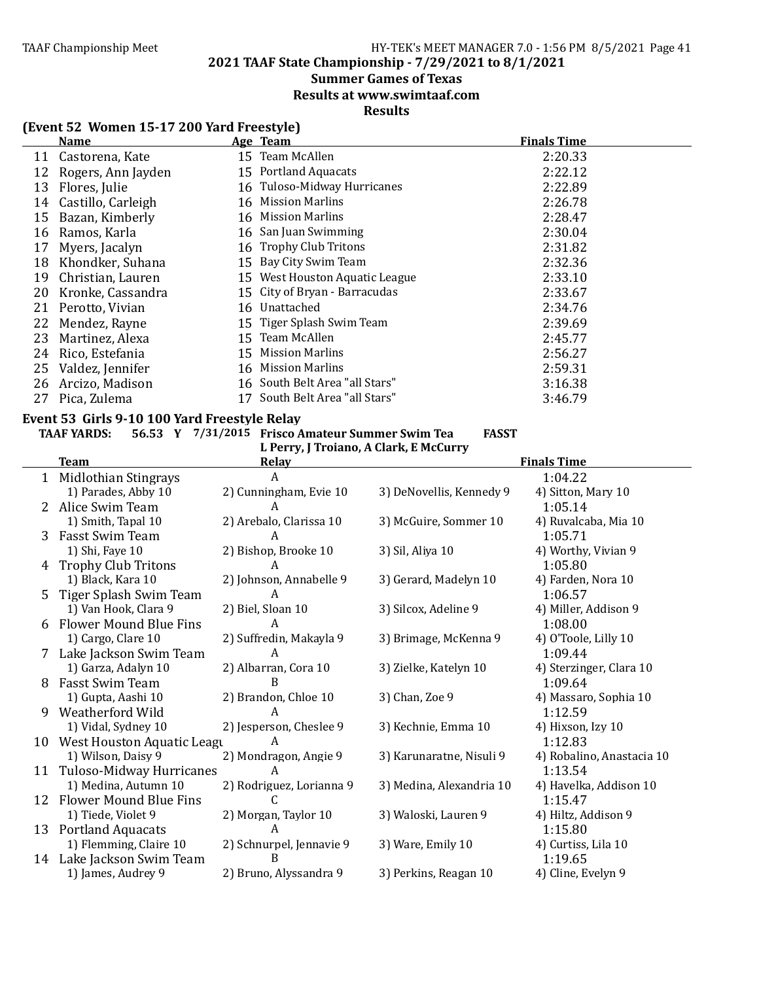**2021 TAAF State Championship - 7/29/2021 to 8/1/2021**

### **Summer Games of Texas**

**Results at www.swimtaaf.com**

### **Results**

|    | Name               | Age Team                       | <b>Finals Time</b> |
|----|--------------------|--------------------------------|--------------------|
| 11 | Castorena, Kate    | 15 Team McAllen                | 2:20.33            |
| 12 | Rogers, Ann Jayden | 15 Portland Aquacats           | 2:22.12            |
| 13 | Flores, Julie      | 16 Tuloso-Midway Hurricanes    | 2:22.89            |
| 14 | Castillo, Carleigh | 16 Mission Marlins             | 2:26.78            |
| 15 | Bazan, Kimberly    | 16 Mission Marlins             | 2:28.47            |
| 16 | Ramos, Karla       | 16 San Juan Swimming           | 2:30.04            |
| 17 | Myers, Jacalyn     | 16 Trophy Club Tritons         | 2:31.82            |
| 18 | Khondker, Suhana   | 15 Bay City Swim Team          | 2:32.36            |
| 19 | Christian, Lauren  | 15 West Houston Aquatic League | 2:33.10            |
| 20 | Kronke, Cassandra  | 15 City of Bryan - Barracudas  | 2:33.67            |
| 21 | Perotto, Vivian    | 16 Unattached                  | 2:34.76            |
| 22 | Mendez, Rayne      | 15 Tiger Splash Swim Team      | 2:39.69            |
| 23 | Martinez, Alexa    | 15 Team McAllen                | 2:45.77            |
| 24 | Rico, Estefania    | 15 Mission Marlins             | 2:56.27            |
| 25 | Valdez, Jennifer   | 16 Mission Marlins             | 2:59.31            |
| 26 | Arcizo, Madison    | 16 South Belt Area "all Stars" | 3:16.38            |
| 27 | Pica, Zulema       | 17 South Belt Area "all Stars" | 3:46.79            |

### Event 53 Girls 9-10 100 Yard Freestyle Relay

### **TAAF YARDS: 56.53 Y 7/31/2015 Frisco Amateur Summer Swim Tea FASST**

L Perry, J Troiano, A Clark, E McCurry

|              | <b>Team</b>                   | <b>Relay</b>             |                          | <b>Finals Time</b>        |
|--------------|-------------------------------|--------------------------|--------------------------|---------------------------|
| $\mathbf{1}$ | Midlothian Stingrays          | A                        |                          | 1:04.22                   |
|              | 1) Parades, Abby 10           | 2) Cunningham, Evie 10   | 3) DeNovellis, Kennedy 9 | 4) Sitton, Mary 10        |
| 2            | Alice Swim Team               |                          |                          | 1:05.14                   |
|              | 1) Smith, Tapal 10            | 2) Arebalo, Clarissa 10  | 3) McGuire, Sommer 10    | 4) Ruvalcaba, Mia 10      |
| 3            | Fasst Swim Team               | A                        |                          | 1:05.71                   |
|              | 1) Shi, Faye 10               | 2) Bishop, Brooke 10     | 3) Sil, Aliya 10         | 4) Worthy, Vivian 9       |
| 4            | <b>Trophy Club Tritons</b>    |                          |                          | 1:05.80                   |
|              | 1) Black, Kara 10             | 2) Johnson, Annabelle 9  | 3) Gerard, Madelyn 10    | 4) Farden, Nora 10        |
| 5            | Tiger Splash Swim Team        | A                        |                          | 1:06.57                   |
|              | 1) Van Hook, Clara 9          | 2) Biel, Sloan 10        | 3) Silcox, Adeline 9     | 4) Miller, Addison 9      |
| 6            | <b>Flower Mound Blue Fins</b> | A                        |                          | 1:08.00                   |
|              | 1) Cargo, Clare 10            | 2) Suffredin, Makayla 9  | 3) Brimage, McKenna 9    | 4) O'Toole, Lilly 10      |
| 7            | Lake Jackson Swim Team        | A                        |                          | 1:09.44                   |
|              | 1) Garza, Adalyn 10           | 2) Albarran, Cora 10     | 3) Zielke, Katelyn 10    | 4) Sterzinger, Clara 10   |
| 8            | Fasst Swim Team               | B                        |                          | 1:09.64                   |
|              | 1) Gupta, Aashi 10            | 2) Brandon, Chloe 10     | 3) Chan, Zoe 9           | 4) Massaro, Sophia 10     |
| 9            | Weatherford Wild              |                          |                          | 1:12.59                   |
|              | 1) Vidal, Sydney 10           | 2) Jesperson, Cheslee 9  | 3) Kechnie, Emma 10      | 4) Hixson, Izy 10         |
| 10           | West Houston Aquatic Leagu    | A                        |                          | 1:12.83                   |
|              | 1) Wilson, Daisy 9            | 2) Mondragon, Angie 9    | 3) Karunaratne, Nisuli 9 | 4) Robalino, Anastacia 10 |
| 11           | Tuloso-Midway Hurricanes      | A                        |                          | 1:13.54                   |
|              | 1) Medina, Autumn 10          | 2) Rodriguez, Lorianna 9 | 3) Medina, Alexandria 10 | 4) Havelka, Addison 10    |
| 12           | <b>Flower Mound Blue Fins</b> |                          |                          | 1:15.47                   |
|              | 1) Tiede, Violet 9            | 2) Morgan, Taylor 10     | 3) Waloski, Lauren 9     | 4) Hiltz, Addison 9       |
|              | 13 Portland Aquacats          | A                        |                          | 1:15.80                   |
|              | 1) Flemming, Claire 10        | 2) Schnurpel, Jennavie 9 | 3) Ware, Emily 10        | 4) Curtiss, Lila 10       |
| 14           | Lake Jackson Swim Team        |                          |                          | 1:19.65                   |
|              | 1) James, Audrey 9            | 2) Bruno, Alyssandra 9   | 3) Perkins, Reagan 10    | 4) Cline, Evelyn 9        |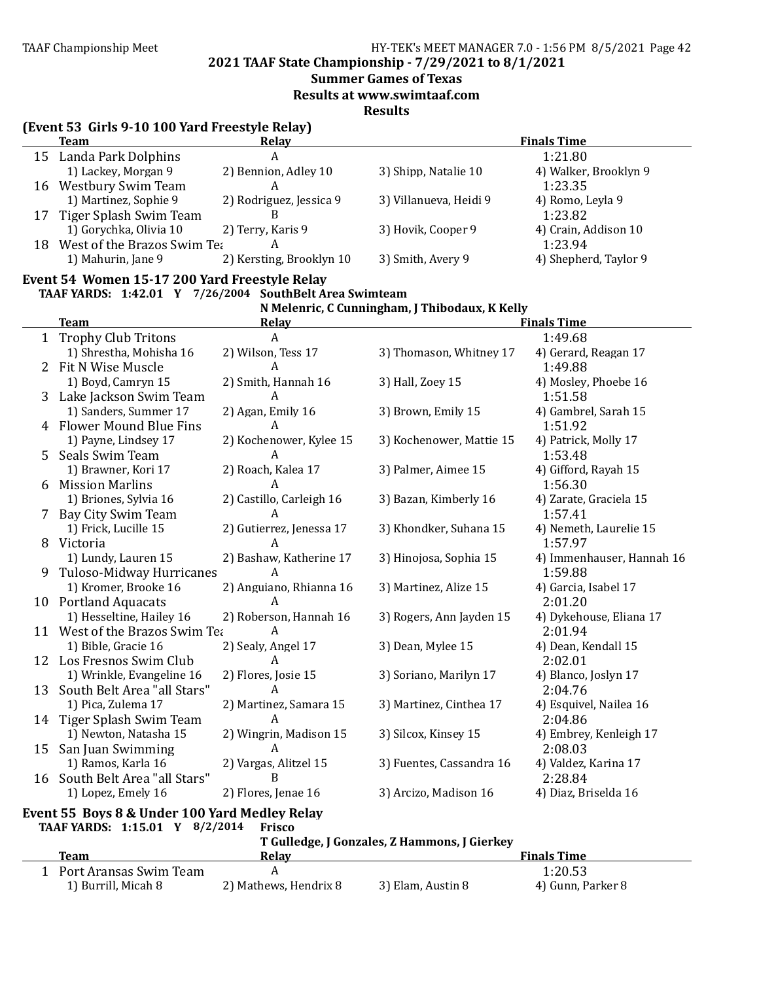**2021 TAAF State Championship - 7/29/2021 to 8/1/2021**

### **Summer Games of Texas**

**Results at www.swimtaaf.com**

**Results**

| <b>Team</b>                    | <b>Relay</b>             |                        | <b>Finals Time</b>    |
|--------------------------------|--------------------------|------------------------|-----------------------|
| 15 Landa Park Dolphins         | A                        |                        | 1:21.80               |
| 1) Lackey, Morgan 9            | 2) Bennion, Adley 10     | 3) Shipp, Natalie 10   | 4) Walker, Brooklyn 9 |
| 16 Westbury Swim Team          |                          |                        | 1:23.35               |
| 1) Martinez, Sophie 9          | 2) Rodriguez, Jessica 9  | 3) Villanueva, Heidi 9 | 4) Romo, Leyla 9      |
| 17 Tiger Splash Swim Team      |                          |                        | 1:23.82               |
| 1) Gorychka, Olivia 10         | 2) Terry, Karis 9        | 3) Hovik, Cooper 9     | 4) Crain, Addison 10  |
| 18 West of the Brazos Swim Tea | А                        |                        | 1:23.94               |
| 1) Mahurin, Jane 9             | 2) Kersting, Brooklyn 10 | 3) Smith, Avery 9      | 4) Shepherd, Taylor 9 |

# Event 54 Women 15-17 200 Yard Freestyle Relay

#### **TAAF YARDS: 1:42.01 Y 7/26/2004 SouthBelt Area Swimteam N Melenric, C Cunningham, J Thibodaux, K Kelly**

|    |                                               |                          | N Melentic, C cummigham, J Thibodaux, K Keny |                           |
|----|-----------------------------------------------|--------------------------|----------------------------------------------|---------------------------|
|    | <b>Team</b>                                   | Relay                    |                                              | <b>Finals Time</b>        |
|    | 1 Trophy Club Tritons                         | A                        |                                              | 1:49.68                   |
|    | 1) Shrestha, Mohisha 16                       | 2) Wilson, Tess 17       | 3) Thomason, Whitney 17                      | 4) Gerard, Reagan 17      |
| 2  | Fit N Wise Muscle                             | A                        |                                              | 1:49.88                   |
|    | 1) Boyd, Camryn 15                            | 2) Smith, Hannah 16      | 3) Hall, Zoey 15                             | 4) Mosley, Phoebe 16      |
|    | 3 Lake Jackson Swim Team                      | A                        |                                              | 1:51.58                   |
|    | 1) Sanders, Summer 17                         | 2) Agan, Emily 16        | 3) Brown, Emily 15                           | 4) Gambrel, Sarah 15      |
|    | 4 Flower Mound Blue Fins                      | A                        |                                              | 1:51.92                   |
|    | 1) Payne, Lindsey 17                          | 2) Kochenower, Kylee 15  | 3) Kochenower, Mattie 15                     | 4) Patrick, Molly 17      |
| 5. | Seals Swim Team                               | A                        |                                              | 1:53.48                   |
|    | 1) Brawner, Kori 17                           | 2) Roach, Kalea 17       | 3) Palmer, Aimee 15                          | 4) Gifford, Rayah 15      |
| 6  | <b>Mission Marlins</b>                        | A                        |                                              | 1:56.30                   |
|    | 1) Briones, Sylvia 16                         | 2) Castillo, Carleigh 16 | 3) Bazan, Kimberly 16                        | 4) Zarate, Graciela 15    |
| 7  | Bay City Swim Team                            | A                        |                                              | 1:57.41                   |
|    | 1) Frick, Lucille 15                          | 2) Gutierrez, Jenessa 17 | 3) Khondker, Suhana 15                       | 4) Nemeth, Laurelie 15    |
|    | 8 Victoria                                    | A                        |                                              | 1:57.97                   |
|    | 1) Lundy, Lauren 15                           | 2) Bashaw, Katherine 17  | 3) Hinojosa, Sophia 15                       | 4) Immenhauser, Hannah 16 |
| 9  | Tuloso-Midway Hurricanes                      | A                        |                                              | 1:59.88                   |
|    | 1) Kromer, Brooke 16                          | 2) Anguiano, Rhianna 16  | 3) Martinez, Alize 15                        | 4) Garcia, Isabel 17      |
|    | 10 Portland Aquacats                          | A                        |                                              | 2:01.20                   |
|    | 1) Hesseltine, Hailey 16                      | 2) Roberson, Hannah 16   | 3) Rogers, Ann Jayden 15                     | 4) Dykehouse, Eliana 17   |
|    | 11 West of the Brazos Swim Tea                | A                        |                                              | 2:01.94                   |
|    | 1) Bible, Gracie 16                           | 2) Sealy, Angel 17       | 3) Dean, Mylee 15                            | 4) Dean, Kendall 15       |
|    | 12 Los Fresnos Swim Club                      | A                        |                                              | 2:02.01                   |
|    | 1) Wrinkle, Evangeline 16                     | 2) Flores, Josie 15      | 3) Soriano, Marilyn 17                       | 4) Blanco, Joslyn 17      |
| 13 | South Belt Area "all Stars"                   | A                        |                                              | 2:04.76                   |
|    | 1) Pica, Zulema 17                            | 2) Martinez, Samara 15   | 3) Martinez, Cinthea 17                      | 4) Esquivel, Nailea 16    |
|    | 14 Tiger Splash Swim Team                     | A                        |                                              | 2:04.86                   |
|    | 1) Newton, Natasha 15                         | 2) Wingrin, Madison 15   | 3) Silcox, Kinsey 15                         | 4) Embrey, Kenleigh 17    |
|    | 15 San Juan Swimming                          | A                        |                                              | 2:08.03                   |
|    | 1) Ramos, Karla 16                            | 2) Vargas, Alitzel 15    | 3) Fuentes, Cassandra 16                     | 4) Valdez, Karina 17      |
|    | 16 South Belt Area "all Stars"                | B                        |                                              | 2:28.84                   |
|    | 1) Lopez, Emely 16                            | 2) Flores, Jenae 16      | 3) Arcizo, Madison 16                        | 4) Diaz, Briselda 16      |
|    | Event 55 Boys 8 & Under 100 Yard Medley Relay |                          |                                              |                           |
|    | TAAF YARDS: 1:15.01 Y 8/2/2014                | <b>Frisco</b>            |                                              |                           |
|    |                                               |                          | T Culladge, LCongoles, 7 Hammans, LC:arlysy  |                           |

|                        | T Gulledge, J Gonzales, Z Hammons, J Gierkey |                   |                    |  |  |
|------------------------|----------------------------------------------|-------------------|--------------------|--|--|
| Team                   | Relav                                        |                   | <b>Finals Time</b> |  |  |
| Port Aransas Swim Team |                                              |                   | 1:20.53            |  |  |
| 1) Burrill, Micah 8    | 2) Mathews, Hendrix 8                        | 3) Elam, Austin 8 | 4) Gunn, Parker 8  |  |  |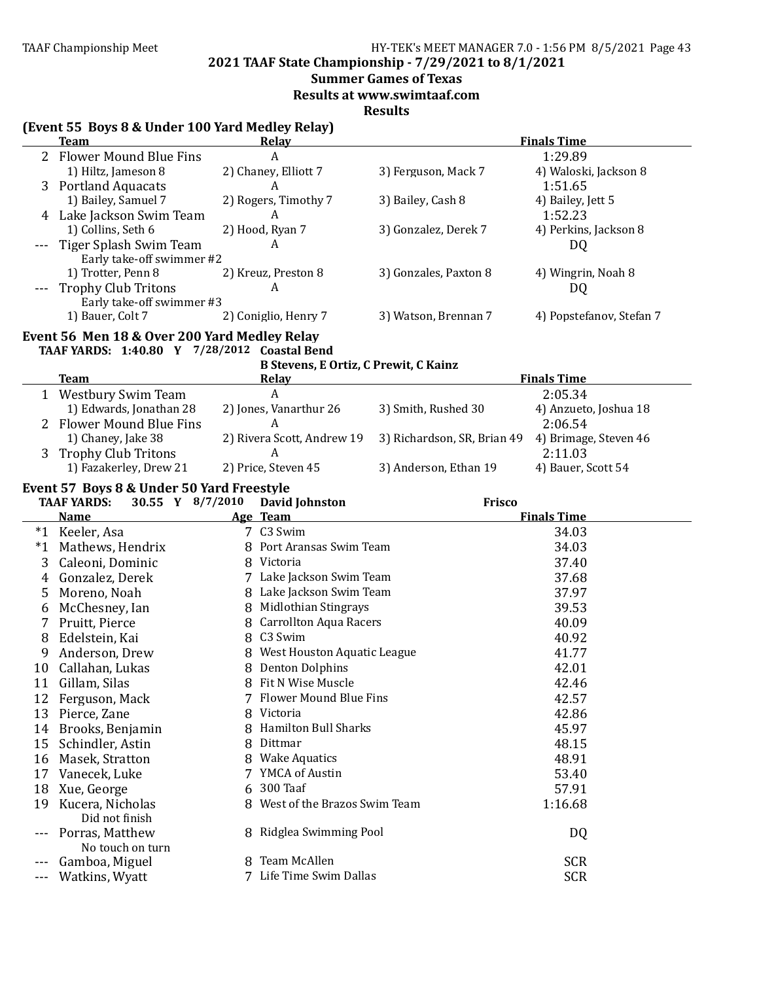**2021 TAAF State Championship - 7/29/2021 to 8/1/2021**

# **Summer Games of Texas**

**Results at www.swimtaaf.com**

|       | (Event 55 Boys 8 & Under 100 Yard Medley Relay)<br><b>Team</b> | Relay                                        |                             | <b>Finals Time</b>       |
|-------|----------------------------------------------------------------|----------------------------------------------|-----------------------------|--------------------------|
|       | <b>Flower Mound Blue Fins</b>                                  | A                                            |                             | 1:29.89                  |
|       | 1) Hiltz, Jameson 8                                            | 2) Chaney, Elliott 7                         | 3) Ferguson, Mack 7         | 4) Waloski, Jackson 8    |
|       | 3 Portland Aquacats                                            | A                                            |                             | 1:51.65                  |
|       | 1) Bailey, Samuel 7                                            | 2) Rogers, Timothy 7                         | 3) Bailey, Cash 8           | 4) Bailey, Jett 5        |
|       | Lake Jackson Swim Team                                         | A                                            |                             | 1:52.23                  |
|       | 1) Collins, Seth 6                                             | 2) Hood, Ryan 7                              | 3) Gonzalez, Derek 7        | 4) Perkins, Jackson 8    |
|       | Tiger Splash Swim Team                                         | A                                            |                             | DQ                       |
|       | Early take-off swimmer #2                                      |                                              |                             |                          |
|       | 1) Trotter, Penn 8                                             | 2) Kreuz, Preston 8                          | 3) Gonzales, Paxton 8       | 4) Wingrin, Noah 8       |
|       | <b>Trophy Club Tritons</b>                                     | A                                            |                             | DQ                       |
|       | Early take-off swimmer #3                                      |                                              |                             |                          |
|       | 1) Bauer, Colt 7                                               | 2) Coniglio, Henry 7                         | 3) Watson, Brennan 7        | 4) Popstefanov, Stefan 7 |
|       | Event 56 Men 18 & Over 200 Yard Medley Relay                   |                                              |                             |                          |
|       | TAAF YARDS: 1:40.80 Y 7/28/2012 Coastal Bend                   |                                              |                             |                          |
|       |                                                                | <b>B Stevens, E Ortiz, C Prewit, C Kainz</b> |                             |                          |
|       | Team                                                           | Relay                                        |                             | <b>Finals Time</b>       |
|       | 1 Westbury Swim Team                                           | A                                            |                             | 2:05.34                  |
|       | 1) Edwards, Jonathan 28                                        | 2) Jones, Vanarthur 26                       | 3) Smith, Rushed 30         | 4) Anzueto, Joshua 18    |
|       | <b>Flower Mound Blue Fins</b>                                  | A                                            |                             | 2:06.54                  |
|       | 1) Chaney, Jake 38                                             | 2) Rivera Scott, Andrew 19                   | 3) Richardson, SR, Brian 49 | 4) Brimage, Steven 46    |
| 3     | <b>Trophy Club Tritons</b>                                     | A                                            |                             | 2:11.03                  |
|       | 1) Fazakerley, Drew 21                                         | 2) Price, Steven 45                          | 3) Anderson, Ethan 19       | 4) Bauer, Scott 54       |
|       |                                                                |                                              |                             |                          |
|       | Event 57 Boys 8 & Under 50 Yard Freestyle                      |                                              |                             |                          |
|       | 30.55 Y 8/7/2010<br><b>TAAF YARDS:</b>                         | <b>David Johnston</b>                        | <b>Frisco</b>               |                          |
|       | <b>Name</b>                                                    | Age Team                                     |                             | <b>Finals Time</b>       |
|       | *1 Keeler, Asa                                                 | 7 C3 Swim                                    |                             | 34.03                    |
|       | *1 Mathews, Hendrix                                            | 8 Port Aransas Swim Team                     |                             | 34.03                    |
| 3     | Caleoni, Dominic                                               | 8 Victoria                                   |                             | 37.40                    |
| 4     | Gonzalez, Derek                                                | 7 Lake Jackson Swim Team                     |                             | 37.68                    |
| 5     | Moreno, Noah                                                   | 8 Lake Jackson Swim Team                     |                             | 37.97                    |
| 6     | McChesney, Ian                                                 | 8 Midlothian Stingrays                       |                             | 39.53                    |
| 7     | Pruitt, Pierce                                                 | 8 Carrollton Aqua Racers                     |                             | 40.09                    |
| 8     | Edelstein, Kai                                                 | 8 C3 Swim                                    |                             | 40.92                    |
| 9     | Anderson, Drew                                                 | 8 West Houston Aquatic League                |                             | 41.77                    |
| 10    | Callahan, Lukas                                                | <b>Denton Dolphins</b><br>8                  |                             | 42.01                    |
| 11    | Gillam, Silas                                                  | Fit N Wise Muscle                            |                             | 42.46                    |
| 12    | Ferguson, Mack                                                 | <b>Flower Mound Blue Fins</b>                |                             | 42.57                    |
| 13    | Pierce, Zane                                                   | Victoria<br>8                                |                             | 42.86                    |
| 14    | Brooks, Benjamin                                               | <b>Hamilton Bull Sharks</b><br>8             |                             | 45.97                    |
| 15    | Schindler, Astin                                               | Dittmar<br>8                                 |                             | 48.15                    |
| 16    | Masek, Stratton                                                | <b>Wake Aquatics</b><br>8                    |                             | 48.91                    |
|       |                                                                |                                              |                             |                          |
| 17    | Vanecek, Luke                                                  | 7 YMCA of Austin<br>300 Taaf                 |                             | 53.40                    |
| 18    | Xue, George                                                    | 6                                            |                             | 57.91                    |
| 19    | Kucera, Nicholas                                               | West of the Brazos Swim Team<br>8            |                             | 1:16.68                  |
|       | Did not finish                                                 |                                              |                             |                          |
|       | Porras, Matthew                                                | 8 Ridglea Swimming Pool                      |                             | DQ                       |
|       | No touch on turn                                               |                                              |                             |                          |
| ---   | Gamboa, Miguel                                                 | Team McAllen<br>8                            |                             | <b>SCR</b>               |
| $---$ | Watkins, Wyatt                                                 | Life Time Swim Dallas                        |                             | <b>SCR</b>               |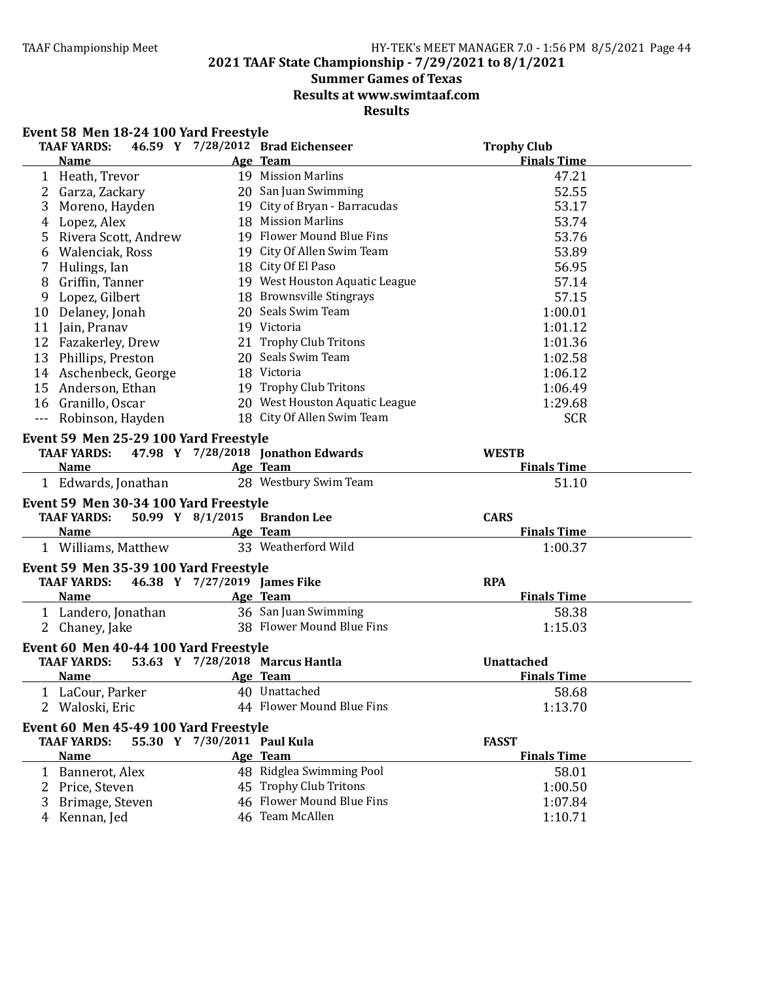**2021 TAAF State Championship - 7/29/2021 to 8/1/2021**

# **Summer Games of Texas**

**Results at www.swimtaaf.com**

|               | Event 58 Men 18-24 100 Yard Freestyle  |                              |                                    |                    |  |
|---------------|----------------------------------------|------------------------------|------------------------------------|--------------------|--|
|               | <b>TAAF YARDS:</b>                     |                              | 46.59 Y 7/28/2012 Brad Eichenseer  | <b>Trophy Club</b> |  |
|               | <b>Name</b>                            |                              | Age Team                           | <b>Finals Time</b> |  |
|               | 1 Heath, Trevor                        |                              | 19 Mission Marlins                 | 47.21              |  |
|               | 2 Garza, Zackary                       |                              | 20 San Juan Swimming               | 52.55              |  |
| 3             | Moreno, Hayden                         |                              | 19 City of Bryan - Barracudas      | 53.17              |  |
| 4             | Lopez, Alex                            |                              | 18 Mission Marlins                 | 53.74              |  |
| 5             | Rivera Scott, Andrew                   |                              | 19 Flower Mound Blue Fins          | 53.76              |  |
| 6             | Walenciak, Ross                        |                              | 19 City Of Allen Swim Team         | 53.89              |  |
| 7             | Hulings, Ian                           |                              | 18 City Of El Paso                 | 56.95              |  |
| 8             | Griffin, Tanner                        |                              | 19 West Houston Aquatic League     | 57.14              |  |
| 9             | Lopez, Gilbert                         |                              | 18 Brownsville Stingrays           | 57.15              |  |
|               | 10 Delaney, Jonah                      |                              | 20 Seals Swim Team                 | 1:00.01            |  |
|               | 11 Jain, Pranav                        |                              | 19 Victoria                        | 1:01.12            |  |
|               | 12 Fazakerley, Drew                    |                              | 21 Trophy Club Tritons             | 1:01.36            |  |
|               | 13 Phillips, Preston                   |                              | 20 Seals Swim Team                 | 1:02.58            |  |
|               | 14 Aschenbeck, George                  |                              | 18 Victoria                        | 1:06.12            |  |
|               | 15 Anderson, Ethan                     |                              | 19 Trophy Club Tritons             | 1:06.49            |  |
|               | 16 Granillo, Oscar                     |                              | 20 West Houston Aquatic League     | 1:29.68            |  |
| $\sim$ $\sim$ | Robinson, Hayden                       |                              | 18 City Of Allen Swim Team         | <b>SCR</b>         |  |
|               | Event 59 Men 25-29 100 Yard Freestyle  |                              |                                    |                    |  |
|               | <b>TAAF YARDS:</b>                     |                              | 47.98 Y 7/28/2018 Jonathon Edwards | <b>WESTB</b>       |  |
|               | <b>Name</b>                            |                              | Age Team                           | <b>Finals Time</b> |  |
|               | 1 Edwards, Jonathan                    |                              | 28 Westbury Swim Team              | 51.10              |  |
|               | Event 59 Men 30-34 100 Yard Freestyle  |                              |                                    |                    |  |
|               | 50.99 Y 8/1/2015<br><b>TAAF YARDS:</b> |                              | <b>Brandon Lee</b>                 | <b>CARS</b>        |  |
|               | <b>Name</b>                            |                              | Age Team                           | <b>Finals Time</b> |  |
|               | 1 Williams, Matthew                    |                              | 33 Weatherford Wild                | 1:00.37            |  |
|               | Event 59 Men 35-39 100 Yard Freestyle  |                              |                                    |                    |  |
|               | <b>TAAF YARDS:</b>                     | 46.38 Y 7/27/2019 James Fike |                                    | <b>RPA</b>         |  |
|               | <b>Name</b>                            |                              | Age Team                           | <b>Finals Time</b> |  |
|               | 1 Landero, Jonathan                    |                              | 36 San Juan Swimming               | 58.38              |  |
|               | 2 Chaney, Jake                         |                              | 38 Flower Mound Blue Fins          | 1:15.03            |  |
|               | Event 60 Men 40-44 100 Yard Freestyle  |                              |                                    |                    |  |
|               | <b>TAAF YARDS:</b>                     |                              | 53.63 Y 7/28/2018 Marcus Hantla    | <b>Unattached</b>  |  |
|               | <u>Name</u>                            | Age Team                     |                                    | <b>Finals Time</b> |  |
|               | 1 LaCour, Parker                       |                              | 40 Unattached                      | 58.68              |  |
|               | 2 Waloski, Eric                        |                              | 44 Flower Mound Blue Fins          | 1:13.70            |  |
|               | Event 60 Men 45-49 100 Yard Freestyle  |                              |                                    |                    |  |
|               | <b>TAAF YARDS:</b>                     | 55.30 Y 7/30/2011 Paul Kula  |                                    | <b>FASST</b>       |  |
|               | <b>Name</b>                            |                              | Age Team                           | <b>Finals Time</b> |  |
|               | 1 Bannerot, Alex                       |                              | 48 Ridglea Swimming Pool           | 58.01              |  |
|               | 2 Price, Steven                        |                              | 45 Trophy Club Tritons             | 1:00.50            |  |
| 3             | Brimage, Steven                        |                              | 46 Flower Mound Blue Fins          | 1:07.84            |  |
|               | 4 Kennan, Jed                          |                              | 46 Team McAllen                    | 1:10.71            |  |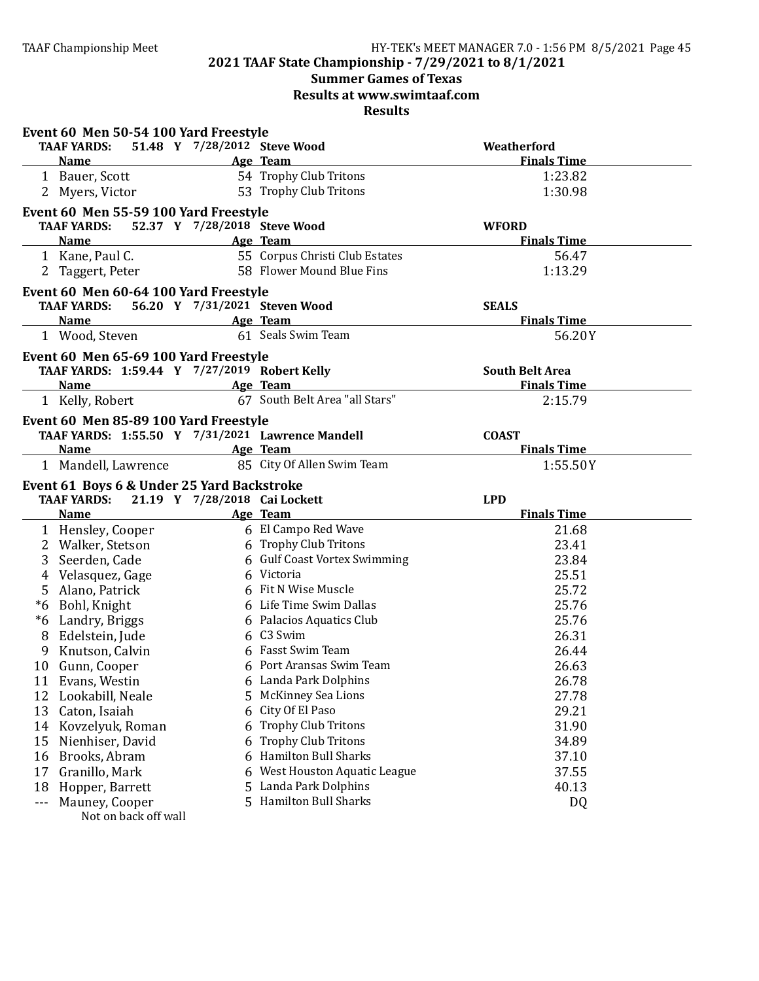# **Summer Games of Texas**

**Results at www.swimtaaf.com**

|         | Event 60 Men 50-54 100 Yard Freestyle                                                                                                 |                               |                                |                        |
|---------|---------------------------------------------------------------------------------------------------------------------------------------|-------------------------------|--------------------------------|------------------------|
|         | TAAF YARDS:                                                                                                                           | 51.48 Y 7/28/2012 Steve Wood  |                                | Weatherford            |
|         | <b>Name</b><br><b>Example 2</b> Age Team                                                                                              |                               |                                | <b>Finals Time</b>     |
|         | 1 Bauer, Scott                                                                                                                        |                               | 54 Trophy Club Tritons         | 1:23.82                |
|         | 2 Myers, Victor                                                                                                                       |                               | 53 Trophy Club Tritons         | 1:30.98                |
|         | Event 60 Men 55-59 100 Yard Freestyle                                                                                                 |                               |                                |                        |
|         | <b>TAAF YARDS:</b>                                                                                                                    | 52.37 Y 7/28/2018 Steve Wood  |                                | <b>WFORD</b>           |
|         | Name                                                                                                                                  |                               | Age Team                       | <b>Finals Time</b>     |
|         | 1 Kane, Paul C.                                                                                                                       |                               | 55 Corpus Christi Club Estates | 56.47                  |
| 2       | Taggert, Peter                                                                                                                        |                               | 58 Flower Mound Blue Fins      | 1:13.29                |
|         | Event 60 Men 60-64 100 Yard Freestyle                                                                                                 |                               |                                |                        |
|         | <b>TAAF YARDS:</b>                                                                                                                    |                               | 56.20 Y 7/31/2021 Steven Wood  | <b>SEALS</b>           |
|         | <b>Name</b>                                                                                                                           |                               | Age Team                       | <b>Finals Time</b>     |
|         | 1 Wood, Steven                                                                                                                        |                               | 61 Seals Swim Team             | 56.20Y                 |
|         | Event 60 Men 65-69 100 Yard Freestyle                                                                                                 |                               |                                |                        |
|         | TAAF YARDS: 1:59.44 Y 7/27/2019 Robert Kelly                                                                                          |                               |                                | <b>South Belt Area</b> |
|         | <b>Example 2</b> Age Team<br><b>Name</b>                                                                                              |                               |                                | <b>Finals Time</b>     |
|         | 1 Kelly, Robert                                                                                                                       |                               | 67 South Belt Area "all Stars" | 2:15.79                |
|         | Event 60 Men 85-89 100 Yard Freestyle                                                                                                 |                               |                                |                        |
|         | TAAF YARDS: 1:55.50 Y 7/31/2021 Lawrence Mandell                                                                                      |                               |                                | <b>COAST</b>           |
|         | <b>Name</b><br><u> 1980 - Johann Barn, mars ann an t-Aonaich an t-Aonaich an t-Aonaich an t-Aonaich an t-Aonaich ann an t-Aonaich</u> |                               | Age Team                       | <b>Finals Time</b>     |
|         | 1 Mandell, Lawrence                                                                                                                   |                               | 85 City Of Allen Swim Team     | 1:55.50Y               |
|         | Event 61 Boys 6 & Under 25 Yard Backstroke                                                                                            |                               |                                |                        |
|         | <b>TAAF YARDS:</b>                                                                                                                    | 21.19 Y 7/28/2018 Cai Lockett |                                | <b>LPD</b>             |
|         | <b>Name</b>                                                                                                                           |                               | Age Team                       | <b>Finals Time</b>     |
|         | 1 Hensley, Cooper                                                                                                                     |                               | 6 El Campo Red Wave            | 21.68                  |
| 2       | Walker, Stetson                                                                                                                       |                               | 6 Trophy Club Tritons          | 23.41                  |
| 3       | Seerden, Cade                                                                                                                         |                               | 6 Gulf Coast Vortex Swimming   | 23.84                  |
| 4       | Velasquez, Gage                                                                                                                       |                               | 6 Victoria                     | 25.51                  |
| 5       | Alano, Patrick                                                                                                                        |                               | 6 Fit N Wise Muscle            | 25.72                  |
| *6      | Bohl, Knight                                                                                                                          |                               | 6 Life Time Swim Dallas        | 25.76                  |
| *6      | Landry, Briggs                                                                                                                        |                               | 6 Palacios Aquatics Club       | 25.76                  |
| 8       | Edelstein, Jude                                                                                                                       |                               | 6 C3 Swim                      | 26.31                  |
| 9       | Knutson, Calvin                                                                                                                       |                               | 6 Fasst Swim Team              | 26.44                  |
| 10      | Gunn, Cooper                                                                                                                          |                               | 6 Port Aransas Swim Team       | 26.63                  |
| 11      | Evans, Westin                                                                                                                         |                               | 6 Landa Park Dolphins          | 26.78                  |
| 12      | Lookabill, Neale                                                                                                                      | 5.                            | McKinney Sea Lions             | 27.78                  |
| 13      | Caton, Isaiah                                                                                                                         | 6                             | City Of El Paso                | 29.21                  |
| 14      | Kovzelyuk, Roman                                                                                                                      | 6                             | <b>Trophy Club Tritons</b>     | 31.90                  |
| 15      | Nienhiser, David                                                                                                                      | 6                             | <b>Trophy Club Tritons</b>     | 34.89                  |
| 16      | Brooks, Abram                                                                                                                         | 6                             | <b>Hamilton Bull Sharks</b>    | 37.10                  |
| 17      | Granillo, Mark                                                                                                                        | 6                             | West Houston Aquatic League    | 37.55                  |
| 18      | Hopper, Barrett                                                                                                                       | 5                             | Landa Park Dolphins            | 40.13                  |
| $- - -$ | Mauney, Cooper                                                                                                                        |                               | 5 Hamilton Bull Sharks         | DQ                     |
|         | Not on back off wall                                                                                                                  |                               |                                |                        |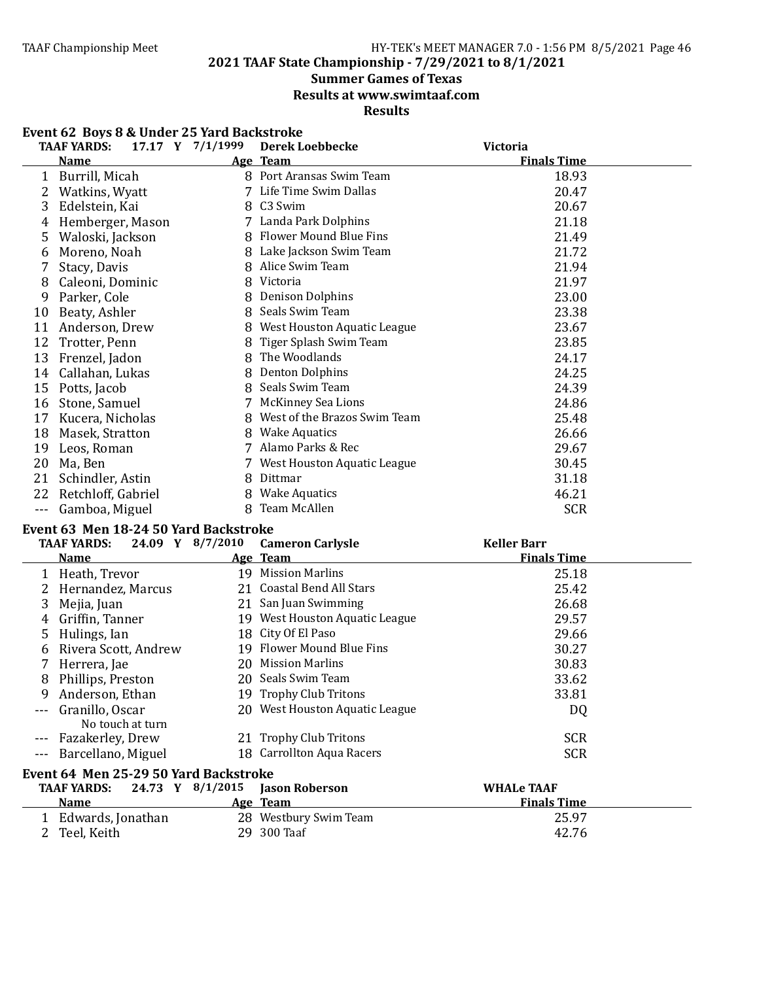**2021 TAAF State Championship - 7/29/2021 to 8/1/2021**

# **Summer Games of Texas**

**Results at www.swimtaaf.com**

# **Results**

| Event 62 Boys 8 & Under 25 Yard Backstroke |  |
|--------------------------------------------|--|
|--------------------------------------------|--|

|       | <b>TAAF YARDS:</b> | 17.17 Y 7/1/1999 | <b>Derek Loebbecke</b>       | Victoria           |  |
|-------|--------------------|------------------|------------------------------|--------------------|--|
|       | <b>Name</b>        |                  | Age Team                     | <b>Finals Time</b> |  |
| 1     | Burrill, Micah     |                  | 8 Port Aransas Swim Team     | 18.93              |  |
|       | Watkins, Wyatt     | 7                | Life Time Swim Dallas        | 20.47              |  |
| 3     | Edelstein, Kai     | 8                | C3 Swim                      | 20.67              |  |
| 4     | Hemberger, Mason   |                  | 7 Landa Park Dolphins        | 21.18              |  |
| 5     | Waloski, Jackson   | 8                | Flower Mound Blue Fins       | 21.49              |  |
| 6     | Moreno, Noah       | 8                | Lake Jackson Swim Team       | 21.72              |  |
|       | Stacy, Davis       | 8                | Alice Swim Team              | 21.94              |  |
| 8     | Caleoni, Dominic   | 8                | Victoria                     | 21.97              |  |
| 9     | Parker, Cole       | 8                | <b>Denison Dolphins</b>      | 23.00              |  |
| 10    | Beaty, Ashler      | 8                | Seals Swim Team              | 23.38              |  |
| 11    | Anderson, Drew     | 8                | West Houston Aquatic League  | 23.67              |  |
| 12    | Trotter, Penn      | 8                | Tiger Splash Swim Team       | 23.85              |  |
| 13    | Frenzel, Jadon     | 8                | The Woodlands                | 24.17              |  |
| 14    | Callahan, Lukas    | 8                | <b>Denton Dolphins</b>       | 24.25              |  |
| 15    | Potts, Jacob       | 8                | Seals Swim Team              | 24.39              |  |
| 16    | Stone, Samuel      |                  | <b>McKinney Sea Lions</b>    | 24.86              |  |
| 17    | Kucera, Nicholas   | 8                | West of the Brazos Swim Team | 25.48              |  |
| 18    | Masek, Stratton    | 8                | <b>Wake Aquatics</b>         | 26.66              |  |
| 19    | Leos, Roman        | 7                | Alamo Parks & Rec            | 29.67              |  |
| 20    | Ma, Ben            |                  | West Houston Aquatic League  | 30.45              |  |
| 21    | Schindler, Astin   | 8                | Dittmar                      | 31.18              |  |
| 22    | Retchloff, Gabriel | 8                | <b>Wake Aquatics</b>         | 46.21              |  |
| $---$ | Gamboa, Miguel     | 8                | Team McAllen                 | <b>SCR</b>         |  |

### Event 63 Men 18-24 50 Yard Backstroke

|         | 24.09 Y 8/7/2010<br><b>TAAF YARDS:</b> | <b>Cameron Carlysle</b>        | <b>Keller Barr</b> |  |
|---------|----------------------------------------|--------------------------------|--------------------|--|
|         | <b>Name</b>                            | Age Team                       | <b>Finals Time</b> |  |
|         | Heath, Trevor                          | 19 Mission Marlins             | 25.18              |  |
|         | Hernandez, Marcus                      | 21 Coastal Bend All Stars      | 25.42              |  |
| 3       | Mejia, Juan                            | 21 San Juan Swimming           | 26.68              |  |
| 4       | Griffin, Tanner                        | 19 West Houston Aquatic League | 29.57              |  |
| 5.      | Hulings, Ian                           | 18 City Of El Paso             | 29.66              |  |
| 6       | Rivera Scott, Andrew                   | 19 Flower Mound Blue Fins      | 30.27              |  |
|         | Herrera, Jae                           | 20 Mission Marlins             | 30.83              |  |
| 8       | Phillips, Preston                      | 20 Seals Swim Team             | 33.62              |  |
| 9       | Anderson, Ethan                        | 19 Trophy Club Tritons         | 33.81              |  |
|         | Granillo, Oscar<br>No touch at turn    | 20 West Houston Aquatic League | DQ                 |  |
| $- - -$ | Fazakerley, Drew                       | 21 Trophy Club Tritons         | <b>SCR</b>         |  |
|         | --- Barcellano, Miguel                 | 18 Carrollton Aqua Racers      | <b>SCR</b>         |  |
|         | Event 64 Men 25-29 50 Yard Backstroke  |                                |                    |  |
|         | TA AE VADDS: 24.72 V 8/1/2015          | Jacon Roharcon                 | <b>WHALA TAAF</b>  |  |

| <b>TAAF YARDS:</b> | 24.73 Y $8/1/2015$ Jason Roberson | <b>WHALe TAAF</b>  |
|--------------------|-----------------------------------|--------------------|
| <b>Name</b>        | Age Team                          | <b>Finals Time</b> |
| Edwards, Jonathan  | 28 Westbury Swim Team             | 25.97              |
| Teel, Keith        | 29 300 Taaf                       | 42.76              |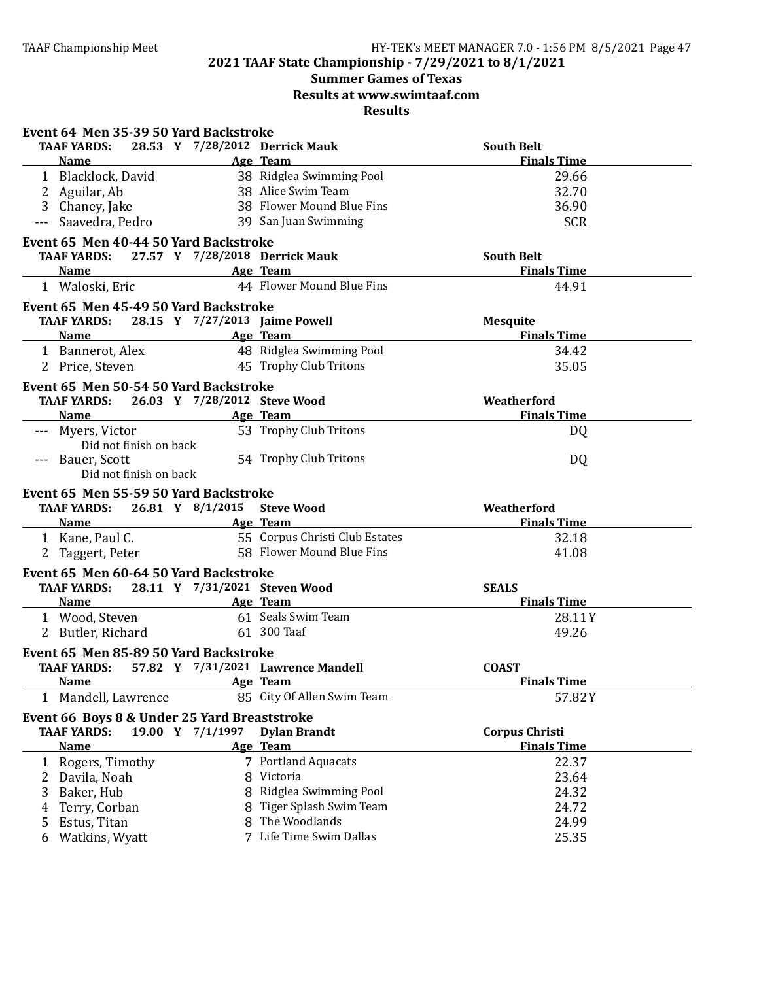# **Summer Games of Texas Results at www.swimtaaf.com**

|                                                                                  |                                             | Event 64 Men 35-39 50 Yard Backstroke |  |  |  |  |
|----------------------------------------------------------------------------------|---------------------------------------------|---------------------------------------|--|--|--|--|
| 28.53 Y 7/28/2012 Derrick Mauk<br><b>TAAF YARDS:</b>                             |                                             | <b>South Belt</b>                     |  |  |  |  |
| <b>Name</b>                                                                      | Age Team                                    | <b>Finals Time</b>                    |  |  |  |  |
| 1 Blacklock, David                                                               | 38 Ridglea Swimming Pool                    | 29.66                                 |  |  |  |  |
| 2 Aguilar, Ab                                                                    | 38 Alice Swim Team                          | 32.70                                 |  |  |  |  |
| 3 Chaney, Jake                                                                   | 38 Flower Mound Blue Fins                   | 36.90                                 |  |  |  |  |
| Saavedra, Pedro                                                                  | 39 San Juan Swimming                        | <b>SCR</b>                            |  |  |  |  |
| Event 65 Men 40-44 50 Yard Backstroke                                            |                                             |                                       |  |  |  |  |
| TAAF YARDS: 27.57 Y 7/28/2018 Derrick Mauk                                       |                                             | <b>South Belt</b>                     |  |  |  |  |
| Name Age Team                                                                    |                                             | <b>Finals Time</b>                    |  |  |  |  |
| 1 Waloski, Eric                                                                  | 44 Flower Mound Blue Fins                   | 44.91                                 |  |  |  |  |
| Event 65 Men 45-49 50 Yard Backstroke                                            |                                             |                                       |  |  |  |  |
| <b>TAAF YARDS:</b><br>28.15 Y 7/27/2013 Jaime Powell                             |                                             | <b>Mesquite</b>                       |  |  |  |  |
| <b>Example 2</b> Age Team<br>Name                                                |                                             | <b>Finals Time</b>                    |  |  |  |  |
| 1 Bannerot, Alex 48 Ridglea Swimming Pool                                        |                                             | 34.42                                 |  |  |  |  |
| 2 Price, Steven 45 Trophy Club Tritons                                           |                                             | 35.05                                 |  |  |  |  |
| Event 65 Men 50-54 50 Yard Backstroke                                            |                                             |                                       |  |  |  |  |
| 26.03 Y 7/28/2012 Steve Wood<br><b>TAAF YARDS:</b>                               |                                             | Weatherford                           |  |  |  |  |
| <b>Name</b>                                                                      | Age Team                                    | <b>Finals Time</b>                    |  |  |  |  |
| --- Myers, Victor                                                                | 53 Trophy Club Tritons                      | DQ                                    |  |  |  |  |
| Did not finish on back                                                           |                                             |                                       |  |  |  |  |
| --- Bauer, Scott                                                                 | 54 Trophy Club Tritons                      | DQ                                    |  |  |  |  |
| Did not finish on back                                                           |                                             |                                       |  |  |  |  |
|                                                                                  |                                             |                                       |  |  |  |  |
|                                                                                  |                                             |                                       |  |  |  |  |
| Event 65 Men 55-59 50 Yard Backstroke<br>TAAF YARDS: 26.81 Y 8/1/2015 Steve Wood |                                             | Weatherford                           |  |  |  |  |
| Name Age Team                                                                    |                                             | <b>Finals Time</b>                    |  |  |  |  |
| 1 Kane, Paul C.                                                                  | 55 Corpus Christi Club Estates              | 32.18                                 |  |  |  |  |
| 2 Taggert, Peter                                                                 | 58 Flower Mound Blue Fins                   | 41.08                                 |  |  |  |  |
|                                                                                  |                                             |                                       |  |  |  |  |
| Event 65 Men 60-64 50 Yard Backstroke                                            |                                             |                                       |  |  |  |  |
| 28.11 Y 7/31/2021 Steven Wood<br>TAAF YARDS:<br><b>Name</b>                      |                                             | <b>SEALS</b><br><b>Finals Time</b>    |  |  |  |  |
| <b>Example 2</b> Age Team                                                        |                                             |                                       |  |  |  |  |
| 1 Wood, Steven 61 Seals Swim Team<br>2 Butler, Richard                           | 61 300 Taaf                                 | 28.11Y<br>49.26                       |  |  |  |  |
|                                                                                  |                                             |                                       |  |  |  |  |
| Event 65 Men 85-89 50 Yard Backstroke                                            |                                             |                                       |  |  |  |  |
| TAAF YARDS: 57.82 Y 7/31/2021 Lawrence Mandell                                   |                                             | <b>COAST</b>                          |  |  |  |  |
| Name Age Team                                                                    |                                             | <b>Finals Time</b>                    |  |  |  |  |
| 1 Mandell, Lawrence                                                              | 85 City Of Allen Swim Team                  | 57.82Y                                |  |  |  |  |
| Event 66 Boys 8 & Under 25 Yard Breaststroke                                     |                                             |                                       |  |  |  |  |
| 19.00 Y 7/1/1997<br><b>TAAF YARDS:</b>                                           | <b>Dylan Brandt</b>                         | <b>Corpus Christi</b>                 |  |  |  |  |
| <b>Name</b>                                                                      | Age Team                                    | <b>Finals Time</b>                    |  |  |  |  |
| 1 Rogers, Timothy                                                                | 7 Portland Aquacats                         | 22.37                                 |  |  |  |  |
| 2 Davila, Noah                                                                   | 8 Victoria                                  | 23.64                                 |  |  |  |  |
| 3 Baker, Hub<br>8                                                                | Ridglea Swimming Pool                       | 24.32                                 |  |  |  |  |
| Terry, Corban<br>4<br>Estus, Titan<br>5                                          | 8 Tiger Splash Swim Team<br>8 The Woodlands | 24.72<br>24.99                        |  |  |  |  |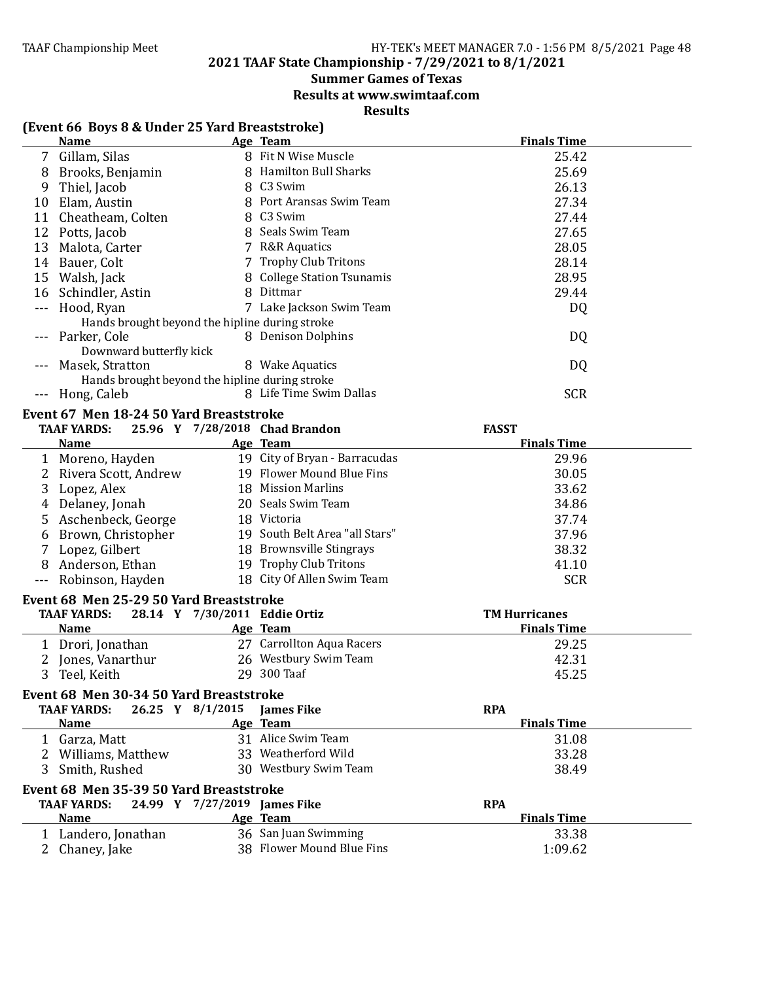# **Summer Games of Texas**

**Results at www.swimtaaf.com**

| (Event 66 Boys 8 & Under 25 Yard Breaststroke) |                                                |                              |                                |                      |
|------------------------------------------------|------------------------------------------------|------------------------------|--------------------------------|----------------------|
|                                                | <b>Name</b>                                    |                              | Age Team                       | <b>Finals Time</b>   |
|                                                | 7 Gillam, Silas                                |                              | 8 Fit N Wise Muscle            | 25.42                |
| 8                                              | Brooks, Benjamin                               |                              | 8 Hamilton Bull Sharks         | 25.69                |
| 9                                              | Thiel, Jacob                                   |                              | 8 C3 Swim                      | 26.13                |
| 10                                             | Elam, Austin                                   |                              | 8 Port Aransas Swim Team       | 27.34                |
| 11                                             | Cheatheam, Colten                              |                              | 8 C3 Swim                      | 27.44                |
| 12                                             | Potts, Jacob                                   |                              | 8 Seals Swim Team              | 27.65                |
| 13                                             | Malota, Carter                                 |                              | 7 R&R Aquatics                 | 28.05                |
| 14                                             | Bauer, Colt                                    |                              | 7 Trophy Club Tritons          | 28.14                |
| 15                                             | Walsh, Jack                                    |                              | 8 College Station Tsunamis     | 28.95                |
| 16                                             | Schindler, Astin                               |                              | 8 Dittmar                      | 29.44                |
| $- - -$                                        | Hood, Ryan                                     |                              | 7 Lake Jackson Swim Team       | DQ                   |
|                                                | Hands brought beyond the hipline during stroke |                              |                                |                      |
|                                                | Parker, Cole                                   |                              | 8 Denison Dolphins             | DQ                   |
|                                                | Downward butterfly kick                        |                              |                                |                      |
|                                                | Masek, Stratton                                |                              | 8 Wake Aquatics                | DQ                   |
|                                                | Hands brought beyond the hipline during stroke |                              |                                |                      |
|                                                | Hong, Caleb                                    |                              | 8 Life Time Swim Dallas        | <b>SCR</b>           |
|                                                | Event 67 Men 18-24 50 Yard Breaststroke        |                              |                                |                      |
|                                                | <b>TAAF YARDS:</b>                             |                              | 25.96 Y 7/28/2018 Chad Brandon | <b>FASST</b>         |
|                                                | <b>Name</b>                                    |                              | Age Team                       | <b>Finals Time</b>   |
|                                                | 1 Moreno, Hayden                               |                              | 19 City of Bryan - Barracudas  | 29.96                |
| 2                                              | Rivera Scott, Andrew                           |                              | 19 Flower Mound Blue Fins      | 30.05                |
| 3                                              | Lopez, Alex                                    |                              | 18 Mission Marlins             | 33.62                |
| 4                                              | Delaney, Jonah                                 |                              | 20 Seals Swim Team             | 34.86                |
| 5                                              | Aschenbeck, George                             |                              | 18 Victoria                    | 37.74                |
|                                                | Brown, Christopher                             |                              | 19 South Belt Area "all Stars" | 37.96                |
| 6                                              |                                                |                              | 18 Brownsville Stingrays       | 38.32                |
| 7                                              | Lopez, Gilbert                                 |                              | 19 Trophy Club Tritons         |                      |
| 8                                              | Anderson, Ethan                                |                              | 18 City Of Allen Swim Team     | 41.10                |
|                                                | Robinson, Hayden                               |                              |                                | <b>SCR</b>           |
|                                                | Event 68 Men 25-29 50 Yard Breaststroke        |                              |                                |                      |
|                                                | <b>TAAF YARDS:</b>                             |                              | 28.14 Y 7/30/2011 Eddie Ortiz  | <b>TM Hurricanes</b> |
|                                                | <b>Name</b>                                    |                              | Age Team                       | <b>Finals Time</b>   |
|                                                | 1 Drori, Jonathan                              |                              | 27 Carrollton Aqua Racers      | 29.25                |
|                                                | 2 Jones, Vanarthur                             |                              | 26 Westbury Swim Team          | 42.31                |
| 3 <sup>1</sup>                                 | Teel, Keith                                    |                              | 29 300 Taaf                    | 45.25                |
|                                                | Event 68 Men 30-34 50 Yard Breaststroke        |                              |                                |                      |
|                                                | <b>TAAF YARDS:</b><br>26.25 Y 8/1/2015         |                              | <b>James Fike</b>              | <b>RPA</b>           |
|                                                | <b>Name</b>                                    |                              | Age Team                       | <b>Finals Time</b>   |
|                                                | 1 Garza, Matt                                  |                              | 31 Alice Swim Team             | 31.08                |
|                                                | 2 Williams, Matthew                            |                              | 33 Weatherford Wild            | 33.28                |
| 3.                                             | Smith, Rushed                                  |                              | 30 Westbury Swim Team          | 38.49                |
|                                                |                                                |                              |                                |                      |
|                                                | Event 68 Men 35-39 50 Yard Breaststroke        |                              |                                |                      |
|                                                | <b>TAAF YARDS:</b>                             | 24.99 Y 7/27/2019 James Fike |                                | <b>RPA</b>           |
|                                                | <b>Name</b>                                    |                              | Age Team                       | <b>Finals Time</b>   |
|                                                | 1 Landero, Jonathan                            |                              | 36 San Juan Swimming           | 33.38                |
|                                                | 2 Chaney, Jake                                 |                              | 38 Flower Mound Blue Fins      | 1:09.62              |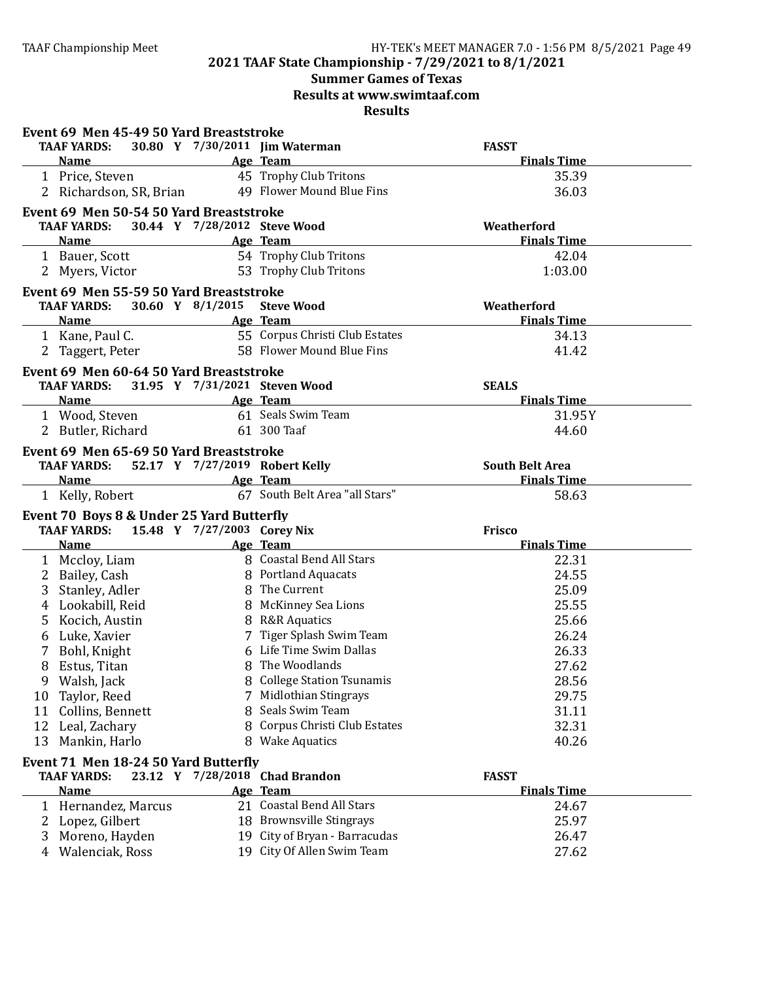# **Summer Games of Texas**

**Results at www.swimtaaf.com**

|                     | Event 69 Men 45-49 50 Yard Breaststroke                |                              |                                                             |                              |  |
|---------------------|--------------------------------------------------------|------------------------------|-------------------------------------------------------------|------------------------------|--|
|                     | <b>TAAF YARDS:</b>                                     |                              | 30.80 Y 7/30/2011 Jim Waterman                              | <b>FASST</b>                 |  |
|                     | <b>Name</b>                                            |                              | Age Team                                                    | <b>Finals Time</b>           |  |
|                     | 1 Price, Steven                                        |                              | 45 Trophy Club Tritons                                      | 35.39                        |  |
|                     | 2 Richardson, SR, Brian                                |                              | 49 Flower Mound Blue Fins                                   | 36.03                        |  |
|                     | Event 69 Men 50-54 50 Yard Breaststroke                |                              |                                                             |                              |  |
|                     | <b>TAAF YARDS:</b>                                     | 30.44 Y 7/28/2012 Steve Wood |                                                             | Weatherford                  |  |
|                     | <b>Name</b>                                            |                              | Age Team                                                    | <b>Finals Time</b>           |  |
|                     | 1 Bauer, Scott                                         |                              | 54 Trophy Club Tritons                                      | 42.04                        |  |
|                     | 2 Myers, Victor                                        |                              | 53 Trophy Club Tritons                                      | 1:03.00                      |  |
|                     |                                                        |                              |                                                             |                              |  |
|                     | Event 69 Men 55-59 50 Yard Breaststroke                |                              |                                                             |                              |  |
|                     | <b>TAAF YARDS:</b>                                     | 30.60 Y 8/1/2015 Steve Wood  |                                                             | Weatherford                  |  |
|                     | <b>Name</b><br>1 Kane, Paul C.                         |                              | Age Team<br>55 Corpus Christi Club Estates                  | <b>Finals Time</b>           |  |
|                     |                                                        |                              | 58 Flower Mound Blue Fins                                   | 34.13                        |  |
|                     | 2 Taggert, Peter                                       |                              |                                                             | 41.42                        |  |
|                     | Event 69 Men 60-64 50 Yard Breaststroke                |                              |                                                             |                              |  |
|                     | <b>TAAF YARDS:</b>                                     |                              | 31.95 Y 7/31/2021 Steven Wood                               | <b>SEALS</b>                 |  |
|                     | <b>Example 2</b> Age Team<br><b>Name</b>               |                              |                                                             | <b>Finals Time</b>           |  |
|                     | 1 Wood, Steven                                         |                              | 61 Seals Swim Team                                          | 31.95Y                       |  |
|                     | 2 Butler, Richard                                      |                              | 61 300 Taaf                                                 | 44.60                        |  |
|                     | Event 69 Men 65-69 50 Yard Breaststroke                |                              |                                                             |                              |  |
|                     | <b>TAAF YARDS:</b>                                     |                              | 52.17 Y 7/27/2019 Robert Kelly                              | <b>South Belt Area</b>       |  |
|                     | <b>Name</b>                                            |                              | Age Team                                                    | <b>Finals Time</b>           |  |
|                     | 1 Kelly, Robert                                        |                              | 67 South Belt Area "all Stars"                              | 58.63                        |  |
|                     |                                                        |                              |                                                             |                              |  |
|                     |                                                        |                              |                                                             |                              |  |
|                     | Event 70 Boys 8 & Under 25 Yard Butterfly              |                              |                                                             |                              |  |
|                     | TAAF YARDS: 15.48 Y 7/27/2003 Corey Nix<br><b>Name</b> |                              | Age Team                                                    | Frisco<br><b>Finals Time</b> |  |
|                     |                                                        |                              | 8 Coastal Bend All Stars                                    |                              |  |
|                     | 1 Mccloy, Liam                                         |                              | 8 Portland Aquacats                                         | 22.31<br>24.55               |  |
|                     | 2 Bailey, Cash                                         |                              | 8 The Current                                               |                              |  |
| 3                   | Stanley, Adler                                         |                              |                                                             | 25.09                        |  |
|                     | 4 Lookabill, Reid                                      |                              | 8 McKinney Sea Lions<br>8 R&R Aquatics                      | 25.55                        |  |
| 5                   | Kocich, Austin                                         |                              |                                                             | 25.66                        |  |
| 6                   | Luke, Xavier                                           |                              | 7 Tiger Splash Swim Team<br>6 Life Time Swim Dallas         | 26.24                        |  |
| 7                   | Bohl, Knight                                           |                              | 8 The Woodlands                                             | 26.33                        |  |
| 8                   | Estus, Titan                                           |                              |                                                             | 27.62                        |  |
| 9                   | Walsh, Jack                                            | 7                            | 8 College Station Tsunamis                                  | 28.56                        |  |
| 10                  | Taylor, Reed                                           |                              | Midlothian Stingrays                                        | 29.75                        |  |
| 11                  | Collins, Bennett                                       |                              | 8 Seals Swim Team                                           | 31.11                        |  |
| 12                  | Leal, Zachary                                          |                              | 8 Corpus Christi Club Estates<br>8 Wake Aquatics            | 32.31                        |  |
| 13                  | Mankin, Harlo                                          |                              |                                                             | 40.26                        |  |
|                     | Event 71 Men 18-24 50 Yard Butterfly                   |                              |                                                             |                              |  |
|                     | <b>TAAF YARDS:</b>                                     |                              | 23.12 Y 7/28/2018 Chad Brandon                              | <b>FASST</b>                 |  |
|                     | <b>Name</b>                                            |                              | Age Team                                                    | <b>Finals Time</b>           |  |
| 1                   | Hernandez, Marcus                                      |                              | 21 Coastal Bend All Stars                                   | 24.67                        |  |
|                     | 2 Lopez, Gilbert                                       |                              | 18 Brownsville Stingrays                                    | 25.97                        |  |
| 3<br>$\overline{4}$ | Moreno, Hayden<br>Walenciak, Ross                      |                              | 19 City of Bryan - Barracudas<br>19 City Of Allen Swim Team | 26.47<br>27.62               |  |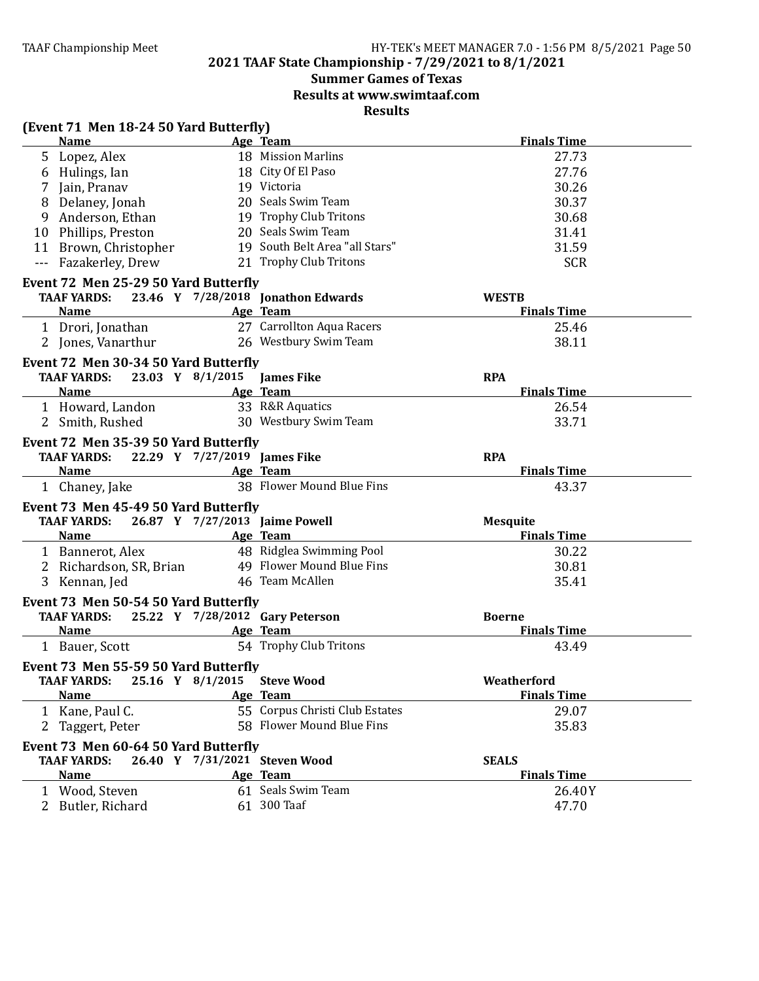# **Summer Games of Texas**

**Results at www.swimtaaf.com**

|   | (Event 71 Men 18-24 50 Yard Butterfly)         |                              |                                 |                    |
|---|------------------------------------------------|------------------------------|---------------------------------|--------------------|
|   | <b>Name</b>                                    |                              | Age Team                        | <b>Finals Time</b> |
|   | 5 Lopez, Alex                                  |                              | 18 Mission Marlins              | 27.73              |
|   | 6 Hulings, Ian                                 |                              | 18 City Of El Paso              | 27.76              |
|   | 7 Jain, Pranav                                 |                              | 19 Victoria                     | 30.26              |
|   | 8 Delaney, Jonah                               |                              | 20 Seals Swim Team              | 30.37              |
|   | 9 Anderson, Ethan                              |                              | 19 Trophy Club Tritons          | 30.68              |
|   | 10 Phillips, Preston                           |                              | 20 Seals Swim Team              | 31.41              |
|   | 11 Brown, Christopher                          |                              | 19 South Belt Area "all Stars"  | 31.59              |
|   | --- Fazakerley, Drew                           |                              | 21 Trophy Club Tritons          | <b>SCR</b>         |
|   | Event 72 Men 25-29 50 Yard Butterfly           |                              |                                 |                    |
|   | TAAF YARDS: 23.46 Y 7/28/2018 Jonathon Edwards |                              |                                 | <b>WESTB</b>       |
|   | <b>Name</b>                                    |                              | Age Team                        | <b>Finals Time</b> |
|   | 1 Drori, Jonathan                              |                              | 27 Carrollton Aqua Racers       | 25.46              |
|   | 2 Jones, Vanarthur                             |                              | 26 Westbury Swim Team           | 38.11              |
|   | Event 72 Men 30-34 50 Yard Butterfly           |                              |                                 |                    |
|   | <b>TAAF YARDS:</b>                             | 23.03 Y 8/1/2015             | <b>James Fike</b>               | <b>RPA</b>         |
|   | <b>Name</b>                                    |                              | Age Team                        | <b>Finals Time</b> |
|   | 1 Howard, Landon                               |                              | 33 R&R Aquatics                 | 26.54              |
|   | 2 Smith, Rushed                                |                              | 30 Westbury Swim Team           | 33.71              |
|   |                                                |                              |                                 |                    |
|   | Event 72 Men 35-39 50 Yard Butterfly           |                              |                                 |                    |
|   | <b>TAAF YARDS:</b>                             | 22.29 Y 7/27/2019 James Fike |                                 | <b>RPA</b>         |
|   | <b>Name</b>                                    |                              | Age Team                        | <b>Finals Time</b> |
|   | 1 Chaney, Jake                                 |                              | 38 Flower Mound Blue Fins       | 43.37              |
|   | Event 73 Men 45-49 50 Yard Butterfly           |                              |                                 |                    |
|   | <b>TAAF YARDS:</b>                             |                              | 26.87 Y 7/27/2013 Jaime Powell  | <b>Mesquite</b>    |
|   | <b>Name</b>                                    |                              | Age Team                        | <b>Finals Time</b> |
|   | 1 Bannerot, Alex                               |                              | 48 Ridglea Swimming Pool        | 30.22              |
|   | 2 Richardson, SR, Brian                        |                              | 49 Flower Mound Blue Fins       | 30.81              |
|   | 3 Kennan, Jed                                  |                              | 46 Team McAllen                 | 35.41              |
|   | Event 73 Men 50-54 50 Yard Butterfly           |                              |                                 |                    |
|   | <b>TAAF YARDS:</b>                             |                              | 25.22 Y 7/28/2012 Gary Peterson | <b>Boerne</b>      |
|   | <b>Example 2018</b> Age Team<br>Name           |                              |                                 | <b>Finals Time</b> |
|   | 1 Bauer, Scott                                 |                              | 54 Trophy Club Tritons          | 43.49              |
|   |                                                |                              |                                 |                    |
|   | Event 73 Men 55-59 50 Yard Butterfly           |                              |                                 |                    |
|   | TAAF YARDS:                                    | 25.16 Y 8/1/2015             | <b>Steve Wood</b>               | Weatherford        |
|   | <b>Name</b>                                    |                              | Age Team                        | <b>Finals Time</b> |
|   | 1 Kane, Paul C.                                |                              | 55 Corpus Christi Club Estates  | 29.07              |
| 2 | Taggert, Peter                                 |                              | 58 Flower Mound Blue Fins       | 35.83              |
|   | Event 73 Men 60-64 50 Yard Butterfly           |                              |                                 |                    |
|   | <b>TAAF YARDS:</b>                             |                              | 26.40 Y 7/31/2021 Steven Wood   | <b>SEALS</b>       |
|   | <b>Name</b>                                    |                              | Age Team                        | <b>Finals Time</b> |
|   | 1 Wood, Steven                                 |                              | 61 Seals Swim Team              | 26.40Y             |
|   | 2 Butler, Richard                              |                              | 61 300 Taaf                     | 47.70              |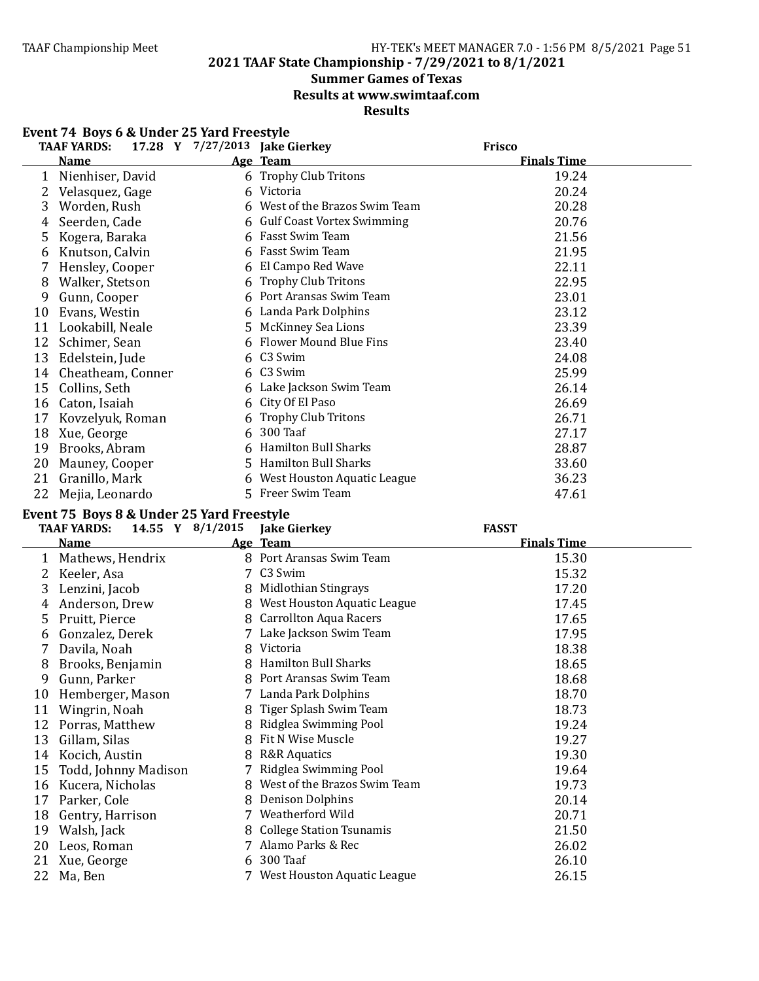**2021 TAAF State Championship - 7/29/2021 to 8/1/2021**

# **Summer Games of Texas**

**Results at www.swimtaaf.com**

**Results**

|    | Event 74 Boys 6 & Under 25 Yard Freestyle                      |    |                              |                    |  |  |
|----|----------------------------------------------------------------|----|------------------------------|--------------------|--|--|
|    | <b>TAAF YARDS:</b><br>17.28 Y 7/27/2013 Jake Gierkey<br>Frisco |    |                              |                    |  |  |
|    | <b>Name</b>                                                    |    | Age Team                     | <b>Finals Time</b> |  |  |
| 1  | Nienhiser, David                                               |    | 6 Trophy Club Tritons        | 19.24              |  |  |
| 2  | Velasquez, Gage                                                |    | 6 Victoria                   | 20.24              |  |  |
| 3  | Worden, Rush                                                   |    | West of the Brazos Swim Team | 20.28              |  |  |
| 4  | Seerden, Cade                                                  |    | 6 Gulf Coast Vortex Swimming | 20.76              |  |  |
| 5. | Kogera, Baraka                                                 | 6  | Fasst Swim Team              | 21.56              |  |  |
| 6  | Knutson, Calvin                                                |    | 6 Fasst Swim Team            | 21.95              |  |  |
| 7  | Hensley, Cooper                                                | 6  | El Campo Red Wave            | 22.11              |  |  |
| 8  | Walker, Stetson                                                | 6  | <b>Trophy Club Tritons</b>   | 22.95              |  |  |
| 9  | Gunn, Cooper                                                   | 6  | Port Aransas Swim Team       | 23.01              |  |  |
| 10 | Evans, Westin                                                  | 6  | Landa Park Dolphins          | 23.12              |  |  |
| 11 | Lookabill, Neale                                               | 5. | <b>McKinney Sea Lions</b>    | 23.39              |  |  |
| 12 | Schimer, Sean                                                  | 6  | Flower Mound Blue Fins       | 23.40              |  |  |
| 13 | Edelstein, Jude                                                | 6  | C3 Swim                      | 24.08              |  |  |
| 14 | Cheatheam, Conner                                              |    | 6 C3 Swim                    | 25.99              |  |  |
| 15 | Collins, Seth                                                  |    | Lake Jackson Swim Team       | 26.14              |  |  |
| 16 | Caton, Isaiah                                                  | 6  | City Of El Paso              | 26.69              |  |  |
| 17 | Kovzelyuk, Roman                                               |    | <b>Trophy Club Tritons</b>   | 26.71              |  |  |
| 18 | Xue, George                                                    | 6. | 300 Taaf                     | 27.17              |  |  |
| 19 | Brooks, Abram                                                  |    | Hamilton Bull Sharks         | 28.87              |  |  |
| 20 | Mauney, Cooper                                                 |    | 5 Hamilton Bull Sharks       | 33.60              |  |  |
| 21 | Granillo, Mark                                                 | 6  | West Houston Aquatic League  | 36.23              |  |  |
| 22 | Mejia, Leonardo                                                |    | 5 Freer Swim Team            | 47.61              |  |  |

#### Event 75 Boys 8 & Under 25 Yard Freestyle

|    | 14.55 Y 8/1/2015<br><b>TAAF YARDS:</b> |   | <b>Jake Gierkey</b>           | <b>FASST</b>       |  |
|----|----------------------------------------|---|-------------------------------|--------------------|--|
|    | Name                                   |   | Age Team                      | <b>Finals Time</b> |  |
| 1  | Mathews, Hendrix                       |   | 8 Port Aransas Swim Team      | 15.30              |  |
|    | Keeler, Asa                            |   | 7 C3 Swim                     | 15.32              |  |
| 3  | Lenzini, Jacob                         | 8 | Midlothian Stingrays          | 17.20              |  |
| 4  | Anderson, Drew                         | 8 | West Houston Aquatic League   | 17.45              |  |
| 5  | Pruitt, Pierce                         |   | 8 Carrollton Aqua Racers      | 17.65              |  |
| 6  | Gonzalez, Derek                        |   | Lake Jackson Swim Team        | 17.95              |  |
|    | Davila, Noah                           | 8 | Victoria                      | 18.38              |  |
| 8  | Brooks, Benjamin                       |   | 8 Hamilton Bull Sharks        | 18.65              |  |
| 9  | Gunn, Parker                           |   | 8 Port Aransas Swim Team      | 18.68              |  |
| 10 | Hemberger, Mason                       | 7 | Landa Park Dolphins           | 18.70              |  |
| 11 | Wingrin, Noah                          | 8 | Tiger Splash Swim Team        | 18.73              |  |
| 12 | Porras, Matthew                        | 8 | Ridglea Swimming Pool         | 19.24              |  |
| 13 | Gillam, Silas                          |   | 8 Fit N Wise Muscle           | 19.27              |  |
| 14 | Kocich, Austin                         | 8 | <b>R&amp;R</b> Aquatics       | 19.30              |  |
| 15 | Todd, Johnny Madison                   |   | Ridglea Swimming Pool         | 19.64              |  |
| 16 | Kucera, Nicholas                       | 8 | West of the Brazos Swim Team  | 19.73              |  |
| 17 | Parker, Cole                           | 8 | <b>Denison Dolphins</b>       | 20.14              |  |
| 18 | Gentry, Harrison                       | 7 | Weatherford Wild              | 20.71              |  |
| 19 | Walsh, Jack                            |   | 8 College Station Tsunamis    | 21.50              |  |
| 20 | Leos, Roman                            | 7 | Alamo Parks & Rec             | 26.02              |  |
| 21 | Xue, George                            |   | 6 300 Taaf                    | 26.10              |  |
| 22 | Ma, Ben                                |   | 7 West Houston Aquatic League | 26.15              |  |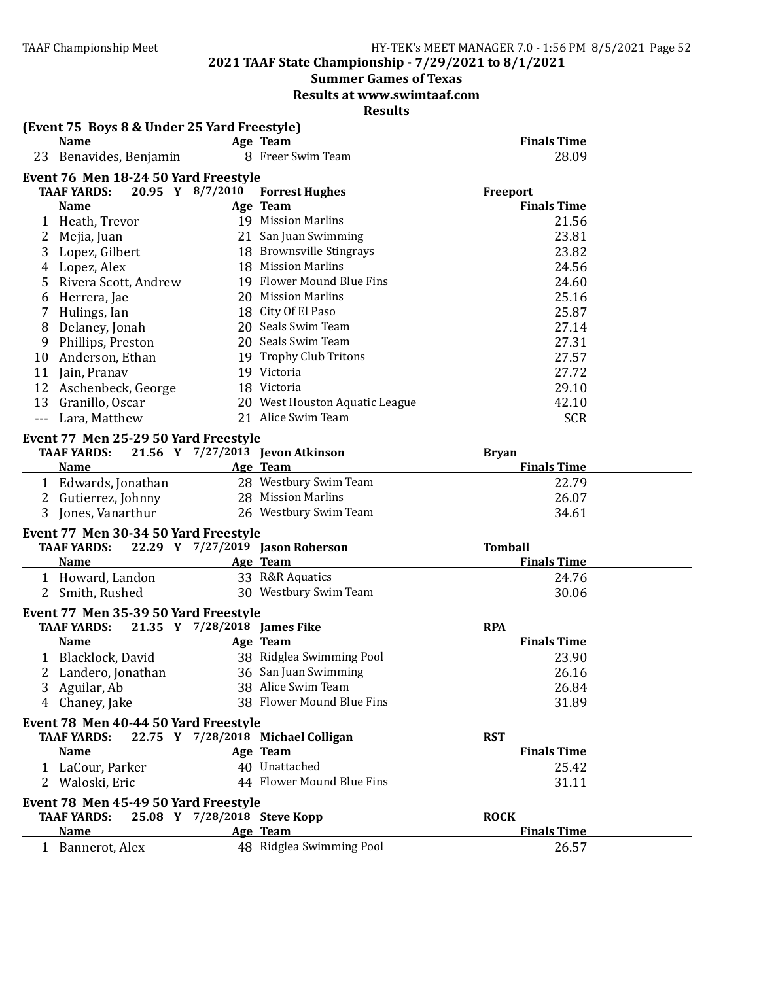#### **2021 TAAF State Championship - 7/29/2021 to 8/1/2021**

# **Summer Games of Texas**

**Results at www.swimtaaf.com**

| (Event 75 Boys 8 & Under 25 Yard Freestyle) |                              |                                    |                    |
|---------------------------------------------|------------------------------|------------------------------------|--------------------|
| <b>Name</b>                                 |                              | Age Team                           | <b>Finals Time</b> |
| 23 Benavides, Benjamin                      |                              | 8 Freer Swim Team                  | 28.09              |
| Event 76 Men 18-24 50 Yard Freestyle        |                              |                                    |                    |
| <b>TAAF YARDS:</b>                          | 20.95 Y 8/7/2010             | <b>Forrest Hughes</b>              | Freeport           |
| <b>Name</b>                                 |                              | Age Team                           | <b>Finals Time</b> |
| 1 Heath, Trevor                             |                              | 19 Mission Marlins                 | 21.56              |
| 2 Mejia, Juan                               |                              | 21 San Juan Swimming               | 23.81              |
| 3<br>Lopez, Gilbert                         |                              | 18 Brownsville Stingrays           | 23.82              |
| Lopez, Alex<br>4                            |                              | 18 Mission Marlins                 | 24.56              |
| Rivera Scott, Andrew<br>5                   |                              | 19 Flower Mound Blue Fins          | 24.60              |
| Herrera, Jae<br>6                           |                              | 20 Mission Marlins                 | 25.16              |
| Hulings, Ian<br>7                           |                              | 18 City Of El Paso                 | 25.87              |
| Delaney, Jonah<br>8                         |                              | 20 Seals Swim Team                 | 27.14              |
| Phillips, Preston<br>9                      |                              | 20 Seals Swim Team                 | 27.31              |
| 10 Anderson, Ethan                          |                              | 19 Trophy Club Tritons             | 27.57              |
| 11 Jain, Pranav                             |                              | 19 Victoria                        | 27.72              |
| 12 Aschenbeck, George                       |                              | 18 Victoria                        | 29.10              |
| 13 Granillo, Oscar                          |                              | 20 West Houston Aquatic League     | 42.10              |
| Lara, Matthew<br>$\scriptstyle \cdots$      |                              | 21 Alice Swim Team                 | <b>SCR</b>         |
|                                             |                              |                                    |                    |
| Event 77 Men 25-29 50 Yard Freestyle        |                              |                                    |                    |
| <b>TAAF YARDS:</b>                          |                              | 21.56 Y 7/27/2013 Jevon Atkinson   | <b>Bryan</b>       |
| <b>Name</b>                                 |                              | Age Team                           | <b>Finals Time</b> |
| 1 Edwards, Jonathan                         |                              | 28 Westbury Swim Team              | 22.79              |
| 2 Gutierrez, Johnny                         |                              | 28 Mission Marlins                 | 26.07              |
| 3 Jones, Vanarthur                          |                              | 26 Westbury Swim Team              | 34.61              |
| Event 77 Men 30-34 50 Yard Freestyle        |                              |                                    |                    |
| <b>TAAF YARDS:</b>                          |                              | 22.29 Y 7/27/2019 Jason Roberson   | <b>Tomball</b>     |
| <b>Name</b>                                 |                              | Age Team                           | <b>Finals Time</b> |
| 1 Howard, Landon                            |                              | 33 R&R Aquatics                    | 24.76              |
| 2 Smith, Rushed                             |                              | 30 Westbury Swim Team              | 30.06              |
| Event 77 Men 35-39 50 Yard Freestyle        |                              |                                    |                    |
| <b>TAAF YARDS:</b>                          | 21.35 Y 7/28/2018 James Fike |                                    | <b>RPA</b>         |
| <b>Name</b>                                 |                              | Age Team                           | <b>Finals Time</b> |
| 1 Blacklock, David                          |                              | 38 Ridglea Swimming Pool           | 23.90              |
| 2 Landero, Jonathan                         |                              | 36 San Juan Swimming               | 26.16              |
| Aguilar, Ab<br>3                            |                              | 38 Alice Swim Team                 | 26.84              |
|                                             |                              | 38 Flower Mound Blue Fins          | 31.89              |
| 4 Chaney, Jake                              |                              |                                    |                    |
| Event 78 Men 40-44 50 Yard Freestyle        |                              |                                    |                    |
| <b>TAAF YARDS:</b>                          |                              | 22.75 Y 7/28/2018 Michael Colligan | <b>RST</b>         |
| <b>Name</b>                                 |                              | Age Team                           | <b>Finals Time</b> |
| 1 LaCour, Parker                            |                              | 40 Unattached                      | 25.42              |
| 2 Waloski, Eric                             |                              | 44 Flower Mound Blue Fins          | 31.11              |
| Event 78 Men 45-49 50 Yard Freestyle        |                              |                                    |                    |
| <b>TAAF YARDS:</b>                          | 25.08 Y 7/28/2018 Steve Kopp |                                    | <b>ROCK</b>        |
| <b>Name</b>                                 |                              | Age Team                           | <b>Finals Time</b> |
| 1 Bannerot, Alex                            |                              | 48 Ridglea Swimming Pool           | 26.57              |
|                                             |                              |                                    |                    |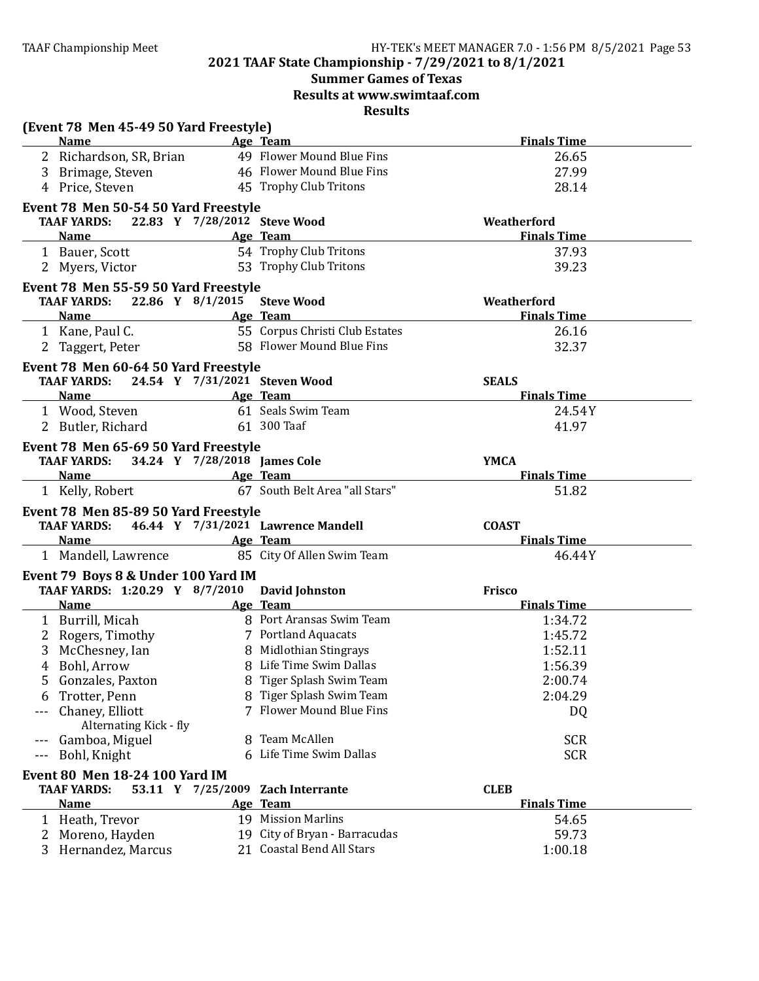# **Summer Games of Texas Results at www.swimtaaf.com**

| (Event 78 Men 45-49 50 Yard Freestyle)                     |    |                                    |                                    |
|------------------------------------------------------------|----|------------------------------------|------------------------------------|
| <b>Name</b>                                                |    | Age Team                           | <b>Finals Time</b>                 |
| 2 Richardson, SR, Brian                                    |    | 49 Flower Mound Blue Fins          | 26.65                              |
| 3 Brimage, Steven                                          |    | 46 Flower Mound Blue Fins          | 27.99                              |
| 4 Price, Steven                                            |    | 45 Trophy Club Tritons             | 28.14                              |
| Event 78 Men 50-54 50 Yard Freestyle                       |    |                                    |                                    |
| TAAF YARDS: 22.83 Y 7/28/2012 Steve Wood                   |    |                                    | Weatherford                        |
| <b>Name</b>                                                |    | Age Team                           | <b>Finals Time</b>                 |
| 1 Bauer, Scott                                             |    | 54 Trophy Club Tritons             | 37.93                              |
| 2 Myers, Victor                                            |    | 53 Trophy Club Tritons             | 39.23                              |
| Event 78 Men 55-59 50 Yard Freestyle                       |    |                                    |                                    |
| <b>TAAF YARDS:</b>                                         |    | 22.86 Y 8/1/2015 Steve Wood        | Weatherford                        |
| <b>Name</b>                                                |    | Age Team                           | <b>Finals Time</b>                 |
| 1 Kane, Paul C.                                            |    | 55 Corpus Christi Club Estates     | 26.16                              |
| 2 Taggert, Peter                                           |    | 58 Flower Mound Blue Fins          | 32.37                              |
|                                                            |    |                                    |                                    |
| Event 78 Men 60-64 50 Yard Freestyle<br><b>TAAF YARDS:</b> |    |                                    |                                    |
| <b>Name</b>                                                |    | 24.54 Y 7/31/2021 Steven Wood      | <b>SEALS</b><br><b>Finals Time</b> |
|                                                            |    | Age Team<br>61 Seals Swim Team     |                                    |
| 1 Wood, Steven                                             |    |                                    | 24.54Y                             |
| 2 Butler, Richard                                          |    | 61 300 Taaf                        | 41.97                              |
| Event 78 Men 65-69 50 Yard Freestyle                       |    |                                    |                                    |
| TAAF YARDS: 34.24 Y 7/28/2018 James Cole                   |    |                                    | <b>YMCA</b>                        |
| <b>Name</b>                                                |    | Age Team                           | <b>Finals Time</b>                 |
| 1 Kelly, Robert                                            |    | 67 South Belt Area "all Stars"     | 51.82                              |
| Event 78 Men 85-89 50 Yard Freestyle                       |    |                                    |                                    |
| <b>TAAF YARDS:</b>                                         |    | 46.44 Y 7/31/2021 Lawrence Mandell | <b>COAST</b>                       |
| Name                                                       |    | Age Team                           | <b>Finals Time</b>                 |
| 1 Mandell, Lawrence                                        |    | 85 City Of Allen Swim Team         | 46.44Y                             |
| Event 79 Boys 8 & Under 100 Yard IM                        |    |                                    |                                    |
| TAAF YARDS: 1:20.29 Y 8/7/2010                             |    | <b>David Johnston</b>              | Frisco                             |
| <b>Name</b>                                                |    | Age Team                           | <b>Finals Time</b>                 |
| 1 Burrill, Micah                                           |    | 8 Port Aransas Swim Team           | 1:34.72                            |
| 2 Rogers, Timothy                                          |    | 7 Portland Aquacats                | 1:45.72                            |
| 3<br>McChesney, Ian                                        |    | 8 Midlothian Stingrays             | 1:52.11                            |
| 4 Bohl, Arrow                                              |    | 8 Life Time Swim Dallas            | 1:56.39                            |
| Gonzales, Paxton                                           |    | 8 Tiger Splash Swim Team           |                                    |
| 5                                                          |    | 8 Tiger Splash Swim Team           | 2:00.74<br>2:04.29                 |
| Trotter, Penn<br>6                                         |    | 7 Flower Mound Blue Fins           |                                    |
| Chaney, Elliott<br>Alternating Kick - fly                  |    |                                    | DQ                                 |
| Gamboa, Miguel<br>$- - -$                                  | 8. | Team McAllen                       | <b>SCR</b>                         |
| Bohl, Knight<br>$---$                                      |    | 6 Life Time Swim Dallas            | <b>SCR</b>                         |
|                                                            |    |                                    |                                    |
| Event 80 Men 18-24 100 Yard IM                             |    |                                    |                                    |
| <b>TAAF YARDS:</b><br>53.11 Y 7/25/2009                    |    | <b>Zach Interrante</b>             | <b>CLEB</b>                        |
| <b>Name</b>                                                |    | Age Team                           | <b>Finals Time</b>                 |
| Heath, Trevor<br>1                                         |    | 19 Mission Marlins                 | 54.65                              |
| Moreno, Hayden                                             |    | 19 City of Bryan - Barracudas      | 59.73                              |
| Hernandez, Marcus<br>3                                     |    | 21 Coastal Bend All Stars          | 1:00.18                            |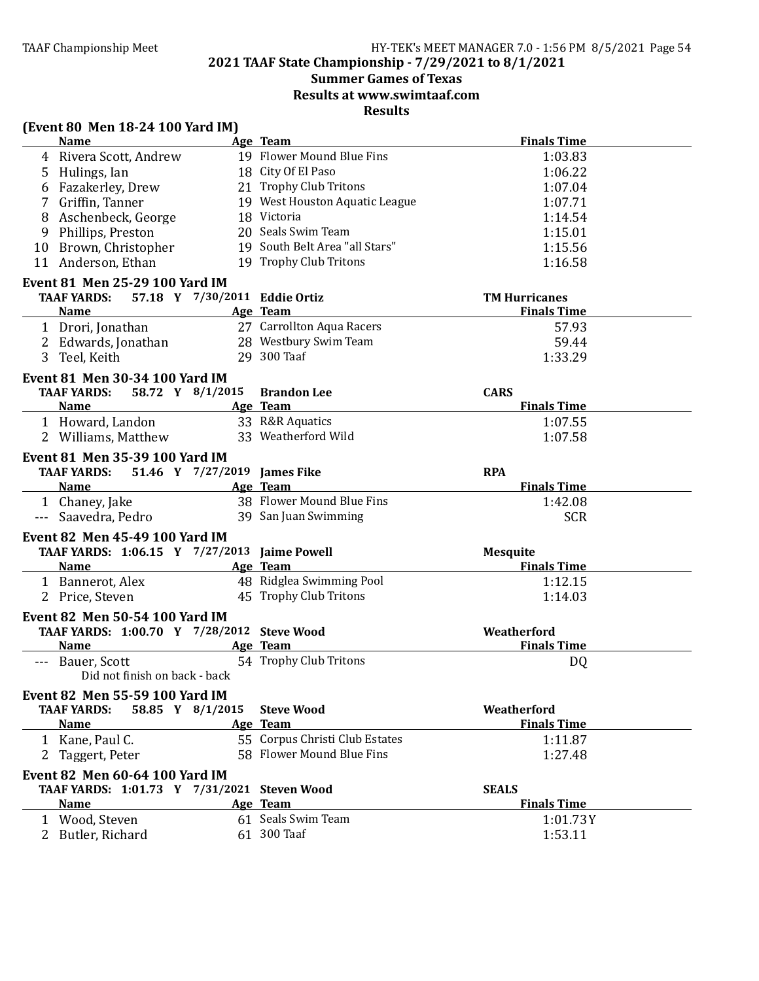# **2021 TAAF State Championship - 7/29/2021 to 8/1/2021**

# **Summer Games of Texas**

**Results at www.swimtaaf.com**

| (Event 80 Men 18-24 100 Yard IM)                                                                              |                               |                                |                      |  |
|---------------------------------------------------------------------------------------------------------------|-------------------------------|--------------------------------|----------------------|--|
| <b>Name</b>                                                                                                   |                               | Age Team                       | <b>Finals Time</b>   |  |
| 4 Rivera Scott, Andrew                                                                                        |                               | 19 Flower Mound Blue Fins      | 1:03.83              |  |
| 5 Hulings, Ian                                                                                                |                               | 18 City Of El Paso             | 1:06.22              |  |
| Fazakerley, Drew<br>6                                                                                         |                               | 21 Trophy Club Tritons         | 1:07.04              |  |
| 7 Griffin, Tanner                                                                                             |                               | 19 West Houston Aquatic League | 1:07.71              |  |
| Aschenbeck, George<br>8                                                                                       |                               | 18 Victoria                    | 1:14.54              |  |
| Phillips, Preston<br>9                                                                                        |                               | 20 Seals Swim Team             | 1:15.01              |  |
| 10 Brown, Christopher                                                                                         |                               | 19 South Belt Area "all Stars" | 1:15.56              |  |
| 11 Anderson, Ethan                                                                                            |                               | 19 Trophy Club Tritons         | 1:16.58              |  |
| Event 81 Men 25-29 100 Yard IM                                                                                |                               |                                |                      |  |
| <b>TAAF YARDS:</b>                                                                                            | 57.18 Y 7/30/2011 Eddie Ortiz |                                | <b>TM Hurricanes</b> |  |
| Name                                                                                                          |                               | Age Team                       | <b>Finals Time</b>   |  |
| 1 Drori, Jonathan                                                                                             |                               | 27 Carrollton Aqua Racers      | 57.93                |  |
| 2 Edwards, Jonathan 28 Westbury Swim Team                                                                     |                               |                                | 59.44                |  |
| 3 Teel, Keith                                                                                                 |                               | 29 300 Taaf                    | 1:33.29              |  |
| <b>Event 81 Men 30-34 100 Yard IM</b>                                                                         |                               |                                |                      |  |
| <b>TAAF YARDS:</b>                                                                                            |                               | 58.72 Y 8/1/2015 Brandon Lee   | <b>CARS</b>          |  |
| <b>Name</b>                                                                                                   |                               | Age Team                       | <b>Finals Time</b>   |  |
| 1 Howard, Landon                                                                                              |                               | 33 R&R Aquatics                | 1:07.55              |  |
| 2 Williams, Matthew                                                                                           |                               | 33 Weatherford Wild            | 1:07.58              |  |
|                                                                                                               |                               |                                |                      |  |
| Event 81 Men 35-39 100 Yard IM                                                                                |                               |                                |                      |  |
| TAAF YARDS: 51.46 Y 7/27/2019 James Fike                                                                      |                               |                                | <b>RPA</b>           |  |
| <b>Name</b>                                                                                                   |                               | Age Team                       | <b>Finals Time</b>   |  |
| 1 Chaney, Jake                                                                                                |                               | 38 Flower Mound Blue Fins      | 1:42.08              |  |
| --- Saavedra, Pedro                                                                                           |                               | 39 San Juan Swimming           | <b>SCR</b>           |  |
| <b>Event 82 Men 45-49 100 Yard IM</b>                                                                         |                               |                                |                      |  |
| TAAF YARDS: 1:06.15 Y 7/27/2013 Jaime Powell                                                                  |                               |                                | <b>Mesquite</b>      |  |
| Name Manual Manual Manual Manual Manual Manual Manual Manual Manual Manual Manual Manual Manual Manual Manual |                               | Age Team                       | <b>Finals Time</b>   |  |
| 1 Bannerot, Alex                                                                                              |                               | 48 Ridglea Swimming Pool       | 1:12.15              |  |
| 2 Price, Steven                                                                                               |                               | 45 Trophy Club Tritons         | 1:14.03              |  |
| Event 82 Men 50-54 100 Yard IM                                                                                |                               |                                |                      |  |
| TAAF YARDS: 1:00.70 Y 7/28/2012 Steve Wood                                                                    |                               |                                | Weatherford          |  |
| Name                                                                                                          |                               | Age Team                       | <b>Finals Time</b>   |  |
| --- Bauer, Scott                                                                                              |                               | 54 Trophy Club Tritons         | DQ                   |  |
| Did not finish on back - back                                                                                 |                               |                                |                      |  |
| Event 82 Men 55-59 100 Yard IM                                                                                |                               |                                |                      |  |
| <b>TAAF YARDS:</b>                                                                                            | 58.85 Y 8/1/2015              | <b>Steve Wood</b>              | Weatherford          |  |
| <b>Name</b>                                                                                                   |                               | Age Team                       | <b>Finals Time</b>   |  |
| 1 Kane, Paul C.                                                                                               |                               | 55 Corpus Christi Club Estates | 1:11.87              |  |
| 2 Taggert, Peter                                                                                              |                               | 58 Flower Mound Blue Fins      | 1:27.48              |  |
| <b>Event 82 Men 60-64 100 Yard IM</b>                                                                         |                               |                                |                      |  |
| TAAF YARDS: 1:01.73 Y 7/31/2021 Steven Wood                                                                   |                               |                                | <b>SEALS</b>         |  |
| <b>Name</b>                                                                                                   |                               | Age Team                       | <b>Finals Time</b>   |  |
| 1 Wood, Steven                                                                                                |                               | 61 Seals Swim Team             | 1:01.73Y             |  |
| 2 Butler, Richard                                                                                             |                               | 61 300 Taaf                    | 1:53.11              |  |
|                                                                                                               |                               |                                |                      |  |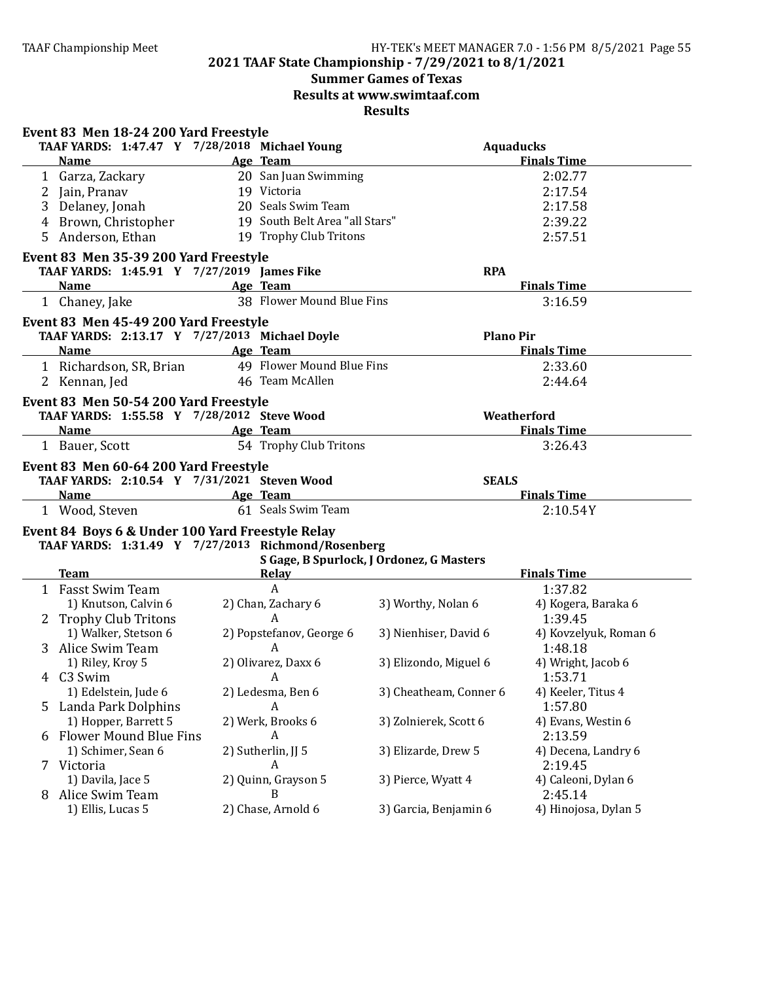**2021 TAAF State Championship - 7/29/2021 to 8/1/2021**

# **Summer Games of Texas**

**Results at www.swimtaaf.com**

|   | Event 83 Men 18-24 200 Yard Freestyle              |                                |                                                                                                                                                                                                                                |                       |
|---|----------------------------------------------------|--------------------------------|--------------------------------------------------------------------------------------------------------------------------------------------------------------------------------------------------------------------------------|-----------------------|
|   | TAAF YARDS: 1:47.47 Y 7/28/2018 Michael Young      |                                |                                                                                                                                                                                                                                | <b>Aquaducks</b>      |
|   | <b>Name</b>                                        | Age Team                       |                                                                                                                                                                                                                                | <b>Finals Time</b>    |
|   | 1 Garza, Zackary                                   | 20 San Juan Swimming           |                                                                                                                                                                                                                                | 2:02.77               |
|   | 2 Jain, Pranav                                     | 19 Victoria                    |                                                                                                                                                                                                                                | 2:17.54               |
| 3 | Delaney, Jonah                                     | 20 Seals Swim Team             |                                                                                                                                                                                                                                | 2:17.58               |
| 4 | Brown, Christopher                                 | 19 South Belt Area "all Stars" |                                                                                                                                                                                                                                | 2:39.22               |
| 5 | Anderson, Ethan                                    | 19 Trophy Club Tritons         |                                                                                                                                                                                                                                | 2:57.51               |
|   | Event 83 Men 35-39 200 Yard Freestyle              |                                |                                                                                                                                                                                                                                |                       |
|   | TAAF YARDS: 1:45.91 Y 7/27/2019 James Fike         |                                | <b>RPA</b>                                                                                                                                                                                                                     |                       |
|   | <b>Example 2</b> Age Team<br>Name                  |                                |                                                                                                                                                                                                                                | <b>Finals Time</b>    |
|   | 1 Chaney, Jake                                     | 38 Flower Mound Blue Fins      |                                                                                                                                                                                                                                | 3:16.59               |
|   | Event 83 Men 45-49 200 Yard Freestyle              |                                |                                                                                                                                                                                                                                |                       |
|   | TAAF YARDS: 2:13.17 Y 7/27/2013 Michael Doyle      |                                |                                                                                                                                                                                                                                | <b>Plano Pir</b>      |
|   | Name Age Team                                      |                                |                                                                                                                                                                                                                                | <b>Finals Time</b>    |
|   | 1 Richardson, SR, Brian 49 Flower Mound Blue Fins  |                                |                                                                                                                                                                                                                                | 2:33.60               |
|   | 2 Kennan, Jed                                      | 46 Team McAllen                |                                                                                                                                                                                                                                | 2:44.64               |
|   | Event 83 Men 50-54 200 Yard Freestyle              |                                |                                                                                                                                                                                                                                |                       |
|   | TAAF YARDS: 1:55.58 Y 7/28/2012 Steve Wood         |                                |                                                                                                                                                                                                                                | Weatherford           |
|   | <b>Example 2</b> Age Team<br><b>Name</b>           |                                |                                                                                                                                                                                                                                | <b>Finals Time</b>    |
|   | 1 Bauer, Scott                                     | 54 Trophy Club Tritons         |                                                                                                                                                                                                                                | 3:26.43               |
|   | Event 83 Men 60-64 200 Yard Freestyle              |                                |                                                                                                                                                                                                                                |                       |
|   | TAAF YARDS: 2:10.54 Y 7/31/2021 Steven Wood        |                                | <b>SEALS</b>                                                                                                                                                                                                                   |                       |
|   | <b>Name</b>                                        | Age Team                       |                                                                                                                                                                                                                                | <b>Finals Time</b>    |
|   | 1 Wood, Steven                                     | 61 Seals Swim Team             |                                                                                                                                                                                                                                | 2:10.54Y              |
|   | Event 84 Boys 6 & Under 100 Yard Freestyle Relay   |                                |                                                                                                                                                                                                                                |                       |
|   | TAAF YARDS: 1:31.49 Y 7/27/2013 Richmond/Rosenberg |                                |                                                                                                                                                                                                                                |                       |
|   |                                                    |                                | S Gage, B Spurlock, J Ordonez, G Masters                                                                                                                                                                                       |                       |
|   | <b>Team</b>                                        | $\mathbf{A}$                   | Relay experience and the second state of the second state of the second state of the second state of the second state of the second state of the second state of the second state of the second state of the second state of t | <b>Finals Time</b>    |
|   | 1 Fasst Swim Team                                  |                                |                                                                                                                                                                                                                                | 1:37.82               |
|   | 1) Knutson, Calvin 6                               | 2) Chan, Zachary 6             | 3) Worthy, Nolan 6                                                                                                                                                                                                             | 4) Kogera, Baraka 6   |
|   | 2 Trophy Club Tritons                              | $\mathsf{A}$                   |                                                                                                                                                                                                                                | 1:39.45               |
|   | 1) Walker, Stetson 6                               | 2) Popstefanov, George 6       | 3) Nienhiser, David 6                                                                                                                                                                                                          | 4) Kovzelyuk, Roman 6 |
|   | 3 Alice Swim Team                                  | A                              |                                                                                                                                                                                                                                | 1:48.18               |
|   | 1) Riley, Kroy 5                                   | 2) Olivarez, Daxx 6            | 3) Elizondo, Miguel 6                                                                                                                                                                                                          | 4) Wright, Jacob 6    |
|   | 4 C3 Swim                                          | A                              |                                                                                                                                                                                                                                | 1:53.71               |
|   | 1) Edelstein, Jude 6                               | 2) Ledesma, Ben 6              | 3) Cheatheam, Conner 6                                                                                                                                                                                                         | 4) Keeler, Titus 4    |
|   | 5 Landa Park Dolphins                              | A                              |                                                                                                                                                                                                                                | 1:57.80               |
|   | 1) Hopper, Barrett 5                               | 2) Werk, Brooks 6              | 3) Zolnierek, Scott 6                                                                                                                                                                                                          | 4) Evans, Westin 6    |
| 6 | <b>Flower Mound Blue Fins</b>                      | A                              |                                                                                                                                                                                                                                | 2:13.59               |
|   | 1) Schimer, Sean 6                                 | 2) Sutherlin, JJ 5             | 3) Elizarde, Drew 5                                                                                                                                                                                                            | 4) Decena, Landry 6   |
| 7 | Victoria                                           | A                              |                                                                                                                                                                                                                                | 2:19.45               |
|   | 1) Davila, Jace 5                                  | 2) Quinn, Grayson 5            | 3) Pierce, Wyatt 4                                                                                                                                                                                                             | 4) Caleoni, Dylan 6   |
| 8 | Alice Swim Team                                    | B                              |                                                                                                                                                                                                                                | 2:45.14               |
|   | 1) Ellis, Lucas 5                                  | 2) Chase, Arnold 6             | 3) Garcia, Benjamin 6                                                                                                                                                                                                          | 4) Hinojosa, Dylan 5  |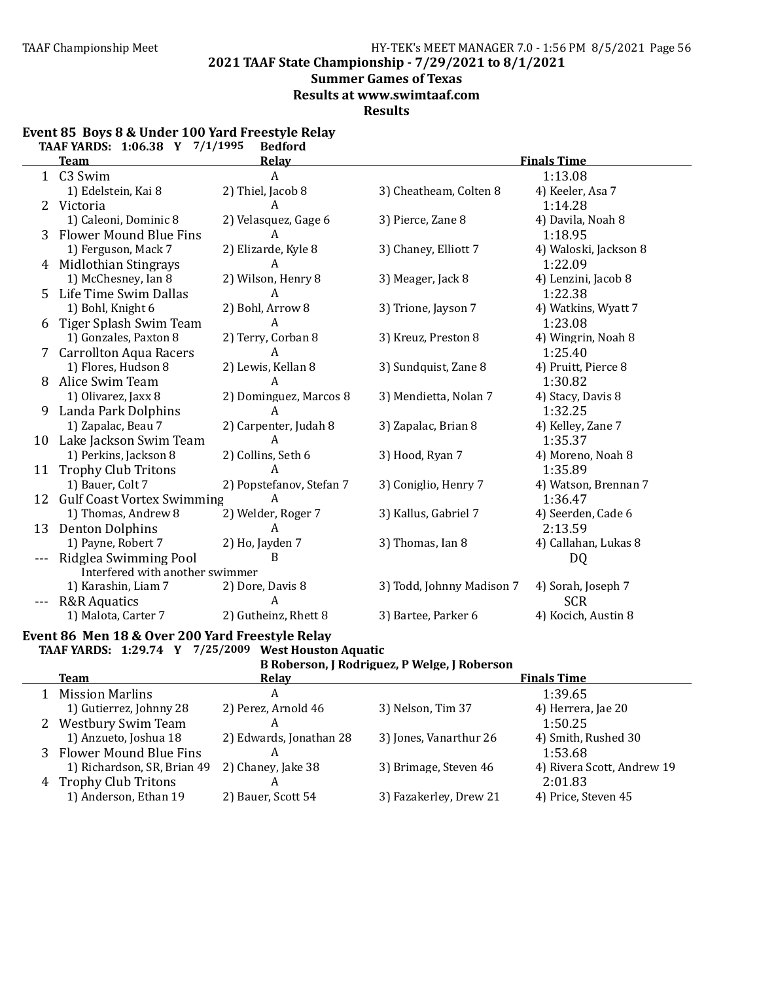**2021 TAAF State Championship - 7/29/2021 to 8/1/2021**

### **Summer Games of Texas**

**Results at www.swimtaaf.com**

**Results**

|                           | <u>ו טטיסטיד דימען ועדו</u><br>1111777<br>Deuloru |                          |                           |                       |  |  |  |  |
|---------------------------|---------------------------------------------------|--------------------------|---------------------------|-----------------------|--|--|--|--|
|                           | Team                                              | Relay                    |                           | <b>Finals Time</b>    |  |  |  |  |
|                           | 1 C3 Swim                                         | A                        |                           | 1:13.08               |  |  |  |  |
|                           | 1) Edelstein, Kai 8                               | 2) Thiel, Jacob 8        | 3) Cheatheam, Colten 8    | 4) Keeler, Asa 7      |  |  |  |  |
| $\mathbf{2}^{\mathsf{I}}$ | Victoria                                          | A                        |                           | 1:14.28               |  |  |  |  |
|                           | 1) Caleoni, Dominic 8                             | 2) Velasquez, Gage 6     | 3) Pierce, Zane 8         | 4) Davila, Noah 8     |  |  |  |  |
| 3                         | <b>Flower Mound Blue Fins</b>                     | A                        |                           | 1:18.95               |  |  |  |  |
|                           | 1) Ferguson, Mack 7                               | 2) Elizarde, Kyle 8      | 3) Chaney, Elliott 7      | 4) Waloski, Jackson 8 |  |  |  |  |
|                           | 4 Midlothian Stingrays                            | A                        |                           | 1:22.09               |  |  |  |  |
|                           | 1) McChesney, Ian 8                               | 2) Wilson, Henry 8       | 3) Meager, Jack 8         | 4) Lenzini, Jacob 8   |  |  |  |  |
|                           | Life Time Swim Dallas                             | A                        |                           | 1:22.38               |  |  |  |  |
|                           | 1) Bohl, Knight 6                                 | 2) Bohl, Arrow 8         | 3) Trione, Jayson 7       | 4) Watkins, Wyatt 7   |  |  |  |  |
|                           | Tiger Splash Swim Team                            | Α                        |                           | 1:23.08               |  |  |  |  |
|                           | 1) Gonzales, Paxton 8                             | 2) Terry, Corban 8       | 3) Kreuz, Preston 8       | 4) Wingrin, Noah 8    |  |  |  |  |
|                           | <b>Carrollton Aqua Racers</b>                     | A                        |                           | 1:25.40               |  |  |  |  |
|                           | 1) Flores, Hudson 8                               | 2) Lewis, Kellan 8       | 3) Sundquist, Zane 8      | 4) Pruitt, Pierce 8   |  |  |  |  |
| 8                         | Alice Swim Team                                   | А                        |                           | 1:30.82               |  |  |  |  |
|                           | 1) Olivarez, Jaxx 8                               | 2) Dominguez, Marcos 8   | 3) Mendietta, Nolan 7     | 4) Stacy, Davis 8     |  |  |  |  |
| 9.                        | Landa Park Dolphins                               | A                        |                           | 1:32.25               |  |  |  |  |
|                           | 1) Zapalac, Beau 7                                | 2) Carpenter, Judah 8    | 3) Zapalac, Brian 8       | 4) Kelley, Zane 7     |  |  |  |  |
|                           | 10 Lake Jackson Swim Team                         | A                        |                           | 1:35.37               |  |  |  |  |
|                           | 1) Perkins, Jackson 8                             | 2) Collins, Seth 6       | 3) Hood, Ryan 7           | 4) Moreno, Noah 8     |  |  |  |  |
| 11                        | <b>Trophy Club Tritons</b>                        | A                        |                           | 1:35.89               |  |  |  |  |
|                           | 1) Bauer, Colt 7                                  | 2) Popstefanov, Stefan 7 | 3) Coniglio, Henry 7      | 4) Watson, Brennan 7  |  |  |  |  |
|                           | 12 Gulf Coast Vortex Swimming                     | A                        |                           | 1:36.47               |  |  |  |  |
|                           | 1) Thomas, Andrew 8                               | 2) Welder, Roger 7       | 3) Kallus, Gabriel 7      | 4) Seerden, Cade 6    |  |  |  |  |
| 13                        | <b>Denton Dolphins</b>                            |                          |                           | 2:13.59               |  |  |  |  |
|                           | 1) Payne, Robert 7                                | 2) Ho, Jayden 7          | 3) Thomas, Ian 8          | 4) Callahan, Lukas 8  |  |  |  |  |
|                           | Ridglea Swimming Pool                             | B                        |                           | DQ                    |  |  |  |  |
|                           | Interfered with another swimmer                   |                          |                           |                       |  |  |  |  |
|                           | 1) Karashin, Liam 7                               | 2) Dore, Davis 8         | 3) Todd, Johnny Madison 7 | 4) Sorah, Joseph 7    |  |  |  |  |
|                           | <b>R&amp;R</b> Aquatics                           | А                        |                           | <b>SCR</b>            |  |  |  |  |
|                           | 1) Malota, Carter 7                               | 2) Gutheinz, Rhett 8     | 3) Bartee, Parker 6       | 4) Kocich, Austin 8   |  |  |  |  |
|                           |                                                   |                          |                           |                       |  |  |  |  |

### **Event 85 Boys 8 & Under 100 Yard Freestyle Relay TAAF YARDS: 1:06.38 Y 7/1/1995 Bedford**

Event 86 Men 18 & Over 200 Yard Freestyle Relay **TAAF YARDS: 1:29.74 Y 7/25/2009 West Houston Aquatic**

| B Roberson, J Rodriguez, P Welge, J Roberson |  |  |  |  |
|----------------------------------------------|--|--|--|--|
|----------------------------------------------|--|--|--|--|

| Team                        | <b>Relay</b>            |                        | <b>Finals Time</b>         |
|-----------------------------|-------------------------|------------------------|----------------------------|
| <b>Mission Marlins</b>      | A                       |                        | 1:39.65                    |
| 1) Gutierrez, Johnny 28     | 2) Perez, Arnold 46     | 3) Nelson, Tim 37      | 4) Herrera, Jae 20         |
| 2 Westbury Swim Team        | А                       |                        | 1:50.25                    |
| 1) Anzueto, Joshua 18       | 2) Edwards, Jonathan 28 | 3) Jones, Vanarthur 26 | 4) Smith, Rushed 30        |
| 3 Flower Mound Blue Fins    | А                       |                        | 1:53.68                    |
| 1) Richardson, SR, Brian 49 | 2) Chaney, Jake 38      | 3) Brimage, Steven 46  | 4) Rivera Scott, Andrew 19 |
| 4 Trophy Club Tritons       |                         |                        | 2:01.83                    |
| 1) Anderson, Ethan 19       | 2) Bauer, Scott 54      | 3) Fazakerley, Drew 21 | 4) Price, Steven 45        |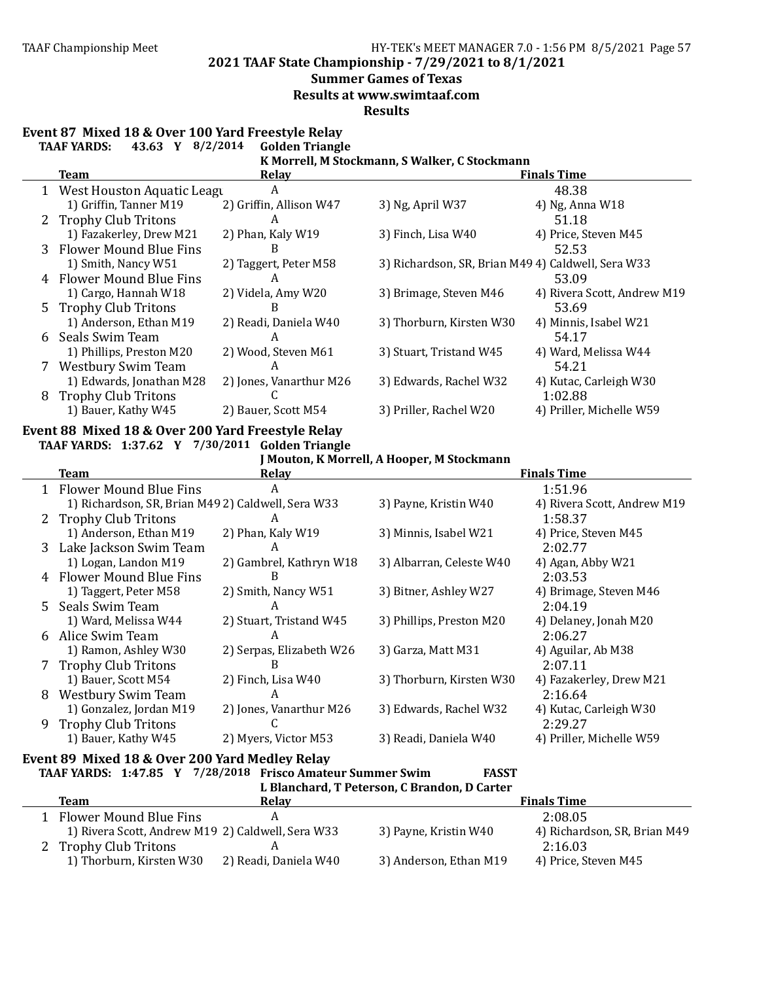**2021 TAAF State Championship - 7/29/2021 to 8/1/2021**

#### **Summer Games of Texas**

**Results at www.swimtaaf.com**

**Results**

### Event 87 Mixed 18 & Over 100 Yard Freestyle Relay

**TAAF YARDS: 43.63 Y 8/2/2014 Golden Triangle**

#### **K** Morrell, M Stockmann, S Walker, C Stockmann

|   | Team                         | <b>Relay</b>            |                                                    | <b>Finals Time</b>          |
|---|------------------------------|-------------------------|----------------------------------------------------|-----------------------------|
|   | 1 West Houston Aquatic Leagu | A                       |                                                    | 48.38                       |
|   | 1) Griffin, Tanner M19       | 2) Griffin, Allison W47 | 3) Ng, April W37                                   | 4) Ng, Anna W18             |
|   | 2 Trophy Club Tritons        | A                       |                                                    | 51.18                       |
|   | 1) Fazakerley, Drew M21      | 2) Phan, Kaly W19       | 3) Finch, Lisa W40                                 | 4) Price, Steven M45        |
|   | 3 Flower Mound Blue Fins     | B                       |                                                    | 52.53                       |
|   | 1) Smith, Nancy W51          | 2) Taggert, Peter M58   | 3) Richardson, SR, Brian M49 4) Caldwell, Sera W33 |                             |
|   | 4 Flower Mound Blue Fins     | A                       |                                                    | 53.09                       |
|   | 1) Cargo, Hannah W18         | 2) Videla, Amy W20      | 3) Brimage, Steven M46                             | 4) Rivera Scott, Andrew M19 |
|   | 5 Trophy Club Tritons        | B                       |                                                    | 53.69                       |
|   | 1) Anderson, Ethan M19       | 2) Readi, Daniela W40   | 3) Thorburn, Kirsten W30                           | 4) Minnis, Isabel W21       |
| 6 | Seals Swim Team              | A                       |                                                    | 54.17                       |
|   | 1) Phillips, Preston M20     | 2) Wood, Steven M61     | 3) Stuart, Tristand W45                            | 4) Ward, Melissa W44        |
|   | Westbury Swim Team           | A                       |                                                    | 54.21                       |
|   | 1) Edwards, Jonathan M28     | 2) Jones, Vanarthur M26 | 3) Edwards, Rachel W32                             | 4) Kutac, Carleigh W30      |
| 8 | <b>Trophy Club Tritons</b>   |                         |                                                    | 1:02.88                     |
|   | 1) Bauer, Kathy W45          | 2) Bauer, Scott M54     | 3) Priller, Rachel W20                             | 4) Priller, Michelle W59    |

#### **Event 88 Mixed 18 & Over 200 Yard Freestyle Relay TAAF YARDS: 1:37.62 Y 7/30/2011 Golden Triangle**

**J** Mouton, K Morrell, A Hooper, M Stockmann

|    | <b>Team</b>                                        | Relay                    |                          | <b>Finals Time</b>          |
|----|----------------------------------------------------|--------------------------|--------------------------|-----------------------------|
|    | 1 Flower Mound Blue Fins                           | A                        |                          | 1:51.96                     |
|    | 1) Richardson, SR, Brian M49 2) Caldwell, Sera W33 |                          | 3) Payne, Kristin W40    | 4) Rivera Scott, Andrew M19 |
|    | 2 Trophy Club Tritons                              | A                        |                          | 1:58.37                     |
|    | 1) Anderson, Ethan M19                             | 2) Phan, Kaly W19        | 3) Minnis, Isabel W21    | 4) Price, Steven M45        |
| 3. | Lake Jackson Swim Team                             | A                        |                          | 2:02.77                     |
|    | 1) Logan, Landon M19                               | 2) Gambrel, Kathryn W18  | 3) Albarran, Celeste W40 | 4) Agan, Abby W21           |
|    | 4 Flower Mound Blue Fins                           | B                        |                          | 2:03.53                     |
|    | 1) Taggert, Peter M58                              | 2) Smith, Nancy W51      | 3) Bitner, Ashley W27    | 4) Brimage, Steven M46      |
| 5. | Seals Swim Team                                    | A                        |                          | 2:04.19                     |
|    | 1) Ward, Melissa W44                               | 2) Stuart, Tristand W45  | 3) Phillips, Preston M20 | 4) Delaney, Jonah M20       |
| 6  | Alice Swim Team                                    | A                        |                          | 2:06.27                     |
|    | 1) Ramon, Ashley W30                               | 2) Serpas, Elizabeth W26 | 3) Garza, Matt M31       | 4) Aguilar, Ab M38          |
|    | <b>Trophy Club Tritons</b>                         | B                        |                          | 2:07.11                     |
|    | 1) Bauer, Scott M54                                | 2) Finch, Lisa W40       | 3) Thorburn, Kirsten W30 | 4) Fazakerley, Drew M21     |
| 8  | <b>Westbury Swim Team</b>                          | A                        |                          | 2:16.64                     |
|    | 1) Gonzalez, Jordan M19                            | 2) Jones, Vanarthur M26  | 3) Edwards, Rachel W32   | 4) Kutac, Carleigh W30      |
| 9  | <b>Trophy Club Tritons</b>                         |                          |                          | 2:29.27                     |
|    | 1) Bauer, Kathy W45                                | 2) Myers, Victor M53     | 3) Readi, Daniela W40    | 4) Priller, Michelle W59    |

# Event 89 Mixed 18 & Over 200 Yard Medley Relay

|  |  | TAAF YARDS: 1:47.85 Y 7/28/2018 Frisco Amateur Summer Swim | <b>FASST</b> |
|--|--|------------------------------------------------------------|--------------|
|  |  | L. Blanchard, T. Peterson, C. Brandon, D. Carter           |              |

|                                                   |                       | a biancharaj i i cucroonj o branaonj b oaruch |                              |
|---------------------------------------------------|-----------------------|-----------------------------------------------|------------------------------|
| Team                                              | Relav                 |                                               | <b>Finals Time</b>           |
| Flower Mound Blue Fins                            |                       |                                               | 2:08.05                      |
| 1) Rivera Scott, Andrew M19 2) Caldwell, Sera W33 |                       | 3) Payne, Kristin W40                         | 4) Richardson, SR, Brian M49 |
| 2 Trophy Club Tritons                             |                       |                                               | 2:16.03                      |
| 1) Thorburn, Kirsten W30                          | 2) Readi, Daniela W40 | 3) Anderson, Ethan M19                        | 4) Price, Steven M45         |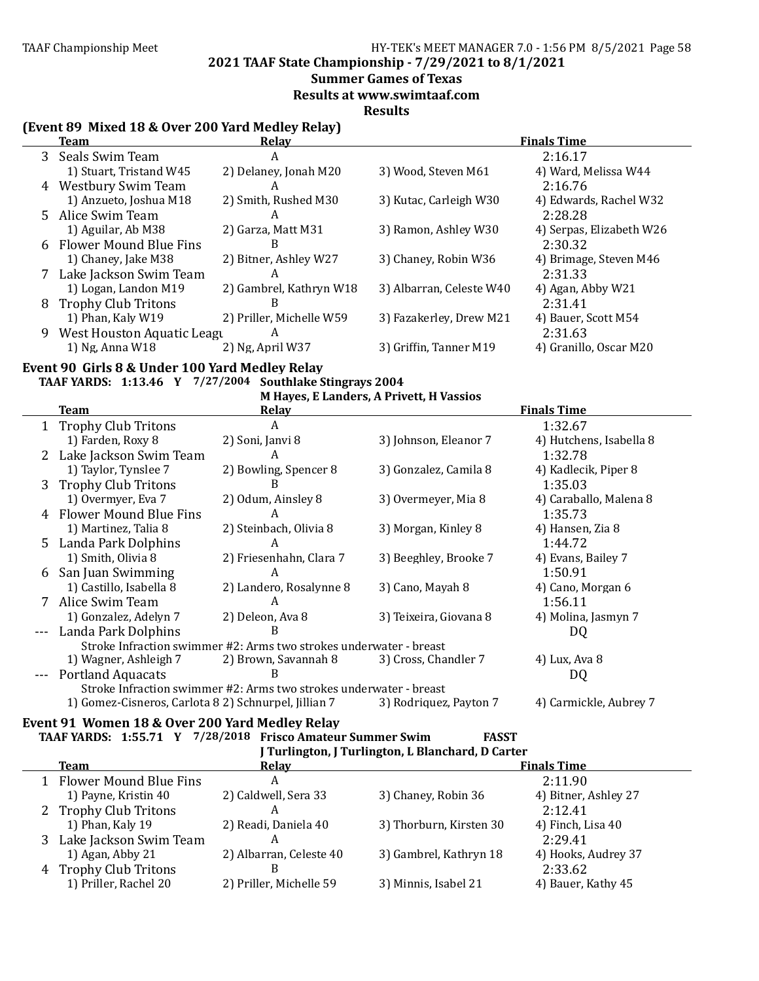**2021 TAAF State Championship - 7/29/2021 to 8/1/2021**

# **Summer Games of Texas**

**Results at www.swimtaaf.com**

**Results**

### **(Event 89 Mixed 18 & Over 200 Yard Medley Relay)**

|   | <b>Team</b>                | Relay                    |                          | <b>Finals Time</b>       |
|---|----------------------------|--------------------------|--------------------------|--------------------------|
|   | 3 Seals Swim Team          | A                        |                          | 2:16.17                  |
|   | 1) Stuart, Tristand W45    | 2) Delaney, Jonah M20    | 3) Wood, Steven M61      | 4) Ward, Melissa W44     |
| 4 | Westbury Swim Team         | A                        |                          | 2:16.76                  |
|   | 1) Anzueto, Joshua M18     | 2) Smith, Rushed M30     | 3) Kutac, Carleigh W30   | 4) Edwards, Rachel W32   |
|   | 5 Alice Swim Team          | A                        |                          | 2:28.28                  |
|   | 1) Aguilar, Ab M38         | 2) Garza, Matt M31       | 3) Ramon, Ashley W30     | 4) Serpas, Elizabeth W26 |
|   | 6 Flower Mound Blue Fins   | B                        |                          | 2:30.32                  |
|   | 1) Chaney, Jake M38        | 2) Bitner, Ashley W27    | 3) Chaney, Robin W36     | 4) Brimage, Steven M46   |
|   | Lake Jackson Swim Team     | A                        |                          | 2:31.33                  |
|   | 1) Logan, Landon M19       | 2) Gambrel, Kathryn W18  | 3) Albarran, Celeste W40 | 4) Agan, Abby W21        |
| 8 | <b>Trophy Club Tritons</b> | B                        |                          | 2:31.41                  |
|   | 1) Phan, Kaly W19          | 2) Priller, Michelle W59 | 3) Fazakerley, Drew M21  | 4) Bauer, Scott M54      |
| 9 | West Houston Aquatic Leagu | A                        |                          | 2:31.63                  |
|   | 1) Ng, Anna W18            | 2) Ng, April W37         | 3) Griffin, Tanner M19   | 4) Granillo, Oscar M20   |

# Event 90 Girls 8 & Under 100 Yard Medley Relay

**TAAF YARDS: 1:13.46 Y 7/27/2004 Southlake Stingrays 2004**

**M** Hayes, E Landers, A Privett, H Vassios

|    | Team                                                 | Relay                                                              |                        | <b>Finals Time</b>      |
|----|------------------------------------------------------|--------------------------------------------------------------------|------------------------|-------------------------|
|    | 1 Trophy Club Tritons                                | A                                                                  |                        | 1:32.67                 |
|    | 1) Farden, Roxy 8                                    | 2) Soni, Janvi 8                                                   | 3) Johnson, Eleanor 7  | 4) Hutchens, Isabella 8 |
|    | 2 Lake Jackson Swim Team                             | A                                                                  |                        | 1:32.78                 |
|    | 1) Taylor, Tynslee 7                                 | 2) Bowling, Spencer 8                                              | 3) Gonzalez, Camila 8  | 4) Kadlecik, Piper 8    |
| 3. | <b>Trophy Club Tritons</b>                           | B                                                                  |                        | 1:35.03                 |
|    | 1) Overmyer, Eva 7                                   | 2) Odum, Ainsley 8                                                 | 3) Overmeyer, Mia 8    | 4) Caraballo, Malena 8  |
|    | <b>Flower Mound Blue Fins</b>                        | A                                                                  |                        | 1:35.73                 |
|    | 1) Martinez, Talia 8                                 | 2) Steinbach, Olivia 8                                             | 3) Morgan, Kinley 8    | 4) Hansen, Zia 8        |
| 5. | Landa Park Dolphins                                  | A                                                                  |                        | 1:44.72                 |
|    | 1) Smith, Olivia 8                                   | 2) Friesenhahn, Clara 7                                            | 3) Beeghley, Brooke 7  | 4) Evans, Bailey 7      |
| 6  | San Juan Swimming                                    | A                                                                  |                        | 1:50.91                 |
|    | 1) Castillo, Isabella 8                              | 2) Landero, Rosalynne 8                                            | 3) Cano, Mayah 8       | 4) Cano, Morgan 6       |
|    | Alice Swim Team                                      | A                                                                  |                        | 1:56.11                 |
|    | 1) Gonzalez, Adelyn 7                                | 2) Deleon, Ava 8                                                   | 3) Teixeira, Giovana 8 | 4) Molina, Jasmyn 7     |
|    | Landa Park Dolphins                                  | B                                                                  |                        | DQ                      |
|    |                                                      | Stroke Infraction swimmer #2: Arms two strokes underwater - breast |                        |                         |
|    | 1) Wagner, Ashleigh 7                                | 2) Brown, Savannah 8                                               | 3) Cross, Chandler 7   | 4) Lux, Ava 8           |
|    | <b>Portland Aquacats</b>                             | B                                                                  |                        | DQ                      |
|    |                                                      | Stroke Infraction swimmer #2: Arms two strokes underwater - breast |                        |                         |
|    | 1) Gomez-Cisneros, Carlota 8 2) Schnurpel, Jillian 7 |                                                                    | 3) Rodriquez, Payton 7 | 4) Carmickle, Aubrey 7  |

#### Event 91 Women 18 & Over 200 Yard Medley Relay **TAAF YARDS:**

|  | 1:55.71 Y 7/28/2018 Frisco Amateur Summer Swim | <b>FASST</b> |
|--|------------------------------------------------|--------------|
|  |                                                |              |

|    | J Turlington, J Turlington, L Blanchard, D Carter |                         |                         |                      |  |  |  |
|----|---------------------------------------------------|-------------------------|-------------------------|----------------------|--|--|--|
|    | <b>Team</b>                                       | Relay                   |                         | <b>Finals Time</b>   |  |  |  |
|    | 1 Flower Mound Blue Fins                          | A                       |                         | 2:11.90              |  |  |  |
|    | 1) Payne, Kristin 40                              | 2) Caldwell, Sera 33    | 3) Chaney, Robin 36     | 4) Bitner, Ashley 27 |  |  |  |
|    | 2 Trophy Club Tritons                             | А                       |                         | 2:12.41              |  |  |  |
|    | 1) Phan, Kaly 19                                  | 2) Readi, Daniela 40    | 3) Thorburn, Kirsten 30 | 4) Finch, Lisa 40    |  |  |  |
| 3. | Lake Jackson Swim Team                            | А                       |                         | 2:29.41              |  |  |  |
|    | 1) Agan, Abby 21                                  | 2) Albarran, Celeste 40 | 3) Gambrel, Kathryn 18  | 4) Hooks, Audrey 37  |  |  |  |
|    | 4 Trophy Club Tritons                             |                         |                         | 2:33.62              |  |  |  |
|    | 1) Priller, Rachel 20                             | 2) Priller, Michelle 59 | 3) Minnis, Isabel 21    | 4) Bauer, Kathy 45   |  |  |  |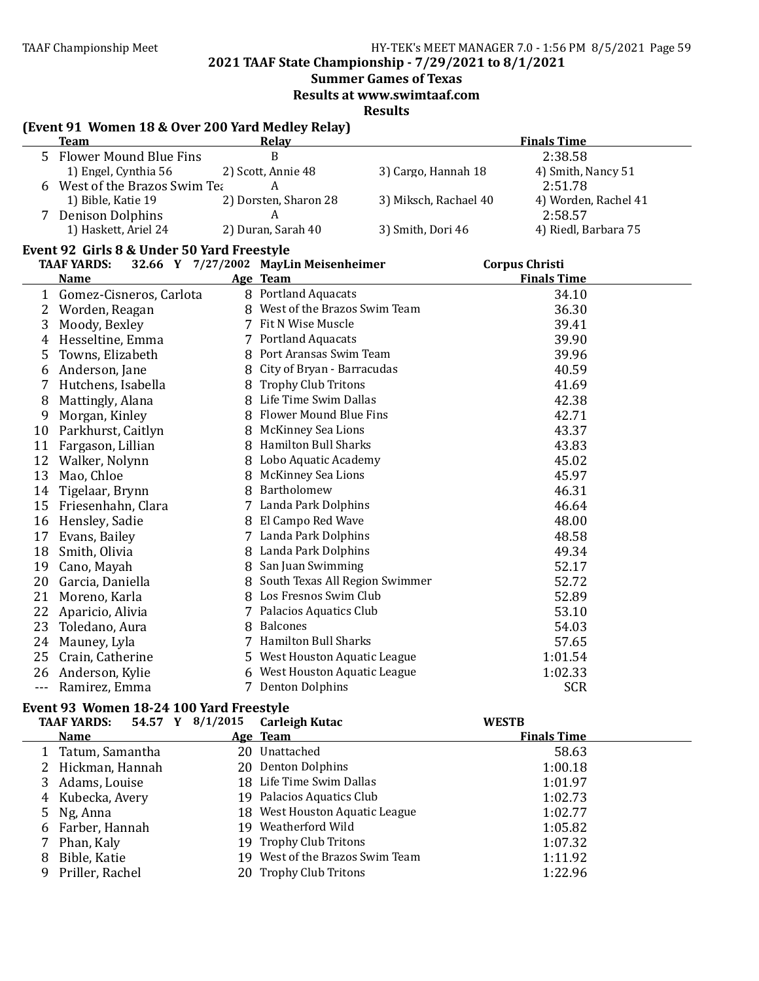**2021 TAAF State Championship - 7/29/2021 to 8/1/2021**

**Summer Games of Texas** 

**Results at www.swimtaaf.com**

**Results**

# **(Event 91 Women 18 & Over 200 Yard Medley Relay)**

|   | <b>Team</b>                 | <b>Relay</b>          |                       | <b>Finals Time</b>   |
|---|-----------------------------|-----------------------|-----------------------|----------------------|
|   | 5 Flower Mound Blue Fins    |                       |                       | 2:38.58              |
|   | 1) Engel, Cynthia 56        | 2) Scott, Annie 48    | 3) Cargo, Hannah 18   | 4) Smith, Nancy 51   |
| 6 | West of the Brazos Swim Tea |                       |                       | 2:51.78              |
|   | 1) Bible, Katie 19          | 2) Dorsten, Sharon 28 | 3) Miksch, Rachael 40 | 4) Worden, Rachel 41 |
|   | <b>Denison Dolphins</b>     |                       |                       | 2:58.57              |
|   | 1) Haskett, Ariel 24        | 2) Duran, Sarah 40    | 3) Smith, Dori 46     | 4) Riedl, Barbara 75 |

# Event 92 Girls 8 & Under 50 Yard Freestyle

|     | <b>TAAF YARDS:</b>      |    | 32.66 Y 7/27/2002 MayLin Meisenheimer | <b>Corpus Christi</b> |  |
|-----|-------------------------|----|---------------------------------------|-----------------------|--|
|     | Name                    |    | Age Team                              | <b>Finals Time</b>    |  |
| 1   | Gomez-Cisneros, Carlota |    | 8 Portland Aquacats                   | 34.10                 |  |
| 2   | Worden, Reagan          | 8  | West of the Brazos Swim Team          | 36.30                 |  |
| 3   | Moody, Bexley           |    | Fit N Wise Muscle                     | 39.41                 |  |
| 4   | Hesseltine, Emma        |    | 7 Portland Aquacats                   | 39.90                 |  |
| 5   | Towns, Elizabeth        |    | 8 Port Aransas Swim Team              | 39.96                 |  |
| 6   | Anderson, Jane          | 8  | City of Bryan - Barracudas            | 40.59                 |  |
| 7   | Hutchens, Isabella      |    | 8 Trophy Club Tritons                 | 41.69                 |  |
| 8   | Mattingly, Alana        | 8  | Life Time Swim Dallas                 | 42.38                 |  |
| 9   | Morgan, Kinley          | 8  | Flower Mound Blue Fins                | 42.71                 |  |
| 10  | Parkhurst, Caitlyn      | 8  | <b>McKinney Sea Lions</b>             | 43.37                 |  |
| 11  | Fargason, Lillian       | 8  | <b>Hamilton Bull Sharks</b>           | 43.83                 |  |
| 12  | Walker, Nolynn          | 8  | Lobo Aquatic Academy                  | 45.02                 |  |
| 13  | Mao, Chloe              | 8  | McKinney Sea Lions                    | 45.97                 |  |
| 14  | Tigelaar, Brynn         | 8  | Bartholomew                           | 46.31                 |  |
| 15  | Friesenhahn, Clara      | 7  | Landa Park Dolphins                   | 46.64                 |  |
| 16  | Hensley, Sadie          | 8  | El Campo Red Wave                     | 48.00                 |  |
| 17  | Evans, Bailey           | 7  | Landa Park Dolphins                   | 48.58                 |  |
| 18  | Smith, Olivia           | 8  | Landa Park Dolphins                   | 49.34                 |  |
| 19  | Cano, Mayah             | 8  | San Juan Swimming                     | 52.17                 |  |
| 20  | Garcia, Daniella        | 8  | South Texas All Region Swimmer        | 52.72                 |  |
| 21  | Moreno, Karla           |    | 8 Los Fresnos Swim Club               | 52.89                 |  |
| 22  | Aparicio, Alivia        | 7  | Palacios Aquatics Club                | 53.10                 |  |
| 23  | Toledano, Aura          | 8  | <b>Balcones</b>                       | 54.03                 |  |
| 24  | Mauney, Lyla            | 7  | Hamilton Bull Sharks                  | 57.65                 |  |
| 25  | Crain, Catherine        | 5. | West Houston Aquatic League           | 1:01.54               |  |
| 26  | Anderson, Kylie         |    | 6 West Houston Aquatic League         | 1:02.33               |  |
| --- | Ramirez, Emma           | 7  | <b>Denton Dolphins</b>                | <b>SCR</b>            |  |

### Event 93 Women 18-24 100 Yard Freestyle

|   | <b>TAAF YARDS:</b> | 54.57 Y 8/1/2015 | Carleigh Kutac                 | <b>WESTB</b>       |  |
|---|--------------------|------------------|--------------------------------|--------------------|--|
|   | <b>Name</b>        |                  | Age Team                       | <b>Finals Time</b> |  |
|   | 1 Tatum, Samantha  |                  | 20 Unattached                  | 58.63              |  |
|   | 2 Hickman, Hannah  |                  | 20 Denton Dolphins             | 1:00.18            |  |
|   | Adams, Louise      |                  | 18 Life Time Swim Dallas       | 1:01.97            |  |
| 4 | Kubecka, Avery     |                  | 19 Palacios Aquatics Club      | 1:02.73            |  |
|   | 5 Ng, Anna         |                  | 18 West Houston Aquatic League | 1:02.77            |  |
| 6 | Farber, Hannah     | 19.              | Weatherford Wild               | 1:05.82            |  |
|   | Phan, Kaly         |                  | 19 Trophy Club Tritons         | 1:07.32            |  |
| 8 | Bible, Katie       | 19.              | West of the Brazos Swim Team   | 1:11.92            |  |
| 9 | Priller, Rachel    |                  | 20 Trophy Club Tritons         | 1:22.96            |  |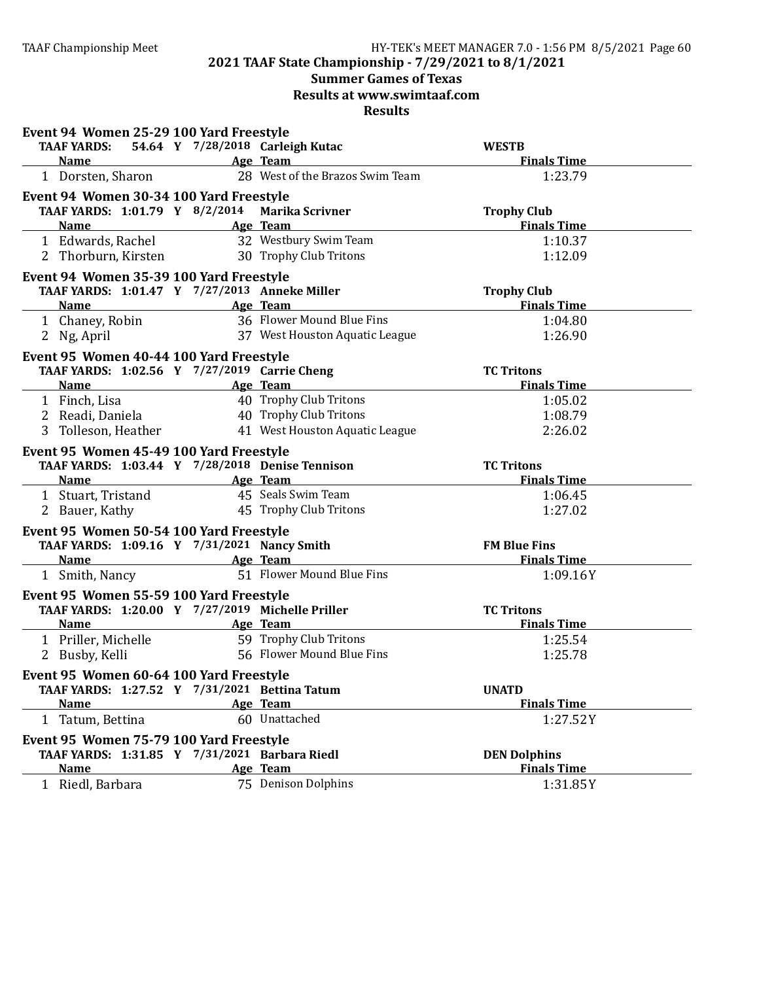# **Summer Games of Texas**

**Results at www.swimtaaf.com**

| Event 94 Women 25-29 100 Yard Freestyle                |                                  |                     |
|--------------------------------------------------------|----------------------------------|---------------------|
| <b>TAAF YARDS:</b>                                     | 54.64 Y 7/28/2018 Carleigh Kutac | <b>WESTB</b>        |
| <b>Name</b><br><b>Example 2016</b> Age Team            |                                  | <b>Finals Time</b>  |
| 1 Dorsten, Sharon                                      | 28 West of the Brazos Swim Team  | 1:23.79             |
| Event 94 Women 30-34 100 Yard Freestyle                |                                  |                     |
| TAAF YARDS: 1:01.79 Y 8/2/2014 Marika Scrivner         |                                  | <b>Trophy Club</b>  |
| <b>Name</b>                                            | Age Team                         | <b>Finals Time</b>  |
| 1 Edwards, Rachel                                      | 32 Westbury Swim Team            | 1:10.37             |
| 2 Thorburn, Kirsten                                    | 30 Trophy Club Tritons           | 1:12.09             |
| Event 94 Women 35-39 100 Yard Freestyle                |                                  |                     |
| TAAF YARDS: 1:01.47 Y 7/27/2013 Anneke Miller          |                                  | <b>Trophy Club</b>  |
| <b>Name</b>                                            | Age Team                         | <b>Finals Time</b>  |
| 1 Chaney, Robin                                        | 36 Flower Mound Blue Fins        | 1:04.80             |
| 2 Ng, April                                            | 37 West Houston Aquatic League   | 1:26.90             |
| Event 95 Women 40-44 100 Yard Freestyle                |                                  |                     |
| TAAF YARDS: 1:02.56 Y 7/27/2019 Carrie Cheng           |                                  | <b>TC Tritons</b>   |
| Name                                                   | Age Team                         | <b>Finals Time</b>  |
| 1 Finch, Lisa                                          | 40 Trophy Club Tritons           | 1:05.02             |
| 2 Readi, Daniela                                       | 40 Trophy Club Tritons           | 1:08.79             |
| 3 Tolleson, Heather                                    | 41 West Houston Aquatic League   | 2:26.02             |
| Event 95 Women 45-49 100 Yard Freestyle                |                                  |                     |
| TAAF YARDS: 1:03.44 Y 7/28/2018 Denise Tennison        |                                  | <b>TC Tritons</b>   |
| Name Age Team                                          |                                  | <b>Finals Time</b>  |
| 1 Stuart, Tristand                                     | 45 Seals Swim Team               | 1:06.45             |
| 2 Bauer, Kathy                                         | 45 Trophy Club Tritons           | 1:27.02             |
|                                                        |                                  |                     |
| Event 95 Women 50-54 100 Yard Freestyle                |                                  |                     |
| TAAF YARDS: 1:09.16 Y 7/31/2021 Nancy Smith            |                                  | <b>FM Blue Fins</b> |
| <b>Name</b><br><u> 1980 - Johann Barbara, martxa a</u> | Age Team                         | <b>Finals Time</b>  |
| 1 Smith, Nancy                                         | 51 Flower Mound Blue Fins        | 1:09.16Y            |
| Event 95 Women 55-59 100 Yard Freestyle                |                                  |                     |
| TAAF YARDS: 1:20.00 Y 7/27/2019 Michelle Priller       |                                  | <b>TC Tritons</b>   |
| <b>Name</b>                                            | Age Team                         | <b>Finals Time</b>  |
| 1 Priller, Michelle                                    | 59 Trophy Club Tritons           | 1:25.54             |
| 2 Busby, Kelli                                         | 56 Flower Mound Blue Fins        | 1:25.78             |
| Event 95 Women 60-64 100 Yard Freestyle                |                                  |                     |
| TAAF YARDS: 1:27.52 Y 7/31/2021 Bettina Tatum          |                                  | <b>UNATD</b>        |
| <b>Name</b>                                            | Age Team                         | <b>Finals Time</b>  |
| 1 Tatum, Bettina                                       | 60 Unattached                    | 1:27.52Y            |
| Event 95 Women 75-79 100 Yard Freestyle                |                                  |                     |
| TAAF YARDS: 1:31.85 Y 7/31/2021 Barbara Riedl          |                                  | <b>DEN Dolphins</b> |
|                                                        |                                  |                     |
| <b>Name</b>                                            | Age Team                         | <b>Finals Time</b>  |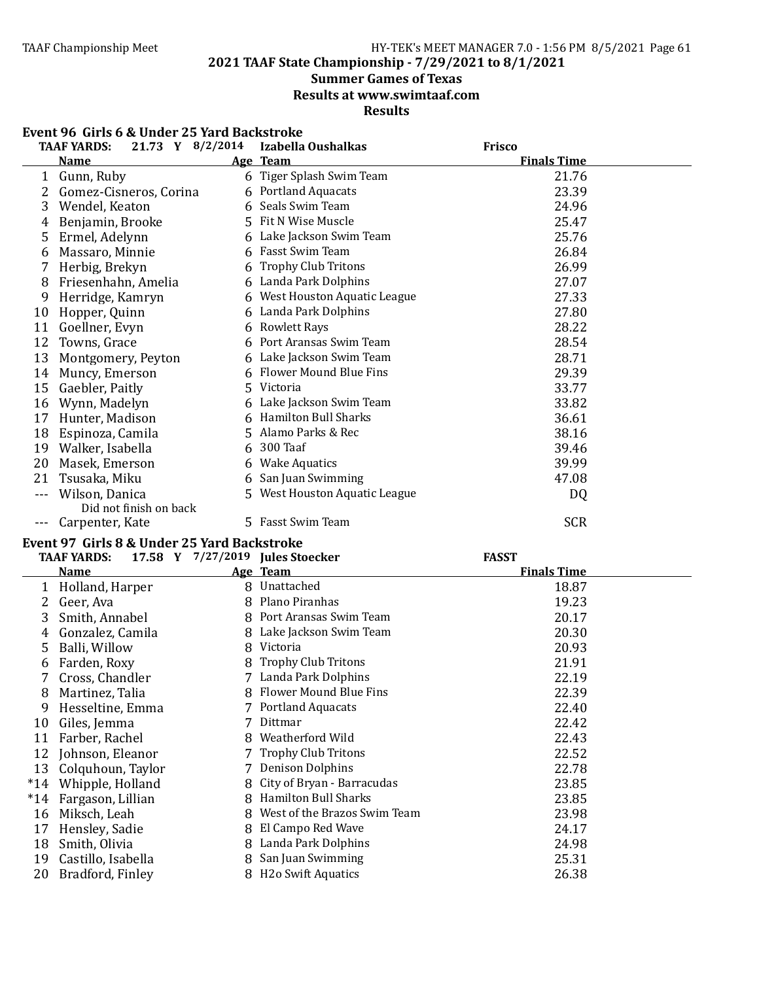20 Bradford, Finley

### TAAF Championship Meet HY-TEK's MEET MANAGER 7.0 - 1:56 PM 8/5/2021 Page 61

**2021 TAAF State Championship - 7/29/2021 to 8/1/2021**

#### **Summer Games of Texas**

**Results at www.swimtaaf.com**

**Results**

|                | ull 13 V OC U<br>uci <i>lis tat</i> u <i>b</i> acksu vkc<br>21.73 Y 8/2/2014<br>TAAF YARDS: |   | Izabella Oushalkas            | Frisco             |  |
|----------------|---------------------------------------------------------------------------------------------|---|-------------------------------|--------------------|--|
|                | <b>Name</b>                                                                                 |   | Age Team                      | <b>Finals Time</b> |  |
|                | 1 Gunn, Ruby                                                                                |   | 6 Tiger Splash Swim Team      | 21.76              |  |
|                | 2 Gomez-Cisneros, Corina                                                                    |   | 6 Portland Aquacats           | 23.39              |  |
| 3              | Wendel, Keaton                                                                              |   | 6 Seals Swim Team             | 24.96              |  |
| 4              | Benjamin, Brooke                                                                            |   | 5 Fit N Wise Muscle           | 25.47              |  |
| 5              | Ermel, Adelynn                                                                              |   | 6 Lake Jackson Swim Team      | 25.76              |  |
| 6              | Massaro, Minnie                                                                             |   | 6 Fasst Swim Team             | 26.84              |  |
| 7              | Herbig, Brekyn                                                                              |   | 6 Trophy Club Tritons         | 26.99              |  |
| 8              | Friesenhahn, Amelia                                                                         |   | 6 Landa Park Dolphins         | 27.07              |  |
| 9              | Herridge, Kamryn                                                                            |   | 6 West Houston Aquatic League | 27.33              |  |
| 10             | Hopper, Quinn                                                                               |   | 6 Landa Park Dolphins         | 27.80              |  |
|                | 11 Goellner, Evyn                                                                           |   | 6 Rowlett Rays                | 28.22              |  |
| 12             | Towns, Grace                                                                                | 6 | Port Aransas Swim Team        | 28.54              |  |
| 13             | Montgomery, Peyton                                                                          |   | 6 Lake Jackson Swim Team      | 28.71              |  |
|                | 14 Muncy, Emerson                                                                           |   | 6 Flower Mound Blue Fins      | 29.39              |  |
|                | 15 Gaebler, Paitly                                                                          |   | 5 Victoria                    | 33.77              |  |
|                | 16 Wynn, Madelyn                                                                            |   | 6 Lake Jackson Swim Team      | 33.82              |  |
|                | 17 Hunter, Madison                                                                          |   | 6 Hamilton Bull Sharks        | 36.61              |  |
|                | 18 Espinoza, Camila                                                                         |   | 5 Alamo Parks & Rec           | 38.16              |  |
|                | 19 Walker, Isabella                                                                         |   | 6 300 Taaf                    | 39.46              |  |
| 20             | Masek, Emerson                                                                              |   | 6 Wake Aquatics               | 39.99              |  |
| 21             | Tsusaka, Miku                                                                               |   | 6 San Juan Swimming           | 47.08              |  |
| $- - -$        | Wilson, Danica                                                                              |   | 5 West Houston Aquatic League | DQ                 |  |
|                | Did not finish on back                                                                      |   |                               |                    |  |
| $- - -$        | Carpenter, Kate                                                                             |   | 5 Fasst Swim Team             | <b>SCR</b>         |  |
|                | Event 97 Girls 8 & Under 25 Yard Backstroke                                                 |   |                               |                    |  |
|                | <b>TAAF YARDS:</b><br>17.58 Y 7/27/2019 Jules Stoecker                                      |   |                               | <b>FASST</b>       |  |
|                | Name                                                                                        |   | Age Team                      | <b>Finals Time</b> |  |
|                | 1 Holland, Harper                                                                           |   | 8 Unattached                  | 18.87              |  |
|                | 2 Geer, Ava                                                                                 |   | 8 Plano Piranhas              | 19.23              |  |
| 3              | Smith, Annabel                                                                              |   | 8 Port Aransas Swim Team      | 20.17              |  |
| $\overline{4}$ | Gonzalez, Camila                                                                            |   | 8 Lake Jackson Swim Team      | 20.30              |  |
| 5              | Balli, Willow                                                                               |   | 8 Victoria                    | 20.93              |  |
| 6              | Farden, Roxy                                                                                |   | 8 Trophy Club Tritons         | 21.91              |  |
| 7              | Cross, Chandler                                                                             |   | 7 Landa Park Dolphins         | 22.19              |  |
| 8              | Martinez, Talia                                                                             |   | 8 Flower Mound Blue Fins      | 22.39              |  |
| 9              | Hesseltine, Emma                                                                            |   | 7 Portland Aquacats           | 22.40              |  |
| 10             | Giles, Jemma                                                                                |   | 7 Dittmar                     | 22.42              |  |
| 11             | Farber, Rachel                                                                              |   | 8 Weatherford Wild            | 22.43              |  |
| 12             | Johnson, Eleanor                                                                            |   | 7 Trophy Club Tritons         | 22.52              |  |

13 Colquhoun, Taylor 7 Denison Dolphins 22.78<br>
14 Whipple, Holland 8 City of Bryan - Barracudas 23.85 8 City of Bryan - Barracudas<br>8 Hamilton Bull Sharks \*14 Fargason, Lillian 8 Hamilton Bull Sharks 23.85 16 Miksch, Leah 8 West of the Brazos Swim Team 23.98<br>17 Hensley, Sadie 8 El Campo Red Wave 24.17 8 El Campo Red Wave 18 Smith, Olivia 8 Landa Park Dolphins 24.98<br>19 Castillo, Isabella 8 San Juan Swimming 25.31 19 Castillo, Isabella 8 San Juan Swimming 25.31 20 Bradford, Finley 8 H2o Swift Aquatics 26.38

#### **Event 96 Girls 6 & Under 25 Yard Backstroke**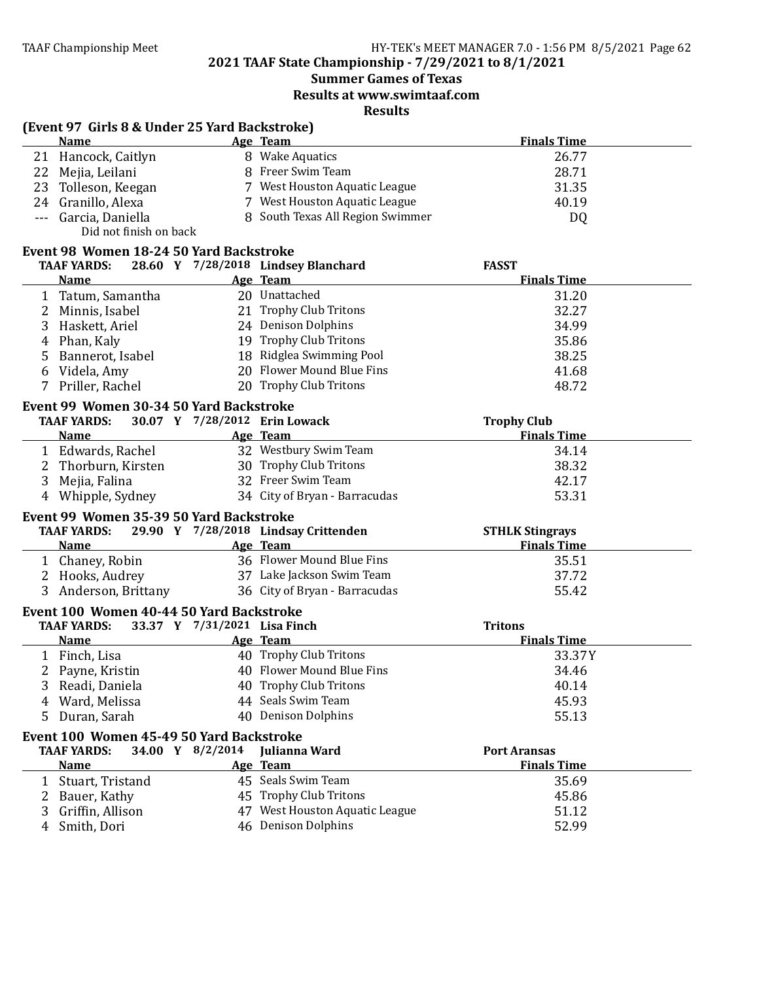**2021 TAAF State Championship - 7/29/2021 to 8/1/2021**

# **Summer Games of Texas**

**Results at www.swimtaaf.com**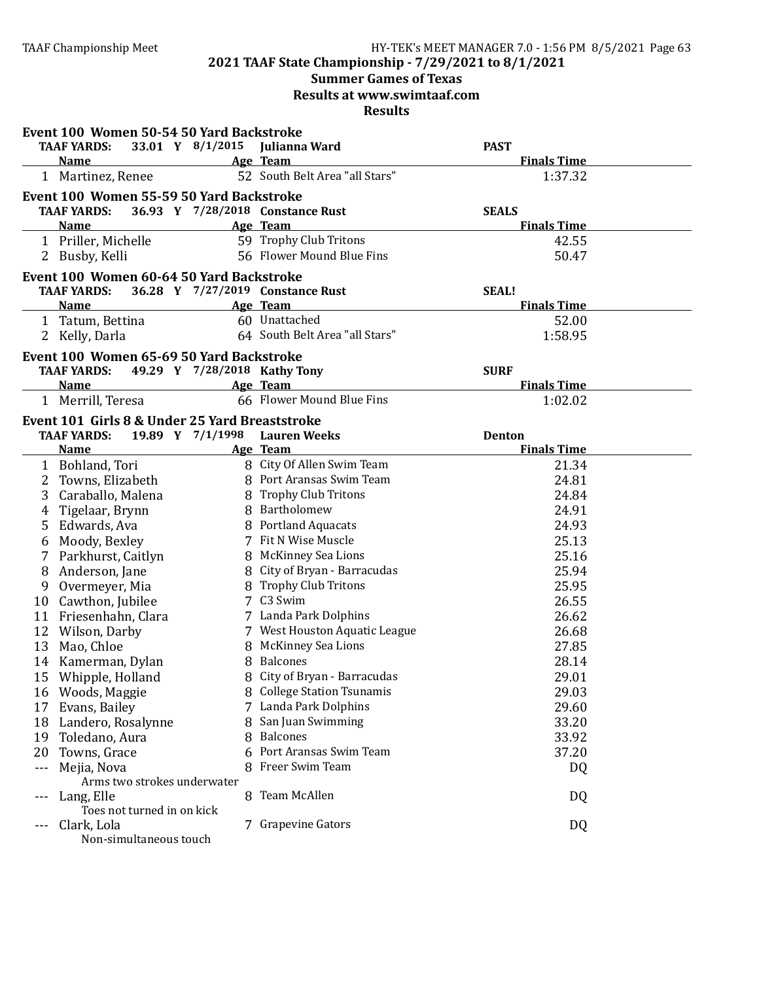# **Summer Games of Texas**

**Results at www.swimtaaf.com**

|      | Event 100 Women 50-54 50 Yard Backstroke       |                              |                                  |                    |  |
|------|------------------------------------------------|------------------------------|----------------------------------|--------------------|--|
|      | <b>TAAF YARDS:</b>                             |                              | 33.01 Y 8/1/2015 Julianna Ward   | <b>PAST</b>        |  |
|      | <b>Name</b>                                    |                              | Age Team                         | <b>Finals Time</b> |  |
|      | 1 Martinez, Renee                              |                              | 52 South Belt Area "all Stars"   | 1:37.32            |  |
|      | Event 100 Women 55-59 50 Yard Backstroke       |                              |                                  |                    |  |
|      | <b>TAAF YARDS:</b>                             |                              | 36.93 Y 7/28/2018 Constance Rust | <b>SEALS</b>       |  |
|      | <b>Name</b>                                    |                              | Age Team                         | <b>Finals Time</b> |  |
|      | 1 Priller, Michelle                            |                              | 59 Trophy Club Tritons           | 42.55              |  |
|      | 2 Busby, Kelli                                 |                              | 56 Flower Mound Blue Fins        | 50.47              |  |
|      | Event 100 Women 60-64 50 Yard Backstroke       |                              |                                  |                    |  |
|      | <b>TAAF YARDS:</b>                             |                              | 36.28 Y 7/27/2019 Constance Rust | <b>SEAL!</b>       |  |
|      | <b>Name</b>                                    |                              | Age Team                         | <b>Finals Time</b> |  |
|      | 1 Tatum, Bettina                               |                              | 60 Unattached                    | 52.00              |  |
|      | 2 Kelly, Darla                                 |                              | 64 South Belt Area "all Stars"   | 1:58.95            |  |
|      | Event 100 Women 65-69 50 Yard Backstroke       |                              |                                  |                    |  |
|      | <b>TAAF YARDS:</b>                             | 49.29 Y 7/28/2018 Kathy Tony |                                  | <b>SURF</b>        |  |
|      | <b>Name</b>                                    |                              | Age Team                         | <b>Finals Time</b> |  |
|      | 1 Merrill, Teresa                              |                              | 66 Flower Mound Blue Fins        | 1:02.02            |  |
|      | Event 101 Girls 8 & Under 25 Yard Breaststroke |                              |                                  |                    |  |
|      | <b>TAAF YARDS:</b>                             |                              | 19.89 Y 7/1/1998 Lauren Weeks    | <b>Denton</b>      |  |
|      | <b>Name</b>                                    |                              | Age Team                         | <b>Finals Time</b> |  |
|      | 1 Bohland, Tori                                |                              | 8 City Of Allen Swim Team        | 21.34              |  |
| 2    | Towns, Elizabeth                               |                              | 8 Port Aransas Swim Team         | 24.81              |  |
| 3    | Caraballo, Malena                              |                              | 8 Trophy Club Tritons            | 24.84              |  |
| 4    | Tigelaar, Brynn                                |                              | 8 Bartholomew                    | 24.91              |  |
|      | 5 Edwards, Ava                                 |                              | 8 Portland Aquacats              | 24.93              |  |
|      |                                                |                              | 7 Fit N Wise Muscle              | 25.13              |  |
| 6    | Moody, Bexley                                  |                              | 8 McKinney Sea Lions             |                    |  |
| 7    | Parkhurst, Caitlyn                             |                              |                                  | 25.16              |  |
| 8    | Anderson, Jane                                 |                              | 8 City of Bryan - Barracudas     | 25.94              |  |
| 9    | Overmeyer, Mia                                 |                              | 8 Trophy Club Tritons            | 25.95              |  |
|      | 10 Cawthon, Jubilee                            |                              | 7 C3 Swim                        | 26.55              |  |
|      | 11 Friesenhahn, Clara                          |                              | 7 Landa Park Dolphins            | 26.62              |  |
|      | 12 Wilson, Darby                               |                              | 7 West Houston Aquatic League    | 26.68              |  |
| 13   | Mao, Chloe                                     |                              | 8 McKinney Sea Lions             | 27.85              |  |
|      | 14 Kamerman, Dylan                             |                              | 8 Balcones                       | 28.14              |  |
|      | 15 Whipple, Holland                            |                              | 8 City of Bryan - Barracudas     | 29.01              |  |
| 16   | Woods, Maggie                                  |                              | 8 College Station Tsunamis       | 29.03              |  |
| 17   | Evans, Bailey                                  |                              | 7 Landa Park Dolphins            | 29.60              |  |
| 18   | Landero, Rosalynne                             |                              | 8 San Juan Swimming              | 33.20              |  |
| 19   | Toledano, Aura                                 |                              | 8 Balcones                       | 33.92              |  |
| 20   | Towns, Grace                                   |                              | Port Aransas Swim Team           | 37.20              |  |
| $ -$ | Mejia, Nova                                    |                              | 8 Freer Swim Team                | DQ                 |  |
|      | Arms two strokes underwater                    |                              |                                  |                    |  |
| $--$ | Lang, Elle                                     |                              | 8 Team McAllen                   | DQ                 |  |
|      | Toes not turned in on kick                     |                              |                                  |                    |  |
|      | Clark, Lola                                    |                              | 7 Grapevine Gators               | DQ                 |  |
|      | Non-simultaneous touch                         |                              |                                  |                    |  |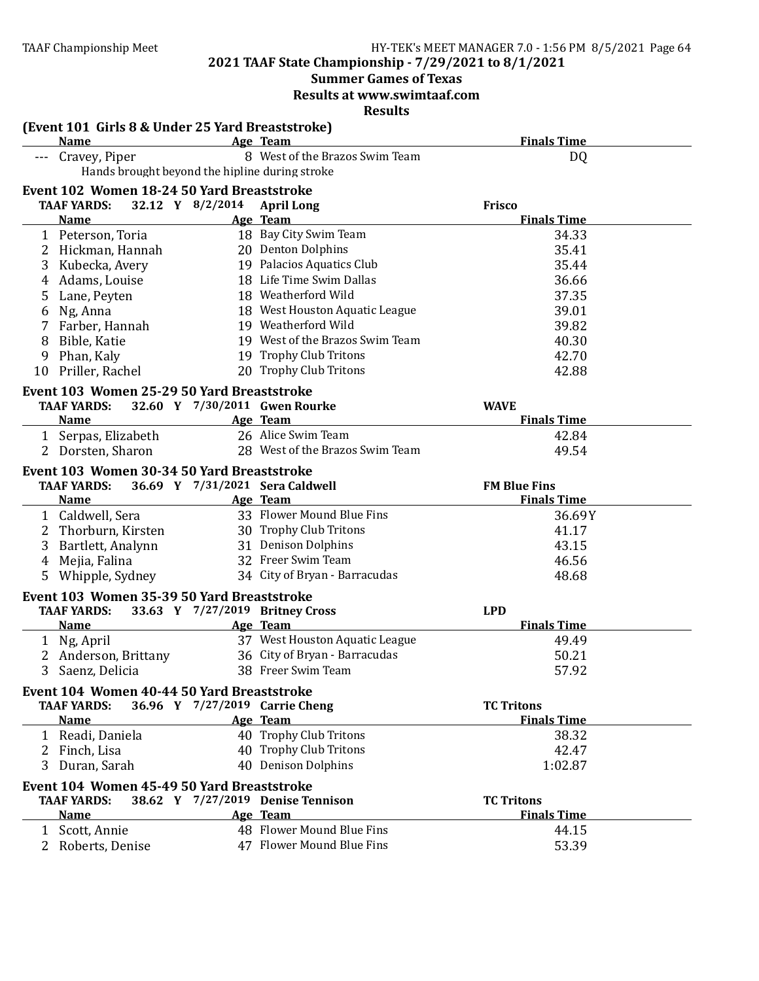**Summer Games of Texas** 

**Results at www.swimtaaf.com**

| <b>Finals Time</b><br><b>Name</b><br><b>Age Team</b><br>8 West of the Brazos Swim Team<br>Cravey, Piper<br>DQ<br>Hands brought beyond the hipline during stroke<br>Event 102 Women 18-24 50 Yard Breaststroke<br>32.12 Y 8/2/2014 April Long<br><b>TAAF YARDS:</b><br><b>Frisco</b><br><b>Finals Time</b><br><b>Name</b><br>Age Team<br>18 Bay City Swim Team<br>34.33<br>1 Peterson, Toria<br>20 Denton Dolphins<br>35.41<br>2 Hickman, Hannah<br>19 Palacios Aquatics Club<br>35.44<br>3 Kubecka, Avery<br>18 Life Time Swim Dallas<br>36.66<br>4 Adams, Louise<br>18 Weatherford Wild<br>37.35<br>5 Lane, Peyten<br>18 West Houston Aquatic League<br>39.01<br>6 Ng, Anna<br>19 Weatherford Wild<br>39.82<br>7 Farber, Hannah<br>19 West of the Brazos Swim Team<br>40.30<br>Bible, Katie<br>8<br>19 Trophy Club Tritons<br>42.70<br>Phan, Kaly<br>9<br>20 Trophy Club Tritons<br>Priller, Rachel<br>42.88<br>10<br>Event 103 Women 25-29 50 Yard Breaststroke<br>32.60 Y 7/30/2011 Gwen Rourke<br><b>TAAF YARDS:</b><br><b>WAVE</b><br><b>Finals Time</b><br><b>Name</b><br>Age Team<br>26 Alice Swim Team<br>42.84<br>1 Serpas, Elizabeth<br>28 West of the Brazos Swim Team<br>2 Dorsten, Sharon<br>49.54<br>Event 103 Women 30-34 50 Yard Breaststroke<br>36.69 Y 7/31/2021 Sera Caldwell<br><b>TAAF YARDS:</b><br><b>FM Blue Fins</b><br>Age Team<br><b>Finals Time</b><br><b>Name</b><br>33 Flower Mound Blue Fins<br>1 Caldwell, Sera<br>36.69Y<br>30 Trophy Club Tritons<br>2 Thorburn, Kirsten<br>41.17<br>31 Denison Dolphins<br>43.15<br>3<br>Bartlett, Analynn<br>32 Freer Swim Team<br>46.56<br>Mejia, Falina<br>4<br>34 City of Bryan - Barracudas<br>Whipple, Sydney<br>48.68<br>5<br>Event 103 Women 35-39 50 Yard Breaststroke<br><b>TAAF YARDS:</b><br>33.63 Y 7/27/2019 Britney Cross<br><b>LPD</b><br><b>Finals Time</b><br><b>Name</b><br>Age Team<br>37 West Houston Aquatic League<br>1 Ng, April<br>49.49<br>36 City of Bryan - Barracudas<br>2 Anderson, Brittany<br>50.21<br>3 Saenz, Delicia<br>38 Freer Swim Team<br>57.92<br>Event 104 Women 40-44 50 Yard Breaststroke<br><b>TAAF YARDS:</b><br>36.96 Y 7/27/2019 Carrie Cheng<br><b>TC Tritons</b><br><b>Finals Time</b><br><b>Name</b><br>Age Team<br>40 Trophy Club Tritons<br>1 Readi, Daniela<br>38.32<br>40 Trophy Club Tritons<br>42.47<br>2 Finch, Lisa<br>40 Denison Dolphins<br>3 Duran, Sarah<br>1:02.87<br>Event 104 Women 45-49 50 Yard Breaststroke<br><b>TAAF YARDS:</b><br>38.62 Y 7/27/2019 Denise Tennison<br><b>TC Tritons</b><br><b>Name</b><br><b>Finals Time</b><br>Age Team<br>48 Flower Mound Blue Fins<br>1 Scott, Annie<br>44.15<br>47 Flower Mound Blue Fins<br>2 Roberts, Denise | (Event 101 Girls 8 & Under 25 Yard Breaststroke) |  |       |
|-----------------------------------------------------------------------------------------------------------------------------------------------------------------------------------------------------------------------------------------------------------------------------------------------------------------------------------------------------------------------------------------------------------------------------------------------------------------------------------------------------------------------------------------------------------------------------------------------------------------------------------------------------------------------------------------------------------------------------------------------------------------------------------------------------------------------------------------------------------------------------------------------------------------------------------------------------------------------------------------------------------------------------------------------------------------------------------------------------------------------------------------------------------------------------------------------------------------------------------------------------------------------------------------------------------------------------------------------------------------------------------------------------------------------------------------------------------------------------------------------------------------------------------------------------------------------------------------------------------------------------------------------------------------------------------------------------------------------------------------------------------------------------------------------------------------------------------------------------------------------------------------------------------------------------------------------------------------------------------------------------------------------------------------------------------------------------------------------------------------------------------------------------------------------------------------------------------------------------------------------------------------------------------------------------------------------------------------------------------------------------------------------------------------------------------------------------------------------------------------------------------------------------------------------------------------------------------------------------------------------------------------------------------------------------------------------|--------------------------------------------------|--|-------|
|                                                                                                                                                                                                                                                                                                                                                                                                                                                                                                                                                                                                                                                                                                                                                                                                                                                                                                                                                                                                                                                                                                                                                                                                                                                                                                                                                                                                                                                                                                                                                                                                                                                                                                                                                                                                                                                                                                                                                                                                                                                                                                                                                                                                                                                                                                                                                                                                                                                                                                                                                                                                                                                                                               |                                                  |  |       |
|                                                                                                                                                                                                                                                                                                                                                                                                                                                                                                                                                                                                                                                                                                                                                                                                                                                                                                                                                                                                                                                                                                                                                                                                                                                                                                                                                                                                                                                                                                                                                                                                                                                                                                                                                                                                                                                                                                                                                                                                                                                                                                                                                                                                                                                                                                                                                                                                                                                                                                                                                                                                                                                                                               |                                                  |  |       |
|                                                                                                                                                                                                                                                                                                                                                                                                                                                                                                                                                                                                                                                                                                                                                                                                                                                                                                                                                                                                                                                                                                                                                                                                                                                                                                                                                                                                                                                                                                                                                                                                                                                                                                                                                                                                                                                                                                                                                                                                                                                                                                                                                                                                                                                                                                                                                                                                                                                                                                                                                                                                                                                                                               |                                                  |  |       |
|                                                                                                                                                                                                                                                                                                                                                                                                                                                                                                                                                                                                                                                                                                                                                                                                                                                                                                                                                                                                                                                                                                                                                                                                                                                                                                                                                                                                                                                                                                                                                                                                                                                                                                                                                                                                                                                                                                                                                                                                                                                                                                                                                                                                                                                                                                                                                                                                                                                                                                                                                                                                                                                                                               |                                                  |  |       |
|                                                                                                                                                                                                                                                                                                                                                                                                                                                                                                                                                                                                                                                                                                                                                                                                                                                                                                                                                                                                                                                                                                                                                                                                                                                                                                                                                                                                                                                                                                                                                                                                                                                                                                                                                                                                                                                                                                                                                                                                                                                                                                                                                                                                                                                                                                                                                                                                                                                                                                                                                                                                                                                                                               |                                                  |  |       |
|                                                                                                                                                                                                                                                                                                                                                                                                                                                                                                                                                                                                                                                                                                                                                                                                                                                                                                                                                                                                                                                                                                                                                                                                                                                                                                                                                                                                                                                                                                                                                                                                                                                                                                                                                                                                                                                                                                                                                                                                                                                                                                                                                                                                                                                                                                                                                                                                                                                                                                                                                                                                                                                                                               |                                                  |  |       |
|                                                                                                                                                                                                                                                                                                                                                                                                                                                                                                                                                                                                                                                                                                                                                                                                                                                                                                                                                                                                                                                                                                                                                                                                                                                                                                                                                                                                                                                                                                                                                                                                                                                                                                                                                                                                                                                                                                                                                                                                                                                                                                                                                                                                                                                                                                                                                                                                                                                                                                                                                                                                                                                                                               |                                                  |  |       |
|                                                                                                                                                                                                                                                                                                                                                                                                                                                                                                                                                                                                                                                                                                                                                                                                                                                                                                                                                                                                                                                                                                                                                                                                                                                                                                                                                                                                                                                                                                                                                                                                                                                                                                                                                                                                                                                                                                                                                                                                                                                                                                                                                                                                                                                                                                                                                                                                                                                                                                                                                                                                                                                                                               |                                                  |  |       |
|                                                                                                                                                                                                                                                                                                                                                                                                                                                                                                                                                                                                                                                                                                                                                                                                                                                                                                                                                                                                                                                                                                                                                                                                                                                                                                                                                                                                                                                                                                                                                                                                                                                                                                                                                                                                                                                                                                                                                                                                                                                                                                                                                                                                                                                                                                                                                                                                                                                                                                                                                                                                                                                                                               |                                                  |  |       |
|                                                                                                                                                                                                                                                                                                                                                                                                                                                                                                                                                                                                                                                                                                                                                                                                                                                                                                                                                                                                                                                                                                                                                                                                                                                                                                                                                                                                                                                                                                                                                                                                                                                                                                                                                                                                                                                                                                                                                                                                                                                                                                                                                                                                                                                                                                                                                                                                                                                                                                                                                                                                                                                                                               |                                                  |  |       |
|                                                                                                                                                                                                                                                                                                                                                                                                                                                                                                                                                                                                                                                                                                                                                                                                                                                                                                                                                                                                                                                                                                                                                                                                                                                                                                                                                                                                                                                                                                                                                                                                                                                                                                                                                                                                                                                                                                                                                                                                                                                                                                                                                                                                                                                                                                                                                                                                                                                                                                                                                                                                                                                                                               |                                                  |  |       |
|                                                                                                                                                                                                                                                                                                                                                                                                                                                                                                                                                                                                                                                                                                                                                                                                                                                                                                                                                                                                                                                                                                                                                                                                                                                                                                                                                                                                                                                                                                                                                                                                                                                                                                                                                                                                                                                                                                                                                                                                                                                                                                                                                                                                                                                                                                                                                                                                                                                                                                                                                                                                                                                                                               |                                                  |  |       |
|                                                                                                                                                                                                                                                                                                                                                                                                                                                                                                                                                                                                                                                                                                                                                                                                                                                                                                                                                                                                                                                                                                                                                                                                                                                                                                                                                                                                                                                                                                                                                                                                                                                                                                                                                                                                                                                                                                                                                                                                                                                                                                                                                                                                                                                                                                                                                                                                                                                                                                                                                                                                                                                                                               |                                                  |  |       |
|                                                                                                                                                                                                                                                                                                                                                                                                                                                                                                                                                                                                                                                                                                                                                                                                                                                                                                                                                                                                                                                                                                                                                                                                                                                                                                                                                                                                                                                                                                                                                                                                                                                                                                                                                                                                                                                                                                                                                                                                                                                                                                                                                                                                                                                                                                                                                                                                                                                                                                                                                                                                                                                                                               |                                                  |  |       |
|                                                                                                                                                                                                                                                                                                                                                                                                                                                                                                                                                                                                                                                                                                                                                                                                                                                                                                                                                                                                                                                                                                                                                                                                                                                                                                                                                                                                                                                                                                                                                                                                                                                                                                                                                                                                                                                                                                                                                                                                                                                                                                                                                                                                                                                                                                                                                                                                                                                                                                                                                                                                                                                                                               |                                                  |  |       |
|                                                                                                                                                                                                                                                                                                                                                                                                                                                                                                                                                                                                                                                                                                                                                                                                                                                                                                                                                                                                                                                                                                                                                                                                                                                                                                                                                                                                                                                                                                                                                                                                                                                                                                                                                                                                                                                                                                                                                                                                                                                                                                                                                                                                                                                                                                                                                                                                                                                                                                                                                                                                                                                                                               |                                                  |  |       |
|                                                                                                                                                                                                                                                                                                                                                                                                                                                                                                                                                                                                                                                                                                                                                                                                                                                                                                                                                                                                                                                                                                                                                                                                                                                                                                                                                                                                                                                                                                                                                                                                                                                                                                                                                                                                                                                                                                                                                                                                                                                                                                                                                                                                                                                                                                                                                                                                                                                                                                                                                                                                                                                                                               |                                                  |  |       |
|                                                                                                                                                                                                                                                                                                                                                                                                                                                                                                                                                                                                                                                                                                                                                                                                                                                                                                                                                                                                                                                                                                                                                                                                                                                                                                                                                                                                                                                                                                                                                                                                                                                                                                                                                                                                                                                                                                                                                                                                                                                                                                                                                                                                                                                                                                                                                                                                                                                                                                                                                                                                                                                                                               |                                                  |  |       |
|                                                                                                                                                                                                                                                                                                                                                                                                                                                                                                                                                                                                                                                                                                                                                                                                                                                                                                                                                                                                                                                                                                                                                                                                                                                                                                                                                                                                                                                                                                                                                                                                                                                                                                                                                                                                                                                                                                                                                                                                                                                                                                                                                                                                                                                                                                                                                                                                                                                                                                                                                                                                                                                                                               |                                                  |  |       |
|                                                                                                                                                                                                                                                                                                                                                                                                                                                                                                                                                                                                                                                                                                                                                                                                                                                                                                                                                                                                                                                                                                                                                                                                                                                                                                                                                                                                                                                                                                                                                                                                                                                                                                                                                                                                                                                                                                                                                                                                                                                                                                                                                                                                                                                                                                                                                                                                                                                                                                                                                                                                                                                                                               |                                                  |  |       |
|                                                                                                                                                                                                                                                                                                                                                                                                                                                                                                                                                                                                                                                                                                                                                                                                                                                                                                                                                                                                                                                                                                                                                                                                                                                                                                                                                                                                                                                                                                                                                                                                                                                                                                                                                                                                                                                                                                                                                                                                                                                                                                                                                                                                                                                                                                                                                                                                                                                                                                                                                                                                                                                                                               |                                                  |  |       |
|                                                                                                                                                                                                                                                                                                                                                                                                                                                                                                                                                                                                                                                                                                                                                                                                                                                                                                                                                                                                                                                                                                                                                                                                                                                                                                                                                                                                                                                                                                                                                                                                                                                                                                                                                                                                                                                                                                                                                                                                                                                                                                                                                                                                                                                                                                                                                                                                                                                                                                                                                                                                                                                                                               |                                                  |  |       |
|                                                                                                                                                                                                                                                                                                                                                                                                                                                                                                                                                                                                                                                                                                                                                                                                                                                                                                                                                                                                                                                                                                                                                                                                                                                                                                                                                                                                                                                                                                                                                                                                                                                                                                                                                                                                                                                                                                                                                                                                                                                                                                                                                                                                                                                                                                                                                                                                                                                                                                                                                                                                                                                                                               |                                                  |  |       |
|                                                                                                                                                                                                                                                                                                                                                                                                                                                                                                                                                                                                                                                                                                                                                                                                                                                                                                                                                                                                                                                                                                                                                                                                                                                                                                                                                                                                                                                                                                                                                                                                                                                                                                                                                                                                                                                                                                                                                                                                                                                                                                                                                                                                                                                                                                                                                                                                                                                                                                                                                                                                                                                                                               |                                                  |  |       |
|                                                                                                                                                                                                                                                                                                                                                                                                                                                                                                                                                                                                                                                                                                                                                                                                                                                                                                                                                                                                                                                                                                                                                                                                                                                                                                                                                                                                                                                                                                                                                                                                                                                                                                                                                                                                                                                                                                                                                                                                                                                                                                                                                                                                                                                                                                                                                                                                                                                                                                                                                                                                                                                                                               |                                                  |  |       |
|                                                                                                                                                                                                                                                                                                                                                                                                                                                                                                                                                                                                                                                                                                                                                                                                                                                                                                                                                                                                                                                                                                                                                                                                                                                                                                                                                                                                                                                                                                                                                                                                                                                                                                                                                                                                                                                                                                                                                                                                                                                                                                                                                                                                                                                                                                                                                                                                                                                                                                                                                                                                                                                                                               |                                                  |  |       |
|                                                                                                                                                                                                                                                                                                                                                                                                                                                                                                                                                                                                                                                                                                                                                                                                                                                                                                                                                                                                                                                                                                                                                                                                                                                                                                                                                                                                                                                                                                                                                                                                                                                                                                                                                                                                                                                                                                                                                                                                                                                                                                                                                                                                                                                                                                                                                                                                                                                                                                                                                                                                                                                                                               |                                                  |  |       |
|                                                                                                                                                                                                                                                                                                                                                                                                                                                                                                                                                                                                                                                                                                                                                                                                                                                                                                                                                                                                                                                                                                                                                                                                                                                                                                                                                                                                                                                                                                                                                                                                                                                                                                                                                                                                                                                                                                                                                                                                                                                                                                                                                                                                                                                                                                                                                                                                                                                                                                                                                                                                                                                                                               |                                                  |  |       |
|                                                                                                                                                                                                                                                                                                                                                                                                                                                                                                                                                                                                                                                                                                                                                                                                                                                                                                                                                                                                                                                                                                                                                                                                                                                                                                                                                                                                                                                                                                                                                                                                                                                                                                                                                                                                                                                                                                                                                                                                                                                                                                                                                                                                                                                                                                                                                                                                                                                                                                                                                                                                                                                                                               |                                                  |  |       |
|                                                                                                                                                                                                                                                                                                                                                                                                                                                                                                                                                                                                                                                                                                                                                                                                                                                                                                                                                                                                                                                                                                                                                                                                                                                                                                                                                                                                                                                                                                                                                                                                                                                                                                                                                                                                                                                                                                                                                                                                                                                                                                                                                                                                                                                                                                                                                                                                                                                                                                                                                                                                                                                                                               |                                                  |  |       |
|                                                                                                                                                                                                                                                                                                                                                                                                                                                                                                                                                                                                                                                                                                                                                                                                                                                                                                                                                                                                                                                                                                                                                                                                                                                                                                                                                                                                                                                                                                                                                                                                                                                                                                                                                                                                                                                                                                                                                                                                                                                                                                                                                                                                                                                                                                                                                                                                                                                                                                                                                                                                                                                                                               |                                                  |  |       |
|                                                                                                                                                                                                                                                                                                                                                                                                                                                                                                                                                                                                                                                                                                                                                                                                                                                                                                                                                                                                                                                                                                                                                                                                                                                                                                                                                                                                                                                                                                                                                                                                                                                                                                                                                                                                                                                                                                                                                                                                                                                                                                                                                                                                                                                                                                                                                                                                                                                                                                                                                                                                                                                                                               |                                                  |  |       |
|                                                                                                                                                                                                                                                                                                                                                                                                                                                                                                                                                                                                                                                                                                                                                                                                                                                                                                                                                                                                                                                                                                                                                                                                                                                                                                                                                                                                                                                                                                                                                                                                                                                                                                                                                                                                                                                                                                                                                                                                                                                                                                                                                                                                                                                                                                                                                                                                                                                                                                                                                                                                                                                                                               |                                                  |  |       |
|                                                                                                                                                                                                                                                                                                                                                                                                                                                                                                                                                                                                                                                                                                                                                                                                                                                                                                                                                                                                                                                                                                                                                                                                                                                                                                                                                                                                                                                                                                                                                                                                                                                                                                                                                                                                                                                                                                                                                                                                                                                                                                                                                                                                                                                                                                                                                                                                                                                                                                                                                                                                                                                                                               |                                                  |  |       |
|                                                                                                                                                                                                                                                                                                                                                                                                                                                                                                                                                                                                                                                                                                                                                                                                                                                                                                                                                                                                                                                                                                                                                                                                                                                                                                                                                                                                                                                                                                                                                                                                                                                                                                                                                                                                                                                                                                                                                                                                                                                                                                                                                                                                                                                                                                                                                                                                                                                                                                                                                                                                                                                                                               |                                                  |  |       |
|                                                                                                                                                                                                                                                                                                                                                                                                                                                                                                                                                                                                                                                                                                                                                                                                                                                                                                                                                                                                                                                                                                                                                                                                                                                                                                                                                                                                                                                                                                                                                                                                                                                                                                                                                                                                                                                                                                                                                                                                                                                                                                                                                                                                                                                                                                                                                                                                                                                                                                                                                                                                                                                                                               |                                                  |  |       |
|                                                                                                                                                                                                                                                                                                                                                                                                                                                                                                                                                                                                                                                                                                                                                                                                                                                                                                                                                                                                                                                                                                                                                                                                                                                                                                                                                                                                                                                                                                                                                                                                                                                                                                                                                                                                                                                                                                                                                                                                                                                                                                                                                                                                                                                                                                                                                                                                                                                                                                                                                                                                                                                                                               |                                                  |  |       |
|                                                                                                                                                                                                                                                                                                                                                                                                                                                                                                                                                                                                                                                                                                                                                                                                                                                                                                                                                                                                                                                                                                                                                                                                                                                                                                                                                                                                                                                                                                                                                                                                                                                                                                                                                                                                                                                                                                                                                                                                                                                                                                                                                                                                                                                                                                                                                                                                                                                                                                                                                                                                                                                                                               |                                                  |  |       |
|                                                                                                                                                                                                                                                                                                                                                                                                                                                                                                                                                                                                                                                                                                                                                                                                                                                                                                                                                                                                                                                                                                                                                                                                                                                                                                                                                                                                                                                                                                                                                                                                                                                                                                                                                                                                                                                                                                                                                                                                                                                                                                                                                                                                                                                                                                                                                                                                                                                                                                                                                                                                                                                                                               |                                                  |  |       |
|                                                                                                                                                                                                                                                                                                                                                                                                                                                                                                                                                                                                                                                                                                                                                                                                                                                                                                                                                                                                                                                                                                                                                                                                                                                                                                                                                                                                                                                                                                                                                                                                                                                                                                                                                                                                                                                                                                                                                                                                                                                                                                                                                                                                                                                                                                                                                                                                                                                                                                                                                                                                                                                                                               |                                                  |  |       |
|                                                                                                                                                                                                                                                                                                                                                                                                                                                                                                                                                                                                                                                                                                                                                                                                                                                                                                                                                                                                                                                                                                                                                                                                                                                                                                                                                                                                                                                                                                                                                                                                                                                                                                                                                                                                                                                                                                                                                                                                                                                                                                                                                                                                                                                                                                                                                                                                                                                                                                                                                                                                                                                                                               |                                                  |  |       |
|                                                                                                                                                                                                                                                                                                                                                                                                                                                                                                                                                                                                                                                                                                                                                                                                                                                                                                                                                                                                                                                                                                                                                                                                                                                                                                                                                                                                                                                                                                                                                                                                                                                                                                                                                                                                                                                                                                                                                                                                                                                                                                                                                                                                                                                                                                                                                                                                                                                                                                                                                                                                                                                                                               |                                                  |  |       |
|                                                                                                                                                                                                                                                                                                                                                                                                                                                                                                                                                                                                                                                                                                                                                                                                                                                                                                                                                                                                                                                                                                                                                                                                                                                                                                                                                                                                                                                                                                                                                                                                                                                                                                                                                                                                                                                                                                                                                                                                                                                                                                                                                                                                                                                                                                                                                                                                                                                                                                                                                                                                                                                                                               |                                                  |  |       |
|                                                                                                                                                                                                                                                                                                                                                                                                                                                                                                                                                                                                                                                                                                                                                                                                                                                                                                                                                                                                                                                                                                                                                                                                                                                                                                                                                                                                                                                                                                                                                                                                                                                                                                                                                                                                                                                                                                                                                                                                                                                                                                                                                                                                                                                                                                                                                                                                                                                                                                                                                                                                                                                                                               |                                                  |  |       |
|                                                                                                                                                                                                                                                                                                                                                                                                                                                                                                                                                                                                                                                                                                                                                                                                                                                                                                                                                                                                                                                                                                                                                                                                                                                                                                                                                                                                                                                                                                                                                                                                                                                                                                                                                                                                                                                                                                                                                                                                                                                                                                                                                                                                                                                                                                                                                                                                                                                                                                                                                                                                                                                                                               |                                                  |  |       |
|                                                                                                                                                                                                                                                                                                                                                                                                                                                                                                                                                                                                                                                                                                                                                                                                                                                                                                                                                                                                                                                                                                                                                                                                                                                                                                                                                                                                                                                                                                                                                                                                                                                                                                                                                                                                                                                                                                                                                                                                                                                                                                                                                                                                                                                                                                                                                                                                                                                                                                                                                                                                                                                                                               |                                                  |  |       |
|                                                                                                                                                                                                                                                                                                                                                                                                                                                                                                                                                                                                                                                                                                                                                                                                                                                                                                                                                                                                                                                                                                                                                                                                                                                                                                                                                                                                                                                                                                                                                                                                                                                                                                                                                                                                                                                                                                                                                                                                                                                                                                                                                                                                                                                                                                                                                                                                                                                                                                                                                                                                                                                                                               |                                                  |  | 53.39 |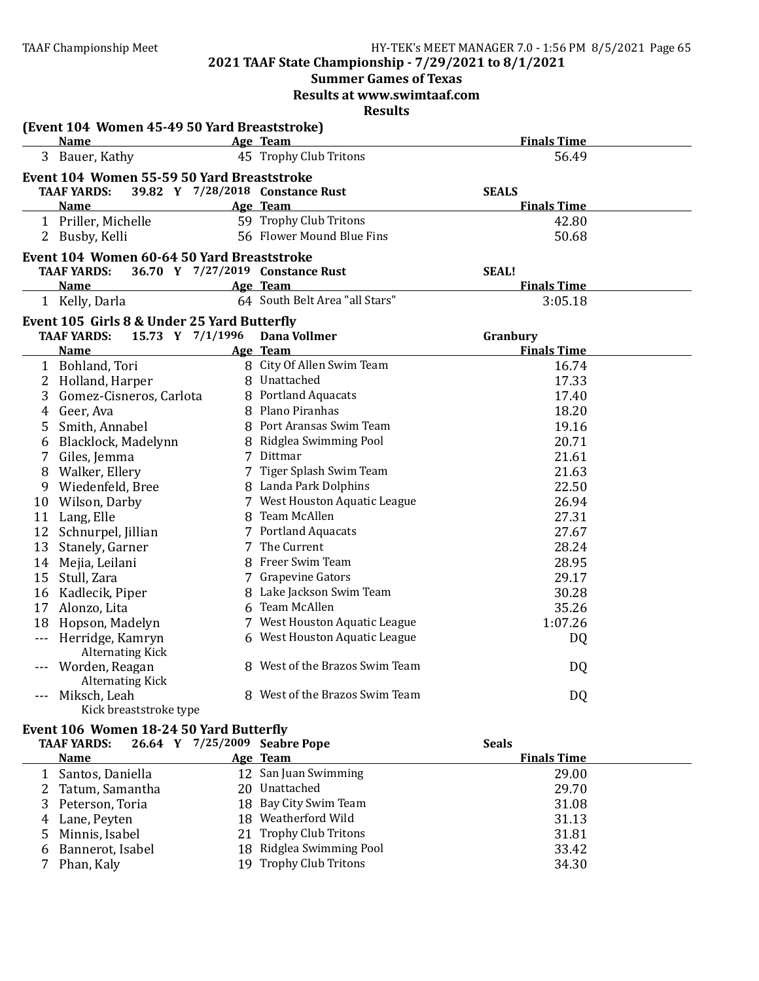# **2021 TAAF State Championship - 7/29/2021 to 8/1/2021**

# **Summer Games of Texas**

**Results at www.swimtaaf.com**

|               | (Event 104 Women 45-49 50 Yard Breaststroke)<br><b>Name</b>                           | Age Team                         | <b>Finals Time</b>             |
|---------------|---------------------------------------------------------------------------------------|----------------------------------|--------------------------------|
|               | 3 Bauer, Kathy                                                                        | 45 Trophy Club Tritons           | 56.49                          |
|               | Event 104 Women 55-59 50 Yard Breaststroke                                            |                                  |                                |
|               | <b>TAAF YARDS:</b>                                                                    | 39.82 Y 7/28/2018 Constance Rust | <b>SEALS</b>                   |
|               | <b>Name</b>                                                                           | Age Team                         | <b>Finals Time</b>             |
|               | 1 Priller, Michelle                                                                   | 59 Trophy Club Tritons           | 42.80                          |
|               | 2 Busby, Kelli                                                                        | 56 Flower Mound Blue Fins        | 50.68                          |
|               | Event 104 Women 60-64 50 Yard Breaststroke                                            |                                  |                                |
|               | <b>TAAF YARDS:</b>                                                                    | 36.70 Y 7/27/2019 Constance Rust | <b>SEAL!</b>                   |
|               | <b>Name</b>                                                                           | Age Team                         | <b>Finals Time</b>             |
|               | 1 Kelly, Darla                                                                        | 64 South Belt Area "all Stars"   | 3:05.18                        |
|               |                                                                                       |                                  |                                |
|               | Event 105 Girls 8 & Under 25 Yard Butterfly<br><b>TAAF YARDS:</b><br>15.73 Y 7/1/1996 | <b>Dana Vollmer</b>              |                                |
|               | <b>Name</b>                                                                           | Age Team                         | Granbury<br><b>Finals Time</b> |
|               | 1 Bohland, Tori                                                                       | 8 City Of Allen Swim Team        | 16.74                          |
|               | 2 Holland, Harper                                                                     | 8 Unattached                     | 17.33                          |
| 3             | Gomez-Cisneros, Carlota                                                               | 8 Portland Aquacats              | 17.40                          |
| 4             | Geer, Ava                                                                             | 8 Plano Piranhas                 | 18.20                          |
| 5             | Smith, Annabel                                                                        | 8 Port Aransas Swim Team         | 19.16                          |
| 6             | Blacklock, Madelynn                                                                   | 8 Ridglea Swimming Pool          | 20.71                          |
| 7             | Giles, Jemma                                                                          | 7 Dittmar                        | 21.61                          |
| 8             | Walker, Ellery                                                                        | 7 Tiger Splash Swim Team         | 21.63                          |
|               | 9 Wiedenfeld, Bree                                                                    | 8 Landa Park Dolphins            | 22.50                          |
|               | 10 Wilson, Darby                                                                      | 7 West Houston Aquatic League    | 26.94                          |
|               | 11 Lang, Elle                                                                         | 8 Team McAllen                   | 27.31                          |
|               | 12 Schnurpel, Jillian                                                                 | 7 Portland Aquacats              | 27.67                          |
|               | 13 Stanely, Garner                                                                    | 7 The Current                    | 28.24                          |
|               | 14 Mejia, Leilani                                                                     | 8 Freer Swim Team                | 28.95                          |
|               | 15 Stull, Zara                                                                        | 7 Grapevine Gators               | 29.17                          |
|               | 16 Kadlecik, Piper                                                                    | 8 Lake Jackson Swim Team         | 30.28                          |
|               | 17 Alonzo, Lita                                                                       | 6 Team McAllen                   | 35.26                          |
| 18            | Hopson, Madelyn                                                                       | 7 West Houston Aquatic League    | 1:07.26                        |
| $\frac{1}{2}$ | Herridge, Kamryn<br><b>Alternating Kick</b>                                           | 6 West Houston Aquatic League    | DQ                             |
|               | --- Worden, Reagan<br><b>Alternating Kick</b>                                         | 8 West of the Brazos Swim Team   | DQ                             |
| $\frac{1}{2}$ | Miksch, Leah<br>Kick breaststroke type                                                | 8 West of the Brazos Swim Team   | DQ                             |
|               | Event 106 Women 18-24 50 Yard Butterfly                                               |                                  |                                |

| <b>TAAF YARDS:</b> | 26.64 Y 7/25/2009 Seabre Pope | <b>Seals</b>       |  |
|--------------------|-------------------------------|--------------------|--|
| <b>Name</b>        | Age Team                      | <b>Finals Time</b> |  |
| 1 Santos, Daniella | 12 San Juan Swimming          | 29.00              |  |
| 2 Tatum, Samantha  | 20 Unattached                 | 29.70              |  |
| 3 Peterson, Toria  | 18 Bay City Swim Team         | 31.08              |  |
| 4 Lane, Peyten     | 18 Weatherford Wild           | 31.13              |  |
| 5 Minnis, Isabel   | 21 Trophy Club Tritons        | 31.81              |  |
| 6 Bannerot, Isabel | 18 Ridglea Swimming Pool      | 33.42              |  |
| Phan, Kaly         | 19 Trophy Club Tritons        | 34.30              |  |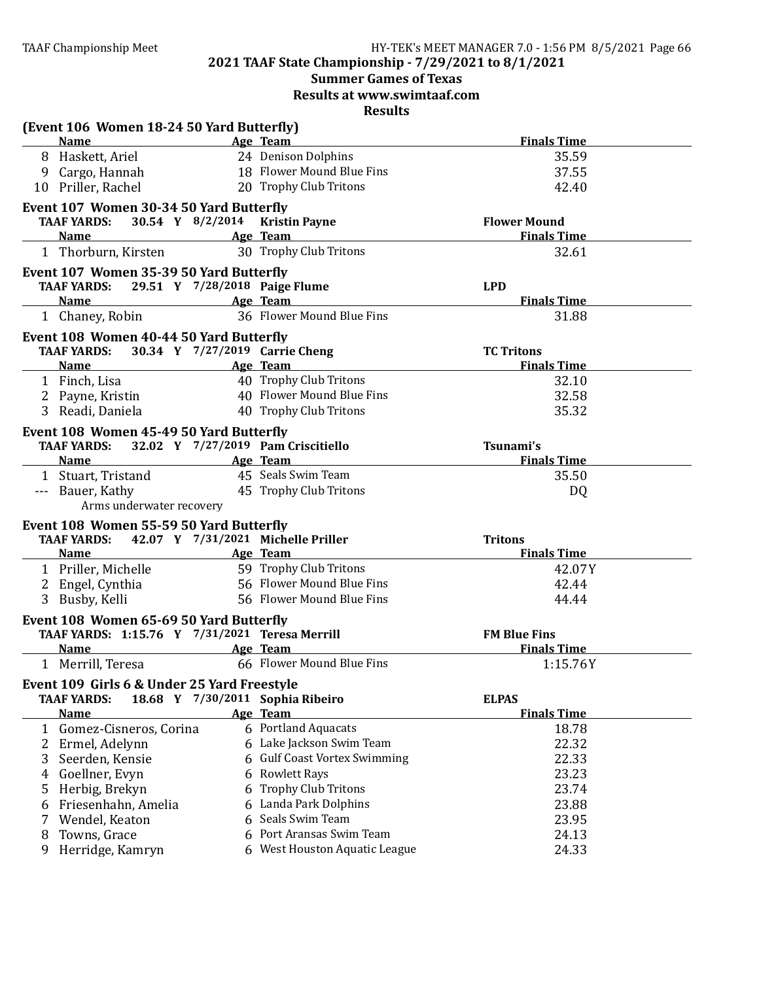# **Summer Games of Texas**

**Results at www.swimtaaf.com**

| (Event 106 Women 18-24 50 Yard Butterfly)                                                 |   |                                    |                     |
|-------------------------------------------------------------------------------------------|---|------------------------------------|---------------------|
| <b>Name</b>                                                                               |   | Age Team                           | <b>Finals Time</b>  |
| 8 Haskett, Ariel                                                                          |   | 24 Denison Dolphins                | 35.59               |
| 9 Cargo, Hannah                                                                           |   | 18 Flower Mound Blue Fins          | 37.55               |
| 10 Priller, Rachel                                                                        |   | 20 Trophy Club Tritons             | 42.40               |
| Event 107 Women 30-34 50 Yard Butterfly                                                   |   |                                    |                     |
| 30.54 Y 8/2/2014<br><b>TAAF YARDS:</b>                                                    |   | <b>Kristin Payne</b>               | <b>Flower Mound</b> |
| <b>Name</b>                                                                               |   | Age Team                           | <b>Finals Time</b>  |
| 1 Thorburn, Kirsten                                                                       |   | 30 Trophy Club Tritons             | 32.61               |
| Event 107 Women 35-39 50 Yard Butterfly                                                   |   |                                    |                     |
| <b>TAAF YARDS:</b><br>29.51 Y 7/28/2018 Paige Flume                                       |   |                                    | <b>LPD</b>          |
| <b>Name</b>                                                                               |   | Age Team                           | <b>Finals Time</b>  |
| 1 Chaney, Robin                                                                           |   | 36 Flower Mound Blue Fins          | 31.88               |
| Event 108 Women 40-44 50 Yard Butterfly                                                   |   |                                    |                     |
| <b>TAAF YARDS:</b>                                                                        |   | 30.34 Y 7/27/2019 Carrie Cheng     | <b>TC Tritons</b>   |
| <b>Name</b>                                                                               |   | Age Team                           | <b>Finals Time</b>  |
| 1 Finch, Lisa                                                                             |   | 40 Trophy Club Tritons             | 32.10               |
| Payne, Kristin<br>2                                                                       |   | 40 Flower Mound Blue Fins          | 32.58               |
| Readi, Daniela                                                                            |   | 40 Trophy Club Tritons             | 35.32               |
| Event 108 Women 45-49 50 Yard Butterfly                                                   |   |                                    |                     |
| <b>TAAF YARDS:</b>                                                                        |   | 32.02 Y 7/27/2019 Pam Criscitiello | Tsunami's           |
| <b>Name</b>                                                                               |   | Age Team                           | <b>Finals Time</b>  |
| 1 Stuart, Tristand                                                                        |   | 45 Seals Swim Team                 | 35.50               |
| --- Bauer, Kathy                                                                          |   | 45 Trophy Club Tritons             | DQ                  |
| Arms underwater recovery                                                                  |   |                                    |                     |
| Event 108 Women 55-59 50 Yard Butterfly                                                   |   |                                    |                     |
| <b>TAAF YARDS:</b>                                                                        |   | 42.07 Y 7/31/2021 Michelle Priller | <b>Tritons</b>      |
| <b>Name</b>                                                                               |   | Age Team                           | <b>Finals Time</b>  |
| 1 Priller, Michelle                                                                       |   | 59 Trophy Club Tritons             | 42.07Y              |
| Engel, Cynthia<br>2                                                                       |   | 56 Flower Mound Blue Fins          | 42.44               |
| 3<br>Busby, Kelli                                                                         |   | 56 Flower Mound Blue Fins          | 44.44               |
|                                                                                           |   |                                    |                     |
| Event 108 Women 65-69 50 Yard Butterfly<br>TAAF YARDS: 1:15.76 Y 7/31/2021 Teresa Merrill |   |                                    | <b>FM Blue Fins</b> |
| <b>Name</b>                                                                               |   | Age Team                           | <b>Finals Time</b>  |
| 1 Merrill, Teresa                                                                         |   | 66 Flower Mound Blue Fins          | 1:15.76Y            |
| Event 109 Girls 6 & Under 25 Yard Freestyle                                               |   |                                    |                     |
| <b>TAAF YARDS:</b>                                                                        |   | 18.68 Y 7/30/2011 Sophia Ribeiro   | <b>ELPAS</b>        |
| <b>Name</b>                                                                               |   | Age Team                           | <b>Finals Time</b>  |
| 1 Gomez-Cisneros, Corina                                                                  |   | 6 Portland Aquacats                | 18.78               |
| $\mathbf{2}$<br>Ermel, Adelynn                                                            |   | 6 Lake Jackson Swim Team           | 22.32               |
| 3<br>Seerden, Kensie                                                                      |   | 6 Gulf Coast Vortex Swimming       | 22.33               |
| Goellner, Evyn<br>4                                                                       |   | 6 Rowlett Rays                     | 23.23               |
| Herbig, Brekyn<br>5                                                                       | 6 | <b>Trophy Club Tritons</b>         | 23.74               |
| Friesenhahn, Amelia<br>6                                                                  |   | 6 Landa Park Dolphins              | 23.88               |
| Wendel, Keaton<br>7                                                                       |   | 6 Seals Swim Team                  | 23.95               |
| Towns, Grace<br>8                                                                         |   | 6 Port Aransas Swim Team           | 24.13               |
| Herridge, Kamryn<br>9                                                                     |   | 6 West Houston Aquatic League      | 24.33               |
|                                                                                           |   |                                    |                     |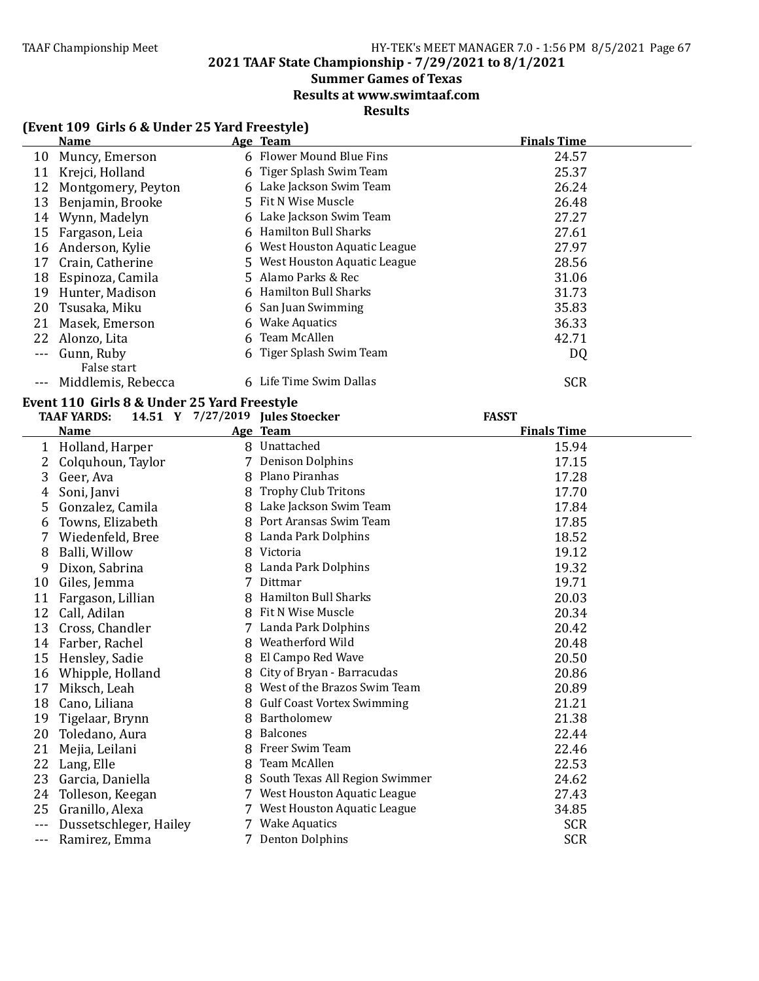**2021 TAAF State Championship - 7/29/2021 to 8/1/2021**

# **Summer Games of Texas**

**Results at www.swimtaaf.com**

# **Results**

# **(Event 109 Girls 6 & Under 25 Yard Freestyle)**

|    | <b>Name</b>               | Age Team                      | <b>Finals Time</b> |
|----|---------------------------|-------------------------------|--------------------|
| 10 | Muncy, Emerson            | 6 Flower Mound Blue Fins      | 24.57              |
| 11 | Krejci, Holland           | 6 Tiger Splash Swim Team      | 25.37              |
| 12 | Montgomery, Peyton        | 6 Lake Jackson Swim Team      | 26.24              |
| 13 | Benjamin, Brooke          | 5 Fit N Wise Muscle           | 26.48              |
| 14 | Wynn, Madelyn             | 6 Lake Jackson Swim Team      | 27.27              |
| 15 | Fargason, Leia            | 6 Hamilton Bull Sharks        | 27.61              |
| 16 | Anderson, Kylie           | 6 West Houston Aquatic League | 27.97              |
| 17 | Crain, Catherine          | 5 West Houston Aquatic League | 28.56              |
| 18 | Espinoza, Camila          | 5 Alamo Parks & Rec           | 31.06              |
| 19 | Hunter, Madison           | 6 Hamilton Bull Sharks        | 31.73              |
| 20 | Tsusaka, Miku             | 6 San Juan Swimming           | 35.83              |
| 21 | Masek, Emerson            | 6 Wake Aquatics               | 36.33              |
| 22 | Alonzo, Lita              | 6 Team McAllen                | 42.71              |
|    | Gunn, Ruby<br>False start | 6 Tiger Splash Swim Team      | DQ                 |
|    | Middlemis, Rebecca        | 6 Life Time Swim Dallas       | <b>SCR</b>         |

#### Event 110 Girls 8 & Under 25 Yard Freestyle **TAAF YARDS: 14.51 Y 7/27/2019 Jules Stoecker FASST**

|    | Name                   |   | Age Team                          | <b>Finals Time</b> |
|----|------------------------|---|-----------------------------------|--------------------|
| 1  | Holland, Harper        |   | 8 Unattached                      | 15.94              |
| 2. | Colquhoun, Taylor      |   | 7 Denison Dolphins                | 17.15              |
| 3  | Geer, Ava              | 8 | Plano Piranhas                    | 17.28              |
| 4  | Soni, Janvi            | 8 | <b>Trophy Club Tritons</b>        | 17.70              |
| 5  | Gonzalez, Camila       | 8 | Lake Jackson Swim Team            | 17.84              |
| 6  | Towns, Elizabeth       | 8 | Port Aransas Swim Team            | 17.85              |
| 7  | Wiedenfeld, Bree       | 8 | Landa Park Dolphins               | 18.52              |
| 8  | Balli, Willow          | 8 | Victoria                          | 19.12              |
| 9  | Dixon, Sabrina         | 8 | Landa Park Dolphins               | 19.32              |
| 10 | Giles, Jemma           |   | Dittmar                           | 19.71              |
| 11 | Fargason, Lillian      | 8 | <b>Hamilton Bull Sharks</b>       | 20.03              |
| 12 | Call, Adilan           | 8 | Fit N Wise Muscle                 | 20.34              |
| 13 | Cross, Chandler        |   | 7 Landa Park Dolphins             | 20.42              |
| 14 | Farber, Rachel         | 8 | Weatherford Wild                  | 20.48              |
| 15 | Hensley, Sadie         | 8 | El Campo Red Wave                 | 20.50              |
| 16 | Whipple, Holland       |   | City of Bryan - Barracudas        | 20.86              |
| 17 | Miksch, Leah           | 8 | West of the Brazos Swim Team      | 20.89              |
| 18 | Cano, Liliana          | 8 | <b>Gulf Coast Vortex Swimming</b> | 21.21              |
| 19 | Tigelaar, Brynn        | 8 | Bartholomew                       | 21.38              |
| 20 | Toledano, Aura         | 8 | <b>Balcones</b>                   | 22.44              |
| 21 | Mejia, Leilani         | 8 | Freer Swim Team                   | 22.46              |
| 22 | Lang, Elle             | 8 | Team McAllen                      | 22.53              |
| 23 | Garcia, Daniella       | 8 | South Texas All Region Swimmer    | 24.62              |
| 24 | Tolleson, Keegan       |   | 7 West Houston Aquatic League     | 27.43              |
| 25 | Granillo, Alexa        |   | 7 West Houston Aquatic League     | 34.85              |
|    | Dussetschleger, Hailey |   | 7 Wake Aquatics                   | <b>SCR</b>         |
|    | Ramirez, Emma          |   | 7 Denton Dolphins                 | <b>SCR</b>         |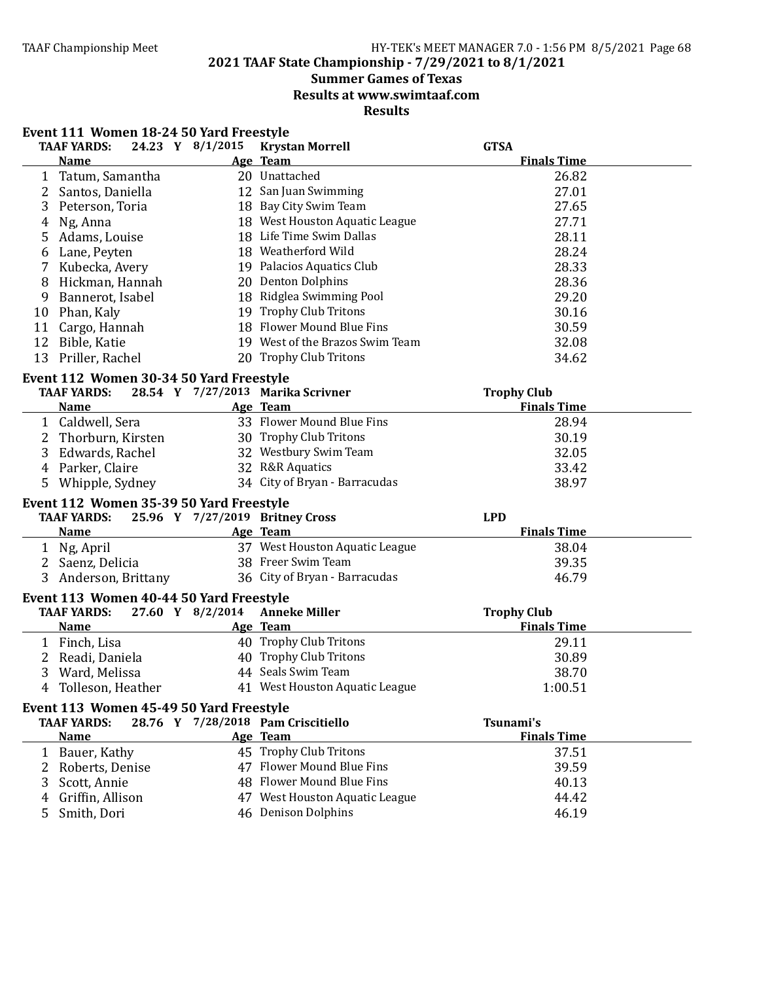### TAAF Championship Meet TAAF Championship Meet Factor Assemblance HY-TEK's MEET MANAGER 7.0 - 1:56 PM 8/5/2021 Page 68

**2021 TAAF State Championship - 7/29/2021 to 8/1/2021**

# **Summer Games of Texas**

**Results at www.swimtaaf.com**

| <b>TAAF YARDS:</b>                                                                | 24.23 Y 8/1/2015 Krystan Morrell   | <b>GTSA</b>                              |
|-----------------------------------------------------------------------------------|------------------------------------|------------------------------------------|
| <b>Name</b>                                                                       | Age Team                           | <b>Finals Time</b>                       |
| 1 Tatum, Samantha                                                                 | 20 Unattached                      | 26.82                                    |
| 2 Santos, Daniella                                                                | 12 San Juan Swimming               | 27.01                                    |
| 3<br>Peterson, Toria                                                              | 18 Bay City Swim Team              | 27.65                                    |
| Ng, Anna<br>4                                                                     | 18 West Houston Aquatic League     | 27.71                                    |
| Adams, Louise<br>5                                                                | 18 Life Time Swim Dallas           | 28.11                                    |
| Lane, Peyten<br>6                                                                 | 18 Weatherford Wild                | 28.24                                    |
| Kubecka, Avery<br>7                                                               | 19 Palacios Aquatics Club          | 28.33                                    |
| Hickman, Hannah<br>8                                                              | 20 Denton Dolphins                 | 28.36                                    |
| 9<br>Bannerot, Isabel                                                             | 18 Ridglea Swimming Pool           | 29.20                                    |
| Phan, Kaly<br>10                                                                  | 19 Trophy Club Tritons             | 30.16                                    |
| Cargo, Hannah<br>11                                                               | 18 Flower Mound Blue Fins          | 30.59                                    |
| 12<br>Bible, Katie                                                                | 19 West of the Brazos Swim Team    | 32.08                                    |
| 13<br>Priller, Rachel                                                             | 20 Trophy Club Tritons             | 34.62                                    |
| Event 112 Women 30-34 50 Yard Freestyle                                           |                                    |                                          |
| <b>TAAF YARDS:</b>                                                                | 28.54 Y 7/27/2013 Marika Scrivner  | <b>Trophy Club</b>                       |
| <b>Name</b>                                                                       | Age Team                           | <b>Finals Time</b>                       |
| 1 Caldwell, Sera                                                                  | 33 Flower Mound Blue Fins          | 28.94                                    |
| 2<br>Thorburn, Kirsten                                                            | 30 Trophy Club Tritons             | 30.19                                    |
| 3 Edwards, Rachel                                                                 | 32 Westbury Swim Team              | 32.05                                    |
| 4 Parker, Claire                                                                  | 32 R&R Aquatics                    | 33.42                                    |
| 5 Whipple, Sydney                                                                 | 34 City of Bryan - Barracudas      | 38.97                                    |
| Event 112 Women 35-39 50 Yard Freestyle                                           |                                    |                                          |
| <b>TAAF YARDS:</b>                                                                | 25.96 Y 7/27/2019 Britney Cross    | <b>LPD</b>                               |
| <b>Name</b>                                                                       | Age Team                           | <b>Finals Time</b>                       |
| 1 Ng, April                                                                       | 37 West Houston Aquatic League     | 38.04                                    |
| 2 Saenz, Delicia                                                                  | 38 Freer Swim Team                 | 39.35                                    |
| Anderson, Brittany                                                                | 36 City of Bryan - Barracudas      | 46.79                                    |
|                                                                                   |                                    |                                          |
| Event 113 Women 40-44 50 Yard Freestyle<br><b>TAAF YARDS:</b><br>27.60 Y 8/2/2014 | <b>Anneke Miller</b>               |                                          |
| <b>Name</b>                                                                       | Age Team                           | <b>Trophy Club</b><br><b>Finals Time</b> |
| 1 Finch, Lisa                                                                     | 40 Trophy Club Tritons             | 29.11                                    |
| 2 Readi, Daniela                                                                  | 40 Trophy Club Tritons             | 30.89                                    |
| 3 Ward, Melissa                                                                   | 44 Seals Swim Team                 | 38.70                                    |
| 4 Tolleson, Heather                                                               | 41 West Houston Aquatic League     | 1:00.51                                  |
|                                                                                   |                                    |                                          |
| Event 113 Women 45-49 50 Yard Freestyle                                           |                                    |                                          |
| <b>TAAF YARDS:</b>                                                                | 28.76 Y 7/28/2018 Pam Criscitiello | Tsunami's                                |
| <b>Name</b>                                                                       | Age Team                           | <b>Finals Time</b>                       |
| 1 Bauer, Kathy                                                                    | 45 Trophy Club Tritons             | 37.51                                    |
| Roberts, Denise                                                                   | 47 Flower Mound Blue Fins          | 39.59                                    |
| Scott, Annie<br>3                                                                 | 48 Flower Mound Blue Fins          | 40.13                                    |
| Griffin, Allison<br>4                                                             | 47 West Houston Aquatic League     | 44.42                                    |
| Smith, Dori<br>5                                                                  | 46 Denison Dolphins                | 46.19                                    |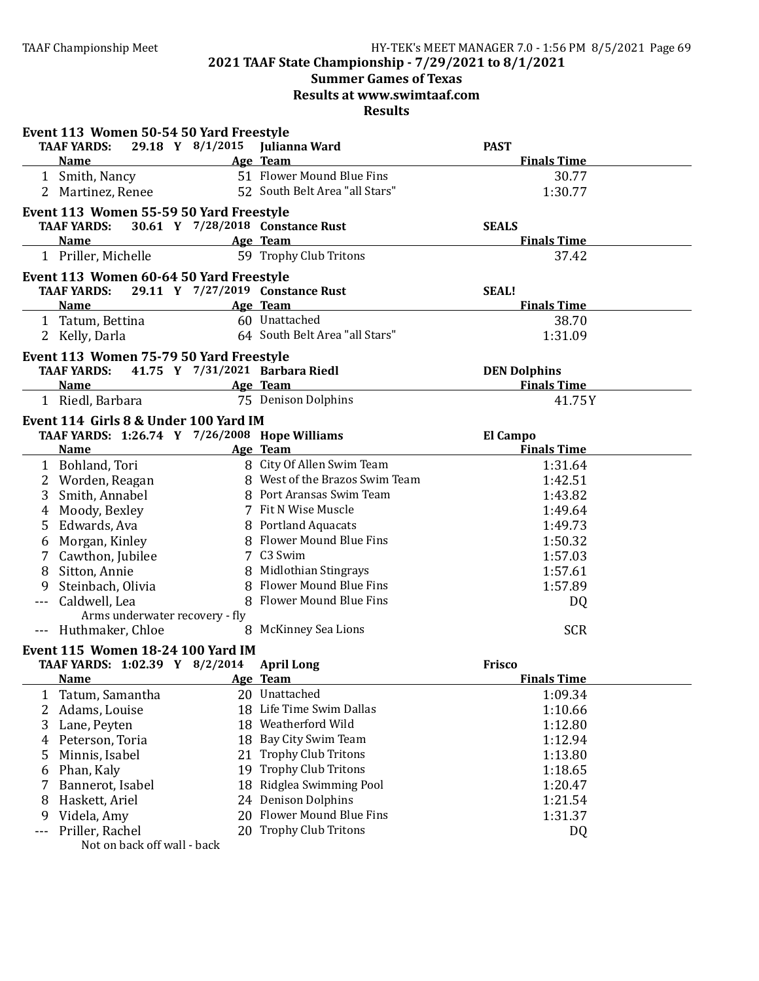# **Summer Games of Texas**

**Results at www.swimtaaf.com**

|     | Event 113 Women 50-54 50 Yard Freestyle                                                                                                                                                                                                           |    |                                  |                     |  |
|-----|---------------------------------------------------------------------------------------------------------------------------------------------------------------------------------------------------------------------------------------------------|----|----------------------------------|---------------------|--|
|     | <b>TAAF YARDS:</b>                                                                                                                                                                                                                                |    | 29.18 Y 8/1/2015 Julianna Ward   | <b>PAST</b>         |  |
|     | <b>Name</b>                                                                                                                                                                                                                                       |    | Age Team                         | <b>Finals Time</b>  |  |
|     | 1 Smith, Nancy                                                                                                                                                                                                                                    |    | 51 Flower Mound Blue Fins        | 30.77               |  |
|     | 2 Martinez, Renee                                                                                                                                                                                                                                 |    | 52 South Belt Area "all Stars"   | 1:30.77             |  |
|     | Event 113 Women 55-59 50 Yard Freestyle                                                                                                                                                                                                           |    |                                  |                     |  |
|     | <b>TAAF YARDS:</b>                                                                                                                                                                                                                                |    | 30.61 Y 7/28/2018 Constance Rust | <b>SEALS</b>        |  |
|     | <b>Name</b>                                                                                                                                                                                                                                       |    | Age Team                         | <b>Finals Time</b>  |  |
|     | 1 Priller, Michelle                                                                                                                                                                                                                               |    | 59 Trophy Club Tritons           | 37.42               |  |
|     | Event 113 Women 60-64 50 Yard Freestyle                                                                                                                                                                                                           |    |                                  |                     |  |
|     | <b>TAAF YARDS:</b>                                                                                                                                                                                                                                |    | 29.11 Y 7/27/2019 Constance Rust | <b>SEAL!</b>        |  |
|     | <b>Name</b>                                                                                                                                                                                                                                       |    | Age Team                         | <b>Finals Time</b>  |  |
|     | 1 Tatum, Bettina                                                                                                                                                                                                                                  |    | 60 Unattached                    | 38.70               |  |
|     | 2 Kelly, Darla                                                                                                                                                                                                                                    |    | 64 South Belt Area "all Stars"   | 1:31.09             |  |
|     |                                                                                                                                                                                                                                                   |    |                                  |                     |  |
|     | Event 113 Women 75-79 50 Yard Freestyle                                                                                                                                                                                                           |    |                                  |                     |  |
|     | <b>TAAF YARDS:</b>                                                                                                                                                                                                                                |    | 41.75 Y 7/31/2021 Barbara Riedl  | <b>DEN Dolphins</b> |  |
|     | <b>Name</b>                                                                                                                                                                                                                                       |    | Age Team                         | <b>Finals Time</b>  |  |
|     | 1 Riedl, Barbara                                                                                                                                                                                                                                  |    | 75 Denison Dolphins              | 41.75Y              |  |
|     | Event 114 Girls 8 & Under 100 Yard IM                                                                                                                                                                                                             |    |                                  |                     |  |
|     | TAAF YARDS: 1:26.74 Y 7/26/2008 Hope Williams                                                                                                                                                                                                     |    |                                  | <b>El Campo</b>     |  |
|     | <b>Name</b>                                                                                                                                                                                                                                       |    | Age Team                         | <b>Finals Time</b>  |  |
|     | 1 Bohland, Tori                                                                                                                                                                                                                                   |    | 8 City Of Allen Swim Team        | 1:31.64             |  |
| 2   | Worden, Reagan                                                                                                                                                                                                                                    |    | 8 West of the Brazos Swim Team   | 1:42.51             |  |
| 3   | Smith, Annabel                                                                                                                                                                                                                                    |    | 8 Port Aransas Swim Team         | 1:43.82             |  |
| 4   | Moody, Bexley                                                                                                                                                                                                                                     |    | 7 Fit N Wise Muscle              | 1:49.64             |  |
| 5   | Edwards, Ava                                                                                                                                                                                                                                      |    | 8 Portland Aquacats              | 1:49.73             |  |
| 6   | Morgan, Kinley                                                                                                                                                                                                                                    |    | 8 Flower Mound Blue Fins         | 1:50.32             |  |
|     | Cawthon, Jubilee                                                                                                                                                                                                                                  |    | 7 C3 Swim                        | 1:57.03             |  |
| 8   | Sitton, Annie                                                                                                                                                                                                                                     |    | 8 Midlothian Stingrays           | 1:57.61             |  |
| 9   | Steinbach, Olivia                                                                                                                                                                                                                                 |    | 8 Flower Mound Blue Fins         | 1:57.89             |  |
| --- | Caldwell, Lea                                                                                                                                                                                                                                     |    | 8 Flower Mound Blue Fins         | DQ                  |  |
|     | Arms underwater recovery - fly                                                                                                                                                                                                                    |    |                                  |                     |  |
|     | --- Huthmaker, Chloe                                                                                                                                                                                                                              |    | 8 McKinney Sea Lions             | <b>SCR</b>          |  |
|     | <b>Event 115 Women 18-24 100 Yard IM</b>                                                                                                                                                                                                          |    |                                  |                     |  |
|     | TAAF YARDS: 1:02.39 Y 8/2/2014 April Long                                                                                                                                                                                                         |    |                                  | <b>Frisco</b>       |  |
|     | <b>Example 2</b> and 2 and 2 and 2 and 2 and 2 and 2 and 2 and 2 and 2 and 2 and 2 and 2 and 2 and 2 and 2 and 2 and 2 and 2 and 2 and 2 and 2 and 2 and 2 and 2 and 2 and 2 and 2 and 2 and 2 and 2 and 2 and 2 and 2 and 2 and 2<br><b>Name</b> |    |                                  | <b>Finals Time</b>  |  |
| 1   | Tatum, Samantha                                                                                                                                                                                                                                   |    | 20 Unattached                    | 1:09.34             |  |
| 2   | Adams, Louise                                                                                                                                                                                                                                     |    | 18 Life Time Swim Dallas         | 1:10.66             |  |
| 3   | Lane, Peyten                                                                                                                                                                                                                                      |    | 18 Weatherford Wild              | 1:12.80             |  |
| 4   | Peterson, Toria                                                                                                                                                                                                                                   | 18 | Bay City Swim Team               | 1:12.94             |  |
| 5   | Minnis, Isabel                                                                                                                                                                                                                                    | 21 | <b>Trophy Club Tritons</b>       | 1:13.80             |  |
| 6   | Phan, Kaly                                                                                                                                                                                                                                        |    | 19 Trophy Club Tritons           | 1:18.65             |  |
|     | Bannerot, Isabel                                                                                                                                                                                                                                  |    | 18 Ridglea Swimming Pool         | 1:20.47             |  |
| 8   | Haskett, Ariel                                                                                                                                                                                                                                    |    | 24 Denison Dolphins              | 1:21.54             |  |
| 9   | Videla, Amy                                                                                                                                                                                                                                       |    | 20 Flower Mound Blue Fins        | 1:31.37             |  |
| --- | Priller, Rachel                                                                                                                                                                                                                                   |    | 20 Trophy Club Tritons           | DQ                  |  |
|     | Not on back off wall - back                                                                                                                                                                                                                       |    |                                  |                     |  |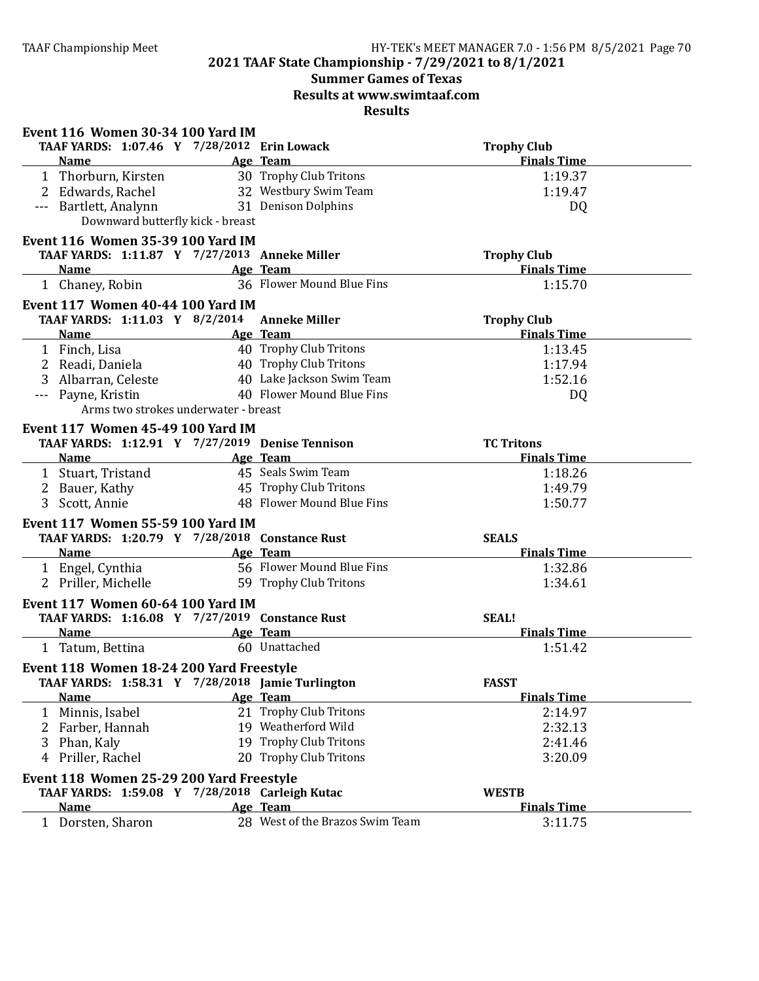# **Summer Games of Texas Results at www.swimtaaf.com**

| TAAF YARDS: 1:07.46 Y 7/28/2012 Erin Lowack<br><b>Trophy Club</b><br><b>Finals Time</b><br>Age Team<br><b>Name</b><br>30 Trophy Club Tritons<br>1:19.37<br>1 Thorburn, Kirsten<br>2 Edwards, Rachel<br>32 Westbury Swim Team<br>1:19.47<br>31 Denison Dolphins<br>--- Bartlett, Analynn<br>DQ<br>Downward butterfly kick - breast<br>Event 116 Women 35-39 100 Yard IM<br>TAAF YARDS: 1:11.87 Y 7/27/2013 Anneke Miller<br><b>Trophy Club</b><br><b>Finals Time</b><br>Name Age Team<br>1 Chaney, Robin<br>36 Flower Mound Blue Fins<br>1:15.70<br>Event 117 Women 40-44 100 Yard IM<br>TAAF YARDS: 1:11.03 Y 8/2/2014 Anneke Miller<br><b>Trophy Club</b><br><b>Finals Time</b><br><b>Name</b><br>Age Team<br>40 Trophy Club Tritons<br>1 Finch, Lisa<br>1:13.45<br>40 Trophy Club Tritons<br>2 Readi, Daniela<br>1:17.94<br>40 Lake Jackson Swim Team<br>Albarran, Celeste<br>1:52.16<br>3<br>40 Flower Mound Blue Fins<br>--- Payne, Kristin<br>DQ<br>Arms two strokes underwater - breast<br><b>Event 117 Women 45-49 100 Yard IM</b><br>TAAF YARDS: 1:12.91 Y 7/27/2019 Denise Tennison<br><b>TC Tritons</b><br><b>Finals Time</b><br><b>Name</b><br>Age Team<br>45 Seals Swim Team<br>1 Stuart, Tristand<br>1:18.26<br>45 Trophy Club Tritons<br>1:49.79<br>2 Bauer, Kathy<br>48 Flower Mound Blue Fins<br>3 Scott, Annie<br>1:50.77<br>Event 117 Women 55-59 100 Yard IM<br>TAAF YARDS: 1:20.79 Y 7/28/2018 Constance Rust<br><b>SEALS</b><br><b>Finals Time</b><br><b>Example 2</b> Age Team<br><b>Name</b><br>56 Flower Mound Blue Fins<br>1 Engel, Cynthia<br>1:32.86<br>59 Trophy Club Tritons<br>2 Priller, Michelle<br>1:34.61<br>Event 117 Women 60-64 100 Yard IM<br>TAAF YARDS: 1:16.08 Y 7/27/2019 Constance Rust<br><b>SEAL!</b><br><b>Finals Time</b><br>Name Age Team<br>60 Unattached<br>1 Tatum, Bettina<br>1:51.42<br>Event 118 Women 18-24 200 Yard Freestyle<br>TAAF YARDS: 1:58.31 Y 7/28/2018 Jamie Turlington<br><b>FASST</b><br><b>Finals Time</b><br>Age Team<br><b>Name</b><br>21 Trophy Club Tritons<br>1 Minnis, Isabel<br>2:14.97<br>19 Weatherford Wild<br>2:32.13<br>2 Farber, Hannah | Event 116 Women 30-34 100 Yard IM |                        |         |
|---------------------------------------------------------------------------------------------------------------------------------------------------------------------------------------------------------------------------------------------------------------------------------------------------------------------------------------------------------------------------------------------------------------------------------------------------------------------------------------------------------------------------------------------------------------------------------------------------------------------------------------------------------------------------------------------------------------------------------------------------------------------------------------------------------------------------------------------------------------------------------------------------------------------------------------------------------------------------------------------------------------------------------------------------------------------------------------------------------------------------------------------------------------------------------------------------------------------------------------------------------------------------------------------------------------------------------------------------------------------------------------------------------------------------------------------------------------------------------------------------------------------------------------------------------------------------------------------------------------------------------------------------------------------------------------------------------------------------------------------------------------------------------------------------------------------------------------------------------------------------------------------------------------------------------------------------------------------------------------------------------------------------------------------------------------------------------------------------------------------------|-----------------------------------|------------------------|---------|
|                                                                                                                                                                                                                                                                                                                                                                                                                                                                                                                                                                                                                                                                                                                                                                                                                                                                                                                                                                                                                                                                                                                                                                                                                                                                                                                                                                                                                                                                                                                                                                                                                                                                                                                                                                                                                                                                                                                                                                                                                                                                                                                           |                                   |                        |         |
|                                                                                                                                                                                                                                                                                                                                                                                                                                                                                                                                                                                                                                                                                                                                                                                                                                                                                                                                                                                                                                                                                                                                                                                                                                                                                                                                                                                                                                                                                                                                                                                                                                                                                                                                                                                                                                                                                                                                                                                                                                                                                                                           |                                   |                        |         |
|                                                                                                                                                                                                                                                                                                                                                                                                                                                                                                                                                                                                                                                                                                                                                                                                                                                                                                                                                                                                                                                                                                                                                                                                                                                                                                                                                                                                                                                                                                                                                                                                                                                                                                                                                                                                                                                                                                                                                                                                                                                                                                                           |                                   |                        |         |
|                                                                                                                                                                                                                                                                                                                                                                                                                                                                                                                                                                                                                                                                                                                                                                                                                                                                                                                                                                                                                                                                                                                                                                                                                                                                                                                                                                                                                                                                                                                                                                                                                                                                                                                                                                                                                                                                                                                                                                                                                                                                                                                           |                                   |                        |         |
|                                                                                                                                                                                                                                                                                                                                                                                                                                                                                                                                                                                                                                                                                                                                                                                                                                                                                                                                                                                                                                                                                                                                                                                                                                                                                                                                                                                                                                                                                                                                                                                                                                                                                                                                                                                                                                                                                                                                                                                                                                                                                                                           |                                   |                        |         |
|                                                                                                                                                                                                                                                                                                                                                                                                                                                                                                                                                                                                                                                                                                                                                                                                                                                                                                                                                                                                                                                                                                                                                                                                                                                                                                                                                                                                                                                                                                                                                                                                                                                                                                                                                                                                                                                                                                                                                                                                                                                                                                                           |                                   |                        |         |
|                                                                                                                                                                                                                                                                                                                                                                                                                                                                                                                                                                                                                                                                                                                                                                                                                                                                                                                                                                                                                                                                                                                                                                                                                                                                                                                                                                                                                                                                                                                                                                                                                                                                                                                                                                                                                                                                                                                                                                                                                                                                                                                           |                                   |                        |         |
|                                                                                                                                                                                                                                                                                                                                                                                                                                                                                                                                                                                                                                                                                                                                                                                                                                                                                                                                                                                                                                                                                                                                                                                                                                                                                                                                                                                                                                                                                                                                                                                                                                                                                                                                                                                                                                                                                                                                                                                                                                                                                                                           |                                   |                        |         |
|                                                                                                                                                                                                                                                                                                                                                                                                                                                                                                                                                                                                                                                                                                                                                                                                                                                                                                                                                                                                                                                                                                                                                                                                                                                                                                                                                                                                                                                                                                                                                                                                                                                                                                                                                                                                                                                                                                                                                                                                                                                                                                                           |                                   |                        |         |
|                                                                                                                                                                                                                                                                                                                                                                                                                                                                                                                                                                                                                                                                                                                                                                                                                                                                                                                                                                                                                                                                                                                                                                                                                                                                                                                                                                                                                                                                                                                                                                                                                                                                                                                                                                                                                                                                                                                                                                                                                                                                                                                           |                                   |                        |         |
|                                                                                                                                                                                                                                                                                                                                                                                                                                                                                                                                                                                                                                                                                                                                                                                                                                                                                                                                                                                                                                                                                                                                                                                                                                                                                                                                                                                                                                                                                                                                                                                                                                                                                                                                                                                                                                                                                                                                                                                                                                                                                                                           |                                   |                        |         |
|                                                                                                                                                                                                                                                                                                                                                                                                                                                                                                                                                                                                                                                                                                                                                                                                                                                                                                                                                                                                                                                                                                                                                                                                                                                                                                                                                                                                                                                                                                                                                                                                                                                                                                                                                                                                                                                                                                                                                                                                                                                                                                                           |                                   |                        |         |
|                                                                                                                                                                                                                                                                                                                                                                                                                                                                                                                                                                                                                                                                                                                                                                                                                                                                                                                                                                                                                                                                                                                                                                                                                                                                                                                                                                                                                                                                                                                                                                                                                                                                                                                                                                                                                                                                                                                                                                                                                                                                                                                           |                                   |                        |         |
|                                                                                                                                                                                                                                                                                                                                                                                                                                                                                                                                                                                                                                                                                                                                                                                                                                                                                                                                                                                                                                                                                                                                                                                                                                                                                                                                                                                                                                                                                                                                                                                                                                                                                                                                                                                                                                                                                                                                                                                                                                                                                                                           |                                   |                        |         |
|                                                                                                                                                                                                                                                                                                                                                                                                                                                                                                                                                                                                                                                                                                                                                                                                                                                                                                                                                                                                                                                                                                                                                                                                                                                                                                                                                                                                                                                                                                                                                                                                                                                                                                                                                                                                                                                                                                                                                                                                                                                                                                                           |                                   |                        |         |
|                                                                                                                                                                                                                                                                                                                                                                                                                                                                                                                                                                                                                                                                                                                                                                                                                                                                                                                                                                                                                                                                                                                                                                                                                                                                                                                                                                                                                                                                                                                                                                                                                                                                                                                                                                                                                                                                                                                                                                                                                                                                                                                           |                                   |                        |         |
|                                                                                                                                                                                                                                                                                                                                                                                                                                                                                                                                                                                                                                                                                                                                                                                                                                                                                                                                                                                                                                                                                                                                                                                                                                                                                                                                                                                                                                                                                                                                                                                                                                                                                                                                                                                                                                                                                                                                                                                                                                                                                                                           |                                   |                        |         |
|                                                                                                                                                                                                                                                                                                                                                                                                                                                                                                                                                                                                                                                                                                                                                                                                                                                                                                                                                                                                                                                                                                                                                                                                                                                                                                                                                                                                                                                                                                                                                                                                                                                                                                                                                                                                                                                                                                                                                                                                                                                                                                                           |                                   |                        |         |
|                                                                                                                                                                                                                                                                                                                                                                                                                                                                                                                                                                                                                                                                                                                                                                                                                                                                                                                                                                                                                                                                                                                                                                                                                                                                                                                                                                                                                                                                                                                                                                                                                                                                                                                                                                                                                                                                                                                                                                                                                                                                                                                           |                                   |                        |         |
|                                                                                                                                                                                                                                                                                                                                                                                                                                                                                                                                                                                                                                                                                                                                                                                                                                                                                                                                                                                                                                                                                                                                                                                                                                                                                                                                                                                                                                                                                                                                                                                                                                                                                                                                                                                                                                                                                                                                                                                                                                                                                                                           |                                   |                        |         |
|                                                                                                                                                                                                                                                                                                                                                                                                                                                                                                                                                                                                                                                                                                                                                                                                                                                                                                                                                                                                                                                                                                                                                                                                                                                                                                                                                                                                                                                                                                                                                                                                                                                                                                                                                                                                                                                                                                                                                                                                                                                                                                                           |                                   |                        |         |
|                                                                                                                                                                                                                                                                                                                                                                                                                                                                                                                                                                                                                                                                                                                                                                                                                                                                                                                                                                                                                                                                                                                                                                                                                                                                                                                                                                                                                                                                                                                                                                                                                                                                                                                                                                                                                                                                                                                                                                                                                                                                                                                           |                                   |                        |         |
|                                                                                                                                                                                                                                                                                                                                                                                                                                                                                                                                                                                                                                                                                                                                                                                                                                                                                                                                                                                                                                                                                                                                                                                                                                                                                                                                                                                                                                                                                                                                                                                                                                                                                                                                                                                                                                                                                                                                                                                                                                                                                                                           |                                   |                        |         |
|                                                                                                                                                                                                                                                                                                                                                                                                                                                                                                                                                                                                                                                                                                                                                                                                                                                                                                                                                                                                                                                                                                                                                                                                                                                                                                                                                                                                                                                                                                                                                                                                                                                                                                                                                                                                                                                                                                                                                                                                                                                                                                                           |                                   |                        |         |
|                                                                                                                                                                                                                                                                                                                                                                                                                                                                                                                                                                                                                                                                                                                                                                                                                                                                                                                                                                                                                                                                                                                                                                                                                                                                                                                                                                                                                                                                                                                                                                                                                                                                                                                                                                                                                                                                                                                                                                                                                                                                                                                           |                                   |                        |         |
|                                                                                                                                                                                                                                                                                                                                                                                                                                                                                                                                                                                                                                                                                                                                                                                                                                                                                                                                                                                                                                                                                                                                                                                                                                                                                                                                                                                                                                                                                                                                                                                                                                                                                                                                                                                                                                                                                                                                                                                                                                                                                                                           |                                   |                        |         |
|                                                                                                                                                                                                                                                                                                                                                                                                                                                                                                                                                                                                                                                                                                                                                                                                                                                                                                                                                                                                                                                                                                                                                                                                                                                                                                                                                                                                                                                                                                                                                                                                                                                                                                                                                                                                                                                                                                                                                                                                                                                                                                                           |                                   |                        |         |
|                                                                                                                                                                                                                                                                                                                                                                                                                                                                                                                                                                                                                                                                                                                                                                                                                                                                                                                                                                                                                                                                                                                                                                                                                                                                                                                                                                                                                                                                                                                                                                                                                                                                                                                                                                                                                                                                                                                                                                                                                                                                                                                           |                                   |                        |         |
|                                                                                                                                                                                                                                                                                                                                                                                                                                                                                                                                                                                                                                                                                                                                                                                                                                                                                                                                                                                                                                                                                                                                                                                                                                                                                                                                                                                                                                                                                                                                                                                                                                                                                                                                                                                                                                                                                                                                                                                                                                                                                                                           |                                   |                        |         |
|                                                                                                                                                                                                                                                                                                                                                                                                                                                                                                                                                                                                                                                                                                                                                                                                                                                                                                                                                                                                                                                                                                                                                                                                                                                                                                                                                                                                                                                                                                                                                                                                                                                                                                                                                                                                                                                                                                                                                                                                                                                                                                                           |                                   |                        |         |
|                                                                                                                                                                                                                                                                                                                                                                                                                                                                                                                                                                                                                                                                                                                                                                                                                                                                                                                                                                                                                                                                                                                                                                                                                                                                                                                                                                                                                                                                                                                                                                                                                                                                                                                                                                                                                                                                                                                                                                                                                                                                                                                           |                                   |                        |         |
|                                                                                                                                                                                                                                                                                                                                                                                                                                                                                                                                                                                                                                                                                                                                                                                                                                                                                                                                                                                                                                                                                                                                                                                                                                                                                                                                                                                                                                                                                                                                                                                                                                                                                                                                                                                                                                                                                                                                                                                                                                                                                                                           |                                   |                        |         |
|                                                                                                                                                                                                                                                                                                                                                                                                                                                                                                                                                                                                                                                                                                                                                                                                                                                                                                                                                                                                                                                                                                                                                                                                                                                                                                                                                                                                                                                                                                                                                                                                                                                                                                                                                                                                                                                                                                                                                                                                                                                                                                                           |                                   |                        |         |
|                                                                                                                                                                                                                                                                                                                                                                                                                                                                                                                                                                                                                                                                                                                                                                                                                                                                                                                                                                                                                                                                                                                                                                                                                                                                                                                                                                                                                                                                                                                                                                                                                                                                                                                                                                                                                                                                                                                                                                                                                                                                                                                           |                                   |                        |         |
|                                                                                                                                                                                                                                                                                                                                                                                                                                                                                                                                                                                                                                                                                                                                                                                                                                                                                                                                                                                                                                                                                                                                                                                                                                                                                                                                                                                                                                                                                                                                                                                                                                                                                                                                                                                                                                                                                                                                                                                                                                                                                                                           |                                   |                        |         |
|                                                                                                                                                                                                                                                                                                                                                                                                                                                                                                                                                                                                                                                                                                                                                                                                                                                                                                                                                                                                                                                                                                                                                                                                                                                                                                                                                                                                                                                                                                                                                                                                                                                                                                                                                                                                                                                                                                                                                                                                                                                                                                                           |                                   |                        |         |
|                                                                                                                                                                                                                                                                                                                                                                                                                                                                                                                                                                                                                                                                                                                                                                                                                                                                                                                                                                                                                                                                                                                                                                                                                                                                                                                                                                                                                                                                                                                                                                                                                                                                                                                                                                                                                                                                                                                                                                                                                                                                                                                           |                                   |                        |         |
|                                                                                                                                                                                                                                                                                                                                                                                                                                                                                                                                                                                                                                                                                                                                                                                                                                                                                                                                                                                                                                                                                                                                                                                                                                                                                                                                                                                                                                                                                                                                                                                                                                                                                                                                                                                                                                                                                                                                                                                                                                                                                                                           |                                   |                        |         |
|                                                                                                                                                                                                                                                                                                                                                                                                                                                                                                                                                                                                                                                                                                                                                                                                                                                                                                                                                                                                                                                                                                                                                                                                                                                                                                                                                                                                                                                                                                                                                                                                                                                                                                                                                                                                                                                                                                                                                                                                                                                                                                                           | 3<br>Phan, Kaly                   | 19 Trophy Club Tritons | 2:41.46 |
| 20 Trophy Club Tritons<br>Priller, Rachel<br>3:20.09<br>4                                                                                                                                                                                                                                                                                                                                                                                                                                                                                                                                                                                                                                                                                                                                                                                                                                                                                                                                                                                                                                                                                                                                                                                                                                                                                                                                                                                                                                                                                                                                                                                                                                                                                                                                                                                                                                                                                                                                                                                                                                                                 |                                   |                        |         |
| Event 118 Women 25-29 200 Yard Freestyle                                                                                                                                                                                                                                                                                                                                                                                                                                                                                                                                                                                                                                                                                                                                                                                                                                                                                                                                                                                                                                                                                                                                                                                                                                                                                                                                                                                                                                                                                                                                                                                                                                                                                                                                                                                                                                                                                                                                                                                                                                                                                  |                                   |                        |         |
| TAAF YARDS: 1:59.08 Y 7/28/2018 Carleigh Kutac<br><b>WESTB</b>                                                                                                                                                                                                                                                                                                                                                                                                                                                                                                                                                                                                                                                                                                                                                                                                                                                                                                                                                                                                                                                                                                                                                                                                                                                                                                                                                                                                                                                                                                                                                                                                                                                                                                                                                                                                                                                                                                                                                                                                                                                            |                                   |                        |         |
| <b>Finals Time</b><br><b>Name</b><br>Age Team                                                                                                                                                                                                                                                                                                                                                                                                                                                                                                                                                                                                                                                                                                                                                                                                                                                                                                                                                                                                                                                                                                                                                                                                                                                                                                                                                                                                                                                                                                                                                                                                                                                                                                                                                                                                                                                                                                                                                                                                                                                                             |                                   |                        |         |
| 28 West of the Brazos Swim Team<br>1 Dorsten, Sharon<br>3:11.75                                                                                                                                                                                                                                                                                                                                                                                                                                                                                                                                                                                                                                                                                                                                                                                                                                                                                                                                                                                                                                                                                                                                                                                                                                                                                                                                                                                                                                                                                                                                                                                                                                                                                                                                                                                                                                                                                                                                                                                                                                                           |                                   |                        |         |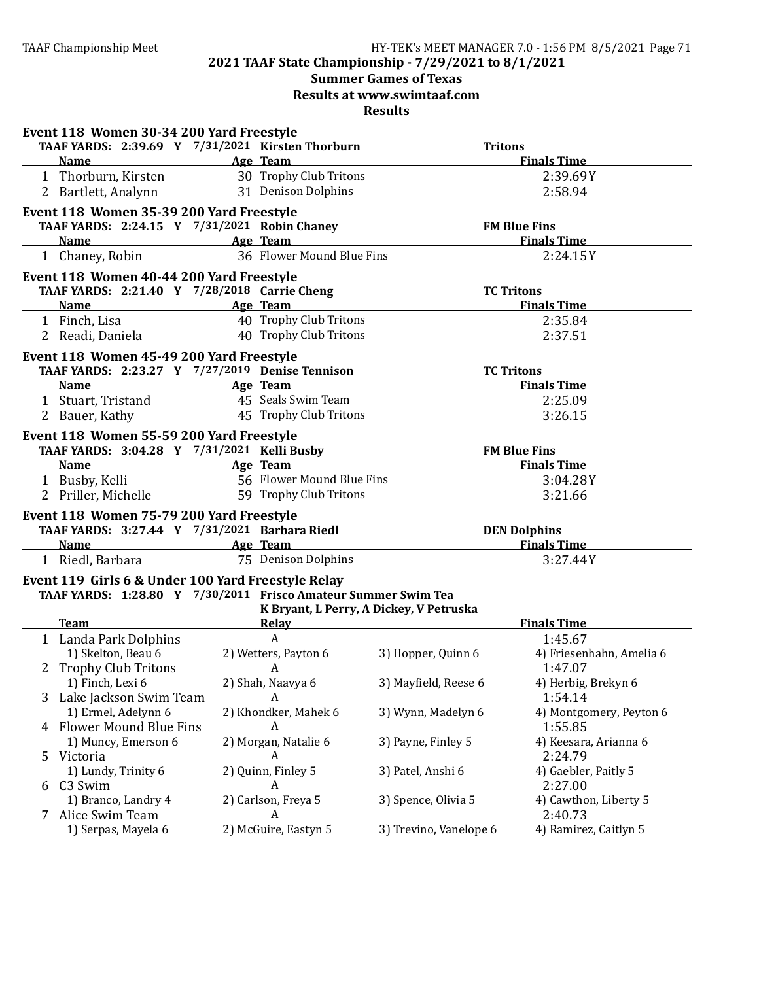# **Summer Games of Texas**

**Results at www.swimtaaf.com**

|                                                                          | Event 118 Women 30-34 200 Yard Freestyle                                                                                                                                                                                       |  |                              |                                         |                                     |
|--------------------------------------------------------------------------|--------------------------------------------------------------------------------------------------------------------------------------------------------------------------------------------------------------------------------|--|------------------------------|-----------------------------------------|-------------------------------------|
|                                                                          | TAAF YARDS: 2:39.69 Y 7/31/2021 Kirsten Thorburn                                                                                                                                                                               |  |                              |                                         | <b>Tritons</b>                      |
|                                                                          | <b>Example 2</b> Age Team<br><b>Name</b>                                                                                                                                                                                       |  |                              |                                         | <b>Finals Time</b>                  |
|                                                                          | 1 Thorburn, Kirsten                                                                                                                                                                                                            |  | 30 Trophy Club Tritons       |                                         | 2:39.69Y                            |
|                                                                          | 2 Bartlett, Analynn                                                                                                                                                                                                            |  | 31 Denison Dolphins          |                                         | 2:58.94                             |
|                                                                          | Event 118 Women 35-39 200 Yard Freestyle                                                                                                                                                                                       |  |                              |                                         |                                     |
|                                                                          | TAAF YARDS: 2:24.15 Y 7/31/2021 Robin Chaney                                                                                                                                                                                   |  |                              |                                         | <b>FM Blue Fins</b>                 |
|                                                                          | Name and the second state of the second state and state of the second state of the second state and state of the second state and state and state and state and state and state and state and state and state and state and st |  | Age Team                     |                                         | <b>Finals Time</b>                  |
|                                                                          | 1 Chaney, Robin                                                                                                                                                                                                                |  | 36 Flower Mound Blue Fins    |                                         | 2:24.15Y                            |
|                                                                          | Event 118 Women 40-44 200 Yard Freestyle                                                                                                                                                                                       |  |                              |                                         |                                     |
|                                                                          | TAAF YARDS: 2:21.40 Y 7/28/2018 Carrie Cheng                                                                                                                                                                                   |  |                              |                                         | <b>TC Tritons</b>                   |
|                                                                          | <b>Name</b>                                                                                                                                                                                                                    |  | Age Team                     |                                         | <b>Finals Time</b>                  |
|                                                                          | 1 Finch, Lisa                                                                                                                                                                                                                  |  | 40 Trophy Club Tritons       |                                         | 2:35.84                             |
|                                                                          | 2 Readi, Daniela                                                                                                                                                                                                               |  | 40 Trophy Club Tritons       |                                         | 2:37.51                             |
|                                                                          | Event 118 Women 45-49 200 Yard Freestyle                                                                                                                                                                                       |  |                              |                                         |                                     |
|                                                                          | TAAF YARDS: 2:23.27 Y 7/27/2019 Denise Tennison                                                                                                                                                                                |  |                              |                                         | <b>TC Tritons</b>                   |
|                                                                          | <b>Name</b>                                                                                                                                                                                                                    |  | Age Team                     |                                         | <b>Finals Time</b>                  |
|                                                                          | 1 Stuart, Tristand                                                                                                                                                                                                             |  | 45 Seals Swim Team           |                                         | 2:25.09                             |
|                                                                          | 2 Bauer, Kathy                                                                                                                                                                                                                 |  | 45 Trophy Club Tritons       |                                         | 3:26.15                             |
|                                                                          | Event 118 Women 55-59 200 Yard Freestyle                                                                                                                                                                                       |  |                              |                                         |                                     |
|                                                                          |                                                                                                                                                                                                                                |  |                              |                                         | <b>FM Blue Fins</b>                 |
|                                                                          | TAAF YARDS: 3:04.28 Y 7/31/2021 Kelli Busby<br><b>Example 2</b> Age Team<br><b>Name</b>                                                                                                                                        |  |                              | <b>Finals Time</b>                      |                                     |
|                                                                          | 1 Busby, Kelli                                                                                                                                                                                                                 |  | 56 Flower Mound Blue Fins    |                                         | 3:04.28Y                            |
|                                                                          | 2 Priller, Michelle                                                                                                                                                                                                            |  | 59 Trophy Club Tritons       |                                         | 3:21.66                             |
|                                                                          |                                                                                                                                                                                                                                |  |                              |                                         |                                     |
|                                                                          | Event 118 Women 75-79 200 Yard Freestyle                                                                                                                                                                                       |  |                              |                                         | <b>DEN Dolphins</b>                 |
| TAAF YARDS: 3:27.44 Y 7/31/2021 Barbara Riedl<br><b>Name</b><br>Age Team |                                                                                                                                                                                                                                |  |                              | <b>Finals Time</b>                      |                                     |
|                                                                          | 1 Riedl, Barbara                                                                                                                                                                                                               |  | 75 Denison Dolphins          |                                         | 3:27.44Y                            |
|                                                                          |                                                                                                                                                                                                                                |  |                              |                                         |                                     |
|                                                                          | Event 119 Girls 6 & Under 100 Yard Freestyle Relay                                                                                                                                                                             |  |                              |                                         |                                     |
|                                                                          | TAAF YARDS: 1:28.80 Y 7/30/2011 Frisco Amateur Summer Swim Tea                                                                                                                                                                 |  |                              |                                         |                                     |
|                                                                          | <b>Team</b>                                                                                                                                                                                                                    |  |                              | K Bryant, L Perry, A Dickey, V Petruska | <b>Finals Time</b>                  |
|                                                                          |                                                                                                                                                                                                                                |  | <b>Relay</b><br>$\mathbf{A}$ |                                         |                                     |
|                                                                          | 1 Landa Park Dolphins<br>1) Skelton, Beau 6                                                                                                                                                                                    |  | 2) Wetters, Payton 6         |                                         | 1:45.67<br>4) Friesenhahn, Amelia 6 |
|                                                                          | 2 Trophy Club Tritons                                                                                                                                                                                                          |  | A                            | 3) Hopper, Quinn 6                      |                                     |
|                                                                          | 1) Finch, Lexi 6                                                                                                                                                                                                               |  | 2) Shah, Naavya 6            | 3) Mayfield, Reese 6                    | 1:47.07<br>4) Herbig, Brekyn 6      |
|                                                                          | 3 Lake Jackson Swim Team                                                                                                                                                                                                       |  | A                            |                                         | 1:54.14                             |
|                                                                          | 1) Ermel, Adelynn 6                                                                                                                                                                                                            |  | 2) Khondker, Mahek 6         | 3) Wynn, Madelyn 6                      | 4) Montgomery, Peyton 6             |
|                                                                          | 4 Flower Mound Blue Fins                                                                                                                                                                                                       |  | A                            |                                         | 1:55.85                             |
|                                                                          | 1) Muncy, Emerson 6                                                                                                                                                                                                            |  | 2) Morgan, Natalie 6         | 3) Payne, Finley 5                      | 4) Keesara, Arianna 6               |
| 5                                                                        | Victoria                                                                                                                                                                                                                       |  | A                            |                                         | 2:24.79                             |
|                                                                          | 1) Lundy, Trinity 6                                                                                                                                                                                                            |  | 2) Quinn, Finley 5           | 3) Patel, Anshi 6                       | 4) Gaebler, Paitly 5                |
|                                                                          |                                                                                                                                                                                                                                |  |                              |                                         |                                     |
|                                                                          |                                                                                                                                                                                                                                |  |                              |                                         |                                     |
|                                                                          | 6 C3 Swim                                                                                                                                                                                                                      |  | A                            |                                         | 2:27.00                             |
|                                                                          | 1) Branco, Landry 4<br>7 Alice Swim Team                                                                                                                                                                                       |  | 2) Carlson, Freya 5<br>A     | 3) Spence, Olivia 5                     | 4) Cawthon, Liberty 5<br>2:40.73    |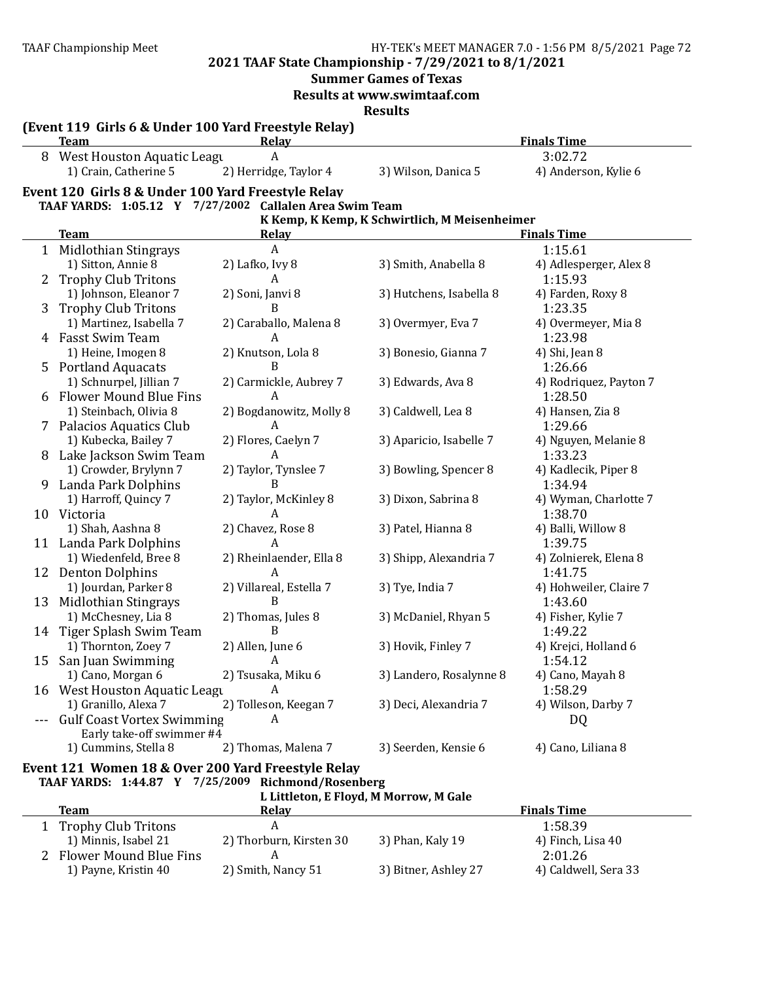**2021 TAAF State Championship - 7/29/2021 to 8/1/2021**

**Summer Games of Texas** 

**Results at www.swimtaaf.com**

**Results**

|    | (Event 119 Girls 6 & Under 100 Yard Freestyle Relay)<br><b>Team</b> | <b>Relay</b>               |                                               | <b>Finals Time</b>            |
|----|---------------------------------------------------------------------|----------------------------|-----------------------------------------------|-------------------------------|
|    | 8 West Houston Aquatic Leagu                                        | A                          |                                               | 3:02.72                       |
|    | 1) Crain, Catherine 5                                               | 2) Herridge, Taylor 4      | 3) Wilson, Danica 5                           | 4) Anderson, Kylie 6          |
|    | Event 120 Girls 8 & Under 100 Yard Freestyle Relay                  |                            |                                               |                               |
|    | TAAF YARDS: 1:05.12 Y 7/27/2002 Callalen Area Swim Team             |                            |                                               |                               |
|    |                                                                     |                            | K Kemp, K Kemp, K Schwirtlich, M Meisenheimer |                               |
|    | <b>Team</b>                                                         | Relay                      |                                               | <b>Finals Time</b>            |
| 1  | <b>Midlothian Stingrays</b>                                         | A                          |                                               | 1:15.61                       |
|    | 1) Sitton, Annie 8                                                  | 2) Lafko, Ivy 8            | 3) Smith, Anabella 8                          | 4) Adlesperger, Alex 8        |
| 2  | <b>Trophy Club Tritons</b>                                          | А                          |                                               | 1:15.93                       |
|    | 1) Johnson, Eleanor 7                                               | 2) Soni, Janvi 8           | 3) Hutchens, Isabella 8                       | 4) Farden, Roxy 8             |
| 3  | <b>Trophy Club Tritons</b>                                          | B                          |                                               | 1:23.35                       |
|    | 1) Martinez, Isabella 7                                             | 2) Caraballo, Malena 8     | 3) Overmyer, Eva 7                            | 4) Overmeyer, Mia 8           |
|    | 4 Fasst Swim Team                                                   | A                          |                                               | 1:23.98                       |
|    | 1) Heine, Imogen 8                                                  | 2) Knutson, Lola 8         | 3) Bonesio, Gianna 7                          | 4) Shi, Jean 8                |
|    | 5 Portland Aquacats                                                 | R                          |                                               | 1:26.66                       |
|    | 1) Schnurpel, Jillian 7                                             | 2) Carmickle, Aubrey 7     | 3) Edwards, Ava 8                             | 4) Rodriquez, Payton 7        |
|    | 6 Flower Mound Blue Fins                                            | A                          |                                               | 1:28.50                       |
|    | 1) Steinbach, Olivia 8                                              | 2) Bogdanowitz, Molly 8    | 3) Caldwell, Lea 8                            | 4) Hansen, Zia 8              |
|    | 7 Palacios Aquatics Club                                            | A                          |                                               | 1:29.66                       |
|    | 1) Kubecka, Bailey 7                                                | 2) Flores, Caelyn 7        | 3) Aparicio, Isabelle 7                       | 4) Nguyen, Melanie 8          |
|    | 8 Lake Jackson Swim Team                                            | A                          |                                               | 1:33.23                       |
|    | 1) Crowder, Brylynn 7                                               | 2) Taylor, Tynslee 7<br>R  | 3) Bowling, Spencer 8                         | 4) Kadlecik, Piper 8          |
| 9  | Landa Park Dolphins                                                 |                            |                                               | 1:34.94                       |
|    | 1) Harroff, Quincy 7                                                | 2) Taylor, McKinley 8<br>A | 3) Dixon, Sabrina 8                           | 4) Wyman, Charlotte 7         |
|    | 10 Victoria                                                         |                            |                                               | 1:38.70                       |
|    | 1) Shah, Aashna 8                                                   | 2) Chavez, Rose 8<br>A     | 3) Patel, Hianna 8                            | 4) Balli, Willow 8<br>1:39.75 |
|    | 11 Landa Park Dolphins<br>1) Wiedenfeld, Bree 8                     | 2) Rheinlaender, Ella 8    | 3) Shipp, Alexandria 7                        | 4) Zolnierek, Elena 8         |
| 12 | Denton Dolphins                                                     | A                          |                                               | 1:41.75                       |
|    | 1) Jourdan, Parker 8                                                | 2) Villareal, Estella 7    | 3) Tye, India 7                               | 4) Hohweiler, Claire 7        |
| 13 | Midlothian Stingrays                                                | B                          |                                               | 1:43.60                       |
|    | 1) McChesney, Lia 8                                                 | 2) Thomas, Jules 8         | 3) McDaniel, Rhyan 5                          | 4) Fisher, Kylie 7            |
| 14 | Tiger Splash Swim Team                                              | B                          |                                               | 1:49.22                       |
|    | 1) Thornton, Zoey 7                                                 | 2) Allen, June 6           | 3) Hovik, Finley 7                            | 4) Krejci, Holland 6          |
|    | 15 San Juan Swimming                                                | A                          |                                               | 1:54.12                       |
|    | 1) Cano, Morgan 6                                                   | 2) Tsusaka, Miku 6         | 3) Landero, Rosalynne 8                       | 4) Cano, Mayah 8              |
|    | 16 West Houston Aquatic Leagu                                       | A                          |                                               | 1:58.29                       |
|    | 1) Granillo, Alexa 7                                                | 2) Tolleson, Keegan 7      | 3) Deci, Alexandria 7                         | 4) Wilson, Darby 7            |
|    | <b>Gulf Coast Vortex Swimming</b>                                   | A                          |                                               | DQ                            |
|    | Early take-off swimmer #4                                           |                            |                                               |                               |
|    | 1) Cummins, Stella 8                                                | 2) Thomas, Malena 7        | 3) Seerden, Kensie 6                          | 4) Cano, Liliana 8            |
|    | Event 121 Women 18 & Over 200 Yard Freestyle Relay                  |                            |                                               |                               |
|    | TAAF YARDS: 1:44.87 Y 7/25/2009 Richmond/Rosenberg                  |                            |                                               |                               |
|    |                                                                     |                            | L Littleton, E Floyd, M Morrow, M Gale        |                               |
|    | <b>Team</b>                                                         | Relay                      |                                               | <b>Finals Time</b>            |
|    | 1 Trophy Club Tritons                                               | $\boldsymbol{A}$           |                                               | 1:58.39                       |
|    | 1) Minnis, Isabel 21                                                | 2) Thorburn, Kirsten 30    | 3) Phan, Kaly 19                              | 4) Finch, Lisa 40             |
|    | 2 Flower Mound Blue Fins                                            | A                          |                                               | 2:01.26                       |
|    | 1) Payne, Kristin 40                                                | 2) Smith, Nancy 51         | 3) Bitner, Ashley 27                          | 4) Caldwell, Sera 33          |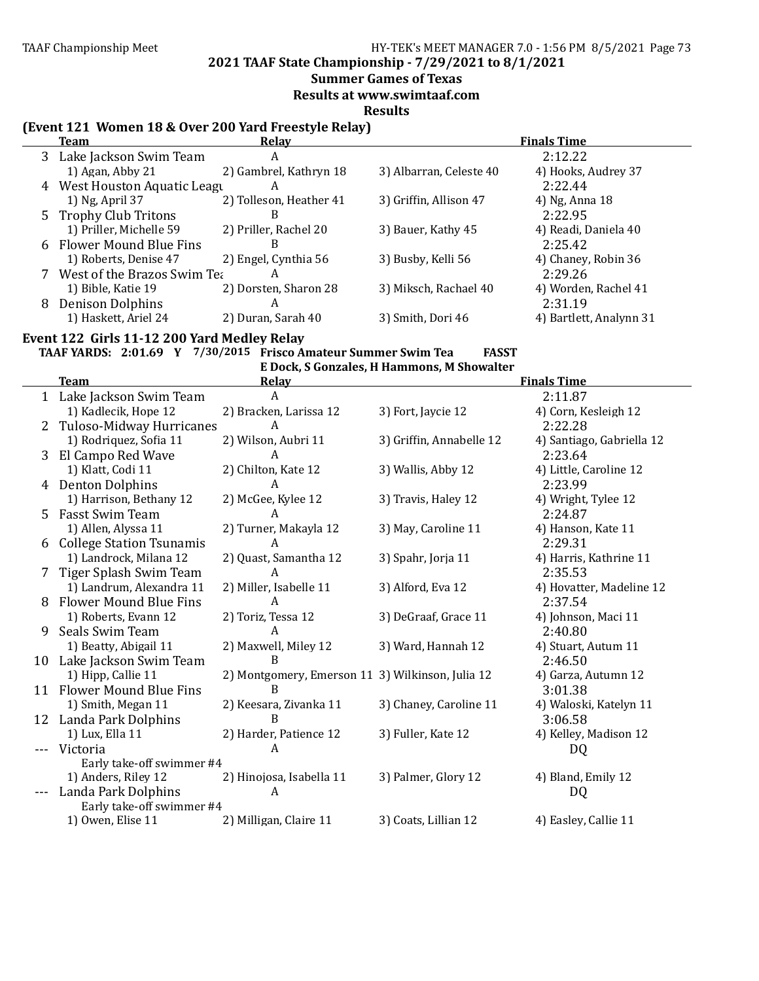**2021 TAAF State Championship - 7/29/2021 to 8/1/2021**

### **Summer Games of Texas**

**Results at www.swimtaaf.com**

**Results**

## **(Event 121 Women 18 & Over 200 Yard Freestyle Relay)**

|   | Team                          | Relav                   |                         | <b>Finals Time</b>      |
|---|-------------------------------|-------------------------|-------------------------|-------------------------|
|   | 3 Lake Jackson Swim Team      | A                       |                         | 2:12.22                 |
|   | 1) Agan, Abby 21              | 2) Gambrel, Kathryn 18  | 3) Albarran, Celeste 40 | 4) Hooks, Audrey 37     |
|   | 4 West Houston Aquatic League | A                       |                         | 2:22.44                 |
|   | 1) Ng, April 37               | 2) Tolleson, Heather 41 | 3) Griffin, Allison 47  | 4) Ng, Anna 18          |
|   | 5 Trophy Club Tritons         | B                       |                         | 2:22.95                 |
|   | 1) Priller, Michelle 59       | 2) Priller, Rachel 20   | 3) Bauer, Kathy 45      | 4) Readi, Daniela 40    |
|   | 6 Flower Mound Blue Fins      | B                       |                         | 2:25.42                 |
|   | 1) Roberts, Denise 47         | 2) Engel, Cynthia 56    | 3) Busby, Kelli 56      | 4) Chaney, Robin 36     |
|   | West of the Brazos Swim Tea   | А                       |                         | 2:29.26                 |
|   | 1) Bible, Katie 19            | 2) Dorsten, Sharon 28   | 3) Miksch, Rachael 40   | 4) Worden, Rachel 41    |
| 8 | <b>Denison Dolphins</b>       | A                       |                         | 2:31.19                 |
|   | 1) Haskett, Ariel 24          | 2) Duran, Sarah 40      | 3) Smith, Dori 46       | 4) Bartlett, Analynn 31 |
|   |                               |                         |                         |                         |

## Event 122 Girls 11-12 200 Yard Medley Relay

# **TAAF YARDS: 2:01.69 Y 7/30/2015 Frisco Amateur Summer Swim Tea FASST**

|    |                                 |                                                  | E Dock, S Gonzales, H Hammons, M Showalter |                           |
|----|---------------------------------|--------------------------------------------------|--------------------------------------------|---------------------------|
|    | <b>Team</b>                     | Relay                                            |                                            | <b>Finals Time</b>        |
|    | 1 Lake Jackson Swim Team        | A                                                |                                            | 2:11.87                   |
|    | 1) Kadlecik, Hope 12            | 2) Bracken, Larissa 12                           | 3) Fort, Jaycie 12                         | 4) Corn, Kesleigh 12      |
| 2  | Tuloso-Midway Hurricanes        | A                                                |                                            | 2:22.28                   |
|    | 1) Rodriquez, Sofia 11          | 2) Wilson, Aubri 11                              | 3) Griffin, Annabelle 12                   | 4) Santiago, Gabriella 12 |
| 3  | El Campo Red Wave               | A                                                |                                            | 2:23.64                   |
|    | 1) Klatt, Codi 11               | 2) Chilton, Kate 12                              | 3) Wallis, Abby 12                         | 4) Little, Caroline 12    |
| 4  | <b>Denton Dolphins</b>          | A                                                |                                            | 2:23.99                   |
|    | 1) Harrison, Bethany 12         | 2) McGee, Kylee 12                               | 3) Travis, Haley 12                        | 4) Wright, Tylee 12       |
| 5  | <b>Fasst Swim Team</b>          | A                                                |                                            | 2:24.87                   |
|    | 1) Allen, Alyssa 11             | 2) Turner, Makayla 12                            | 3) May, Caroline 11                        | 4) Hanson, Kate 11        |
| 6  | <b>College Station Tsunamis</b> | A                                                |                                            | 2:29.31                   |
|    | 1) Landrock, Milana 12          | 2) Quast, Samantha 12                            | 3) Spahr, Jorja 11                         | 4) Harris, Kathrine 11    |
| 7  | Tiger Splash Swim Team          | A                                                |                                            | 2:35.53                   |
|    | 1) Landrum, Alexandra 11        | 2) Miller, Isabelle 11                           | 3) Alford, Eva 12                          | 4) Hovatter, Madeline 12  |
| 8  | <b>Flower Mound Blue Fins</b>   | A                                                |                                            | 2:37.54                   |
|    | 1) Roberts, Evann 12            | 2) Toriz, Tessa 12                               | 3) DeGraaf, Grace 11                       | 4) Johnson, Maci 11       |
| 9  | Seals Swim Team                 | A                                                |                                            | 2:40.80                   |
|    | 1) Beatty, Abigail 11           | 2) Maxwell, Miley 12                             | 3) Ward, Hannah 12                         | 4) Stuart, Autum 11       |
|    | 10 Lake Jackson Swim Team       | B                                                |                                            | 2:46.50                   |
|    | 1) Hipp, Callie 11              | 2) Montgomery, Emerson 11 3) Wilkinson, Julia 12 |                                            | 4) Garza, Autumn 12       |
| 11 | <b>Flower Mound Blue Fins</b>   | R                                                |                                            | 3:01.38                   |
|    | 1) Smith, Megan 11              | 2) Keesara, Zivanka 11                           | 3) Chaney, Caroline 11                     | 4) Waloski, Katelyn 11    |
|    | 12 Landa Park Dolphins          | B                                                |                                            | 3:06.58                   |
|    | 1) Lux, Ella 11                 | 2) Harder, Patience 12                           | 3) Fuller, Kate 12                         | 4) Kelley, Madison 12     |
|    | Victoria                        | A                                                |                                            | DQ                        |
|    | Early take-off swimmer #4       |                                                  |                                            |                           |
|    | 1) Anders, Riley 12             | 2) Hinojosa, Isabella 11                         | 3) Palmer, Glory 12                        | 4) Bland, Emily 12        |
|    | Landa Park Dolphins             | A                                                |                                            | DQ                        |
|    | Early take-off swimmer #4       |                                                  |                                            |                           |
|    | 1) Owen, Elise 11               | 2) Milligan, Claire 11                           | 3) Coats, Lillian 12                       | 4) Easley, Callie 11      |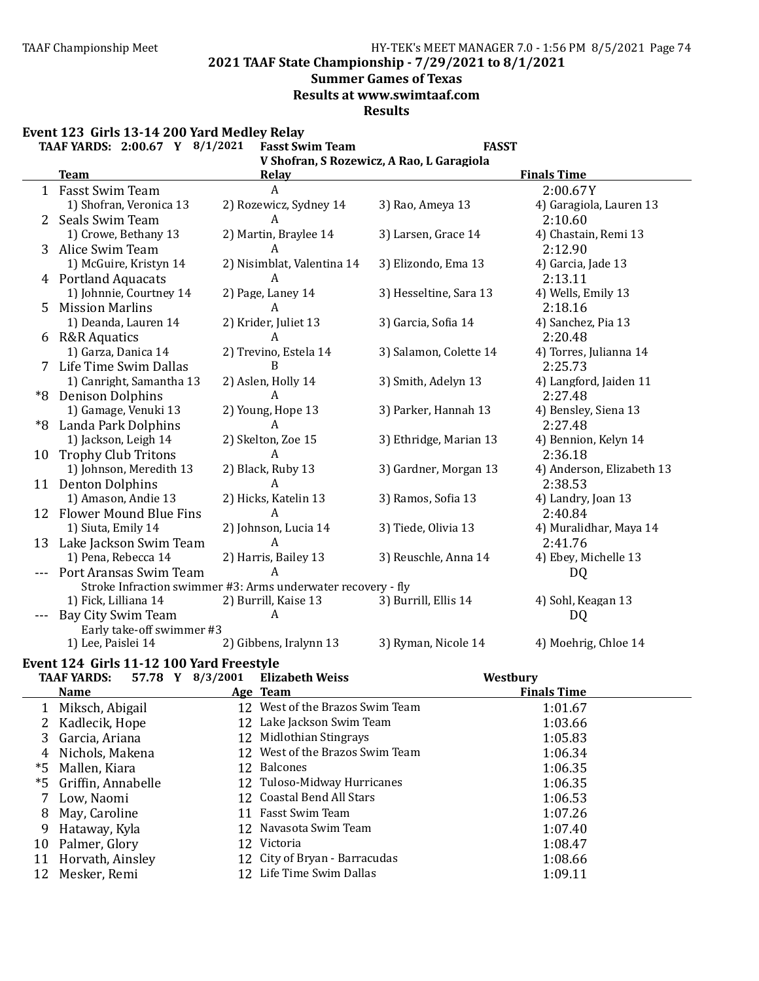**2021 TAAF State Championship - 7/29/2021 to 8/1/2021**

## **Summer Games of Texas**

**Results at www.swimtaaf.com**

**Results**

Event 123 Girls 13-14 200 Yard Medley Relay

|    | TAAF YARDS: 2:00.67 Y 8/1/2021 | <b>Fasst Swim Team</b>                                       | <b>FASST</b>                              |                           |
|----|--------------------------------|--------------------------------------------------------------|-------------------------------------------|---------------------------|
|    |                                |                                                              | V Shofran, S Rozewicz, A Rao, L Garagiola |                           |
|    | <b>Team</b>                    | <b>Relay</b>                                                 |                                           | <b>Finals Time</b>        |
|    | 1 Fasst Swim Team              | $\boldsymbol{A}$                                             |                                           | 2:00.67Y                  |
|    | 1) Shofran, Veronica 13        | 2) Rozewicz, Sydney 14                                       | 3) Rao, Ameya 13                          | 4) Garagiola, Lauren 13   |
|    | Seals Swim Team                | A                                                            |                                           | 2:10.60                   |
|    | 1) Crowe, Bethany 13           | 2) Martin, Braylee 14                                        | 3) Larsen, Grace 14                       | 4) Chastain, Remi 13      |
| 3  | Alice Swim Team                | A                                                            |                                           | 2:12.90                   |
|    | 1) McGuire, Kristyn 14         | 2) Nisimblat, Valentina 14                                   | 3) Elizondo, Ema 13                       | 4) Garcia, Jade 13        |
|    | 4 Portland Aquacats            | A                                                            |                                           | 2:13.11                   |
|    | 1) Johnnie, Courtney 14        | 2) Page, Laney 14                                            | 3) Hesseltine, Sara 13                    | 4) Wells, Emily 13        |
| 5  | <b>Mission Marlins</b>         | A                                                            |                                           | 2:18.16                   |
|    | 1) Deanda, Lauren 14           | 2) Krider, Juliet 13                                         | 3) Garcia, Sofia 14                       | 4) Sanchez, Pia 13        |
|    | 6 R&R Aquatics                 | A                                                            |                                           | 2:20.48                   |
|    | 1) Garza, Danica 14            | 2) Trevino, Estela 14                                        | 3) Salamon, Colette 14                    | 4) Torres, Julianna 14    |
|    | Life Time Swim Dallas          | $\overline{B}$                                               |                                           | 2:25.73                   |
|    | 1) Canright, Samantha 13       | 2) Aslen, Holly 14                                           | 3) Smith, Adelyn 13                       | 4) Langford, Jaiden 11    |
| *8 | <b>Denison Dolphins</b>        | A                                                            |                                           | 2:27.48                   |
|    | 1) Gamage, Venuki 13           | 2) Young, Hope 13                                            | 3) Parker, Hannah 13                      | 4) Bensley, Siena 13      |
| *8 | Landa Park Dolphins            | A                                                            |                                           | 2:27.48                   |
|    | 1) Jackson, Leigh 14           | 2) Skelton, Zoe 15                                           | 3) Ethridge, Marian 13                    | 4) Bennion, Kelyn 14      |
| 10 | <b>Trophy Club Tritons</b>     | $\boldsymbol{A}$                                             |                                           | 2:36.18                   |
|    | 1) Johnson, Meredith 13        | 2) Black, Ruby 13                                            | 3) Gardner, Morgan 13                     | 4) Anderson, Elizabeth 13 |
|    | 11 Denton Dolphins             | A                                                            |                                           | 2:38.53                   |
|    | 1) Amason, Andie 13            | 2) Hicks, Katelin 13                                         | 3) Ramos, Sofia 13                        | 4) Landry, Joan 13        |
|    | 12 Flower Mound Blue Fins      | A                                                            |                                           | 2:40.84                   |
|    | 1) Siuta, Emily 14             | 2) Johnson, Lucia 14                                         | 3) Tiede, Olivia 13                       | 4) Muralidhar, Maya 14    |
| 13 | Lake Jackson Swim Team         | A                                                            |                                           | 2:41.76                   |
|    | 1) Pena, Rebecca 14            | 2) Harris, Bailey 13                                         | 3) Reuschle, Anna 14                      | 4) Ebey, Michelle 13      |
|    | Port Aransas Swim Team         | A                                                            |                                           | DQ                        |
|    |                                | Stroke Infraction swimmer #3: Arms underwater recovery - fly |                                           |                           |
|    | 1) Fick, Lilliana 14           | 2) Burrill, Kaise 13                                         | 3) Burrill, Ellis 14                      | 4) Sohl, Keagan 13        |
|    | Bay City Swim Team             | A                                                            |                                           | <b>DQ</b>                 |
|    | Early take-off swimmer #3      |                                                              |                                           |                           |
|    | 1) Lee, Paislei 14             | 2) Gibbens, Iralynn 13                                       | 3) Ryman, Nicole 14                       | 4) Moehrig, Chloe 14      |

# Event 124 Girls 11-12 100 Yard Freestyle

|             |   |                                                                                                                                                                                                                    | <b>Elizabeth Weiss</b>                 | Westbury                                                                                                                                                                                                                                                                                                                     |  |
|-------------|---|--------------------------------------------------------------------------------------------------------------------------------------------------------------------------------------------------------------------|----------------------------------------|------------------------------------------------------------------------------------------------------------------------------------------------------------------------------------------------------------------------------------------------------------------------------------------------------------------------------|--|
| <b>Name</b> |   |                                                                                                                                                                                                                    |                                        | <b>Finals Time</b>                                                                                                                                                                                                                                                                                                           |  |
|             |   |                                                                                                                                                                                                                    |                                        | 1:01.67                                                                                                                                                                                                                                                                                                                      |  |
|             |   |                                                                                                                                                                                                                    |                                        | 1:03.66                                                                                                                                                                                                                                                                                                                      |  |
|             |   |                                                                                                                                                                                                                    |                                        | 1:05.83                                                                                                                                                                                                                                                                                                                      |  |
|             |   |                                                                                                                                                                                                                    |                                        | 1:06.34                                                                                                                                                                                                                                                                                                                      |  |
|             |   |                                                                                                                                                                                                                    |                                        | 1:06.35                                                                                                                                                                                                                                                                                                                      |  |
|             |   |                                                                                                                                                                                                                    |                                        | 1:06.35                                                                                                                                                                                                                                                                                                                      |  |
|             |   |                                                                                                                                                                                                                    |                                        | 1:06.53                                                                                                                                                                                                                                                                                                                      |  |
|             |   |                                                                                                                                                                                                                    | <b>Fasst Swim Team</b>                 | 1:07.26                                                                                                                                                                                                                                                                                                                      |  |
|             |   |                                                                                                                                                                                                                    |                                        | 1:07.40                                                                                                                                                                                                                                                                                                                      |  |
|             |   |                                                                                                                                                                                                                    |                                        | 1:08.47                                                                                                                                                                                                                                                                                                                      |  |
|             |   |                                                                                                                                                                                                                    |                                        | 1:08.66                                                                                                                                                                                                                                                                                                                      |  |
|             |   |                                                                                                                                                                                                                    |                                        | 1:09.11                                                                                                                                                                                                                                                                                                                      |  |
|             | 3 | Miksch, Abigail<br>Kadlecik, Hope<br>Garcia, Ariana<br>Nichols, Makena<br>Mallen, Kiara<br>Griffin, Annabelle<br>Low, Naomi<br>May, Caroline<br>Hataway, Kyla<br>Palmer, Glory<br>Horvath, Ainsley<br>Mesker, Remi | 57.78 Y 8/3/2001<br><b>TAAF YARDS:</b> | Age Team<br>12 West of the Brazos Swim Team<br>12 Lake Jackson Swim Team<br>12 Midlothian Stingrays<br>12 West of the Brazos Swim Team<br>12 Balcones<br>12 Tuloso-Midway Hurricanes<br>12 Coastal Bend All Stars<br>11<br>12 Navasota Swim Team<br>12 Victoria<br>12 City of Bryan - Barracudas<br>12 Life Time Swim Dallas |  |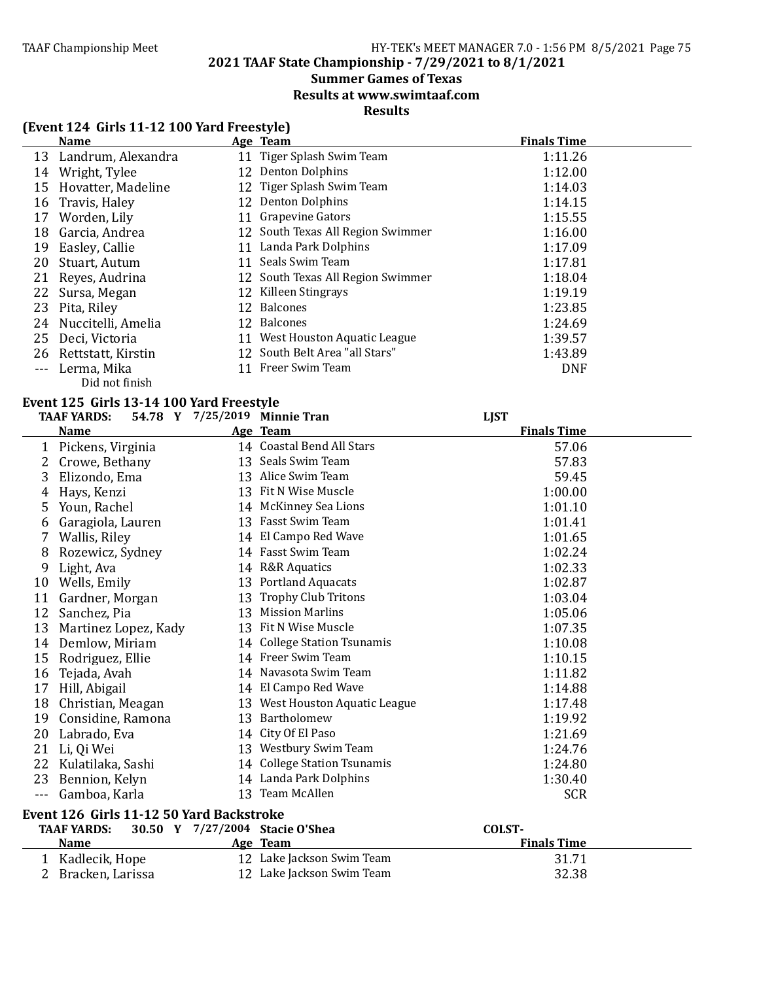**2021 TAAF State Championship - 7/29/2021 to 8/1/2021**

# **Summer Games of Texas**

**Results at www.swimtaaf.com**

### **Results**

# **(Event 124 Girls 11-12 100 Yard Freestyle)**

|         | <b>Name</b>           |    | Age Team                          | <b>Finals Time</b> |
|---------|-----------------------|----|-----------------------------------|--------------------|
| 13      | Landrum, Alexandra    |    | 11 Tiger Splash Swim Team         | 1:11.26            |
| 14      | Wright, Tylee         |    | 12 Denton Dolphins                | 1:12.00            |
| 15      | Hovatter, Madeline    |    | 12 Tiger Splash Swim Team         | 1:14.03            |
| 16      | Travis, Haley         |    | 12 Denton Dolphins                | 1:14.15            |
| 17      | Worden, Lily          |    | 11 Grapevine Gators               | 1:15.55            |
| 18      | Garcia, Andrea        |    | 12 South Texas All Region Swimmer | 1:16.00            |
| 19      | Easley, Callie        |    | 11 Landa Park Dolphins            | 1:17.09            |
| 20      | Stuart, Autum         | 11 | Seals Swim Team                   | 1:17.81            |
| 21      | Reyes, Audrina        |    | 12 South Texas All Region Swimmer | 1:18.04            |
| 22      | Sursa, Megan          |    | 12 Killeen Stingrays              | 1:19.19            |
| 23      | Pita, Riley           | 12 | <b>Balcones</b>                   | 1:23.85            |
|         | 24 Nuccitelli, Amelia |    | 12 Balcones                       | 1:24.69            |
| 25      | Deci, Victoria        |    | 11 West Houston Aquatic League    | 1:39.57            |
| 26      | Rettstatt, Kirstin    |    | 12 South Belt Area "all Stars"    | 1:43.89            |
| $- - -$ | Lerma, Mika           | 11 | Freer Swim Team                   | <b>DNF</b>         |
|         | Did not finish        |    |                                   |                    |

#### **Event 125 Girls 13-14 100 Yard Freestyle**

|      | <b>TAAF YARDS:</b>                       | 54.78 Y 7/25/2019 Minnie Tran   | <b>LJST</b>        |  |
|------|------------------------------------------|---------------------------------|--------------------|--|
|      | <b>Name</b>                              | Age Team                        | <b>Finals Time</b> |  |
| 1    | Pickens, Virginia                        | 14 Coastal Bend All Stars       | 57.06              |  |
| 2    | Crowe, Bethany                           | 13 Seals Swim Team              | 57.83              |  |
| 3    | Elizondo, Ema                            | 13 Alice Swim Team              | 59.45              |  |
| 4    | Hays, Kenzi                              | 13 Fit N Wise Muscle            | 1:00.00            |  |
| 5    | Youn, Rachel                             | 14 McKinney Sea Lions           | 1:01.10            |  |
| 6    | Garagiola, Lauren                        | 13 Fasst Swim Team              | 1:01.41            |  |
| 7    | Wallis, Riley                            | 14 El Campo Red Wave            | 1:01.65            |  |
| 8    | Rozewicz, Sydney                         | 14 Fasst Swim Team              | 1:02.24            |  |
| 9    | Light, Ava                               | 14 R&R Aquatics                 | 1:02.33            |  |
| 10   | Wells, Emily                             | 13 Portland Aquacats            | 1:02.87            |  |
| 11   | Gardner, Morgan                          | 13 Trophy Club Tritons          | 1:03.04            |  |
| 12   | Sanchez, Pia                             | 13 Mission Marlins              | 1:05.06            |  |
| 13   | Martinez Lopez, Kady                     | 13 Fit N Wise Muscle            | 1:07.35            |  |
| 14   | Demlow, Miriam                           | 14 College Station Tsunamis     | 1:10.08            |  |
| 15   | Rodriguez, Ellie                         | 14 Freer Swim Team              | 1:10.15            |  |
| 16   | Tejada, Avah                             | 14 Navasota Swim Team           | 1:11.82            |  |
| 17   | Hill, Abigail                            | 14 El Campo Red Wave            | 1:14.88            |  |
| 18   | Christian, Meagan                        | 13 West Houston Aquatic League  | 1:17.48            |  |
| 19   | Considine, Ramona                        | 13 Bartholomew                  | 1:19.92            |  |
| 20   | Labrado, Eva                             | 14 City Of El Paso              | 1:21.69            |  |
| 21   | Li, Qi Wei                               | 13 Westbury Swim Team           | 1:24.76            |  |
| 22   | Kulatilaka, Sashi                        | 14 College Station Tsunamis     | 1:24.80            |  |
| 23   | Bennion, Kelyn                           | 14 Landa Park Dolphins          | 1:30.40            |  |
| $ -$ | Gamboa, Karla                            | 13 Team McAllen                 | <b>SCR</b>         |  |
|      | Event 126 Girls 11-12 50 Yard Backstroke |                                 |                    |  |
|      | <b>TAAF YARDS:</b>                       | 30.50 Y 7/27/2004 Stacie O'Shea | COLST-             |  |
|      | <b>Name</b>                              | Age Team                        | <b>Finals Time</b> |  |
|      | 1 Kadlecik, Hope                         | 12 Lake Jackson Swim Team       | 31.71              |  |
|      | Bracken, Larissa                         | 12 Lake Jackson Swim Team       | 32.38              |  |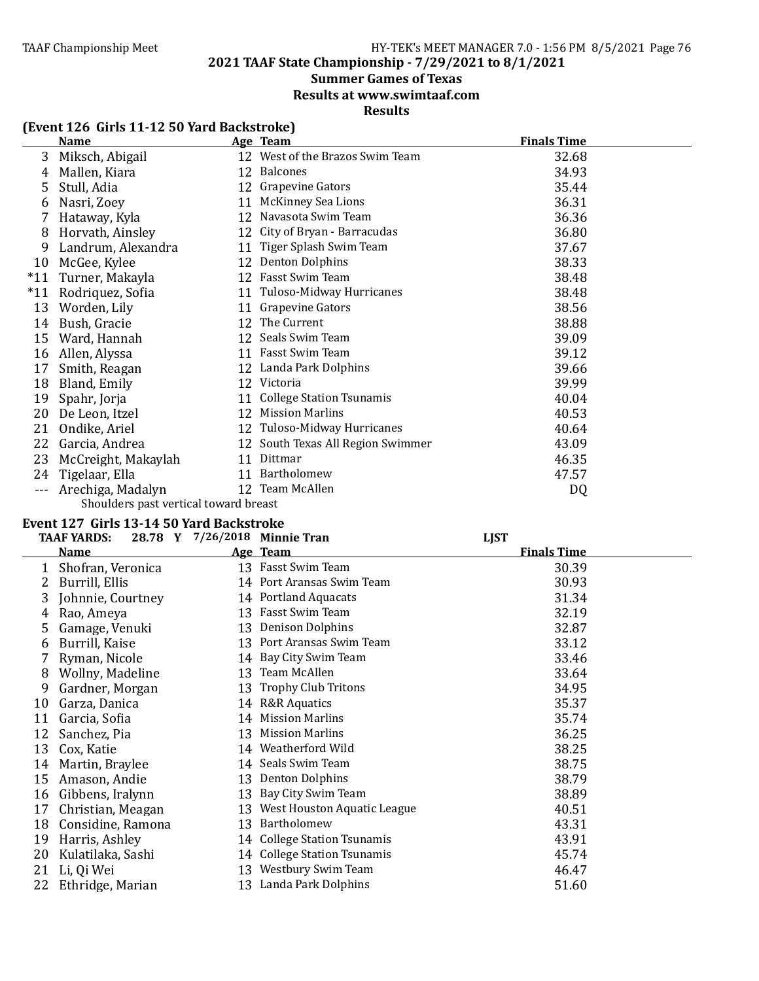**2021 TAAF State Championship - 7/29/2021 to 8/1/2021**

# **Summer Games of Texas**

**Results at www.swimtaaf.com**

**Results**

# **(Event 126 Girls 11-12 50 Yard Backstroke)**

|       | <b>Name</b>                           |    | Age Team                          | <b>Finals Time</b> |
|-------|---------------------------------------|----|-----------------------------------|--------------------|
| 3     | Miksch, Abigail                       |    | 12 West of the Brazos Swim Team   | 32.68              |
| 4     | Mallen, Kiara                         |    | 12 Balcones                       | 34.93              |
| 5     | Stull, Adia                           |    | 12 Grapevine Gators               | 35.44              |
| 6     | Nasri, Zoey                           |    | 11 McKinney Sea Lions             | 36.31              |
|       | Hataway, Kyla                         | 12 | Navasota Swim Team                | 36.36              |
| 8     | Horvath, Ainsley                      |    | 12 City of Bryan - Barracudas     | 36.80              |
| 9     | Landrum, Alexandra                    |    | 11 Tiger Splash Swim Team         | 37.67              |
| 10    | McGee, Kylee                          |    | 12 Denton Dolphins                | 38.33              |
| $*11$ | Turner, Makayla                       |    | 12 Fasst Swim Team                | 38.48              |
| $*11$ | Rodriquez, Sofia                      |    | 11 Tuloso-Midway Hurricanes       | 38.48              |
| 13    | Worden, Lily                          |    | 11 Grapevine Gators               | 38.56              |
| 14    | Bush, Gracie                          |    | 12 The Current                    | 38.88              |
| 15    | Ward, Hannah                          |    | 12 Seals Swim Team                | 39.09              |
| 16    | Allen, Alyssa                         |    | 11 Fasst Swim Team                | 39.12              |
| 17    | Smith, Reagan                         |    | 12 Landa Park Dolphins            | 39.66              |
| 18    | Bland, Emily                          |    | 12 Victoria                       | 39.99              |
| 19    | Spahr, Jorja                          |    | 11 College Station Tsunamis       | 40.04              |
| 20    | De Leon, Itzel                        | 12 | <b>Mission Marlins</b>            | 40.53              |
| 21    | Ondike, Ariel                         |    | 12 Tuloso-Midway Hurricanes       | 40.64              |
| 22    | Garcia, Andrea                        |    | 12 South Texas All Region Swimmer | 43.09              |
| 23    | McCreight, Makaylah                   |    | 11 Dittmar                        | 46.35              |
| 24    | Tigelaar, Ella                        |    | 11 Bartholomew                    | 47.57              |
|       | Arechiga, Madalyn                     |    | 12 Team McAllen                   | DQ                 |
|       | Choulders past vertical toward broast |    |                                   |                    |

#### Shoulders past vertical toward breast

#### **Event 127 Girls 13-14 50 Yard Backstroke**

|    | <b>TAAF YARDS:</b> |    | 28.78 Y 7/26/2018 Minnie Tran | <b>LJST</b>        |  |
|----|--------------------|----|-------------------------------|--------------------|--|
|    | Name               |    | Age Team                      | <b>Finals Time</b> |  |
|    | Shofran, Veronica  |    | 13 Fasst Swim Team            | 30.39              |  |
|    | Burrill, Ellis     |    | 14 Port Aransas Swim Team     | 30.93              |  |
| 3  | Johnnie, Courtney  |    | 14 Portland Aquacats          | 31.34              |  |
| 4  | Rao, Ameya         |    | 13 Fasst Swim Team            | 32.19              |  |
| 5  | Gamage, Venuki     |    | 13 Denison Dolphins           | 32.87              |  |
| b  | Burrill, Kaise     |    | 13 Port Aransas Swim Team     | 33.12              |  |
|    | Ryman, Nicole      |    | 14 Bay City Swim Team         | 33.46              |  |
| 8  | Wollny, Madeline   |    | 13 Team McAllen               | 33.64              |  |
| 9  | Gardner, Morgan    |    | 13 Trophy Club Tritons        | 34.95              |  |
| 10 | Garza, Danica      |    | 14 R&R Aquatics               | 35.37              |  |
| 11 | Garcia, Sofia      | 14 | <b>Mission Marlins</b>        | 35.74              |  |
| 12 | Sanchez, Pia       | 13 | <b>Mission Marlins</b>        | 36.25              |  |
| 13 | Cox, Katie         |    | 14 Weatherford Wild           | 38.25              |  |
| 14 | Martin, Braylee    |    | 14 Seals Swim Team            | 38.75              |  |
| 15 | Amason, Andie      |    | 13 Denton Dolphins            | 38.79              |  |
| 16 | Gibbens, Iralynn   | 13 | Bay City Swim Team            | 38.89              |  |
| 17 | Christian, Meagan  | 13 | West Houston Aquatic League   | 40.51              |  |
| 18 | Considine, Ramona  | 13 | Bartholomew                   | 43.31              |  |
| 19 | Harris, Ashley     |    | 14 College Station Tsunamis   | 43.91              |  |
| 20 | Kulatilaka, Sashi  |    | 14 College Station Tsunamis   | 45.74              |  |
| 21 | Li, Qi Wei         |    | 13 Westbury Swim Team         | 46.47              |  |
| 22 | Ethridge, Marian   |    | 13 Landa Park Dolphins        | 51.60              |  |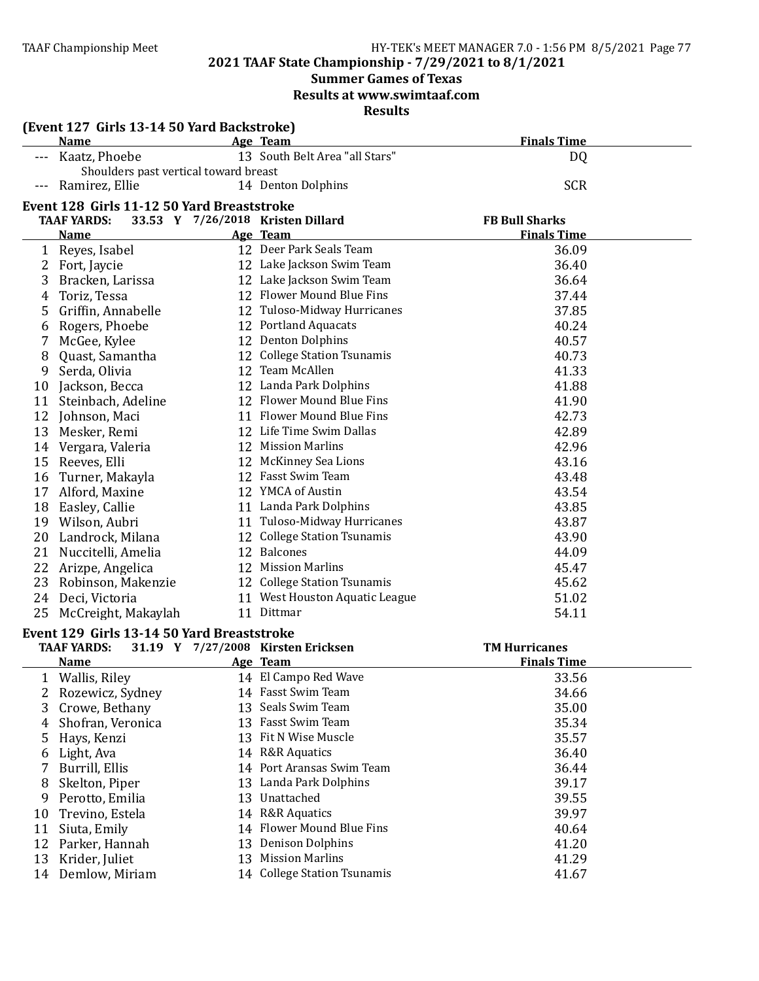#### TAAF Championship Meet TAAF Championship Meet HY-TEK's MEET MANAGER 7.0 - 1:56 PM 8/5/2021 Page 77

# **2021 TAAF State Championship - 7/29/2021 to 8/1/2021**

# **Summer Games of Texas**

**Results at www.swimtaaf.com**

**Results**

|    | (Event 127 Girls 13-14 50 Yard Backstroke)                 |    |                                                     |                                             |
|----|------------------------------------------------------------|----|-----------------------------------------------------|---------------------------------------------|
|    | <b>Name</b>                                                |    | Age Team                                            | <b>Finals Time</b>                          |
|    | --- Kaatz, Phoebe<br>Shoulders past vertical toward breast |    | 13 South Belt Area "all Stars"                      | DQ                                          |
|    | Ramirez, Ellie                                             |    | 14 Denton Dolphins                                  | <b>SCR</b>                                  |
|    |                                                            |    |                                                     |                                             |
|    | Event 128 Girls 11-12 50 Yard Breaststroke                 |    |                                                     |                                             |
|    | <b>TAAF YARDS:</b><br><b>Name</b>                          |    | 33.53 Y 7/26/2018 Kristen Dillard<br>Age Team       | <b>FB Bull Sharks</b><br><b>Finals Time</b> |
|    |                                                            |    | 12 Deer Park Seals Team                             | 36.09                                       |
|    | 1 Reyes, Isabel<br>2 Fort, Jaycie                          |    | 12 Lake Jackson Swim Team                           | 36.40                                       |
|    | Bracken, Larissa                                           |    | 12 Lake Jackson Swim Team                           | 36.64                                       |
| 3  | Toriz, Tessa                                               |    | 12 Flower Mound Blue Fins                           | 37.44                                       |
| 4  |                                                            |    | 12 Tuloso-Midway Hurricanes                         | 37.85                                       |
| 5  | Griffin, Annabelle                                         |    | 12 Portland Aquacats                                | 40.24                                       |
| 6  | Rogers, Phoebe                                             |    | 12 Denton Dolphins                                  | 40.57                                       |
| 7  | McGee, Kylee                                               |    | 12 College Station Tsunamis                         | 40.73                                       |
| 8  | Quast, Samantha                                            |    | 12 Team McAllen                                     |                                             |
| 9  | Serda, Olivia                                              |    |                                                     | 41.33                                       |
|    | 10 Jackson, Becca                                          |    | 12 Landa Park Dolphins<br>12 Flower Mound Blue Fins | 41.88                                       |
| 11 | Steinbach, Adeline                                         |    | 11 Flower Mound Blue Fins                           | 41.90                                       |
|    | 12 Johnson, Maci                                           |    | 12 Life Time Swim Dallas                            | 42.73                                       |
|    | 13 Mesker, Remi                                            |    |                                                     | 42.89                                       |
|    | 14 Vergara, Valeria                                        |    | 12 Mission Marlins                                  | 42.96                                       |
|    | 15 Reeves, Elli                                            |    | 12 McKinney Sea Lions                               | 43.16                                       |
|    | 16 Turner, Makayla                                         |    | 12 Fasst Swim Team                                  | 43.48                                       |
| 17 | Alford, Maxine                                             |    | 12 YMCA of Austin                                   | 43.54                                       |
| 18 | Easley, Callie                                             |    | 11 Landa Park Dolphins                              | 43.85                                       |
|    | 19 Wilson, Aubri                                           |    | 11 Tuloso-Midway Hurricanes                         | 43.87                                       |
|    | 20 Landrock, Milana                                        |    | 12 College Station Tsunamis                         | 43.90                                       |
| 21 | Nuccitelli, Amelia                                         |    | 12 Balcones                                         | 44.09                                       |
| 22 | Arizpe, Angelica                                           |    | 12 Mission Marlins                                  | 45.47                                       |
| 23 | Robinson, Makenzie                                         |    | 12 College Station Tsunamis                         | 45.62                                       |
| 24 | Deci, Victoria                                             |    | 11 West Houston Aquatic League                      | 51.02                                       |
| 25 | McCreight, Makaylah                                        |    | 11 Dittmar                                          | 54.11                                       |
|    | Event 129 Girls 13-14 50 Yard Breaststroke                 |    |                                                     |                                             |
|    | <b>TAAF YARDS:</b>                                         |    | 31.19 Y 7/27/2008 Kirsten Ericksen                  | <b>TM Hurricanes</b>                        |
|    | <b>Name</b>                                                |    | Age Team                                            | <b>Finals Time</b>                          |
| 1  | Wallis, Riley                                              |    | 14 El Campo Red Wave                                | 33.56                                       |
| 2  | Rozewicz, Sydney                                           |    | 14 Fasst Swim Team                                  | 34.66                                       |
| 3  | Crowe, Bethany                                             | 13 | Seals Swim Team                                     | 35.00                                       |
| 4  | Shofran, Veronica                                          |    | 13 Fasst Swim Team                                  | 35.34                                       |
| 5  | Hays, Kenzi                                                |    | 13 Fit N Wise Muscle                                | 35.57                                       |
| 6  | Light, Ava                                                 |    | 14 R&R Aquatics                                     | 36.40                                       |
| 7  | Burrill, Ellis                                             |    | 14 Port Aransas Swim Team                           | 36.44                                       |
| 8  | Skelton, Piper                                             | 13 | Landa Park Dolphins                                 | 39.17                                       |
| 9  | Perotto, Emilia                                            | 13 | Unattached                                          | 39.55                                       |
| 10 | Trevino, Estela                                            |    | 14 R&R Aquatics                                     | 39.97                                       |
| 11 | Siuta, Emily                                               |    | 14 Flower Mound Blue Fins                           | 40.64                                       |
| 12 | Parker, Hannah                                             | 13 | <b>Denison Dolphins</b>                             | 41.20                                       |
| 13 | Krider, Juliet                                             |    | 13 Mission Marlins                                  | 41.29                                       |
|    | 14 Demlow, Miriam                                          |    | 14 College Station Tsunamis                         | 41.67                                       |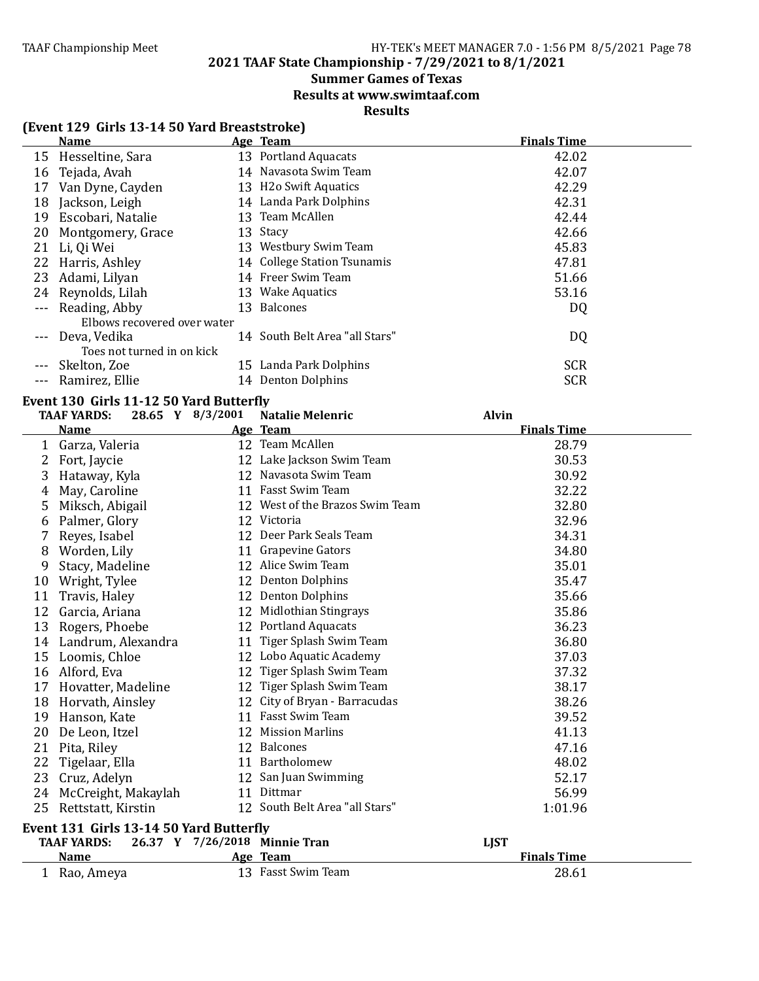# **2021 TAAF State Championship - 7/29/2021 to 8/1/2021**

# **Summer Games of Texas**

**Results at www.swimtaaf.com**

# **Results**

# **(Event 129 Girls 13-14 50 Yard Breaststroke)**

|         | <b>Name</b>                 | Age Team                           | <b>Finals Time</b> |
|---------|-----------------------------|------------------------------------|--------------------|
|         | 15 Hesseltine, Sara         | 13 Portland Aquacats               | 42.02              |
| 16      | Tejada, Avah                | 14 Navasota Swim Team              | 42.07              |
| 17      | Van Dyne, Cayden            | 13 H <sub>2</sub> o Swift Aquatics | 42.29              |
| 18      | Jackson, Leigh              | 14 Landa Park Dolphins             | 42.31              |
| 19      | Escobari, Natalie           | 13 Team McAllen                    | 42.44              |
| 20      | Montgomery, Grace           | 13 Stacy                           | 42.66              |
| 21      | Li, Qi Wei                  | 13 Westbury Swim Team              | 45.83              |
|         | 22 Harris, Ashley           | 14 College Station Tsunamis        | 47.81              |
| 23      | Adami, Lilyan               | 14 Freer Swim Team                 | 51.66              |
|         | 24 Reynolds, Lilah          | 13 Wake Aquatics                   | 53.16              |
|         | --- Reading, Abby           | 13 Balcones                        | DQ                 |
|         | Elbows recovered over water |                                    |                    |
| $- - -$ | Deva, Vedika                | 14 South Belt Area "all Stars"     | DQ                 |
|         | Toes not turned in on kick  |                                    |                    |
|         | Skelton, Zoe                | 15 Landa Park Dolphins             | <b>SCR</b>         |
|         | --- Ramirez, Ellie          | 14 Denton Dolphins                 | <b>SCR</b>         |

# Event 130 Girls 11-12 50 Yard Butterfly

|    | <b>TAAF YARDS:</b>                      | 28.65 Y 8/3/2001 | <b>Natalie Melenric</b>         | <b>Alvin</b>       |  |
|----|-----------------------------------------|------------------|---------------------------------|--------------------|--|
|    | <b>Name</b>                             |                  | Age Team                        | <b>Finals Time</b> |  |
| 1  | Garza, Valeria                          |                  | 12 Team McAllen                 | 28.79              |  |
| 2  | Fort, Jaycie                            |                  | 12 Lake Jackson Swim Team       | 30.53              |  |
| 3  | Hataway, Kyla                           |                  | 12 Navasota Swim Team           | 30.92              |  |
| 4  | May, Caroline                           |                  | 11 Fasst Swim Team              | 32.22              |  |
| 5  | Miksch, Abigail                         |                  | 12 West of the Brazos Swim Team | 32.80              |  |
| 6  | Palmer, Glory                           |                  | 12 Victoria                     | 32.96              |  |
| 7  | Reyes, Isabel                           |                  | 12 Deer Park Seals Team         | 34.31              |  |
| 8  | Worden, Lily                            |                  | 11 Grapevine Gators             | 34.80              |  |
| 9  | Stacy, Madeline                         |                  | 12 Alice Swim Team              | 35.01              |  |
| 10 | Wright, Tylee                           |                  | 12 Denton Dolphins              | 35.47              |  |
| 11 | Travis, Haley                           |                  | 12 Denton Dolphins              | 35.66              |  |
| 12 | Garcia, Ariana                          |                  | 12 Midlothian Stingrays         | 35.86              |  |
| 13 | Rogers, Phoebe                          |                  | 12 Portland Aquacats            | 36.23              |  |
| 14 | Landrum, Alexandra                      |                  | 11 Tiger Splash Swim Team       | 36.80              |  |
| 15 | Loomis, Chloe                           |                  | 12 Lobo Aquatic Academy         | 37.03              |  |
|    | 16 Alford, Eva                          |                  | 12 Tiger Splash Swim Team       | 37.32              |  |
| 17 | Hovatter, Madeline                      |                  | 12 Tiger Splash Swim Team       | 38.17              |  |
| 18 | Horvath, Ainsley                        |                  | 12 City of Bryan - Barracudas   | 38.26              |  |
| 19 | Hanson, Kate                            |                  | 11 Fasst Swim Team              | 39.52              |  |
| 20 | De Leon, Itzel                          |                  | 12 Mission Marlins              | 41.13              |  |
| 21 | Pita, Riley                             |                  | 12 Balcones                     | 47.16              |  |
| 22 | Tigelaar, Ella                          |                  | 11 Bartholomew                  | 48.02              |  |
| 23 | Cruz, Adelyn                            |                  | 12 San Juan Swimming            | 52.17              |  |
| 24 | McCreight, Makaylah                     |                  | 11 Dittmar                      | 56.99              |  |
| 25 | Rettstatt, Kirstin                      |                  | 12 South Belt Area "all Stars"  | 1:01.96            |  |
|    | Event 131 Girls 13-14 50 Yard Butterfly |                  |                                 |                    |  |
|    | <b>TAAF YARDS:</b>                      |                  | 26.37 Y 7/26/2018 Minnie Tran   | <b>LIST</b>        |  |
|    | <b>Name</b>                             |                  | Age Team                        | <b>Finals Time</b> |  |
|    | 1 Rao, Ameya                            |                  | 13 Fasst Swim Team              | 28.61              |  |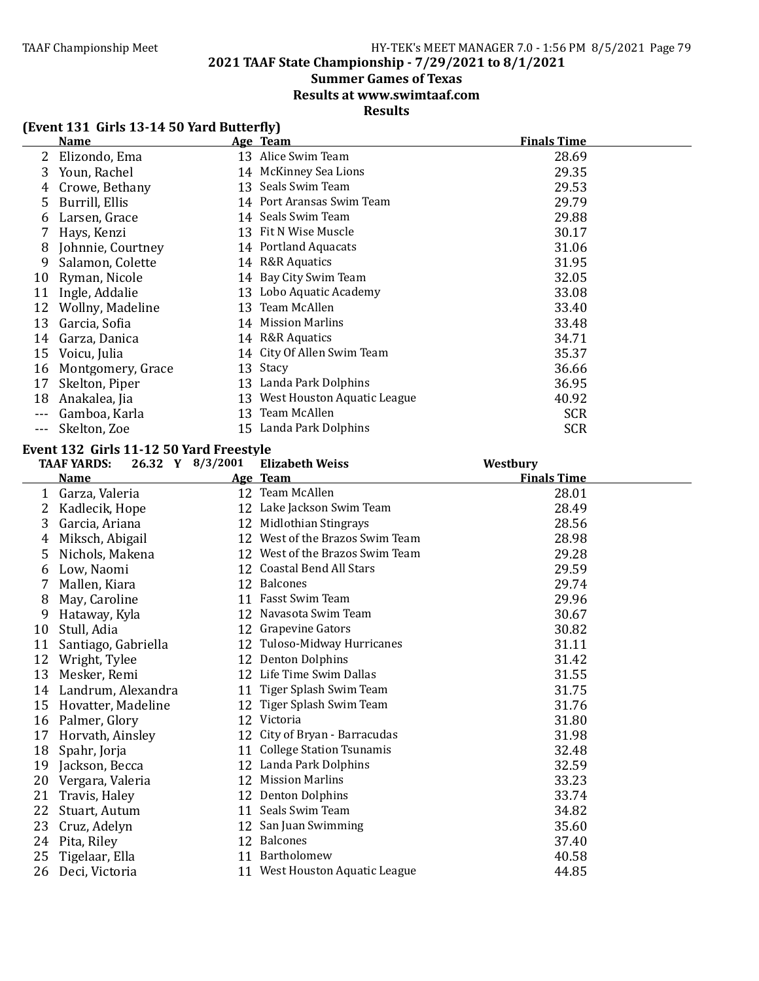# **2021 TAAF State Championship - 7/29/2021 to 8/1/2021**

# **Summer Games of Texas**

**Results at www.swimtaaf.com**

# **Results**

| (Event 131 Girls 13-14 50 Yard Butterfly) |
|-------------------------------------------|
|-------------------------------------------|

|       | <b>Name</b>       |    | Age Team                    | <b>Finals Time</b> |
|-------|-------------------|----|-----------------------------|--------------------|
|       | Elizondo, Ema     |    | 13 Alice Swim Team          | 28.69              |
| 3     | Youn, Rachel      |    | 14 McKinney Sea Lions       | 29.35              |
| 4     | Crowe, Bethany    | 13 | Seals Swim Team             | 29.53              |
| 5.    | Burrill, Ellis    | 14 | Port Aransas Swim Team      | 29.79              |
| 6     | Larsen, Grace     | 14 | Seals Swim Team             | 29.88              |
|       | Hays, Kenzi       |    | 13 Fit N Wise Muscle        | 30.17              |
| 8     | Johnnie, Courtney |    | 14 Portland Aquacats        | 31.06              |
| 9     | Salamon, Colette  |    | 14 R&R Aquatics             | 31.95              |
| 10    | Ryman, Nicole     |    | 14 Bay City Swim Team       | 32.05              |
| 11    | Ingle, Addalie    |    | 13 Lobo Aquatic Academy     | 33.08              |
| 12    | Wollny, Madeline  |    | 13 Team McAllen             | 33.40              |
| 13    | Garcia, Sofia     | 14 | <b>Mission Marlins</b>      | 33.48              |
| 14    | Garza, Danica     | 14 | R&R Aquatics                | 34.71              |
| 15    | Voicu, Julia      |    | 14 City Of Allen Swim Team  | 35.37              |
| 16    | Montgomery, Grace | 13 | Stacy                       | 36.66              |
| 17    | Skelton, Piper    | 13 | Landa Park Dolphins         | 36.95              |
| 18    | Anakalea, Jia     | 13 | West Houston Aquatic League | 40.92              |
|       | Gamboa, Karla     |    | 13 Team McAllen             | <b>SCR</b>         |
| $---$ | Skelton, Zoe      |    | 15 Landa Park Dolphins      | <b>SCR</b>         |

#### **Event 132 Girls 11-12 50 Yard Freestyle**

|    | <b>TAAF YARDS:</b>  | 26.32 Y 8/3/2001 | <b>Elizabeth Weiss</b>          | Westbury           |
|----|---------------------|------------------|---------------------------------|--------------------|
|    | <b>Name</b>         |                  | Age Team                        | <b>Finals Time</b> |
| 1  | Garza, Valeria      |                  | 12 Team McAllen                 | 28.01              |
|    | Kadlecik, Hope      |                  | 12 Lake Jackson Swim Team       | 28.49              |
| 3  | Garcia, Ariana      | 12               | Midlothian Stingrays            | 28.56              |
| 4  | Miksch, Abigail     | 12               | West of the Brazos Swim Team    | 28.98              |
| 5  | Nichols, Makena     |                  | 12 West of the Brazos Swim Team | 29.28              |
| 6  | Low, Naomi          |                  | 12 Coastal Bend All Stars       | 29.59              |
|    | Mallen, Kiara       |                  | 12 Balcones                     | 29.74              |
| 8  | May, Caroline       |                  | 11 Fasst Swim Team              | 29.96              |
| 9  | Hataway, Kyla       |                  | 12 Navasota Swim Team           | 30.67              |
| 10 | Stull, Adia         |                  | 12 Grapevine Gators             | 30.82              |
| 11 | Santiago, Gabriella |                  | 12 Tuloso-Midway Hurricanes     | 31.11              |
| 12 | Wright, Tylee       |                  | 12 Denton Dolphins              | 31.42              |
| 13 | Mesker, Remi        |                  | 12 Life Time Swim Dallas        | 31.55              |
| 14 | Landrum, Alexandra  |                  | 11 Tiger Splash Swim Team       | 31.75              |
| 15 | Hovatter, Madeline  | 12               | Tiger Splash Swim Team          | 31.76              |
| 16 | Palmer, Glory       |                  | 12 Victoria                     | 31.80              |
| 17 | Horvath, Ainsley    | 12               | City of Bryan - Barracudas      | 31.98              |
| 18 | Spahr, Jorja        |                  | 11 College Station Tsunamis     | 32.48              |
| 19 | Jackson, Becca      |                  | 12 Landa Park Dolphins          | 32.59              |
| 20 | Vergara, Valeria    |                  | 12 Mission Marlins              | 33.23              |
| 21 | Travis, Haley       |                  | 12 Denton Dolphins              | 33.74              |
| 22 | Stuart, Autum       |                  | 11 Seals Swim Team              | 34.82              |
| 23 | Cruz, Adelyn        |                  | 12 San Juan Swimming            | 35.60              |
| 24 | Pita, Riley         |                  | 12 Balcones                     | 37.40              |
| 25 | Tigelaar, Ella      |                  | 11 Bartholomew                  | 40.58              |
| 26 | Deci, Victoria      |                  | 11 West Houston Aquatic League  | 44.85              |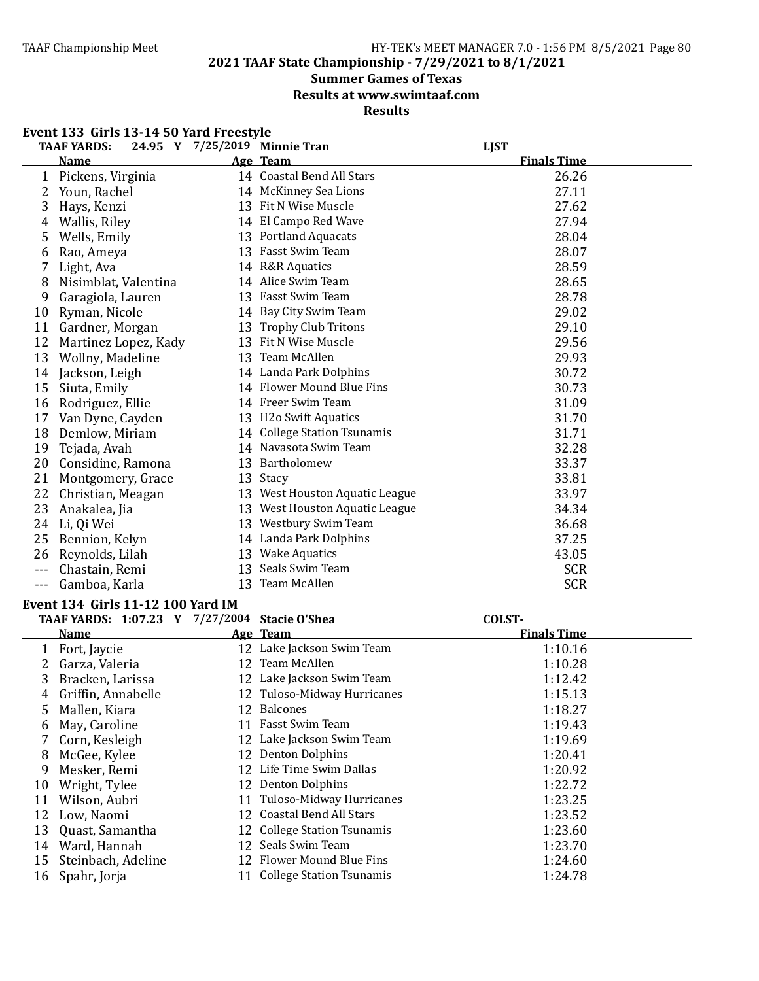**2021 TAAF State Championship - 7/29/2021 to 8/1/2021**

# **Summer Games of Texas**

**Results at www.swimtaaf.com**

#### **Results**

|       | Event 133 Girls 13-14 50 Yard Freestyle       |    |                                |                    |
|-------|-----------------------------------------------|----|--------------------------------|--------------------|
|       | <b>TAAF YARDS:</b>                            |    | 24.95 Y 7/25/2019 Minnie Tran  | <b>LJST</b>        |
|       | <b>Name</b>                                   |    | Age Team                       | <b>Finals Time</b> |
| 1     | Pickens, Virginia                             |    | 14 Coastal Bend All Stars      | 26.26              |
| 2     | Youn, Rachel                                  |    | 14 McKinney Sea Lions          | 27.11              |
| 3     | Hays, Kenzi                                   |    | 13 Fit N Wise Muscle           | 27.62              |
| 4     | Wallis, Riley                                 |    | 14 El Campo Red Wave           | 27.94              |
| 5     | Wells, Emily                                  |    | 13 Portland Aquacats           | 28.04              |
| 6     | Rao, Ameya                                    |    | 13 Fasst Swim Team             | 28.07              |
| 7     | Light, Ava                                    |    | 14 R&R Aquatics                | 28.59              |
| 8     | Nisimblat, Valentina                          |    | 14 Alice Swim Team             | 28.65              |
| 9     | Garagiola, Lauren                             |    | 13 Fasst Swim Team             | 28.78              |
| 10    | Ryman, Nicole                                 |    | 14 Bay City Swim Team          | 29.02              |
|       | 11 Gardner, Morgan                            |    | 13 Trophy Club Tritons         | 29.10              |
|       | 12 Martinez Lopez, Kady                       |    | 13 Fit N Wise Muscle           | 29.56              |
|       | 13 Wollny, Madeline                           |    | 13 Team McAllen                | 29.93              |
|       | 14 Jackson, Leigh                             |    | 14 Landa Park Dolphins         | 30.72              |
|       | 15 Siuta, Emily                               |    | 14 Flower Mound Blue Fins      | 30.73              |
|       | 16 Rodriguez, Ellie                           |    | 14 Freer Swim Team             | 31.09              |
|       | 17 Van Dyne, Cayden                           |    | 13 H2o Swift Aquatics          | 31.70              |
|       | 18 Demlow, Miriam                             |    | 14 College Station Tsunamis    | 31.71              |
|       | 19 Tejada, Avah                               |    | 14 Navasota Swim Team          | 32.28              |
|       | 20 Considine, Ramona                          |    | 13 Bartholomew                 | 33.37              |
|       | 21 Montgomery, Grace                          |    | 13 Stacy                       | 33.81              |
|       | 22 Christian, Meagan                          |    | 13 West Houston Aquatic League | 33.97              |
| 23    | Anakalea, Jia                                 |    | 13 West Houston Aquatic League | 34.34              |
| 24    | Li, Qi Wei                                    |    | 13 Westbury Swim Team          | 36.68              |
| 25    | Bennion, Kelyn                                |    | 14 Landa Park Dolphins         | 37.25              |
|       | 26 Reynolds, Lilah                            |    | 13 Wake Aquatics               | 43.05              |
| $---$ | Chastain, Remi                                |    | 13 Seals Swim Team             | <b>SCR</b>         |
| $---$ | Gamboa, Karla                                 |    | 13 Team McAllen                | <b>SCR</b>         |
|       | Event 134 Girls 11-12 100 Yard IM             |    |                                |                    |
|       | TAAF YARDS: 1:07.23 Y 7/27/2004 Stacie O'Shea |    |                                | COLST-             |
|       | <b>Name</b>                                   |    | Age Team                       | <b>Finals Time</b> |
|       | 1 Fort, Jaycie                                |    | 12 Lake Jackson Swim Team      | 1:10.16            |
|       | Garza, Valeria                                |    | 12 Team McAllen                | 1:10.28            |
|       | 3 Bracken, Larissa                            |    | 12 Lake Jackson Swim Team      | 1:12.42            |
| 4     | Griffin, Annabelle                            |    | 12 Tuloso-Midway Hurricanes    | 1:15.13            |
| 5     | Mallen, Kiara                                 |    | 12 Balcones                    | 1:18.27            |
| 6     | May, Caroline                                 |    | 11 Fasst Swim Team             | 1:19.43            |
| 7     | Corn, Kesleigh                                |    | 12 Lake Jackson Swim Team      | 1:19.69            |
| 8     | McGee, Kylee                                  |    | 12 Denton Dolphins             | 1:20.41            |
| 9     | Mesker, Remi                                  |    | 12 Life Time Swim Dallas       | 1:20.92            |
| 10    | Wright, Tylee                                 |    | 12 Denton Dolphins             | 1:22.72            |
| 11    | Wilson, Aubri                                 | 11 | Tuloso-Midway Hurricanes       | 1:23.25            |
| 12    | Low, Naomi                                    | 12 | <b>Coastal Bend All Stars</b>  | 1:23.52            |
| 13    | Quast, Samantha                               |    | 12 College Station Tsunamis    | 1:23.60            |
| 14    | Ward, Hannah                                  |    | 12 Seals Swim Team             | 1:23.70            |
| 15    | Steinbach, Adeline                            |    | 12 Flower Mound Blue Fins      | 1:24.60            |
|       |                                               |    | $C = \prod_{n=1}^{n} C_n$      | 21.70              |

Spahr, Jorja 11 College Station Tsunamis 1:24.78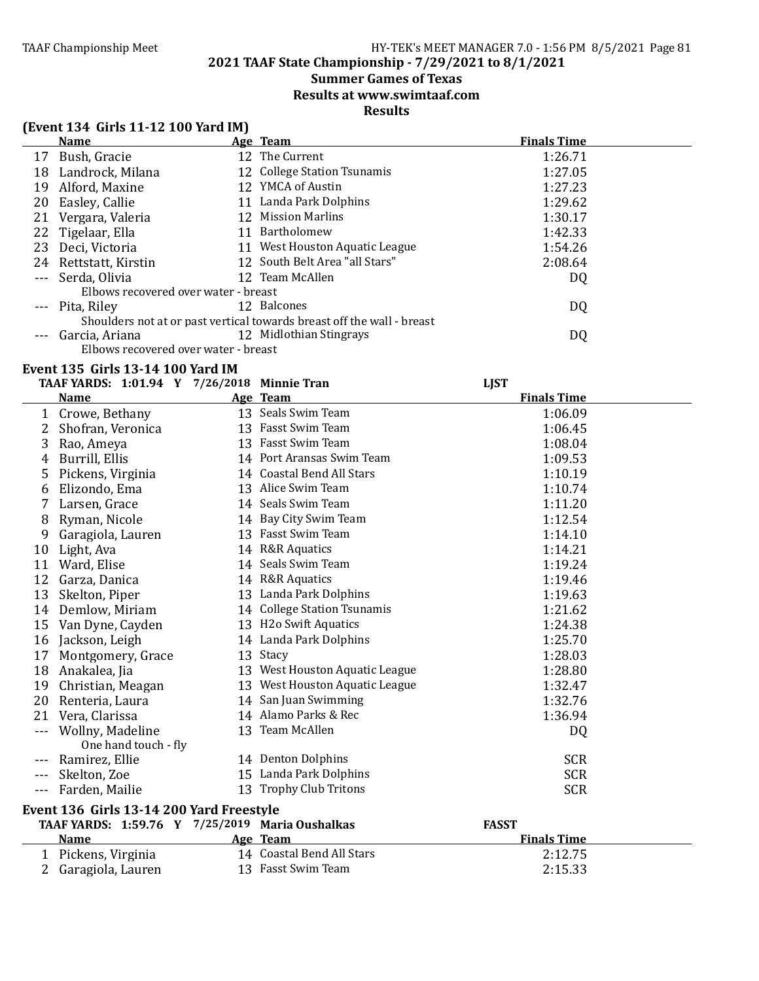2 Garagiola, Lauren

#### TAAF Championship Meet HY-TEK's MEET MANAGER 7.0 - 1:56 PM 8/5/2021 Page 81

# **2021 TAAF State Championship - 7/29/2021 to 8/1/2021**

# **Summer Games of Texas**

**Results at www.swimtaaf.com**

**Results**

|         | (Event 134 Girls 11-12 100 Yard IM)             |  |                                                                        |                    |  |  |
|---------|-------------------------------------------------|--|------------------------------------------------------------------------|--------------------|--|--|
|         | <b>Name</b>                                     |  | Age Team                                                               | <b>Finals Time</b> |  |  |
|         | 17 Bush, Gracie                                 |  | 12 The Current                                                         | 1:26.71            |  |  |
| 18      | Landrock, Milana                                |  | 12 College Station Tsunamis                                            | 1:27.05            |  |  |
| 19      | Alford, Maxine                                  |  | 12 YMCA of Austin                                                      | 1:27.23            |  |  |
| 20      | Easley, Callie                                  |  | 11 Landa Park Dolphins                                                 | 1:29.62            |  |  |
| 21      | Vergara, Valeria                                |  | 12 Mission Marlins                                                     | 1:30.17            |  |  |
| 22      | Tigelaar, Ella                                  |  | 11 Bartholomew                                                         | 1:42.33            |  |  |
| 23      | Deci, Victoria                                  |  | 11 West Houston Aquatic League                                         | 1:54.26            |  |  |
|         | 24 Rettstatt, Kirstin                           |  | 12 South Belt Area "all Stars"                                         | 2:08.64            |  |  |
| $- - -$ | Serda, Olivia                                   |  | 12 Team McAllen                                                        | DQ                 |  |  |
|         | Elbows recovered over water - breast            |  |                                                                        |                    |  |  |
|         | Pita, Riley                                     |  | 12 Balcones                                                            | DQ                 |  |  |
|         |                                                 |  | Shoulders not at or past vertical towards breast off the wall - breast |                    |  |  |
|         | Garcia, Ariana                                  |  | 12 Midlothian Stingrays                                                | DQ                 |  |  |
|         | Elbows recovered over water - breast            |  |                                                                        |                    |  |  |
|         | Event 135 Girls 13-14 100 Yard IM               |  |                                                                        |                    |  |  |
|         | TAAF YARDS: 1:01.94 Y 7/26/2018 Minnie Tran     |  |                                                                        | <b>LJST</b>        |  |  |
|         | <u>Name</u>                                     |  | Age Team                                                               | <b>Finals Time</b> |  |  |
|         | 1 Crowe, Bethany                                |  | 13 Seals Swim Team                                                     | 1:06.09            |  |  |
| 2       | Shofran, Veronica                               |  | 13 Fasst Swim Team                                                     | 1:06.45            |  |  |
| 3       | Rao, Ameya                                      |  | 13 Fasst Swim Team                                                     | 1:08.04            |  |  |
| 4       | Burrill, Ellis                                  |  | 14 Port Aransas Swim Team                                              | 1:09.53            |  |  |
| 5       | Pickens, Virginia                               |  | 14 Coastal Bend All Stars                                              | 1:10.19            |  |  |
| 6       | Elizondo, Ema                                   |  | 13 Alice Swim Team                                                     | 1:10.74            |  |  |
| 7       | Larsen, Grace                                   |  | 14 Seals Swim Team                                                     | 1:11.20            |  |  |
| 8       | Ryman, Nicole                                   |  | 14 Bay City Swim Team                                                  | 1:12.54            |  |  |
| 9       | Garagiola, Lauren                               |  | 13 Fasst Swim Team                                                     | 1:14.10            |  |  |
| 10      | Light, Ava                                      |  | 14 R&R Aquatics                                                        | 1:14.21            |  |  |
| 11      | Ward, Elise                                     |  | 14 Seals Swim Team                                                     | 1:19.24            |  |  |
| 12      | Garza, Danica                                   |  | 14 R&R Aquatics                                                        | 1:19.46            |  |  |
| 13      | Skelton, Piper                                  |  | 13 Landa Park Dolphins                                                 | 1:19.63            |  |  |
| 14      | Demlow, Miriam                                  |  | 14 College Station Tsunamis                                            | 1:21.62            |  |  |
| 15      | Van Dyne, Cayden                                |  | 13 H2o Swift Aquatics                                                  | 1:24.38            |  |  |
| 16      | Jackson, Leigh                                  |  | 14 Landa Park Dolphins                                                 | 1:25.70            |  |  |
| 17      | Montgomery, Grace                               |  | 13 Stacy                                                               | 1:28.03            |  |  |
| 18      | Anakalea, Jia                                   |  | 13 West Houston Aquatic League                                         | 1:28.80            |  |  |
| 19      | Christian, Meagan                               |  | 13 West Houston Aquatic League                                         | 1:32.47            |  |  |
| 20      | Renteria, Laura                                 |  | 14 San Juan Swimming                                                   | 1:32.76            |  |  |
| 21      | Vera, Clarissa                                  |  | 14 Alamo Parks & Rec                                                   | 1:36.94            |  |  |
|         | Wollny, Madeline                                |  | 13 Team McAllen                                                        | DQ                 |  |  |
|         | One hand touch - fly                            |  |                                                                        |                    |  |  |
|         | Ramirez, Ellie                                  |  | 14 Denton Dolphins                                                     | <b>SCR</b>         |  |  |
|         | Skelton, Zoe                                    |  | 15 Landa Park Dolphins                                                 | <b>SCR</b>         |  |  |
| $ -$    | Farden, Mailie                                  |  | 13 Trophy Club Tritons                                                 | <b>SCR</b>         |  |  |
|         | Event 136 Girls 13-14 200 Yard Freestyle        |  |                                                                        |                    |  |  |
|         | TAAF YARDS: 1:59.76 Y 7/25/2019 Maria Oushalkas |  |                                                                        | <b>FASST</b>       |  |  |
|         | <b>Name</b>                                     |  | Age Team                                                               | <b>Finals Time</b> |  |  |
|         | 1 Pickens, Virginia                             |  | 14 Coastal Bend All Stars                                              | 2:12.75            |  |  |
|         | 2 Garagiola, Lauren                             |  | 13 Fasst Swim Team                                                     | 2:15.33            |  |  |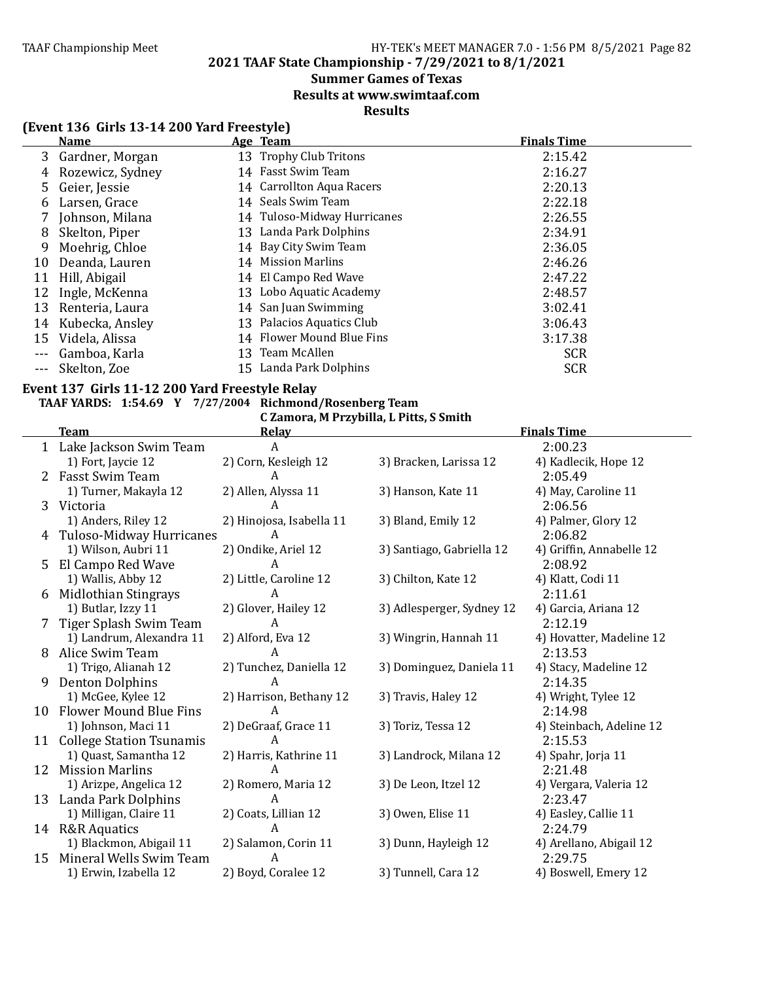**2021 TAAF State Championship - 7/29/2021 to 8/1/2021**

#### **Summer Games of Texas**

**Results at www.swimtaaf.com**

### **Results**

# **(Event 136 Girls 13-14 200 Yard Freestyle)**

|    | <b>Name</b>      | Age Team                    | <b>Finals Time</b> |
|----|------------------|-----------------------------|--------------------|
| 3  | Gardner, Morgan  | 13 Trophy Club Tritons      | 2:15.42            |
| 4  | Rozewicz, Sydney | 14 Fasst Swim Team          | 2:16.27            |
| 5  | Geier, Jessie    | 14 Carrollton Aqua Racers   | 2:20.13            |
| 6  | Larsen, Grace    | 14 Seals Swim Team          | 2:22.18            |
|    | Johnson, Milana  | 14 Tuloso-Midway Hurricanes | 2:26.55            |
| 8  | Skelton, Piper   | 13 Landa Park Dolphins      | 2:34.91            |
| 9  | Moehrig, Chloe   | 14 Bay City Swim Team       | 2:36.05            |
| 10 | Deanda, Lauren   | 14 Mission Marlins          | 2:46.26            |
| 11 | Hill, Abigail    | 14 El Campo Red Wave        | 2:47.22            |
| 12 | Ingle, McKenna   | 13 Lobo Aquatic Academy     | 2:48.57            |
| 13 | Renteria, Laura  | 14 San Juan Swimming        | 3:02.41            |
| 14 | Kubecka, Ansley  | 13 Palacios Aquatics Club   | 3:06.43            |
| 15 | Videla, Alissa   | 14 Flower Mound Blue Fins   | 3:17.38            |
|    | Gamboa, Karla    | 13 Team McAllen             | <b>SCR</b>         |
|    | Skelton, Zoe     | 15 Landa Park Dolphins      | <b>SCR</b>         |
|    |                  |                             |                    |

#### Event 137 Girls 11-12 200 Yard Freestyle Relay

# **TAAF YARDS: 1:54.69 Y 7/27/2004 Richmond/Rosenberg Team**

C Zamora, M Przybilla, L Pitts, S Smith<br>Relay

|    | <b>Team</b>                   | <b>Relay</b>             |                           | <b>Finals Time</b>       |
|----|-------------------------------|--------------------------|---------------------------|--------------------------|
|    | 1 Lake Jackson Swim Team      | A                        |                           | 2:00.23                  |
|    | 1) Fort, Jaycie 12            | 2) Corn, Kesleigh 12     | 3) Bracken, Larissa 12    | 4) Kadlecik, Hope 12     |
| 2  | <b>Fasst Swim Team</b>        | A                        |                           | 2:05.49                  |
|    | 1) Turner, Makayla 12         | 2) Allen, Alyssa 11      | 3) Hanson, Kate 11        | 4) May, Caroline 11      |
| 3  | Victoria                      | А                        |                           | 2:06.56                  |
|    | 1) Anders, Riley 12           | 2) Hinojosa, Isabella 11 | 3) Bland, Emily 12        | 4) Palmer, Glory 12      |
| 4  | Tuloso-Midway Hurricanes      | A                        |                           | 2:06.82                  |
|    | 1) Wilson, Aubri 11           | 2) Ondike, Ariel 12      | 3) Santiago, Gabriella 12 | 4) Griffin, Annabelle 12 |
| 5  | El Campo Red Wave             | A                        |                           | 2:08.92                  |
|    | 1) Wallis, Abby 12            | 2) Little, Caroline 12   | 3) Chilton, Kate 12       | 4) Klatt, Codi 11        |
| 6  | Midlothian Stingrays          | A                        |                           | 2:11.61                  |
|    | 1) Butlar, Izzy 11            | 2) Glover, Hailey 12     | 3) Adlesperger, Sydney 12 | 4) Garcia, Ariana 12     |
|    | Tiger Splash Swim Team        | A                        |                           | 2:12.19                  |
|    | 1) Landrum, Alexandra 11      | 2) Alford, Eva 12        | 3) Wingrin, Hannah 11     | 4) Hovatter, Madeline 12 |
| 8  | Alice Swim Team               |                          |                           | 2:13.53                  |
|    | 1) Trigo, Alianah 12          | 2) Tunchez, Daniella 12  | 3) Dominguez, Daniela 11  | 4) Stacy, Madeline 12    |
| 9  | <b>Denton Dolphins</b>        | A                        |                           | 2:14.35                  |
|    | 1) McGee, Kylee 12            | 2) Harrison, Bethany 12  | 3) Travis, Haley 12       | 4) Wright, Tylee 12      |
| 10 | <b>Flower Mound Blue Fins</b> | A                        |                           | 2:14.98                  |
|    | 1) Johnson, Maci 11           | 2) DeGraaf, Grace 11     | 3) Toriz, Tessa 12        | 4) Steinbach, Adeline 12 |
|    | 11 College Station Tsunamis   | A                        |                           | 2:15.53                  |
|    | 1) Quast, Samantha 12         | 2) Harris, Kathrine 11   | 3) Landrock, Milana 12    | 4) Spahr, Jorja 11       |
| 12 | <b>Mission Marlins</b>        | A                        |                           | 2:21.48                  |
|    | 1) Arizpe, Angelica 12        | 2) Romero, Maria 12      | 3) De Leon, Itzel 12      | 4) Vergara, Valeria 12   |
|    | 13 Landa Park Dolphins        | A                        |                           | 2:23.47                  |
|    | 1) Milligan, Claire 11        | 2) Coats, Lillian 12     | 3) Owen, Elise 11         | 4) Easley, Callie 11     |
|    | 14 R&R Aquatics               | A                        |                           | 2:24.79                  |
|    | 1) Blackmon, Abigail 11       | 2) Salamon, Corin 11     | 3) Dunn, Hayleigh 12      | 4) Arellano, Abigail 12  |
| 15 | Mineral Wells Swim Team       | А                        |                           | 2:29.75                  |
|    | 1) Erwin, Izabella 12         | 2) Boyd, Coralee 12      | 3) Tunnell, Cara 12       | 4) Boswell, Emery 12     |